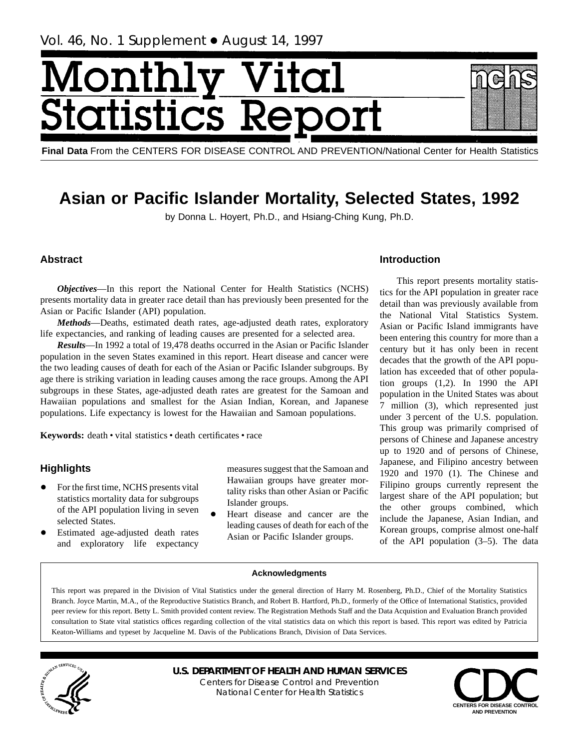# <span id="page-0-0"></span>Monthl ital **Statistics R**

**Final Data** From the CENTERS FOR DISEASE CONTROL AND PREVENTION/National Center for Health Statistics

## **Asian or Pacific Islander Mortality, Selected States, 1992**

by Donna L. Hoyert, Ph.D., and Hsiang-Ching Kung, Ph.D.

## **Abstract**

*Objectives*—In this report the National Center for Health Statistics (NCHS) presents mortality data in greater race detail than has previously been presented for the Asian or Pacific Islander (API) population.

*Methods*—Deaths, estimated death rates, age-adjusted death rates, exploratory life expectancies, and ranking of leading causes are presented for a selected area.

*Results*—In 1992 a total of 19,478 deaths occurred in the Asian or Pacific Islander population in the seven States examined in this report. Heart disease and cancer were the two leading causes of death for each of the Asian or Pacific Islander subgroups. By age there is striking variation in leading causes among the race groups. Among the API subgroups in these States, age-adjusted death rates are greatest for the Samoan and Hawaiian populations and smallest for the Asian Indian, Korean, and Japanese populations. Life expectancy is lowest for the Hawaiian and Samoan populations.

Keywords: death · vital statistics · death certificates · race

## **Highlights**

- For the first time, NCHS presents vital statistics mortality data for subgroups of the API population living in seven selected States.
- Estimated age-adjusted death rates and exploratory life expectancy

measures suggest that the Samoan and Hawaiian groups have greater mortality risks than other Asian or Pacific Islander groups.

+ Heart disease and cancer are the leading causes of death for each of the Asian or Pacific Islander groups.

## **Introduction**

This report presents mortality statistics for the API population in greater race detail than was previously available from the National Vital Statistics System. Asian or Pacific Island immigrants have been entering this country for more than a century but it has only been in recent decades that the growth of the API population has exceeded that of other population groups  $(1,2)$ . In 1990 the API population in the United States was about 7 million (3), which represented just under 3 percent of the U.S. population. This group was primarily comprised of persons of Chinese and Japanese ancestry up to 1920 and of persons of Chinese, Japanese, and Filipino ancestry between 1920 and 1970 (1). The Chinese and Filipino groups currently represent the largest share of the API population; but the other groups combined, which include the Japanese, Asian Indian, and Korean groups, comprise almost one-half of the API population (3–5). The data

## **Acknowledgments**

This report was prepared in the Division of Vital Statistics under the general direction of Harry M. Rosenberg, Ph.D., Chief of the Mortality Statistics Branch. Joyce Martin, M.A., of the Reproductive Statistics Branch, and Robert B. Hartford, Ph.D., formerly of the Office of International Statistics, provided peer review for this report. Betty L. Smith provided content review. The Registration Methods Staff and the Data Acquistion and Evaluation Branch provided consultation to State vital statistics offices regarding collection of the vital statistics data on which this report is based. This report was edited by Patricia Keaton-Williams and typeset by Jacqueline M. Davis of the Publications Branch, Division of Data Services.



**U.S. DEPARTMENT OF HEALTH AND HUMAN SERVICES** Centers for Disease Control and Prevention National Center for Health Statistics

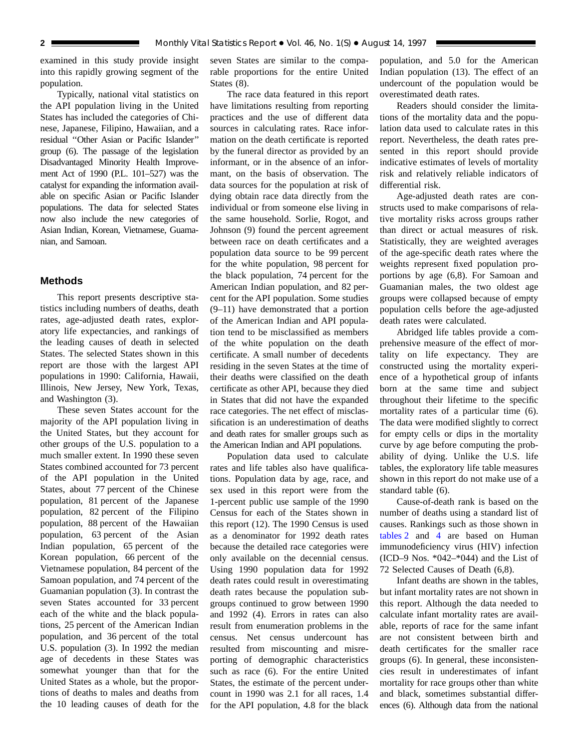<span id="page-1-0"></span>examined in this study provide insight into this rapidly growing segment of the population.

Typically, national vital statistics on the API population living in the United States has included the categories of Chinese, Japanese, Filipino, Hawaiian, and a residual ''Other Asian or Pacific Islander'' group (6). The passage of the legislation Disadvantaged Minority Health Improvement Act of 1990 (P.L. 101–527) was the catalyst for expanding the information available on specific Asian or Pacific Islander populations. The data for selected States now also include the new categories of Asian Indian, Korean, Vietnamese, Guamanian, and Samoan.

## **Methods**

This report presents descriptive statistics including numbers of deaths, death rates, age-adjusted death rates, exploratory life expectancies, and rankings of the leading causes of death in selected States. The selected States shown in this report are those with the largest API populations in 1990: California, Hawaii, Illinois, New Jersey, New York, Texas, and Washington (3).

These seven States account for the majority of the API population living in the United States, but they account for other groups of the U.S. population to a much smaller extent. In 1990 these seven States combined accounted for 73 percent of the API population in the United States, about 77 percent of the Chinese population, 81 percent of the Japanese population, 82 percent of the Filipino population, 88 percent of the Hawaiian population, 63 percent of the Asian Indian population, 65 percent of the Korean population, 66 percent of the Vietnamese population, 84 percent of the Samoan population, and 74 percent of the Guamanian population (3). In contrast the seven States accounted for 33 percent each of the white and the black populations, 25 percent of the American Indian population, and 36 percent of the total U.S. population (3). In 1992 the median age of decedents in these States was somewhat younger than that for the United States as a whole, but the proportions of deaths to males and deaths from the 10 leading causes of death for the

seven States are similar to the comparable proportions for the entire United States (8).

The race data featured in this report have limitations resulting from reporting practices and the use of different data sources in calculating rates. Race information on the death certificate is reported by the funeral director as provided by an informant, or in the absence of an informant, on the basis of observation. The data sources for the population at risk of dying obtain race data directly from the individual or from someone else living in the same household. Sorlie, Rogot, and Johnson (9) found the percent agreement between race on death certificates and a population data source to be 99 percent for the white population, 98 percent for the black population, 74 percent for the American Indian population, and 82 percent for the API population. Some studies (9–11) have demonstrated that a portion of the American Indian and API population tend to be misclassified as members of the white population on the death certificate. A small number of decedents residing in the seven States at the time of their deaths were classified on the death certificate as other API, because they died in States that did not have the expanded race categories. The net effect of misclassification is an underestimation of deaths and death rates for smaller groups such as the American Indian and API populations.

Population data used to calculate rates and life tables also have qualifications. Population data by age, race, and sex used in this report were from the 1-percent public use sample of the 1990 Census for each of the States shown in this report (12). The 1990 Census is used as a denominator for 1992 death rates because the detailed race categories were only available on the decennial census. Using 1990 population data for 1992 death rates could result in overestimating death rates because the population subgroups continued to grow between 1990 and 1992 (4). Errors in rates can also result from enumeration problems in the census. Net census undercount has resulted from miscounting and misreporting of demographic characteristics such as race (6). For the entire United States, the estimate of the percent undercount in 1990 was 2.1 for all races, 1.4 for the API population, 4.8 for the black

population, and 5.0 for the American Indian population (13). The effect of an undercount of the population would be overestimated death rates.

Readers should consider the limitations of the mortality data and the population data used to calculate rates in this report. Nevertheless, the death rates presented in this report should provide indicative estimates of levels of mortality risk and relatively reliable indicators of differential risk.

Age-adjusted death rates are constructs used to make comparisons of relative mortality risks across groups rather than direct or actual measures of risk. Statistically, they are weighted averages of the age-specific death rates where the weights represent fixed population proportions by age (6,8). For Samoan and Guamanian males, the two oldest age groups were collapsed because of empty population cells before the age-adjusted death rates were calculated.

Abridged life tables provide a comprehensive measure of the effect of mortality on life expectancy. They are constructed using the mortality experience of a hypothetical group of infants born at the same time and subject throughout their lifetime to the specific mortality rates of a particular time (6). The data were modified slightly to correct for empty cells or dips in the mortality curve by age before computing the probability of dying. Unlike the U.S. life tables, the exploratory life table measures shown in this report do not make use of a standard table (6).

Cause-of-death rank is based on the number of deaths using a standard list of causes. Ran[kings su](#page-39-0)ch as those shown in [tables 2](#page-11-0) and 4 are based on Human immunodeficiency virus (HIV) infection (ICD–9 Nos.  $*042-*044$ ) and the List of 72 Selected Causes of Death (6,8).

Infant deaths are shown in the tables, but infant mortality rates are not shown in this report. Although the data needed to calculate infant mortality rates are available, reports of race for the same infant are not consistent between birth and death certificates for the smaller race groups (6). In general, these inconsistencies result in underestimates of infant mortality for race groups other than white and black, sometimes substantial differences (6). Although data from the national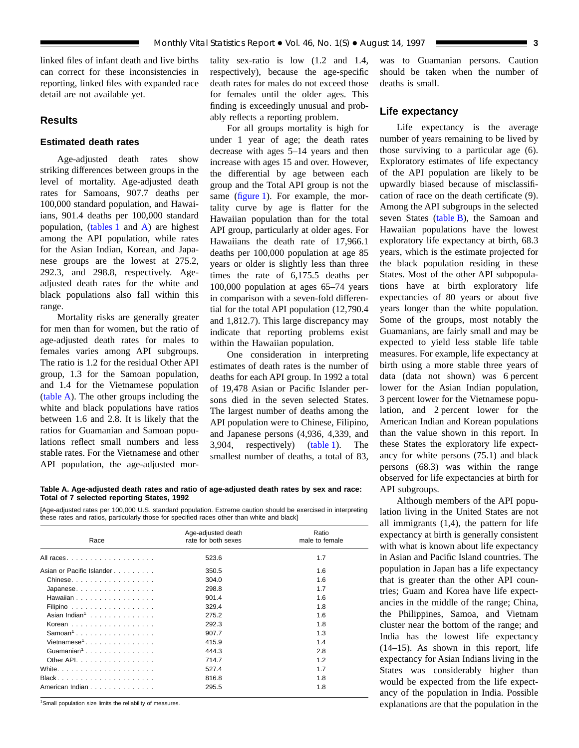<span id="page-2-0"></span>linked files of infant death and live births can correct for these inconsistencies in reporting, linked files with expanded race detail are not available yet.

## **Results**

## **Estimated death rates**

Age-adjusted death rates show striking differences between groups in the level of mortality. Age-adjusted death rates for Samoans, 907.7 deaths per 100,000 standard population, and Hawaiians, 901.4 deaths per 100,000 standard population, [\(tables 1](#page-9-0) and A) are highest among the API population, while rates for the Asian Indian, Korean, and Japanese groups are the lowest at 275.2, 292.3, and 298.8, respectively. Ageadjusted death rates for the white and black populations also fall within this range.

Mortality risks are generally greater for men than for women, but the ratio of age-adjusted death rates for males to females varies among API subgroups. The ratio is 1.2 for the residual Other API group, 1.3 for the Samoan population, and 1.4 for the Vietnamese population (table A). The other groups including the white and black populations have ratios between 1.6 and 2.8. It is likely that the ratios for Guamanian and Samoan populations reflect small numbers and less stable rates. For the Vietnamese and other API population, the age-adjusted mor-

tality sex-ratio is low (1.2 and 1.4, respectively), because the age-specific death rates for males do not exceed those for females until the older ages. This finding is exceedingly unusual and probably reflects a reporting problem.

For all groups mortality is high for under 1 year of age; the death rates decrease with ages 5–14 years and then increase with ages 15 and over. However, the differential by age between each group and the Total API group is not the sam[e \(figure 1\).](#page-3-0) For example, the mortality curve by age is flatter for the Hawaiian population than for the total API group, particularly at older ages. For Hawaiians the death rate of 17,966.1 deaths per 100,000 population at age 85 years or older is slightly less than three times the rate of 6,175.5 deaths per 100,000 population at ages 65–74 years in comparison with a seven-fold differential for the total API population (12,790.4 and 1,812.7). This large discrepancy may indicate that reporting problems exist within the Hawaiian population.

One consideration in interpreting estimates of death rates is the number of deaths for each API group. In 1992 a total of 19,478 Asian or Pacific Islander persons died in the seven selected States. The largest number of deaths among the API population were to Chinese, Filipino, and Japanese persons (4,936, 4,339, and 3,904, respectively) [\(table 1\).](#page-9-0) The smallest number of deaths, a total of 83,

**Table A. Age-adjusted death rates and ratio of age-adjusted death rates by sex and race: Total of 7 selected reporting States, 1992**

[Age-adjusted rates per 100,000 U.S. standard population. Extreme caution should be exercised in interpreting these rates and ratios, particularly those for specified races other than white and black]

| Race                                                          | Age-adjusted death<br>rate for both sexes | Ratio<br>male to female |
|---------------------------------------------------------------|-------------------------------------------|-------------------------|
| All races                                                     | 523.6                                     | 1.7                     |
| Asian or Pacific Islander                                     | 350.5                                     | 1.6                     |
| Chinese                                                       | 304.0                                     | 1.6                     |
| Japanese                                                      | 298.8                                     | 1.7                     |
| Hawaiian $\ldots$ , $\ldots$ , $\ldots$ , $\ldots$ , $\ldots$ | 901.4                                     | 1.6                     |
| Filipino $\ldots \ldots \ldots \ldots \ldots$                 | 329.4                                     | 1.8                     |
| Asian Indian <sup>1</sup>                                     | 275.2                                     | 1.6                     |
| Korean                                                        | 292.3                                     | 1.8                     |
| $Samoan1$                                                     | 907.7                                     | 1.3                     |
| Vietnamese <sup>1</sup>                                       | 415.9                                     | 1.4                     |
|                                                               | 444.3                                     | 2.8                     |
| Other API.                                                    | 714.7                                     | 1.2                     |
|                                                               | 527.4                                     | 1.7                     |
| $Black. \ldots \ldots \ldots \ldots \ldots$                   | 816.8                                     | 1.8                     |
| American Indian                                               | 295.5                                     | 1.8                     |

<sup>1</sup>Small population size limits the reliability of measures.

was to Guamanian persons. Caution should be taken when the number of deaths is small.

## **Life expectancy**

Life expectancy is the average number of years remaining to be lived by those surviving to a particular age (6). Exploratory estimates of life expectancy of the API population are likely to be upwardly biased because of misclassification of race on the death certificate (9). Among the API subgroups in the selected seven State[s \(table B\), t](#page-6-0)he Samoan and Hawaiian populations have the lowest exploratory life expectancy at birth, 68.3 years, which is the estimate projected for the black population residing in these States. Most of the other API subpopulations have at birth exploratory life expectancies of 80 years or about five years longer than the white population. Some of the groups, most notably the Guamanians, are fairly small and may be expected to yield less stable life table measures. For example, life expectancy at birth using a more stable three years of data (data not shown) was 6 percent lower for the Asian Indian population, 3 percent lower for the Vietnamese population, and 2 percent lower for the American Indian and Korean populations than the value shown in this report. In these States the exploratory life expectancy for white persons (75.1) and black persons (68.3) was within the range observed for life expectancies at birth for API subgroups.

Although members of the API population living in the United States are not all immigrants (1,4), the pattern for life expectancy at birth is generally consistent with what is known about life expectancy in Asian and Pacific Island countries. The population in Japan has a life expectancy that is greater than the other API countries; Guam and Korea have life expectancies in the middle of the range; China, the Philippines, Samoa, and Vietnam cluster near the bottom of the range; and India has the lowest life expectancy (14–15). As shown in this report, life expectancy for Asian Indians living in the States was considerably higher than would be expected from the life expectancy of the population in India. Possible explanations are that the population in the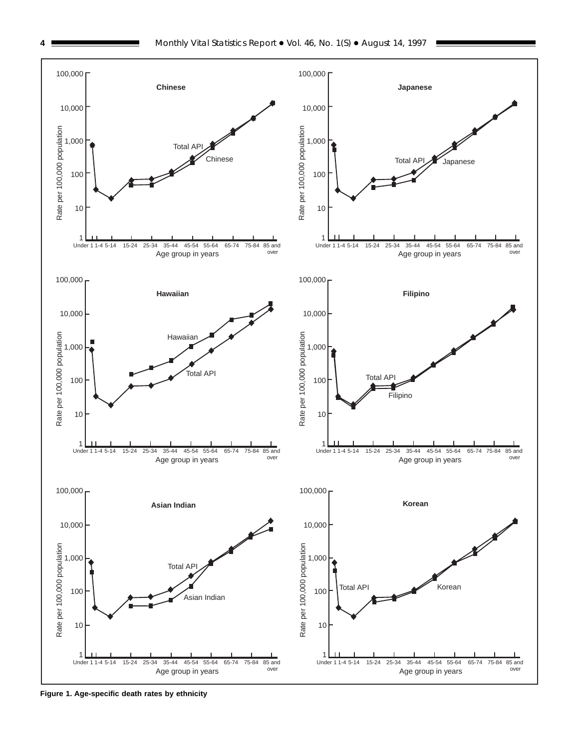<span id="page-3-0"></span>

**Figure 1. Age-specific death rates by ethnicity**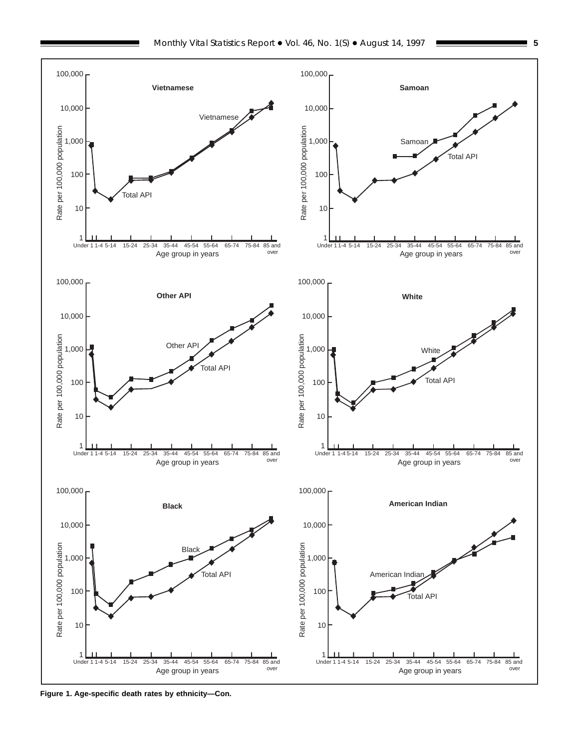

**Figure 1. Age-specific death rates by ethnicity—Con.**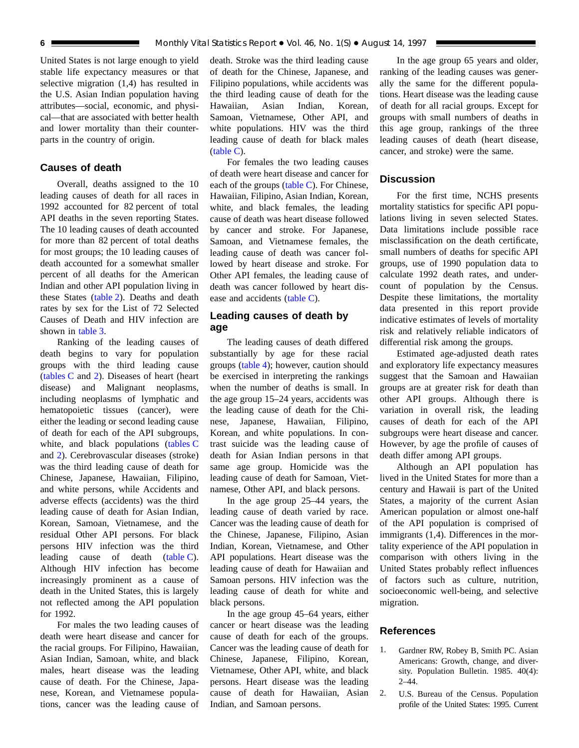<span id="page-5-0"></span>United States is not large enough to yield stable life expectancy measures or that selective migration (1,4) has resulted in the U.S. Asian Indian population having attributes—social, economic, and physical—that are associated with better health and lower mortality than their counterparts in the country of origin.

## **Causes of death**

Overall, deaths assigned to the 10 leading causes of death for all races in 1992 accounted for 82 percent of total API deaths in the seven reporting States. The 10 leading causes of death accounted for more than 82 percent of total deaths for most groups; the 10 leading causes of death accounted for a somewhat smaller percent of all deaths for the American Indian and other API population living in these State[s \(table 2\). D](#page-11-0)eaths and death rates by sex for the List of 72 Selected Causes of Death and HIV infection are shown in [table 3.](#page-19-0)

Ranking of the leading causes of death begins to vary for population groups with the third leading cause [\(tables C](#page-6-0) and [2\). D](#page-11-0)iseases of heart (heart disease) and Malignant neoplasms, including neoplasms of lymphatic and hematopoietic tissues (cancer), were either the leading or second leading cause of death for each of the API subgroups, white, and black populations [\(tables C](#page-6-0) and [2\). C](#page-11-0)erebrovascular diseases (stroke) was the third leading cause of death for Chinese, Japanese, Hawaiian, Filipino, and white persons, while Accidents and adverse effects (accidents) was the third leading cause of death for Asian Indian, Korean, Samoan, Vietnamese, and the residual Other API persons. For black persons HIV infection was the third leading cause of death [\(table C\).](#page-6-0) Although HIV infection has become increasingly prominent as a cause of death in the United States, this is largely not reflected among the API population for 1992.

For males the two leading causes of death were heart disease and cancer for the racial groups. For Filipino, Hawaiian, Asian Indian, Samoan, white, and black males, heart disease was the leading cause of death. For the Chinese, Japanese, Korean, and Vietnamese populations, cancer was the leading cause of

death. Stroke was the third leading cause of death for the Chinese, Japanese, and Filipino populations, while accidents was the third leading cause of death for the Hawaiian, Asian Indian, Korean, Samoan, Vietnamese, Other API, and white populations. HIV was the third leading cause of death for black males [\(table C\).](#page-6-0)

For females the two leading causes of death were heart disease and cancer for each of the groups (table  $C$ ). For Chinese, Hawaiian, Filipino, Asian Indian, Korean, white, and black females, the leading cause of death was heart disease followed by cancer and stroke. For Japanese, Samoan, and Vietnamese females, the leading cause of death was cancer followed by heart disease and stroke. For Other API females, the leading cause of death was cancer followed by heart disease and accident[s \(table C\).](#page-6-0)

## **Leading causes of death by age**

The leading causes of death differed substantially by age for these racial group[s \(table 4\); h](#page-39-0)owever, caution should be exercised in interpreting the rankings when the number of deaths is small. In the age group 15–24 years, accidents was the leading cause of death for the Chinese, Japanese, Hawaiian, Filipino, Korean, and white populations. In contrast suicide was the leading cause of death for Asian Indian persons in that same age group. Homicide was the leading cause of death for Samoan, Vietnamese, Other API, and black persons.

In the age group 25–44 years, the leading cause of death varied by race. Cancer was the leading cause of death for the Chinese, Japanese, Filipino, Asian Indian, Korean, Vietnamese, and Other API populations. Heart disease was the leading cause of death for Hawaiian and Samoan persons. HIV infection was the leading cause of death for white and black persons.

In the age group 45–64 years, either cancer or heart disease was the leading cause of death for each of the groups. Cancer was the leading cause of death for Chinese, Japanese, Filipino, Korean, Vietnamese, Other API, white, and black persons. Heart disease was the leading cause of death for Hawaiian, Asian Indian, and Samoan persons.

In the age group 65 years and older, ranking of the leading causes was generally the same for the different populations. Heart disease was the leading cause of death for all racial groups. Except for groups with small numbers of deaths in this age group, rankings of the three leading causes of death (heart disease, cancer, and stroke) were the same.

## **Discussion**

For the first time, NCHS presents mortality statistics for specific API populations living in seven selected States. Data limitations include possible race misclassification on the death certificate, small numbers of deaths for specific API groups, use of 1990 population data to calculate 1992 death rates, and undercount of population by the Census. Despite these limitations, the mortality data presented in this report provide indicative estimates of levels of mortality risk and relatively reliable indicators of differential risk among the groups.

Estimated age-adjusted death rates and exploratory life expectancy measures suggest that the Samoan and Hawaiian groups are at greater risk for death than other API groups. Although there is variation in overall risk, the leading causes of death for each of the API subgroups were heart disease and cancer. However, by age the profile of causes of death differ among API groups.

Although an API population has lived in the United States for more than a century and Hawaii is part of the United States, a majority of the current Asian American population or almost one-half of the API population is comprised of immigrants (1,4). Differences in the mortality experience of the API population in comparison with others living in the United States probably reflect influences of factors such as culture, nutrition, socioeconomic well-being, and selective migration.

## **References**

- 1. Gardner RW, Robey B, Smith PC. Asian Americans: Growth, change, and diversity. Population Bulletin. 1985. 40(4): 2–44.
- 2. U.S. Bureau of the Census. Population profile of the United States: 1995. Current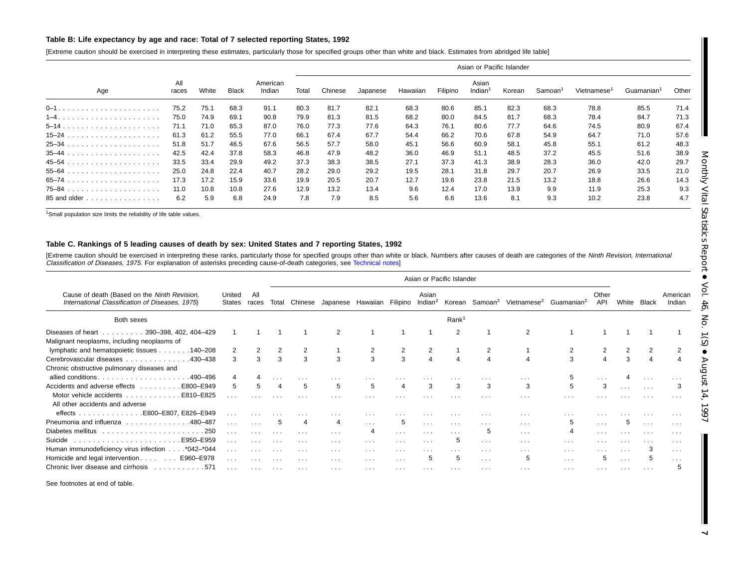#### <span id="page-6-0"></span>Table B: Life expectancy by age and race: Total of 7 selected reporting States, 1992

[Extreme caution should be exercised in interpreting these estimates, particularly those for specified groups other than white and black. Estimates from abridged life table]

|              |              |       |       |                    |       |         |          |          |          |                              | Asian or Pacific Islander |                     |                         |                        |       |
|--------------|--------------|-------|-------|--------------------|-------|---------|----------|----------|----------|------------------------------|---------------------------|---------------------|-------------------------|------------------------|-------|
| Age          | All<br>races | White | Black | American<br>Indian | Total | Chinese | Japanese | Hawaiian | Filipino | Asian<br>Indian <sup>1</sup> | Korean                    | Samoan <sup>1</sup> | Vietnamese <sup>1</sup> | Guamanian <sup>1</sup> | Other |
|              | 75.2         | 75.1  | 68.3  | 91.1               | 80.3  | 81.7    | 82.1     | 68.3     | 80.6     | 85.1                         | 82.3                      | 68.3                | 78.8                    | 85.5                   | 71.4  |
|              | 75.0         | 74.9  | 69.1  | 90.8               | 79.9  | 81.3    | 81.5     | 68.2     | 80.0     | 84.5                         | 81.7                      | 68.3                | 78.4                    | 84.7                   | 71.3  |
| $5 - 14$ .   | 71.1         | 71.0  | 65.3  | 87.0               | 76.0  | 77.3    | 77.6     | 64.3     | 76.1     | 80.6                         | 77.7                      | 64.6                | 74.5                    | 80.9                   | 67.4  |
|              | 61.3         | 61.2  | 55.5  | 77.0               | 66.1  | 67.4    | 67.7     | 54.4     | 66.2     | 70.6                         | 67.8                      | 54.9                | 64.7                    | 71.0                   | 57.6  |
|              | 51.8         | 51.7  | 46.5  | 67.6               | 56.5  | 57.7    | 58.0     | 45.1     | 56.6     | 60.9                         | 58.1                      | 45.8                | 55.1                    | 61.2                   | 48.3  |
|              | 42.5         | 42.4  | 37.8  | 58.3               | 46.8  | 47.9    | 48.2     | 36.0     | 46.9     | 51.1                         | 48.5                      | 37.2                | 45.5                    | 51.6                   | 38.9  |
|              | 33.5         | 33.4  | 29.9  | 49.2               | 37.3  | 38.3    | 38.5     | 27.1     | 37.3     | 41.3                         | 38.9                      | 28.3                | 36.0                    | 42.0                   | 29.7  |
|              | 25.0         | 24.8  | 22.4  | 40.7               | 28.2  | 29.0    | 29.2     | 19.5     | 28.1     | 31.8                         | 29.7                      | 20.7                | 26.9                    | 33.5                   | 21.0  |
|              | 17.3         | 17.2  | 15.9  | 33.6               | 19.9  | 20.5    | 20.7     | 12.7     | 19.6     | 23.8                         | 21.5                      | 13.2                | 18.8                    | 26.6                   | 14.3  |
|              | 11.0         | 10.8  | 10.8  | 27.6               | 12.9  | 13.2    | 13.4     | 9.6      | 12.4     | 17.0                         | 13.9                      | 9.9                 | 11.9                    | 25.3                   | 9.3   |
| 85 and older | 6.2          | 5.9   | 6.8   | 24.9               | 7.8   | 7.9     | 8.5      | 5.6      | 6.6      | 13.6                         | 8.1                       | 9.3                 | 10.2                    | 23.8                   | 4.7   |

<sup>1</sup>Small population size limits the reliability of life table values.

#### Table C. Rankings of 5 leading causes of death by sex: United States and 7 reporting States, 1992

[Extreme caution should be exercised in interpreting these ranks, particularly those for specified groups other than white or black. Numbers after causes of death are categories of the Ninth Revision, International Classification of Diseases, 1975. For explanation of asterisks preceding cause-of-death categories, see [Technical](#page-61-0) notes]

|                                                                                                 |                      |              |                   |          |                         |                            |                         |                      | Asian or Pacific Islander |                      |                                                                           |          |                      |                         |                      |                      |
|-------------------------------------------------------------------------------------------------|----------------------|--------------|-------------------|----------|-------------------------|----------------------------|-------------------------|----------------------|---------------------------|----------------------|---------------------------------------------------------------------------|----------|----------------------|-------------------------|----------------------|----------------------|
| Cause of death (Based on the Ninth Revision,<br>International Classification of Diseases, 1975) | United<br>States     | All<br>races | Total             | Chinese  |                         | Japanese Hawaiian Filipino |                         | Asian<br>Indian $^2$ |                           |                      | Korean Samoan <sup>2</sup> Vietnamese <sup>2</sup> Guamanian <sup>2</sup> |          | Other<br><b>API</b>  | White                   | <b>Black</b>         | American<br>Indian   |
| Both sexes                                                                                      |                      |              |                   |          |                         |                            |                         |                      | Rank <sup>1</sup>         |                      |                                                                           |          |                      |                         |                      |                      |
| Diseases of heart<br>$\ldots \ldots 390 - 398, 402, 404 - 429$                                  |                      |              |                   |          | $\mathcal{P}$           |                            |                         |                      | 2                         |                      | 2                                                                         |          |                      |                         |                      |                      |
| Malignant neoplasms, including neoplasms of                                                     |                      |              |                   |          |                         |                            |                         |                      |                           |                      |                                                                           |          |                      |                         |                      |                      |
| lymphatic and hematopoietic tissues 140–208                                                     | 2                    |              |                   |          |                         | 2                          |                         |                      |                           |                      |                                                                           |          |                      |                         |                      |                      |
| Cerebrovascular diseases<br>.430-438                                                            | 3                    | 3            |                   | 3        | 3                       | 3                          | 3                       |                      |                           | Δ                    |                                                                           | 3        |                      |                         | $\overline{4}$       |                      |
| Chronic obstructive pulmonary diseases and                                                      |                      |              |                   |          |                         |                            |                         |                      |                           |                      |                                                                           |          |                      |                         |                      |                      |
| allied conditions.<br>.490–496<br>.                                                             |                      |              |                   |          |                         |                            |                         |                      |                           |                      | .                                                                         |          |                      |                         |                      |                      |
| Accidents and adverse effects<br>E800-E949<br>and a straight and                                | 5                    |              |                   | 5        | 5                       | 5                          |                         | 3                    | 3                         | 3                    | 3                                                                         | 5        | 3                    | $\cdots$                | $\sim$ $\sim$ $\sim$ |                      |
| Motor vehicle accidents<br>E810-E825                                                            | $\cdots$             |              |                   | $\cdots$ | $\sim$ $\sim$ $\sim$    | .                          | $\cdots$                | $\cdots$             | $\cdots$                  | .                    | $\cdots$                                                                  | .        |                      |                         |                      |                      |
| All other accidents and adverse                                                                 |                      |              |                   |          |                         |                            |                         |                      |                           |                      |                                                                           |          |                      |                         |                      |                      |
| E800-E807, E826-E949<br>effects<br>.                                                            | $\sim$ $\sim$ $\sim$ |              |                   |          | $\cdots$                | .                          |                         | $\cdots$             | $\cdots$                  | $\cdots$             | $\cdots$                                                                  | .        |                      |                         |                      |                      |
| Pneumonia and influenza 480-487                                                                 | $\cdots$             |              | 5                 | 4        | 4                       | $\sim$ $\sim$ $\sim$       | 5                       | $\sim$ $\sim$ $\sim$ | $\sim$ $\sim$ $\sim$      | $\cdots$             | $\sim$ 100 $\sim$                                                         | 5        | $\sim$ $\sim$ $\sim$ |                         | $\sim$ 100 $\pm$     | $\cdots$             |
| Diabetes mellitus                                                                               | $\cdots$             |              |                   | $\cdots$ | $\cdot$ $\cdot$ $\cdot$ | 4                          | $\cdot$ $\cdot$ $\cdot$ | $\sim$ $\sim$ $\sim$ | $\cdot$ $\cdot$ $\cdot$   | 5                    | $\cdots$                                                                  |          | $\cdots$             |                         | $\cdots$             | .                    |
| E950-E959<br>Suicide                                                                            | $\sim$ $\sim$ $\sim$ |              |                   | $\cdots$ | $\cdots$                | $\cdots$                   | $\cdots$                | $\sim$ $\sim$ $\sim$ | 5                         | $\sim$ $\sim$ $\sim$ | $\cdots$                                                                  | $\cdots$ |                      |                         | $\cdots$             | .                    |
| Human immunodeficiency virus infection *042-*044                                                | $\cdots$             |              |                   | $\cdots$ | $\cdots$                | $\cdots$                   | $\cdots$                | $\cdots$             | $\cdots$                  | $\cdots$             | $\cdots$                                                                  | $\cdots$ | $\cdots$             | $\cdot$ $\cdot$ $\cdot$ | 3                    | $\sim$ $\sim$ $\sim$ |
| Homicide and legal intervention<br>E960-E978                                                    | $\sim$ $\sim$ $\sim$ | $\cdots$     | $\cdots$          | $\cdots$ | $\sim$ $\sim$ $\sim$    | $\cdots$                   | $\cdots$                | 5                    | 5                         | $\sim$ $\sim$ $\sim$ | 5                                                                         | $\cdots$ | 5                    | $\sim$ $\sim$ $\sim$    | 5                    | $\sim$ $\sim$ $\sim$ |
| Chronic liver disease and cirrhosis<br>. 571                                                    | $\sim$ $\sim$ $\sim$ | $\cdots$     | <b>Contractor</b> | $\cdots$ | $\cdots$                | $\cdots$                   | $\cdots$                | $\sim$ $\sim$ $\sim$ | $\cdots$                  | $\cdots$             | $\sim$ 100 $\sim$ 100 $\sim$                                              | $\cdots$ | $\cdots$             | $\cdots$                | $\sim$ $\sim$ $\sim$ |                      |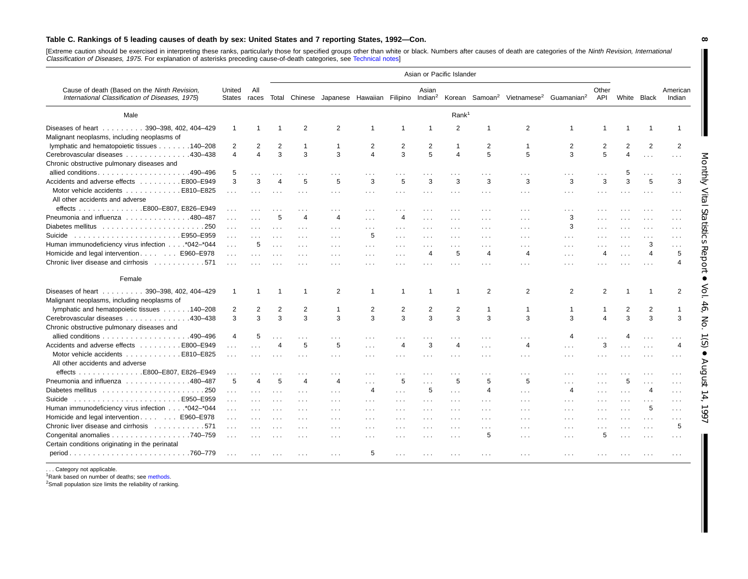#### Table C. Rankings of 5 leading causes of death by sex: United States and 7 reporting States, 1992-Con.

[Extreme caution should be exercised in interpreting these ranks, particularly those for specified groups other than white or black. Numbers after causes of death are categories of the Ninth Revision, International Classification of Diseases, 1975. For explanation of asterisks preceding cause-of-death categories, see [Technical](#page-61-0) notes]

|                                                                                                 |                  |                      |                      |                         |                      |                      |                      |                         | Asian or Pacific Islander |                      |                      |                                                                                                                                        |                         |                         |                      |                      |
|-------------------------------------------------------------------------------------------------|------------------|----------------------|----------------------|-------------------------|----------------------|----------------------|----------------------|-------------------------|---------------------------|----------------------|----------------------|----------------------------------------------------------------------------------------------------------------------------------------|-------------------------|-------------------------|----------------------|----------------------|
| Cause of death (Based on the Ninth Revision,<br>International Classification of Diseases, 1975) | United<br>States | All<br>races         |                      |                         |                      |                      |                      | Asian                   |                           |                      |                      | Total Chinese Japanese Hawaiian Filipino Indian <sup>2</sup> Korean Samoan <sup>2</sup> Vietnamese <sup>2</sup> Guamanian <sup>2</sup> | Other<br>API            |                         | White Black          | American<br>Indian   |
| Male                                                                                            |                  |                      |                      |                         |                      |                      |                      |                         | Rank <sup>1</sup>         |                      |                      |                                                                                                                                        |                         |                         |                      |                      |
| Diseases of heart<br>390-398, 402, 404-429                                                      | $\overline{1}$   | $\mathbf{1}$         |                      | 2                       | $\overline{2}$       |                      | -1                   | $\overline{\mathbf{1}}$ | 2                         |                      | 2                    | $\mathbf 1$                                                                                                                            | $\overline{1}$          |                         |                      | $\mathbf{1}$         |
| Malignant neoplasms, including neoplasms of                                                     |                  |                      |                      |                         |                      |                      |                      |                         |                           |                      |                      |                                                                                                                                        |                         |                         |                      |                      |
| lymphatic and hematopoietic tissues 140–208                                                     | 2                | $\overline{2}$       | $\overline{2}$       | 1                       | -1                   | $\overline{2}$       | 2                    | $\overline{2}$          | -1                        | 2                    | $\mathbf 1$          | 2                                                                                                                                      | $\overline{2}$          | 2                       | 2                    | $\overline{2}$       |
| Cerebrovascular diseases 430-438                                                                | $\overline{4}$   | $\overline{4}$       | 3                    | 3                       | 3                    | $\overline{4}$       | 3                    | 5                       | 4                         | 5                    | 5                    | 3                                                                                                                                      | 5                       | 4                       | $\sim 10$            | $\cdots$             |
| Chronic obstructive pulmonary diseases and                                                      |                  |                      |                      |                         |                      |                      |                      |                         |                           |                      |                      |                                                                                                                                        |                         |                         |                      |                      |
| allied conditions490-496                                                                        | 5                |                      | $\sim$ .             | $\cdots$                | $\sim$ $\sim$ $\sim$ | .                    |                      |                         |                           |                      | .                    | .                                                                                                                                      |                         | 5                       |                      | $\cdots$             |
| Accidents and adverse effects E800–E949                                                         | 3                | 3                    | $\overline{4}$       | 5                       | 5                    | 3                    | 5                    | 3                       | 3                         | 3                    | 3                    | 3                                                                                                                                      | 3                       | 3                       | 5                    | 3                    |
| Motor vehicle accidents E810–E825                                                               | $\cdots$         | $\cdots$             | $\cdots$             | $\sim$ $\sim$ $\sim$    | $\sim$ $\sim$ $\sim$ | $\sim$ $\sim$ $\sim$ | $\sim$ $\sim$ $\sim$ | $\sim$ $\sim$ $\sim$    | $\cdots$                  | $\cdots$             | $\sim$ $\sim$        | .                                                                                                                                      | $\cdots$                | $\sim$ $\sim$ $\sim$    | $\cdots$             | $\sim$ $\sim$ $\sim$ |
| All other accidents and adverse                                                                 |                  |                      |                      |                         |                      |                      |                      |                         |                           |                      |                      |                                                                                                                                        |                         |                         |                      |                      |
| effects E800–E807. E826–E949                                                                    | $\cdots$         |                      |                      |                         | $\cdots$             | $\cdots$             |                      | $\cdots$                |                           | $\cdots$             | $\cdots$             | .                                                                                                                                      | $\cdot$ $\cdot$ $\cdot$ |                         |                      | $\cdots$             |
| Pneumonia and influenza 480-487                                                                 | $\cdots$         |                      | 5                    | $\Delta$                | $\Delta$             | .                    | $\overline{4}$       | $\ldots$                |                           |                      | .                    | 3                                                                                                                                      |                         |                         |                      | $\cdots$             |
|                                                                                                 | $\sim 100$       | $\sim$               |                      | $\sim 100$              | $\sim 100$           | .                    | $\cdots$             | $\sim$ $\sim$           |                           | $\cdots$             | $\cdots$             | 3                                                                                                                                      | $\cdots$                | $\cdots$                |                      | $\cdots$             |
| .E950-E959<br>Suicide                                                                           | $\cdots$         | $\sim$               |                      |                         |                      | 5                    |                      | $\sim$ $\sim$ $\sim$    |                           |                      |                      | .                                                                                                                                      |                         |                         |                      | $\cdots$             |
| Human immunodeficiency virus infection *042-*044                                                | $\sim$ $\sim$    | 5                    | $\sim$ $\sim$ $\sim$ | $\cdots$                | $\cdots$             | $\cdots$             |                      | $\sim$ $\sim$ $\sim$    |                           | $\cdots$             | $\cdots$             | $\cdots$                                                                                                                               |                         | $\cdots$                | 3                    | $\cdots$             |
| Homicide and legal intervention E960-E978                                                       | $\sim 100$       | $\sim 100$           |                      |                         |                      | .                    | $\sim$ $\sim$ $\sim$ | 4                       | 5                         | $\overline{4}$       | 4                    | .                                                                                                                                      | 4                       | $\cdots$                | $\overline{4}$       | 5                    |
| Chronic liver disease and cirrhosis 571                                                         | $\sim 100$       | $\cdots$             |                      | $\cdots$                | $\cdots$             | $\cdots$             | $\cdots$             | $\sim$ $\sim$ $\sim$    | .                         | $\cdots$             | .                    | $\cdots$                                                                                                                               | $\cdots$                |                         |                      | $\overline{4}$       |
| Female                                                                                          |                  |                      |                      |                         |                      |                      |                      |                         |                           |                      |                      |                                                                                                                                        |                         |                         |                      |                      |
| Diseases of heart 390-398, 402, 404-429                                                         |                  | $\overline{1}$       |                      |                         | 2                    | -1                   | -1                   | 1                       | -1                        | 2                    | 2                    | 2                                                                                                                                      | 2                       |                         | $\overline{1}$       | 2                    |
| Malignant neoplasms, including neoplasms of                                                     |                  |                      |                      |                         |                      |                      |                      |                         |                           |                      |                      |                                                                                                                                        |                         |                         |                      |                      |
| lymphatic and hematopoietic tissues 140-208                                                     | 2                | $\overline{2}$       | $\overline{2}$       | $\overline{2}$          | -1                   | $\overline{2}$       | 2                    | $\overline{2}$          | 2                         | $\mathbf{1}$         | -1                   | $\mathbf 1$                                                                                                                            | -1                      | 2                       | 2                    | $\mathbf{1}$         |
| Cerebrovascular diseases 430-438                                                                | 3                | 3                    | 3                    | 3                       | 3                    | 3                    | 3                    | 3                       | 3                         | 3                    | 3                    | 3                                                                                                                                      | $\overline{4}$          | 3                       | 3                    | 3                    |
| Chronic obstructive pulmonary diseases and                                                      |                  |                      |                      |                         |                      |                      |                      |                         |                           |                      |                      |                                                                                                                                        |                         |                         |                      |                      |
|                                                                                                 | $\overline{4}$   | 5                    | .                    |                         |                      | .                    |                      |                         |                           |                      |                      | 4                                                                                                                                      | $\sim$ $\sim$ $\sim$    |                         | $\cdots$             | $\sim$               |
| Accidents and adverse effects E800–E949                                                         | $\cdots$         |                      | $\overline{4}$       | 5                       | 5                    | $\sim$ $\sim$        | $\overline{4}$       | 3                       | $\overline{4}$            | $\cdots$             | 4                    | .                                                                                                                                      | 3                       | $\sim$ $\sim$ $\sim$    | $\sim$ $\sim$ $\sim$ | $\overline{4}$       |
| Motor vehicle accidents<br>E810-E825                                                            | $\cdots$         | $\sim$ $\sim$ $\sim$ |                      |                         | $\cdots$             | $\cdots$             | $\sim$ $\sim$ $\sim$ | $\cdots$                | $\cdots$                  | $\cdots$             | $\cdots$             | .                                                                                                                                      | $\cdot$ $\cdot$ $\cdot$ | $\cdot$ $\cdot$ $\cdot$ |                      | $\cdots$             |
| All other accidents and adverse                                                                 |                  |                      |                      |                         |                      |                      |                      |                         |                           |                      |                      |                                                                                                                                        |                         |                         |                      |                      |
|                                                                                                 |                  |                      | $\cdots$             | $\cdots$                | $\cdots$             | $\cdots$             | $\sim$ $\sim$        | $\cdots$                |                           | $\cdots$             | $\cdots$             | .                                                                                                                                      | $\cdot$ $\cdot$ $\cdot$ | $\ldots$                | .                    | $\cdots$             |
| Pneumonia and influenza 480-487                                                                 | 5                | $\overline{4}$       | 5                    | $\overline{\mathbf{A}}$ | $\overline{4}$       | $\sim$               | 5                    | $\sim 100$              | 5                         | 5                    | 5                    | .                                                                                                                                      |                         | 5                       | .                    | $\cdots$             |
|                                                                                                 | $\sim 100$       | $\sim 100$           | $\sim$ $\sim$ $\sim$ | $\sim 100$              | $\cdots$             | $\overline{4}$       | $\cdots$             | 5                       | $\cdots$                  | $\overline{4}$       | $\sim$               | 4                                                                                                                                      | $\sim$ $\sim$ $\sim$    | $\cdots$                | $\overline{4}$       | $\cdots$             |
| Suicide                                                                                         | $\sim 100$       | $\cdots$             | $\sim$ $\sim$ $\sim$ | $\sim$ $\sim$ $\sim$    |                      | $\cdots$             | $\sim$ $\sim$ $\sim$ | $\sim$ $\sim$ $\sim$    |                           | $\cdots$             | $\cdots$             | .                                                                                                                                      | $\cdots$                | $\sim$ $\sim$ $\sim$    |                      | $\cdots$             |
| Human immunodeficiency virus infection *042-*044                                                | $\sim 100$       | $\cdots$             | $\ldots$             | $\cdots$                | $\sim$ $\sim$ $\sim$ | $\cdots$             | $\cdots$             | $\sim$ $\sim$ $\sim$    | $\sim$ $\sim$             | $\cdots$             | $\cdots$             | $\cdots$                                                                                                                               | $\cdots$                | $\cdots$                | 5                    | $\sim$ $\sim$ $\sim$ |
| Homicide and legal intervention  E960-E978                                                      | $\sim 100$       | $\sim$ $\sim$ $\sim$ | $\sim$ $\sim$ $\sim$ | $\sim$ $\sim$ $\sim$    | $\sim$ $\sim$ $\sim$ | $\sim$ $\sim$ $\sim$ | $\sim$ $\sim$ $\sim$ | $\cdots$                | $\sim$ $\sim$ $\sim$      | $\sim$ $\sim$ $\sim$ | $\sim$ $\sim$ $\sim$ | .                                                                                                                                      | $\cdots$                | $\sim$ $\sim$ $\sim$    | $\sim$ $\sim$ $\sim$ | $\cdots$             |
| Chronic liver disease and cirrhosis 571                                                         | $\sim 100$       | $\cdots$             | $\cdots$             | $\cdots$                | $\cdots$             | $\cdots$             | $\cdots$             | $\cdots$                | .                         | $\cdots$             | .                    | .                                                                                                                                      | $\cdots$                | $\cdots$                | $\cdots$             | 5                    |
| Congenital anomalies 740-759                                                                    | $\mathbf{1}$     |                      |                      |                         |                      | .                    |                      | $\sim$ $\sim$ $\sim$    |                           | 5                    | .                    | .                                                                                                                                      | 5                       |                         | $\sim$ $\sim$        | $\sim$ $\sim$        |
| Certain conditions originating in the perinatal                                                 |                  |                      |                      |                         |                      |                      |                      |                         |                           |                      |                      |                                                                                                                                        |                         |                         |                      |                      |
|                                                                                                 |                  | $\sim 100$           |                      |                         |                      | 5                    |                      |                         |                           |                      |                      |                                                                                                                                        |                         |                         |                      |                      |

. . . Category not applicable.

<sup>1</sup>Rank based on number of deaths; see [methods.](#page-1-0)

<sup>2</sup>Small population size limits the reliability of ranking.

**8**

 $\blacksquare$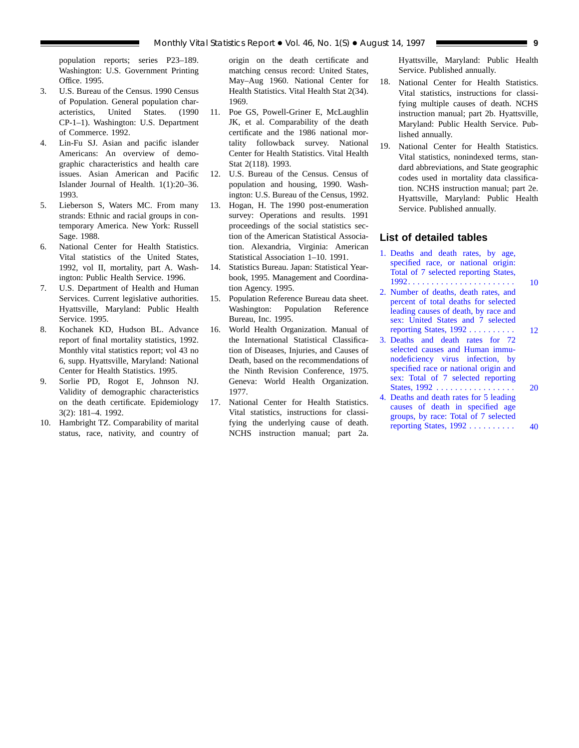<span id="page-8-0"></span>population reports; series P23–189. Washington: U.S. Government Printing Office. 1995.

- 3. U.S. Bureau of the Census. 1990 Census of Population. General population characteristics, United States. (1990 CP-1–1). Washington: U.S. Department of Commerce. 1992.
- 4. Lin-Fu SJ. Asian and pacific islander Americans: An overview of demographic characteristics and health care issues. Asian American and Pacific Islander Journal of Health. 1(1):20–36. 1993.
- 5. Lieberson S, Waters MC. From many strands: Ethnic and racial groups in contemporary America. New York: Russell Sage. 1988.
- 6. National Center for Health Statistics. Vital statistics of the United States, 1992, vol II, mortality, part A. Washington: Public Health Service. 1996.
- 7. U.S. Department of Health and Human Services. Current legislative authorities. Hyattsville, Maryland: Public Health Service. 1995.
- 8. Kochanek KD, Hudson BL. Advance report of final mortality statistics, 1992. Monthly vital statistics report; vol 43 no 6, supp. Hyattsville, Maryland: National Center for Health Statistics. 1995.
- 9. Sorlie PD, Rogot E, Johnson NJ. Validity of demographic characteristics on the death certificate. Epidemiology 3(2): 181–4. 1992.
- 10. Hambright TZ. Comparability of marital status, race, nativity, and country of

origin on the death certificate and matching census record: United States, May–Aug 1960. National Center for Health Statistics. Vital Health Stat 2(34). 1969.

- 11. Poe GS, Powell-Griner E, McLaughlin JK, et al. Comparability of the death certificate and the 1986 national mortality followback survey. National Center for Health Statistics. Vital Health Stat 2(118). 1993.
- 12. U.S. Bureau of the Census. Census of population and housing, 1990. Washington: U.S. Bureau of the Census, 1992.
- 13. Hogan, H. The 1990 post-enumeration survey: Operations and results. 1991 proceedings of the social statistics section of the American Statistical Association. Alexandria, Virginia: American Statistical Association 1–10. 1991.
- 14. Statistics Bureau. Japan: Statistical Yearbook, 1995. Management and Coordination Agency. 1995.
- 15. Population Reference Bureau data sheet. Washington: Population Reference Bureau, Inc. 1995.
- 16. World Health Organization. Manual of the International Statistical Classification of Diseases, Injuries, and Causes of Death, based on the recommendations of the Ninth Revision Conference, 1975. Geneva: World Health Organization. 1977.
- 17. National Center for Health Statistics. Vital statistics, instructions for classifying the underlying cause of death. NCHS instruction manual; part 2a.

Hyattsville, Maryland: Public Health Service. Published annually.

- 18. National Center for Health Statistics. Vital statistics, instructions for classifying multiple causes of death. NCHS instruction manual; part 2b. Hyattsville, Maryland: Public Health Service. Published annually.
- 19. National Center for Health Statistics. Vital statistics, nonindexed terms, standard abbreviations, and State geographic codes used in mortality data classification. NCHS instruction manual; part 2e. Hyattsville, Maryland: Public Health Service. Published annually.

## **List of detailed tables**

- [1. Deaths and death rates, by age,](#page-9-0) specified race, or national origin: Total of 7 selected reporting States, 1992....................... 10
- [2. Number of deaths, death rates, and](#page-11-0) percent of total deaths for selected leading causes of death, by race and sex: United States and 7 selected reporting States, 1992 .......... 12
- [3. Deaths and death rates for 72](#page-19-0) selected causes and Human immunodeficiency virus infection, by specified race or national origin and sex: Total of 7 selected reporting States, 1992 ................. 20
- [4. Deaths and death rates for 5 leading](#page-39-0) causes of death in specified age groups, by race: Total of 7 selected reporting States, 1992 .......... 40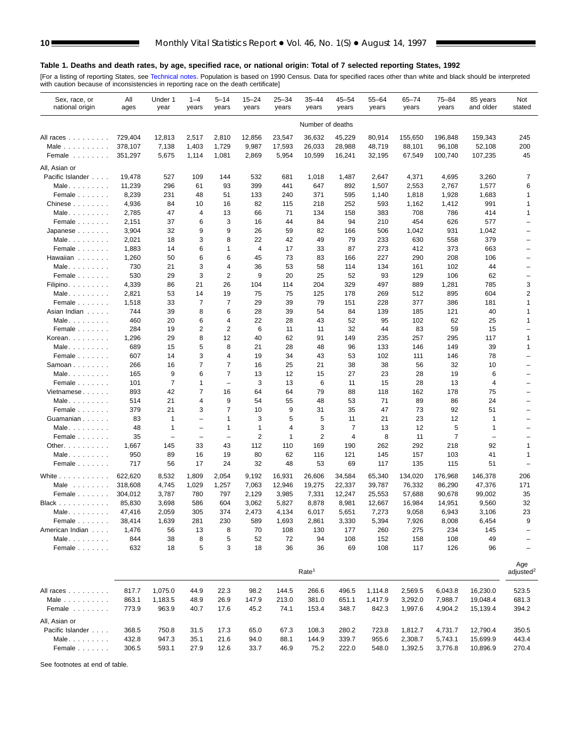## <span id="page-9-0"></span>**Table 1. Deaths and death rates, by age, specified race, or national origin: Total of 7 selected reporting States, 1992**

[For a listing of reporting States, see [Technical notes. Po](#page-61-0)pulation is based on 1990 Census. Data for specified races other than white and black should be interpreted<br>with caution because of inconsistencies in reporting ra

| Sex, race, or<br>national origin | All<br>ages      | Under 1<br>year          | $1 - 4$<br>years         | $5 - 14$<br>years        | $15 - 24$<br>years | $25 - 34$<br>years | $35 - 44$<br>years | $45 - 54$<br>years | $55 - 64$<br>years | 65-74<br>years  | 75-84<br>years  | 85 years<br>and older    | Not<br>stated                        |
|----------------------------------|------------------|--------------------------|--------------------------|--------------------------|--------------------|--------------------|--------------------|--------------------|--------------------|-----------------|-----------------|--------------------------|--------------------------------------|
|                                  |                  |                          |                          |                          |                    |                    | Number of deaths   |                    |                    |                 |                 |                          |                                      |
| All races                        | 729,404          | 12,813                   | 2,517                    | 2,810                    | 12,856             | 23,547             | 36,632             | 45,229             | 80,914             | 155,650         | 196,848         | 159,343                  | 245                                  |
| Male $\ldots$                    | 378,107          | 7,138                    | 1,403                    | 1,729                    | 9,987              | 17,593             | 26,033             | 28,988             | 48,719             | 88,101          | 96,108          | 52,108                   | 200                                  |
| Female                           | 351,297          | 5,675                    | 1,114                    | 1,081                    | 2,869              | 5,954              | 10,599             | 16,241             | 32,195             | 67,549          | 100,740         | 107,235                  | 45                                   |
| All, Asian or                    |                  |                          |                          |                          |                    |                    |                    |                    |                    |                 |                 |                          |                                      |
| Pacific Islander                 | 19,478           | 527                      | 109                      | 144                      | 532                | 681                | 1,018              | 1,487              | 2,647              | 4,371           | 4,695           | 3,260                    | 7                                    |
| Male                             | 11,239           | 296                      | 61                       | 93                       | 399                | 441                | 647                | 892                | 1,507              | 2,553           | 2,767           | 1,577                    | 6                                    |
| Female                           | 8,239            | 231                      | 48                       | 51                       | 133                | 240                | 371                | 595                | 1,140              | 1,818           | 1,928           | 1,683                    | 1                                    |
| Chinese                          | 4,936            | 84                       | 10                       | 16                       | 82                 | 115                | 218                | 252                | 593                | 1,162           | 1,412           | 991                      | $\mathbf{1}$                         |
| Male                             | 2,785            | 47                       | 4                        | 13                       | 66                 | 71                 | 134                | 158                | 383                | 708             | 786             | 414                      | $\mathbf{1}$                         |
| Female                           | 2,151            | 37                       | 6                        | 3                        | 16                 | 44                 | 84                 | 94                 | 210                | 454             | 626             | 577                      | $\overline{\phantom{0}}$             |
| Japanese                         | 3,904            | 32                       | 9                        | 9                        | 26                 | 59                 | 82                 | 166                | 506                | 1,042           | 931             | 1,042                    | $\overline{\phantom{0}}$             |
| Male                             | 2,021            | 18                       | 3                        | 8                        | 22                 | 42                 | 49                 | 79                 | 233                | 630             | 558             | 379                      | $\overline{\phantom{0}}$             |
| Female                           | 1,883            | 14                       | 6                        | 1                        | 4                  | 17                 | 33                 | 87                 | 273                | 412             | 373             | 663                      |                                      |
| Hawaiian                         | 1,260            | 50                       | 6                        | 6                        | 45                 | 73                 | 83                 | 166                | 227                | 290             | 208             | 106                      | $\overline{\phantom{0}}$             |
| Male                             | 730              | 21                       | 3                        | 4                        | 36                 | 53                 | 58                 | 114                | 134                | 161             | 102             | 44                       |                                      |
| Female                           | 530              | 29                       | 3                        | 2                        | 9                  | 20                 | 25                 | 52                 | 93                 | 129             | 106             | 62                       | -                                    |
| Filipino.                        | 4,339            | 86                       | 21                       | 26                       | 104                | 114                | 204                | 329                | 497                | 889             | 1,281           | 785                      | 3                                    |
| Male                             | 2,821            | 53                       | 14                       | 19                       | 75                 | 75                 | 125                | 178                | 269                | 512             | 895             | 604                      | $\overline{\mathbf{c}}$              |
| Female                           | 1,518            | 33                       | 7                        | 7                        | 29                 | 39                 | 79                 | 151                | 228                | 377             | 386             | 181                      | 1                                    |
| Asian Indian                     | 744              | 39                       | 8                        | 6                        | 28                 | 39                 | 54                 | 84                 | 139                | 185             | 121             | 40                       | 1                                    |
| Male.                            | 460              | 20                       | 6                        | 4                        | 22                 | 28                 | 43                 | 52                 | 95                 | 102             | 62              | 25                       | $\mathbf{1}$                         |
| Female                           | 284              | 19                       | 2                        | 2                        | 6                  | 11                 | 11                 | 32                 | 44                 | 83              | 59              | 15                       | $\overline{\phantom{0}}$             |
| Korean.                          | 1,296            | 29                       | 8                        | 12                       | 40                 | 62                 | 91                 | 149                | 235                | 257             | 295             | 117                      | $\mathbf{1}$                         |
| Male                             | 689              | 15                       | 5                        | 8                        | 21                 | 28                 | 48                 | 96                 | 133                | 146             | 149             | 39                       | 1                                    |
| Female                           | 607              | 14                       | 3                        | 4                        | 19                 | 34                 | 43                 | 53                 | 102                | 111             | 146             | 78                       | $\overline{\phantom{0}}$             |
| Samoan                           | 266              | 16                       | 7                        | 7                        | 16                 | 25                 | 21                 | 38                 | 38                 | 56              | 32              | 10                       | $\overline{\phantom{0}}$             |
| Male                             | 165              | 9                        | 6                        | 7                        | 13                 | 12                 | 15                 | 27                 | 23                 | 28              | 19              | 6                        |                                      |
| Female                           | 101              | $\overline{7}$           | 1                        | $\overline{\phantom{0}}$ | 3                  | 13                 | 6                  | 11                 | 15                 | 28              | 13              | 4                        | $\overline{\phantom{0}}$<br>$\equiv$ |
| Vietnamese                       | 893              | 42<br>21                 | 7<br>4                   | 16<br>9                  | 64<br>54           | 64<br>55           | 79<br>48           | 88<br>53           | 118<br>71          | 162<br>89       | 178<br>86       | 75<br>24                 |                                      |
| Male                             | 514              | 21                       | 3                        | $\overline{7}$           | 10                 | 9                  | 31                 | 35                 | 47                 | 73              | 92              | 51                       |                                      |
| Female<br>Guamanian              | 379<br>83        | $\mathbf{1}$             | $\overline{\phantom{0}}$ | 1                        | 3                  | 5                  | 5                  | 11                 | 21                 | 23              | 12              | 1                        |                                      |
| Male                             | 48               | $\mathbf{1}$             | $\overline{\phantom{0}}$ | $\mathbf{1}$             | 1                  | 4                  | 3                  | 7                  | 13                 | 12              | 5               | 1                        |                                      |
| Female                           | 35               | $\overline{\phantom{0}}$ | $\overline{\phantom{0}}$ | $\overline{\phantom{0}}$ | $\overline{2}$     | $\mathbf 1$        | $\overline{2}$     | $\overline{4}$     | 8                  | 11              | 7               | $\overline{\phantom{0}}$ |                                      |
| Other.                           | 1,667            | 145                      | 33                       | 43                       | 112                | 110                | 169                | 190                | 262                | 292             | 218             | 92                       | 1                                    |
| Male                             | 950              | 89                       | 16                       | 19                       | 80                 | 62                 | 116                | 121                | 145                | 157             | 103             | 41                       | $\mathbf{1}$                         |
| Female                           | 717              | 56                       | 17                       | 24                       | 32                 | 48                 | 53                 | 69                 | 117                | 135             | 115             | 51                       | ÷                                    |
|                                  |                  |                          |                          |                          |                    |                    |                    |                    |                    |                 |                 |                          |                                      |
| White $\ldots$                   | 622,620          | 8,532                    | 1,809                    | 2,054                    | 9,192              | 16,931             | 26,606             | 34,584             | 65,340             | 134,020         | 176,968         | 146,378                  | 206                                  |
| Male                             | 318,608          | 4,745                    | 1,029                    | 1,257                    | 7,063              | 12,946             | 19,275             | 22,337             | 39,787             | 76,332          | 86,290          | 47,376                   | 171                                  |
| Female                           | 304,012          | 3,787                    | 780                      | 797                      | 2,129              | 3,985              | 7,331              | 12,247             | 25,553             | 57,688          | 90,678          | 99,002                   | 35                                   |
| Black                            | 85,830<br>47,416 | 3,698<br>2,059           | 586<br>305               | 604<br>374               | 3,062<br>2,473     | 5,827<br>4,134     | 8,878<br>6,017     | 8,981<br>5,651     | 12,667<br>7,273    | 16,984<br>9,058 | 14,951<br>6,943 | 9,560<br>3,106           | 32<br>23                             |
| Male. $\ldots$<br>Female         | 38,414           | 1,639                    | 281                      | 230                      | 589                | 1,693              | 2,861              | 3,330              | 5,394              | 7,926           | 8,008           | 6,454                    | 9                                    |
| American Indian                  | 1,476            | 56                       | 13                       | 8                        | 70                 | 108                | 130                | 177                | 260                | 275             | 234             | 145                      | $\overline{\phantom{0}}$             |
| Male.                            | 844              | 38                       | 8                        | 5                        | 52                 | 72                 | 94                 | 108                | 152                | 158             | 108             | 49                       | $\overline{\phantom{0}}$             |
| Female                           | 632              | 18                       | 5                        | 3                        | 18                 | 36                 | 36                 | 69                 | 108                | 117             | 126             | 96                       | $\overline{\phantom{0}}$             |
|                                  |                  |                          |                          |                          |                    |                    |                    |                    |                    |                 |                 |                          |                                      |
|                                  |                  |                          |                          |                          |                    |                    | Rate <sup>1</sup>  |                    |                    |                 |                 |                          | Age<br>adiusted <sup>2</sup>         |
| All races                        | 817.7            | 1,075.0                  | 44.9                     | 22.3                     | 98.2               | 144.5              | 266.6              | 496.5              | 1,114.8            | 2,569.5         | 6,043.8         | 16,230.0                 | 523.5                                |
| Male $\ldots$                    | 863.1            | 1,183.5                  | 48.9                     | 26.9                     | 147.9              | 213.0              | 381.0              | 651.1              | 1,417.9            | 3,292.0         | 7,988.7         | 19,048.4                 | 681.3                                |
| Female                           | 773.9            | 963.9                    | 40.7                     | 17.6                     | 45.2               | 74.1               | 153.4              | 348.7              | 842.3              | 1,997.6         | 4,904.2         | 15,139.4                 | 394.2                                |
| All, Asian or                    |                  |                          |                          |                          |                    |                    |                    |                    |                    |                 |                 |                          |                                      |
| Pacific Islander                 | 368.5            | 750.8                    | 31.5                     | 17.3                     | 65.0               | 67.3               | 108.3              | 280.2              | 723.8              | 1,812.7         | 4,731.7         | 12,790.4                 | 350.5                                |
| Male                             | 432.8            | 947.3                    | 35.1                     | 21.6                     | 94.0               | 88.1               | 144.9              | 339.7              | 955.6              | 2,308.7         | 5,743.1         | 15,699.9                 | 443.4                                |
| Female                           | 306.5            | 593.1                    | 27.9                     | 12.6                     | 33.7               | 46.9               | 75.2               | 222.0              | 548.0              | 1,392.5         | 3,776.8         | 10,896.9                 | 270.4                                |
|                                  |                  |                          |                          |                          |                    |                    |                    |                    |                    |                 |                 |                          |                                      |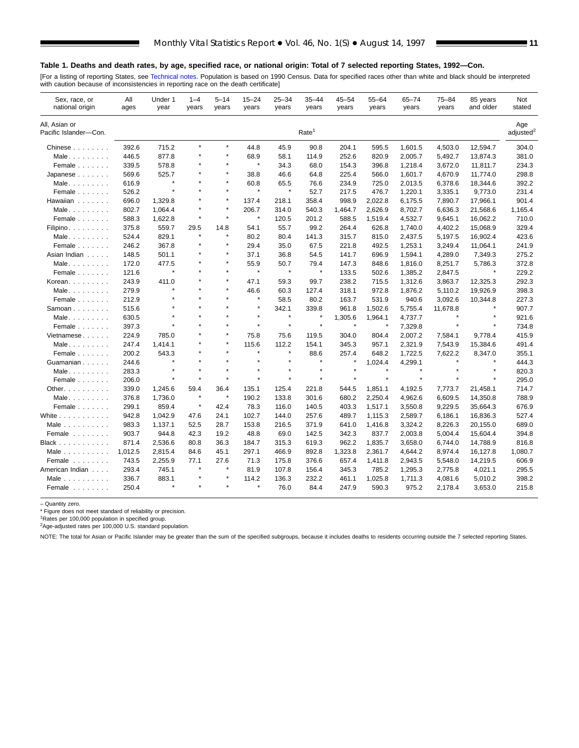## **Table 1. Deaths and death rates, by age, specified race, or national origin: Total of 7 selected reporting States, 1992—Con.**

[For a listing of reporting States, see Technical notes. Population is based on 1990 Census. Data for specified races other than white and black should be interpreted<br>with caution because of inconsistencies in reporting ra

| Sex, race, or<br>national origin       | All<br>ages | Under 1<br>year | $1 - 4$<br>years | 5–14<br>years | $15 - 24$<br>years | $25 - 34$<br>years | 35–44<br>years    | 45–54<br>years | 55-64<br>years | $65 - 74$<br>years | 75–84<br>years | 85 years<br>and older | Not<br>stated                |
|----------------------------------------|-------------|-----------------|------------------|---------------|--------------------|--------------------|-------------------|----------------|----------------|--------------------|----------------|-----------------------|------------------------------|
| All, Asian or<br>Pacific Islander-Con. |             |                 |                  |               |                    |                    | Rate <sup>1</sup> |                |                |                    |                |                       | Age<br>adiusted <sup>2</sup> |
| Chinese                                | 392.6       | 715.2           | $\star$          | $\star$       | 44.8               | 45.9               | 90.8              | 204.1          | 595.5          | 1,601.5            | 4,503.0        | 12,594.7              | 304.0                        |
| Male                                   | 446.5       | 877.8           | ×                |               | 68.9               | 58.1               | 114.9             | 252.6          | 820.9          | 2,005.7            | 5,492.7        | 13,874.3              | 381.0                        |
| Female                                 | 339.5       | 578.8           |                  | $\star$       | $\star$            | 34.3               | 68.0              | 154.3          | 396.8          | 1,218.4            | 3,672.0        | 11,811.7              | 234.3                        |
| $Japanese \ldots$                      | 569.6       | 525.7           |                  |               | 38.8               | 46.6               | 64.8              | 225.4          | 566.0          | 1,601.7            | 4,670.9        | 11,774.0              | 298.8                        |
| Male.                                  | 616.9       | $\star$         |                  |               | 60.8               | 65.5               | 76.6              | 234.9          | 725.0          | 2,013.5            | 6,378.6        | 18,344.6              | 392.2                        |
| Female                                 | 526.2       | $\star$         | $\star$          | $\star$       | $\star$            | $\star$            | 52.7              | 217.5          | 476.7          | 1,220.1            | 3,335.1        | 9,773.0               | 231.4                        |
| Hawaiian                               | 696.0       | 1,329.8         |                  |               | 137.4              | 218.1              | 358.4             | 998.9          | 2,022.8        | 6,175.5            | 7,890.7        | 17,966.1              | 901.4                        |
| Male                                   | 802.7       | 1,064.4         | $\star$          | $\star$       | 206.7              | 314.0              | 540.3             | 1,464.7        | 2,626.9        | 8,702.7            | 6,636.3        | 21,568.6              | 1,165.4                      |
| Female                                 | 588.3       | 1,622.8         | $\star$          | $\star$       | $\pmb{\ast}$       | 120.5              | 201.2             | 588.5          | 1,519.4        | 4,532.7            | 9,645.1        | 16,062.2              | 710.0                        |
| Filipino.                              | 375.8       | 559.7           | 29.5             | 14.8          | 54.1               | 55.7               | 99.2              | 264.4          | 626.8          | 1,740.0            | 4,402.2        | 15,068.9              | 329.4                        |
| Male                                   | 524.4       | 829.1           | $\star$          |               | 80.2               | 80.4               | 141.3             | 315.7          | 815.0          | 2,437.5            | 5,197.5        | 16,902.4              | 423.6                        |
| Female                                 | 246.2       | 367.8           | $\star$          |               | 29.4               | 35.0               | 67.5              | 221.8          | 492.5          | 1,253.1            | 3,249.4        | 11,064.1              | 241.9                        |
| Asian Indian                           | 148.5       | 501.1           |                  |               | 37.1               | 36.8               | 54.5              | 141.7          | 696.9          | 1,594.1            | 4,289.0        | 7,349.3               | 275.2                        |
| Male                                   | 172.0       | 477.5           | $\star$          | $\star$       | 55.9               | 50.7               | 79.4              | 147.3          | 848.6          | 1,816.0            | 8,251.7        | 5,786.3               | 372.8                        |
| Female                                 | 121.6       | $\star$         | ٠                | $\star$       | $\star$            | $\pmb{\ast}$       | $\star$           | 133.5          | 502.6          | 1,385.2            | 2,847.5        | $\star$               | 229.2                        |
| Korean                                 | 243.9       | 411.0           |                  |               | 47.1               | 59.3               | 99.7              | 238.2          | 715.5          | 1,312.6            | 3,863.7        | 12,325.3              | 292.3                        |
| Male                                   | 279.9       | $\star$         | $\star$          |               | 46.6               | 60.3               | 127.4             | 318.1          | 972.8          | 1,876.2            | 5,110.2        | 19,926.9              | 398.3                        |
| Female                                 | 212.9       | $\star$         | $\star$          | $\star$       | $\star$            | 58.5               | 80.2              | 163.7          | 531.9          | 940.6              | 3,092.6        | 10,344.8              | 227.3                        |
| Samoan                                 | 515.6       |                 |                  |               | $\star$            | 342.1              | 339.8             | 961.8          | 1,502.6        | 5,755.4            | 11,678.8       | $\star$               | 907.7                        |
| Male                                   | 630.5       |                 | ×                |               | $\star$            | $\star$            |                   | 1,305.6        | 1,964.1        | 4,737.7            |                |                       | 921.6                        |
| Female                                 | 397.3       | $\star$         | ٠                | $\star$       | $\star$            | $\star$            | $\star$           | $\star$        | $\star$        | 7,329.8            | $\pmb{\ast}$   | $\star$               | 734.8                        |
| Vietnamese                             | 224.9       | 785.0           |                  |               | 75.8               | 75.6               | 119.5             | 304.0          | 804.4          | 2,007.2            | 7,584.1        | 9,778.4               | 415.9                        |
| Male.                                  | 247.4       | 1,414.1         |                  |               | 115.6              | 112.2              | 154.1             | 345.3          | 957.1          | 2,321.9            | 7,543.9        | 15,384.6              | 491.4                        |
| Female                                 | 200.2       | 543.3           |                  |               | $\star$            | $\star$            | 88.6              | 257.4          | 648.2          | 1,722.5            | 7,622.2        | 8,347.0               | 355.1                        |
| Guamanian                              | 244.6       | $\star$         |                  |               | $\star$            | $\star$            | $\star$           |                | 1,024.4        | 4,299.1            | $\star$        |                       | 444.3                        |
| Male.                                  | 283.3       | $\star$         | ٠                |               | $\star$            | $\star$            | $\star$           |                | $\star$        |                    |                |                       | 820.3                        |
| Female                                 | 206.0       | $\star$         | $\star$          |               |                    | $\star$            |                   |                | $\star$        | $\star$            |                |                       | 295.0                        |
| Other.                                 | 339.0       | 1,245.6         | 59.4             | 36.4          | 135.1              | 125.4              | 221.8             | 544.5          | 1,851.1        | 4,192.5            | 7,773.7        | 21,458.1              | 714.7                        |
| Male.                                  | 376.8       | 1,736.0         | $\star$          | $\star$       | 190.2              | 133.8              | 301.6             | 680.2          | 2,250.4        | 4,962.6            | 6,609.5        | 14,350.8              | 788.9                        |
| Female                                 | 299.1       | 859.4           | $\star$          | 42.4          | 78.3               | 116.0              | 140.5             | 403.3          | 1,517.1        | 3,550.8            | 9,229.5        | 35,664.3              | 676.9                        |
| White $\ldots$                         | 942.8       | 1,042.9         | 47.6             | 24.1          | 102.7              | 144.0              | 257.6             | 489.7          | 1,115.3        | 2,589.7            | 6,186.1        | 16,836.3              | 527.4                        |
| Male $\ldots$                          | 983.3       | 1,137.1         | 52.5             | 28.7          | 153.8              | 216.5              | 371.9             | 641.0          | 1,416.8        | 3,324.2            | 8,226.3        | 20,155.0              | 689.0                        |
| Female                                 | 903.7       | 944.8           | 42.3             | 19.2          | 48.8               | 69.0               | 142.5             | 342.3          | 837.7          | 2,003.8            | 5,004.4        | 15,604.4              | 394.8                        |
| Black                                  | 871.4       | 2,536.6         | 80.8             | 36.3          | 184.7              | 315.3              | 619.3             | 962.2          | 1,835.7        | 3,658.0            | 6,744.0        | 14,788.9              | 816.8                        |
| Male $\ldots$                          | 1,012.5     | 2,815.4         | 84.6             | 45.1          | 297.1              | 466.9              | 892.8             | 1,323.8        | 2,361.7        | 4,644.2            | 8,974.4        | 16,127.8              | 1,080.7                      |
| Female                                 | 743.5       | 2,255.9         | 77.1             | 27.6          | 71.3               | 175.8              | 376.6             | 657.4          | 1,411.8        | 2,943.5            | 5,548.0        | 14,219.5              | 606.9                        |
| American Indian                        | 293.4       | 745.1           | $\star$          | $\star$       | 81.9               | 107.8              | 156.4             | 345.3          | 785.2          | 1,295.3            | 2,775.8        | 4,021.1               | 295.5                        |
| Male $\ldots$                          | 336.7       | 883.1           |                  |               | 114.2              | 136.3              | 232.2             | 461.1          | 1,025.8        | 1,711.3            | 4,081.6        | 5,010.2               | 398.2                        |
| Female                                 | 250.4       | $\star$         | $\star$          | $\star$       | $\star$            | 76.0               | 84.4              | 247.9          | 590.3          | 975.2              | 2,178.4        | 3,653.0               | 215.8                        |

– Quantity zero.

\* Figure does not meet standard of reliability or precision.

<sup>1</sup>Rates per 100,000 population in specified group.<br><sup>2</sup>Age-adjusted rates per 100,000 U.S. standard population.

NOTE: The total for Asian or Pacific Islander may be greater than the sum of the specified subgroups, because it includes deaths to residents occurring outside the 7 selected reporting States.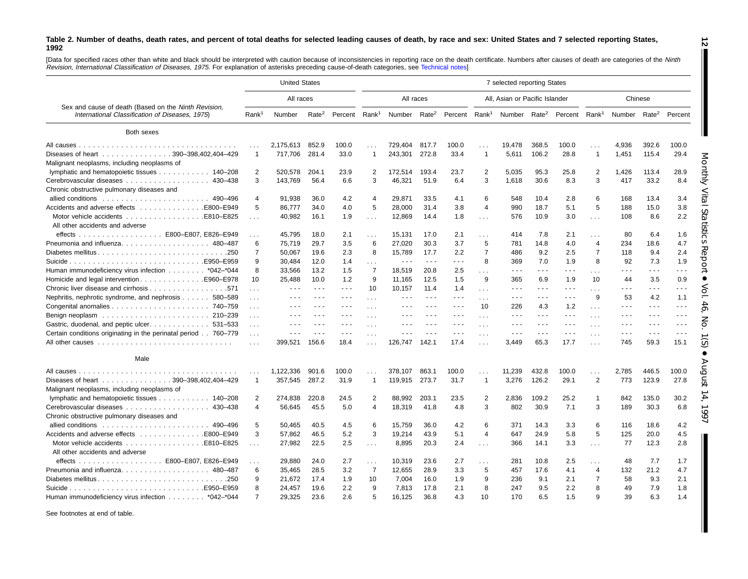<span id="page-11-0"></span>[Data for specified races other than white and black should be interpreted with caution because of inconsistencies in reporting race on the death certificate. Numbers after causes of death are categories of the Ninth Revision, International Classification of Diseases, 1975. For explanation of asterisks preceding cause-of-death categories, see [Technical](#page-61-0) notes]

|                                                                                                         |                             | <b>United States</b>                                                                           |                      |                           |                      |                          |                      |                                                                                                |                                  | 7 selected reporting States                                                                    |                                                                                                                                                                                                                                                                                                                                                                                              |                      |                |                          |                                                                                                                                                                                                                                                                                                                                                                                                                                                |                      |
|---------------------------------------------------------------------------------------------------------|-----------------------------|------------------------------------------------------------------------------------------------|----------------------|---------------------------|----------------------|--------------------------|----------------------|------------------------------------------------------------------------------------------------|----------------------------------|------------------------------------------------------------------------------------------------|----------------------------------------------------------------------------------------------------------------------------------------------------------------------------------------------------------------------------------------------------------------------------------------------------------------------------------------------------------------------------------------------|----------------------|----------------|--------------------------|------------------------------------------------------------------------------------------------------------------------------------------------------------------------------------------------------------------------------------------------------------------------------------------------------------------------------------------------------------------------------------------------------------------------------------------------|----------------------|
|                                                                                                         |                             | All races                                                                                      |                      |                           |                      |                          | All races            |                                                                                                |                                  | All, Asian or Pacific Islander                                                                 |                                                                                                                                                                                                                                                                                                                                                                                              |                      |                |                          | Chinese                                                                                                                                                                                                                                                                                                                                                                                                                                        |                      |
| Sex and cause of death (Based on the Ninth Revision,<br>International Classification of Diseases, 1975) | Rank <sup>1</sup>           | Number                                                                                         | Rate <sup>2</sup>    | Percent Rank <sup>1</sup> |                      | Number Rate <sup>2</sup> |                      |                                                                                                |                                  | Percent Rank <sup>1</sup> Number Rate <sup>2</sup> Percent Rank <sup>1</sup>                   |                                                                                                                                                                                                                                                                                                                                                                                              |                      |                | Number Rate <sup>2</sup> |                                                                                                                                                                                                                                                                                                                                                                                                                                                | Percent              |
| Both sexes                                                                                              |                             |                                                                                                |                      |                           |                      |                          |                      |                                                                                                |                                  |                                                                                                |                                                                                                                                                                                                                                                                                                                                                                                              |                      |                |                          |                                                                                                                                                                                                                                                                                                                                                                                                                                                |                      |
|                                                                                                         |                             | 2.175.613                                                                                      | 852.9                | 100.0                     |                      | 729.404                  | 817.7                | 100.0                                                                                          |                                  | 19.478                                                                                         | 368.5                                                                                                                                                                                                                                                                                                                                                                                        | 100.0                |                | 4.936                    | 392.6                                                                                                                                                                                                                                                                                                                                                                                                                                          | 100.0                |
| Diseases of heart 390-398,402,404-429<br>Malignant neoplasms, including neoplasms of                    |                             | 717.706                                                                                        | 281.4                | 33.0                      | $\overline{1}$       | 243,301                  | 272.8                | 33.4                                                                                           | $\overline{1}$                   | 5,611                                                                                          | 106.2                                                                                                                                                                                                                                                                                                                                                                                        | 28.8                 | $\overline{1}$ | 1,451                    | 115.4                                                                                                                                                                                                                                                                                                                                                                                                                                          | 29.4                 |
| lymphatic and hematopoietic tissues 140–208                                                             | 2                           | 520,578                                                                                        | 204.1                | 23.9                      | 2                    | 172,514                  | 193.4                | 23.7                                                                                           | 2                                | 5,035                                                                                          | 95.3                                                                                                                                                                                                                                                                                                                                                                                         | 25.8                 | 2              | 1,426                    | 113.4                                                                                                                                                                                                                                                                                                                                                                                                                                          | 28.9                 |
| Chronic obstructive pulmonary diseases and                                                              | 3                           | 143,769                                                                                        | 56.4                 | 6.6                       | 3                    | 46,321                   | 51.9                 | 6.4                                                                                            | 3                                | 1,618                                                                                          | 30.6                                                                                                                                                                                                                                                                                                                                                                                         | 8.3                  | 3              | 417                      | 33.2                                                                                                                                                                                                                                                                                                                                                                                                                                           | 8.4                  |
|                                                                                                         | 4                           | 91,938                                                                                         | 36.0                 | 4.2                       | $\overline{4}$       | 29,871                   | 33.5                 | 4.1                                                                                            | 6                                | 548                                                                                            | 10.4                                                                                                                                                                                                                                                                                                                                                                                         | 2.8                  | 6              | 168                      | 13.4                                                                                                                                                                                                                                                                                                                                                                                                                                           | 3.4                  |
| Accidents and adverse effects E800–E949<br>Motor vehicle accidents<br>E810-E825.                        | 5<br>$\sim 10$              | 86,777<br>40,982                                                                               | 34.0<br>16.1         | 4.0<br>1.9                | 5<br>$\sim 10$       | 28,000<br>12,869         | 31.4<br>14.4         | 3.8<br>1.8                                                                                     | 4<br>$\sim 100$                  | 990<br>576                                                                                     | 18.7<br>10.9                                                                                                                                                                                                                                                                                                                                                                                 | 5.1<br>3.0           | 5<br>$\sim$    | 188<br>108               | 15.0<br>8.6                                                                                                                                                                                                                                                                                                                                                                                                                                    | 3.8<br>2.2           |
| All other accidents and adverse<br>effects E800-E807, E826-E949                                         | .                           | 45.795                                                                                         | 18.0                 | 2.1                       | $\sim$ $\sim$        | 15.131                   | 17.0                 | 2.1                                                                                            | $\cdots$                         | 414                                                                                            | 7.8                                                                                                                                                                                                                                                                                                                                                                                          | 2.1                  | $\sim$         | 80                       | 6.4                                                                                                                                                                                                                                                                                                                                                                                                                                            | 1.6                  |
|                                                                                                         | 6                           | 75,719                                                                                         | 29.7                 | 3.5                       | 6                    | 27,020                   | 30.3                 | 3.7                                                                                            | 5                                | 781                                                                                            | 14.8                                                                                                                                                                                                                                                                                                                                                                                         | 4.0                  | 4              | 234                      | 18.6                                                                                                                                                                                                                                                                                                                                                                                                                                           | 4.7                  |
|                                                                                                         | 7                           | 50,067                                                                                         | 19.6                 | 2.3                       | 8                    | 15,789                   | 17.7                 | 2.2                                                                                            | 7                                | 486                                                                                            | 9.2                                                                                                                                                                                                                                                                                                                                                                                          | 2.5                  | $\overline{7}$ | 118                      | 9.4                                                                                                                                                                                                                                                                                                                                                                                                                                            | 2.4                  |
|                                                                                                         | 9                           | 30,484                                                                                         | 12.0                 | 1.4                       | $\cdots$             | $\sim$ $\sim$ $\sim$     | $\sim$ $\sim$ $\sim$ | $- - -$                                                                                        | 8                                | 369                                                                                            | 7.0                                                                                                                                                                                                                                                                                                                                                                                          | 1.9                  | 8              | 92                       | 7.3                                                                                                                                                                                                                                                                                                                                                                                                                                            | 1.9                  |
| Human immunodeficiency virus infection * 042-* 044                                                      | 8                           | 33,566                                                                                         | 13.2                 | 1.5                       | $\overline{7}$       | 18,519                   | 20.8                 | 2.5                                                                                            | $\cdots$                         | $\sim$ $\sim$ $\sim$                                                                           | $\frac{1}{2} \frac{1}{2} \frac{1}{2} \frac{1}{2} \frac{1}{2} \frac{1}{2} \frac{1}{2} \frac{1}{2} \frac{1}{2} \frac{1}{2} \frac{1}{2} \frac{1}{2} \frac{1}{2} \frac{1}{2} \frac{1}{2} \frac{1}{2} \frac{1}{2} \frac{1}{2} \frac{1}{2} \frac{1}{2} \frac{1}{2} \frac{1}{2} \frac{1}{2} \frac{1}{2} \frac{1}{2} \frac{1}{2} \frac{1}{2} \frac{1}{2} \frac{1}{2} \frac{1}{2} \frac{1}{2} \frac{$ | $\sim$ $\sim$ $\sim$ |                | .                        | $\sim$ $\sim$ $\sim$                                                                                                                                                                                                                                                                                                                                                                                                                           | .                    |
| Homicide and legal interventionE960–E978                                                                | 10                          | 25,488                                                                                         | 10.0                 | 1.2                       | 9                    | 11,165                   | 12.5                 | 1.5                                                                                            | 9                                | 365                                                                                            | 6.9                                                                                                                                                                                                                                                                                                                                                                                          | 1.9                  | $\sim$<br>10   | 44                       | 3.5                                                                                                                                                                                                                                                                                                                                                                                                                                            | 0.9                  |
|                                                                                                         |                             | $\sim$ $\sim$ $\sim$                                                                           | $\sim$ $\sim$ $\sim$ | $\sim$ $\sim$ $\sim$      | 10                   | 10,157                   | 11.4                 | 1.4                                                                                            |                                  | $\sim$ $\sim$ $\sim$                                                                           | $ -$                                                                                                                                                                                                                                                                                                                                                                                         | $ -$                 |                | .                        | $\sim$ $\sim$ $\sim$                                                                                                                                                                                                                                                                                                                                                                                                                           | .                    |
| Nephritis, nephrotic syndrome, and nephrosis 580–589                                                    | $\sim$ $\sim$<br>$\sim 100$ | $\frac{1}{2} \left( \frac{1}{2} \right) \left( \frac{1}{2} \right) \left( \frac{1}{2} \right)$ | $  -$                | $\sim$ $\sim$ $\sim$      | $\sim$ $\sim$ $\sim$ | $\sim$ $\sim$ $\sim$     | $\sim$ $\sim$ $\sim$ | $\sim$ $\sim$ $\sim$                                                                           | $\cdots$<br>$\sim$ $\sim$ $\sim$ | $\sim$ $\sim$ $\sim$                                                                           | $\sim$ $\sim$ $\sim$                                                                                                                                                                                                                                                                                                                                                                         | $\sim$ $\sim$ $\sim$ | $\cdots$<br>9  | 53                       | 4.2                                                                                                                                                                                                                                                                                                                                                                                                                                            | 1.1                  |
|                                                                                                         |                             | $  -$                                                                                          |                      | $  -$                     |                      | $  -$                    |                      | $\sim$ $\sim$ $\sim$                                                                           | 10                               | 226                                                                                            | 4.3                                                                                                                                                                                                                                                                                                                                                                                          | 1.2                  |                | - - -                    | $\frac{1}{2} \left( \frac{1}{2} \right) + \frac{1}{2} \left( \frac{1}{2} \right) + \frac{1}{2} \left( \frac{1}{2} \right) + \frac{1}{2} \left( \frac{1}{2} \right) + \frac{1}{2} \left( \frac{1}{2} \right) + \frac{1}{2} \left( \frac{1}{2} \right) + \frac{1}{2} \left( \frac{1}{2} \right) + \frac{1}{2} \left( \frac{1}{2} \right) + \frac{1}{2} \left( \frac{1}{2} \right) + \frac{1}{2} \left( \frac{1}{2} \right) + \frac{1}{2} \left($ | .                    |
|                                                                                                         | $\sim 100$<br>$\ldots$      | $\sim$ $\sim$ $\sim$                                                                           |                      | $  -$                     |                      | $\sim$ $\sim$ $\sim$     |                      | $\frac{1}{2} \left( \frac{1}{2} \right) \left( \frac{1}{2} \right) \left( \frac{1}{2} \right)$ |                                  | $\sim$ $\sim$ $\sim$                                                                           | $\sim$ $\sim$ $\sim$                                                                                                                                                                                                                                                                                                                                                                         | $\sim$ $\sim$ $\sim$ | $\sim$         | .                        | $\sim$ $\sim$ $\sim$                                                                                                                                                                                                                                                                                                                                                                                                                           | .                    |
| Gastric, duodenal, and peptic ulcer. 531–533                                                            | $\mathbf{1}$                | $\frac{1}{2} \left( \frac{1}{2} \right) \left( \frac{1}{2} \right) \left( \frac{1}{2} \right)$ | $\sim$ $\sim$ $\sim$ | $\sim$ $\sim$ $\sim$      |                      | $  -$                    |                      | $\sim$ $\sim$ $\sim$                                                                           | $\sim$ $\sim$ $\sim$             | $\frac{1}{2} \left( \frac{1}{2} \right) \left( \frac{1}{2} \right) \left( \frac{1}{2} \right)$ | $\frac{1}{2} \frac{1}{2} \frac{1}{2} \frac{1}{2} \frac{1}{2} \frac{1}{2} \frac{1}{2} \frac{1}{2} \frac{1}{2} \frac{1}{2} \frac{1}{2} \frac{1}{2} \frac{1}{2} \frac{1}{2} \frac{1}{2} \frac{1}{2} \frac{1}{2} \frac{1}{2} \frac{1}{2} \frac{1}{2} \frac{1}{2} \frac{1}{2} \frac{1}{2} \frac{1}{2} \frac{1}{2} \frac{1}{2} \frac{1}{2} \frac{1}{2} \frac{1}{2} \frac{1}{2} \frac{1}{2} \frac{$ | $\sim$ $\sim$ $\sim$ | $\sim$ $\sim$  | .                        | $\sim$ $\sim$ $\sim$                                                                                                                                                                                                                                                                                                                                                                                                                           | $\sim$ $\sim$ $\sim$ |
| Certain conditions originating in the perinatal period 760-779                                          |                             |                                                                                                |                      | $- - -$                   |                      | - -                      |                      | $  -$                                                                                          | $\sim$ $\sim$ $\sim$             | $  -$                                                                                          | - - -                                                                                                                                                                                                                                                                                                                                                                                        | $\sim$ $\sim$ $\sim$ | $\mathbf{1}$   | $  -$                    | $\sim$ $\sim$ $\sim$                                                                                                                                                                                                                                                                                                                                                                                                                           | - - -                |
|                                                                                                         | $\cdots$                    |                                                                                                |                      |                           |                      |                          |                      |                                                                                                | $\ldots$                         |                                                                                                |                                                                                                                                                                                                                                                                                                                                                                                              |                      | $\cdots$       |                          |                                                                                                                                                                                                                                                                                                                                                                                                                                                |                      |
|                                                                                                         | $\cdots$                    | 399,521                                                                                        | 156.6                | 18.4                      |                      | 126,747                  | 142.1                | 17.4                                                                                           | $\cdots$                         | 3,449                                                                                          | 65.3                                                                                                                                                                                                                                                                                                                                                                                         | 17.7                 | $\cdots$       | 745                      | 59.3                                                                                                                                                                                                                                                                                                                                                                                                                                           | 15.1                 |
| Male                                                                                                    |                             |                                                                                                |                      |                           |                      |                          |                      |                                                                                                |                                  |                                                                                                |                                                                                                                                                                                                                                                                                                                                                                                              |                      |                |                          |                                                                                                                                                                                                                                                                                                                                                                                                                                                |                      |
|                                                                                                         | $\sim$                      | 1.122.336                                                                                      | 901.6                | 100.0                     | $\sim$ $\sim$        | 378.107                  | 863.1                | 100.0                                                                                          | $\cdots$                         | 11.239                                                                                         | 432.8                                                                                                                                                                                                                                                                                                                                                                                        | 100.0                | $\cdots$       | 2,785                    | 446.5                                                                                                                                                                                                                                                                                                                                                                                                                                          | 100.0                |
| Diseases of heart 390-398,402,404-429                                                                   | $\mathbf{1}$                | 357.545                                                                                        | 287.2                | 31.9                      | $\overline{1}$       | 119,915                  | 273.7                | 31.7                                                                                           | $\overline{1}$                   | 3,276                                                                                          | 126.2                                                                                                                                                                                                                                                                                                                                                                                        | 29.1                 | 2              | 773                      | 123.9                                                                                                                                                                                                                                                                                                                                                                                                                                          | 27.8                 |
| Malignant neoplasms, including neoplasms of                                                             |                             |                                                                                                |                      |                           |                      |                          |                      |                                                                                                |                                  |                                                                                                |                                                                                                                                                                                                                                                                                                                                                                                              |                      |                |                          |                                                                                                                                                                                                                                                                                                                                                                                                                                                |                      |
| lymphatic and hematopoietic tissues 140–208                                                             | $\overline{2}$              | 274.838                                                                                        | 220.8                | 24.5                      | 2                    | 88.992                   | 203.1                | 23.5                                                                                           | $\overline{2}$                   | 2.836                                                                                          | 109.2                                                                                                                                                                                                                                                                                                                                                                                        | 25.2                 | $\overline{1}$ | 842                      | 135.0                                                                                                                                                                                                                                                                                                                                                                                                                                          | 30.2                 |
| 430-438                                                                                                 | 4                           | 56,645                                                                                         | 45.5                 | 5.0                       | $\overline{4}$       | 18,319                   | 41.8                 | 4.8                                                                                            | 3                                | 802                                                                                            | 30.9                                                                                                                                                                                                                                                                                                                                                                                         | 7.1                  | 3              | 189                      | 30.3                                                                                                                                                                                                                                                                                                                                                                                                                                           | 6.8                  |
| Chronic obstructive pulmonary diseases and                                                              |                             |                                                                                                |                      |                           |                      |                          |                      |                                                                                                |                                  |                                                                                                |                                                                                                                                                                                                                                                                                                                                                                                              |                      |                |                          |                                                                                                                                                                                                                                                                                                                                                                                                                                                |                      |
|                                                                                                         | 5                           | 50,465                                                                                         | 40.5                 | 4.5                       | 6                    | 15,759                   | 36.0                 | 4.2                                                                                            | 6                                | 371                                                                                            | 14.3                                                                                                                                                                                                                                                                                                                                                                                         | 3.3                  | 6              | 116                      | 18.6                                                                                                                                                                                                                                                                                                                                                                                                                                           | 4.2                  |
|                                                                                                         | 3                           | 57,862                                                                                         | 46.5                 | 5.2                       | 3                    | 19,214                   | 43.9                 | 5.1                                                                                            | $\overline{4}$                   | 647                                                                                            | 24.9                                                                                                                                                                                                                                                                                                                                                                                         | 5.8                  | 5              | 125                      | 20.0                                                                                                                                                                                                                                                                                                                                                                                                                                           | 4.5                  |
|                                                                                                         | $\sim 100$                  | 27,982                                                                                         | 22.5                 | 2.5                       | $\sim$ $\sim$ $\sim$ | 8,895                    | 20.3                 | 2.4                                                                                            | $\sim 100$                       | 366                                                                                            | 14.1                                                                                                                                                                                                                                                                                                                                                                                         | 3.3                  | $\sim 100$     | 77                       | 12.3                                                                                                                                                                                                                                                                                                                                                                                                                                           | 2.8                  |
| All other accidents and adverse                                                                         |                             |                                                                                                |                      |                           |                      |                          |                      |                                                                                                |                                  |                                                                                                |                                                                                                                                                                                                                                                                                                                                                                                              |                      |                |                          |                                                                                                                                                                                                                                                                                                                                                                                                                                                |                      |
| effects E800-E807, E826-E949                                                                            | $\cdots$                    | 29,880                                                                                         | 24.0                 | 2.7                       | $\cdots$             | 10,319                   | 23.6                 | 2.7                                                                                            | $\sim 100$                       | 281                                                                                            | 10.8                                                                                                                                                                                                                                                                                                                                                                                         | 2.5                  | $\cdots$       | 48                       | 7.7                                                                                                                                                                                                                                                                                                                                                                                                                                            | 1.7                  |
| Pneumonia and influenza. 480-487                                                                        | 6                           | 35,465                                                                                         | 28.5                 | 3.2                       | $\overline{7}$       | 12,655                   | 28.9                 | 3.3                                                                                            | 5                                | 457                                                                                            | 17.6                                                                                                                                                                                                                                                                                                                                                                                         | 4.1                  | $\overline{4}$ | 132                      | 21.2                                                                                                                                                                                                                                                                                                                                                                                                                                           | 4.7                  |
| Diabetes mellitus250                                                                                    | 9                           | 21,672                                                                                         | 17.4                 | 1.9                       | 10                   | 7,004                    | 16.0                 | 1.9                                                                                            | 9                                | 236                                                                                            | 9.1                                                                                                                                                                                                                                                                                                                                                                                          | 2.1                  | 7              | 58                       | 9.3                                                                                                                                                                                                                                                                                                                                                                                                                                            | 2.1                  |
|                                                                                                         | 8                           | 24.457                                                                                         | 19.6                 | 2.2                       | 9                    | 7.813                    | 17.8                 | 2.1                                                                                            | 8                                | 247                                                                                            | 9.5                                                                                                                                                                                                                                                                                                                                                                                          | 2.2                  | 8              | 49                       | 7.9                                                                                                                                                                                                                                                                                                                                                                                                                                            | 1.8                  |
| Human immunodeficiency virus infection *042-*044                                                        | $\overline{7}$              | 29.325                                                                                         | 23.6                 | 2.6                       | 5                    | 16.125                   | 36.8                 | 4.3                                                                                            | 10                               | 170                                                                                            | 6.5                                                                                                                                                                                                                                                                                                                                                                                          | 1.5                  | q              | 39                       | 6.3                                                                                                                                                                                                                                                                                                                                                                                                                                            | 1.4                  |

See footnotes at end of table.

**12**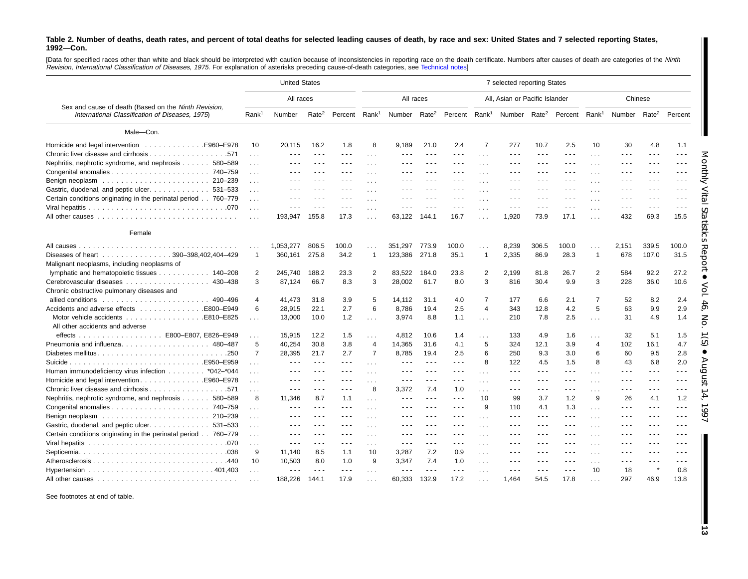[Data for specified races other than white and black should be interpreted with caution because of inconsistencies in reporting race on the death certificate. Numbers after causes of death are categories of the Ninth Revision, International Classification of Diseases, 1975. For explanation of asterisks preceding cause-of-death categories, see [Technical](#page-61-0) notes]

|                                                                                                         |                      | <b>United States</b>                                                                                                                                                                                                                                                                                                                                                                         |                      |                           |                            |                                              |                      |                                                                                                                                                                                                                                                                                                                                                                                              |                       | 7 selected reporting States                                                                                                                                                                                                                                                                                                                                                                                                                    |                                                                                                                                                                                                                                                                                                                                                                                              |                                                                                                                        |                      |                          |                      |                      |
|---------------------------------------------------------------------------------------------------------|----------------------|----------------------------------------------------------------------------------------------------------------------------------------------------------------------------------------------------------------------------------------------------------------------------------------------------------------------------------------------------------------------------------------------|----------------------|---------------------------|----------------------------|----------------------------------------------|----------------------|----------------------------------------------------------------------------------------------------------------------------------------------------------------------------------------------------------------------------------------------------------------------------------------------------------------------------------------------------------------------------------------------|-----------------------|------------------------------------------------------------------------------------------------------------------------------------------------------------------------------------------------------------------------------------------------------------------------------------------------------------------------------------------------------------------------------------------------------------------------------------------------|----------------------------------------------------------------------------------------------------------------------------------------------------------------------------------------------------------------------------------------------------------------------------------------------------------------------------------------------------------------------------------------------|------------------------------------------------------------------------------------------------------------------------|----------------------|--------------------------|----------------------|----------------------|
|                                                                                                         |                      | All races                                                                                                                                                                                                                                                                                                                                                                                    |                      |                           |                            |                                              | All races            |                                                                                                                                                                                                                                                                                                                                                                                              |                       | All, Asian or Pacific Islander                                                                                                                                                                                                                                                                                                                                                                                                                 |                                                                                                                                                                                                                                                                                                                                                                                              |                                                                                                                        |                      |                          | Chinese              |                      |
| Sex and cause of death (Based on the Ninth Revision,<br>International Classification of Diseases, 1975) | Rank <sup>1</sup>    | Number                                                                                                                                                                                                                                                                                                                                                                                       | Rate <sup>2</sup>    | Percent Rank <sup>1</sup> |                            | Number Rate <sup>2</sup>                     |                      |                                                                                                                                                                                                                                                                                                                                                                                              |                       | Percent Rank <sup>1</sup> Number Rate <sup>2</sup> Percent Rank <sup>1</sup>                                                                                                                                                                                                                                                                                                                                                                   |                                                                                                                                                                                                                                                                                                                                                                                              |                                                                                                                        |                      | Number Rate <sup>2</sup> |                      | Percent              |
| Male-Con.                                                                                               |                      |                                                                                                                                                                                                                                                                                                                                                                                              |                      |                           |                            |                                              |                      |                                                                                                                                                                                                                                                                                                                                                                                              |                       |                                                                                                                                                                                                                                                                                                                                                                                                                                                |                                                                                                                                                                                                                                                                                                                                                                                              |                                                                                                                        |                      |                          |                      |                      |
| Homicide and legal intervention<br>.E960-E978                                                           | 10                   | 20,115                                                                                                                                                                                                                                                                                                                                                                                       | 16.2                 | 1.8                       | 8                          | 9,189                                        | 21.0                 | 2.4                                                                                                                                                                                                                                                                                                                                                                                          | 7                     | 277                                                                                                                                                                                                                                                                                                                                                                                                                                            | 10.7                                                                                                                                                                                                                                                                                                                                                                                         | 2.5                                                                                                                    | 10                   | 30                       | 4.8                  | 1.1                  |
|                                                                                                         | $\ldots$             | $\sim$ $\sim$ $\sim$                                                                                                                                                                                                                                                                                                                                                                         | $\sim$ $\sim$ $\sim$ | $\sim$ $\sim$ $\sim$      | $\sim$ $\sim$ $\sim$       | $\sim$ $\sim$ $\sim$                         | $\sim$ $\sim$ $\sim$ | $\frac{1}{2} \frac{1}{2} \frac{1}{2} \frac{1}{2} \frac{1}{2} \frac{1}{2} \frac{1}{2} \frac{1}{2} \frac{1}{2} \frac{1}{2} \frac{1}{2} \frac{1}{2} \frac{1}{2} \frac{1}{2} \frac{1}{2} \frac{1}{2} \frac{1}{2} \frac{1}{2} \frac{1}{2} \frac{1}{2} \frac{1}{2} \frac{1}{2} \frac{1}{2} \frac{1}{2} \frac{1}{2} \frac{1}{2} \frac{1}{2} \frac{1}{2} \frac{1}{2} \frac{1}{2} \frac{1}{2} \frac{$ | $\sim$ $\sim$ $\sim$  | $\sim$ $\sim$ $\sim$                                                                                                                                                                                                                                                                                                                                                                                                                           | $\sim$ $\sim$ $\sim$                                                                                                                                                                                                                                                                                                                                                                         | $\sim$ $\sim$ $\sim$                                                                                                   | $\cdots$             | .                        | $\sim$ $\sim$ $\sim$ | .                    |
| Nephritis, nephrotic syndrome, and nephrosis 580–589                                                    | $\sim$ $\sim$ $\sim$ | $\frac{1}{2}$                                                                                                                                                                                                                                                                                                                                                                                | $  -$                | $\sim$ $\sim$ $\sim$      | $\cdots$                   | $  -$                                        | $- - -$              | $\frac{1}{2} \left( \frac{1}{2} \right) \left( \frac{1}{2} \right) \left( \frac{1}{2} \right)$                                                                                                                                                                                                                                                                                               | $\sim$ $\sim$ $\sim$  | $  -$                                                                                                                                                                                                                                                                                                                                                                                                                                          | $\frac{1}{2} \left( \frac{1}{2} \right) \frac{1}{2} \left( \frac{1}{2} \right)$                                                                                                                                                                                                                                                                                                              | $\sim$ $\sim$ $\sim$                                                                                                   | $\cdots$             | .                        | $  -$                | .                    |
|                                                                                                         | $\sim 100$           | $\frac{1}{2} \left( \frac{1}{2} \right) \left( \frac{1}{2} \right) \left( \frac{1}{2} \right)$                                                                                                                                                                                                                                                                                               |                      | $  -$                     |                            | $  -$                                        |                      | $  -$                                                                                                                                                                                                                                                                                                                                                                                        | $\sim$ $\sim$ $\sim$  |                                                                                                                                                                                                                                                                                                                                                                                                                                                | $\frac{1}{2} \left( \frac{1}{2} \right) \frac{1}{2} \left( \frac{1}{2} \right)$                                                                                                                                                                                                                                                                                                              | $  -$                                                                                                                  | $\sim$ $\sim$ $\sim$ | - - -                    | $\sim$ $\sim$ $\sim$ | .                    |
|                                                                                                         | $\cdots$             | .                                                                                                                                                                                                                                                                                                                                                                                            |                      | ---                       |                            | .                                            |                      | $  -$                                                                                                                                                                                                                                                                                                                                                                                        | $\cdots$              |                                                                                                                                                                                                                                                                                                                                                                                                                                                | $  -$                                                                                                                                                                                                                                                                                                                                                                                        | $  -$                                                                                                                  | $\cdots$             | .                        | $  -$                | .                    |
| Gastric, duodenal, and peptic ulcer. 531–533                                                            | $\sim$ $\sim$ $\sim$ | $  -$                                                                                                                                                                                                                                                                                                                                                                                        |                      | ---                       |                            | $  -$                                        |                      | $\sim$ $\sim$ $\sim$                                                                                                                                                                                                                                                                                                                                                                         |                       | $  -$                                                                                                                                                                                                                                                                                                                                                                                                                                          | $  -$                                                                                                                                                                                                                                                                                                                                                                                        | $\frac{1}{2} \left( \frac{1}{2} \right) \left( \frac{1}{2} \right) \left( \frac{1}{2} \right)$                         | .                    | .                        | $\cdots$             | - - -                |
| Certain conditions originating in the perinatal period 760–779                                          | $\sim$ $\sim$ $\sim$ | ---                                                                                                                                                                                                                                                                                                                                                                                          |                      | .                         |                            |                                              |                      | $- - -$                                                                                                                                                                                                                                                                                                                                                                                      | $\sim$ $\sim$ $\sim$  |                                                                                                                                                                                                                                                                                                                                                                                                                                                | $  -$                                                                                                                                                                                                                                                                                                                                                                                        | $\cdots$                                                                                                               | $\cdots$             | ---                      | $\cdots$             | .                    |
|                                                                                                         |                      | ---                                                                                                                                                                                                                                                                                                                                                                                          |                      | $  -$                     | $\sim$ $\sim$ $\sim$       | $  -$                                        |                      | $  -$                                                                                                                                                                                                                                                                                                                                                                                        | $\sim$ $\sim$ $\sim$  | $  -$                                                                                                                                                                                                                                                                                                                                                                                                                                          | $- - -$                                                                                                                                                                                                                                                                                                                                                                                      | $  -$                                                                                                                  | $\sim$ $\sim$        | $- - -$                  | $  -$                | $\sim$ $\sim$ $\sim$ |
|                                                                                                         | $\sim$ $\sim$ $\sim$ | 193,947                                                                                                                                                                                                                                                                                                                                                                                      | 155.8                | 17.3                      | $\cdots$                   | 63,122                                       | 144.1                | 16.7                                                                                                                                                                                                                                                                                                                                                                                         | $\sim$ $\sim$         | 1,920                                                                                                                                                                                                                                                                                                                                                                                                                                          | 73.9                                                                                                                                                                                                                                                                                                                                                                                         | 17.1                                                                                                                   | $\cdots$             | 432                      | 69.3                 | 15.5                 |
| Female                                                                                                  |                      |                                                                                                                                                                                                                                                                                                                                                                                              |                      |                           |                            |                                              |                      |                                                                                                                                                                                                                                                                                                                                                                                              |                       |                                                                                                                                                                                                                                                                                                                                                                                                                                                |                                                                                                                                                                                                                                                                                                                                                                                              |                                                                                                                        |                      |                          |                      |                      |
|                                                                                                         |                      | 1,053,277                                                                                                                                                                                                                                                                                                                                                                                    | 806.5                | 100.0                     |                            | 351,297                                      | 773.9                | 100.0                                                                                                                                                                                                                                                                                                                                                                                        |                       | 8,239                                                                                                                                                                                                                                                                                                                                                                                                                                          | 306.5                                                                                                                                                                                                                                                                                                                                                                                        | 100.0                                                                                                                  |                      | 2,151                    | 339.5                | 100.0                |
| Diseases of heart 390-398,402,404-429                                                                   |                      | 360,161                                                                                                                                                                                                                                                                                                                                                                                      | 275.8                | 34.2                      | $\overline{1}$             | 123,386                                      | 271.8                | 35.1                                                                                                                                                                                                                                                                                                                                                                                         | -1                    | 2,335                                                                                                                                                                                                                                                                                                                                                                                                                                          | 86.9                                                                                                                                                                                                                                                                                                                                                                                         | 28.3                                                                                                                   | $\mathbf{1}$         | 678                      | 107.0                | 31.5                 |
| Malignant neoplasms, including neoplasms of                                                             |                      |                                                                                                                                                                                                                                                                                                                                                                                              |                      |                           |                            |                                              |                      |                                                                                                                                                                                                                                                                                                                                                                                              |                       |                                                                                                                                                                                                                                                                                                                                                                                                                                                |                                                                                                                                                                                                                                                                                                                                                                                              |                                                                                                                        |                      |                          |                      |                      |
| lymphatic and hematopoietic tissues 140–208                                                             | $\overline{2}$       | 245.740                                                                                                                                                                                                                                                                                                                                                                                      | 188.2                | 23.3                      | 2                          | 83.522                                       | 184.0                | 23.8                                                                                                                                                                                                                                                                                                                                                                                         | $\overline{2}$        | 2,199                                                                                                                                                                                                                                                                                                                                                                                                                                          | 81.8                                                                                                                                                                                                                                                                                                                                                                                         | 26.7                                                                                                                   | 2                    | 584                      | 92.2                 | 27.2                 |
| Cerebrovascular diseases<br>430-438                                                                     | 3                    | 87,124                                                                                                                                                                                                                                                                                                                                                                                       | 66.7                 | 8.3                       | 3                          | 28,002                                       | 61.7                 | 8.0                                                                                                                                                                                                                                                                                                                                                                                          | 3                     | 816                                                                                                                                                                                                                                                                                                                                                                                                                                            | 30.4                                                                                                                                                                                                                                                                                                                                                                                         | 9.9                                                                                                                    | 3                    | 228                      | 36.0                 | 10.6                 |
| Chronic obstructive pulmonary diseases and                                                              |                      |                                                                                                                                                                                                                                                                                                                                                                                              |                      |                           |                            |                                              |                      |                                                                                                                                                                                                                                                                                                                                                                                              |                       |                                                                                                                                                                                                                                                                                                                                                                                                                                                |                                                                                                                                                                                                                                                                                                                                                                                              |                                                                                                                        |                      |                          |                      |                      |
| allied conditions                                                                                       | 4                    | 41.473                                                                                                                                                                                                                                                                                                                                                                                       | 31.8                 | 3.9                       | 5                          | 14.112                                       | 31.1                 | 4.0                                                                                                                                                                                                                                                                                                                                                                                          | $\overline{7}$        | 177                                                                                                                                                                                                                                                                                                                                                                                                                                            | 6.6                                                                                                                                                                                                                                                                                                                                                                                          | 2.1                                                                                                                    | $\overline{7}$       | 52                       | 8.2                  | 2.4                  |
| Accidents and adverse effects E800–E949                                                                 | 6                    | 28,915                                                                                                                                                                                                                                                                                                                                                                                       | 22.1                 | 2.7                       | 6                          | 8,786                                        | 19.4                 | 2.5                                                                                                                                                                                                                                                                                                                                                                                          | 4                     | 343                                                                                                                                                                                                                                                                                                                                                                                                                                            | 12.8                                                                                                                                                                                                                                                                                                                                                                                         | 4.2                                                                                                                    | 5                    | 63                       | 9.9                  | 2.9                  |
| Motor vehicle accidents E810–E825                                                                       |                      | 13,000                                                                                                                                                                                                                                                                                                                                                                                       | 10.0                 | 1.2                       |                            | 3,974                                        | 8.8                  | 1.1                                                                                                                                                                                                                                                                                                                                                                                          |                       | 210                                                                                                                                                                                                                                                                                                                                                                                                                                            | 7.8                                                                                                                                                                                                                                                                                                                                                                                          | 2.5                                                                                                                    |                      | 31                       | 4.9                  | 1.4                  |
| All other accidents and adverse                                                                         | $\cdots$             |                                                                                                                                                                                                                                                                                                                                                                                              |                      |                           | $\sim$ $\sim$              |                                              |                      |                                                                                                                                                                                                                                                                                                                                                                                              | $\cdots$              |                                                                                                                                                                                                                                                                                                                                                                                                                                                |                                                                                                                                                                                                                                                                                                                                                                                              |                                                                                                                        | $\sim$ $\sim$ $\sim$ |                          |                      |                      |
| . E800-E807, E826-E949<br>effects                                                                       |                      | 15,915                                                                                                                                                                                                                                                                                                                                                                                       | 12.2                 | 1.5                       |                            | 4,812                                        | 10.6                 | 1.4                                                                                                                                                                                                                                                                                                                                                                                          |                       | 133                                                                                                                                                                                                                                                                                                                                                                                                                                            | 4.9                                                                                                                                                                                                                                                                                                                                                                                          | 1.6                                                                                                                    |                      | 32                       | 5.1                  |                      |
| Pneumonia and influenza 480–487                                                                         | .<br>5               | 40,254                                                                                                                                                                                                                                                                                                                                                                                       | 30.8                 | 3.8                       | $\cdots$<br>$\overline{4}$ | 14,365                                       | 31.6                 | 4.1                                                                                                                                                                                                                                                                                                                                                                                          | .<br>5                | 324                                                                                                                                                                                                                                                                                                                                                                                                                                            | 12.1                                                                                                                                                                                                                                                                                                                                                                                         | 3.9                                                                                                                    | $\cdots$<br>4        | 102                      | 16.1                 | 1.5<br>4.7           |
| Diabetes mellitus250                                                                                    | $\overline{7}$       |                                                                                                                                                                                                                                                                                                                                                                                              |                      | 2.7                       | $\overline{7}$             | 8,785                                        | 19.4                 |                                                                                                                                                                                                                                                                                                                                                                                              | 6                     |                                                                                                                                                                                                                                                                                                                                                                                                                                                | 9.3                                                                                                                                                                                                                                                                                                                                                                                          |                                                                                                                        | 6                    |                          | 9.5                  | 2.8                  |
| Suicide                                                                                                 |                      | 28,395<br>$\sim$ $\sim$ $\sim$                                                                                                                                                                                                                                                                                                                                                               | 21.7                 | - - -                     |                            | $\sim$ $\sim$ $\sim$                         | $\sim$ $\sim$ $\sim$ | 2.5<br>$  -$                                                                                                                                                                                                                                                                                                                                                                                 | 8                     | 250<br>122                                                                                                                                                                                                                                                                                                                                                                                                                                     | 4.5                                                                                                                                                                                                                                                                                                                                                                                          | 3.0<br>1.5                                                                                                             | 8                    | 60<br>43                 |                      | 2.0                  |
|                                                                                                         | $\cdots$             |                                                                                                                                                                                                                                                                                                                                                                                              |                      |                           |                            |                                              |                      |                                                                                                                                                                                                                                                                                                                                                                                              |                       |                                                                                                                                                                                                                                                                                                                                                                                                                                                |                                                                                                                                                                                                                                                                                                                                                                                              |                                                                                                                        |                      |                          | 6.8                  |                      |
| Human immunodeficiency virus infection *042-*044                                                        | $\cdots$             | $  -$                                                                                                                                                                                                                                                                                                                                                                                        |                      | ---                       |                            | $\sim$ $\sim$ $\sim$<br>$\sim$ $\sim$ $\sim$ |                      | $  -$                                                                                                                                                                                                                                                                                                                                                                                        | $\cdots$              | $\frac{1}{2} \left( \frac{1}{2} \right) + \frac{1}{2} \left( \frac{1}{2} \right) + \frac{1}{2} \left( \frac{1}{2} \right) + \frac{1}{2} \left( \frac{1}{2} \right) + \frac{1}{2} \left( \frac{1}{2} \right) + \frac{1}{2} \left( \frac{1}{2} \right) + \frac{1}{2} \left( \frac{1}{2} \right) + \frac{1}{2} \left( \frac{1}{2} \right) + \frac{1}{2} \left( \frac{1}{2} \right) + \frac{1}{2} \left( \frac{1}{2} \right) + \frac{1}{2} \left($ | $  -$<br>$\sim$ $\sim$ $\sim$                                                                                                                                                                                                                                                                                                                                                                | $\frac{1}{2} \left( \frac{1}{2} \right) \left( \frac{1}{2} \right) \left( \frac{1}{2} \right)$<br>$\sim$ $\sim$ $\sim$ | $\cdots$             | $\sim$ $\sim$ $\sim$     | $\sim$ $\sim$ $\sim$ | - - -                |
|                                                                                                         | $\ldots$             | $\sim$ $\sim$ $\sim$                                                                                                                                                                                                                                                                                                                                                                         | $  -$                | ---                       |                            |                                              |                      | $\frac{1}{2} \left( \frac{1}{2} \right) \left( \frac{1}{2} \right) \left( \frac{1}{2} \right)$                                                                                                                                                                                                                                                                                               | $\sim$ $\sim$ $\sim$  | $\sim$ $\sim$ $\sim$                                                                                                                                                                                                                                                                                                                                                                                                                           |                                                                                                                                                                                                                                                                                                                                                                                              |                                                                                                                        | .                    | - - -                    | $  -$                | - - -                |
|                                                                                                         | $\sim$ $\sim$ $\sim$ | $\frac{1}{2} \frac{1}{2} \frac{1}{2} \frac{1}{2} \frac{1}{2} \frac{1}{2} \frac{1}{2} \frac{1}{2} \frac{1}{2} \frac{1}{2} \frac{1}{2} \frac{1}{2} \frac{1}{2} \frac{1}{2} \frac{1}{2} \frac{1}{2} \frac{1}{2} \frac{1}{2} \frac{1}{2} \frac{1}{2} \frac{1}{2} \frac{1}{2} \frac{1}{2} \frac{1}{2} \frac{1}{2} \frac{1}{2} \frac{1}{2} \frac{1}{2} \frac{1}{2} \frac{1}{2} \frac{1}{2} \frac{$ | $\sim$ $\sim$ $\sim$ | $\sim$ $\sim$             | 8                          | 3,372                                        | 7.4                  | 1.0                                                                                                                                                                                                                                                                                                                                                                                          | $\sim 100$ km $^{-1}$ | .                                                                                                                                                                                                                                                                                                                                                                                                                                              | $\frac{1}{2} \frac{1}{2} \frac{1}{2} \frac{1}{2} \frac{1}{2} \frac{1}{2} \frac{1}{2} \frac{1}{2} \frac{1}{2} \frac{1}{2} \frac{1}{2} \frac{1}{2} \frac{1}{2} \frac{1}{2} \frac{1}{2} \frac{1}{2} \frac{1}{2} \frac{1}{2} \frac{1}{2} \frac{1}{2} \frac{1}{2} \frac{1}{2} \frac{1}{2} \frac{1}{2} \frac{1}{2} \frac{1}{2} \frac{1}{2} \frac{1}{2} \frac{1}{2} \frac{1}{2} \frac{1}{2} \frac{$ | $\sim$ $\sim$ $\sim$                                                                                                   | $\cdots$             | - - -                    | $\sim$ $\sim$ $\sim$ | - - -                |
| Nephritis, nephrotic syndrome, and nephrosis 580–589                                                    | 8                    | 11,346                                                                                                                                                                                                                                                                                                                                                                                       | 8.7                  | 1.1                       | $\sim$ $\sim$ $\sim$       | $\sim$ $\sim$ $\sim$                         | $\sim$ $\sim$ $\sim$ | $\sim$ $\sim$ $\sim$                                                                                                                                                                                                                                                                                                                                                                         | 10                    | 99                                                                                                                                                                                                                                                                                                                                                                                                                                             | 3.7                                                                                                                                                                                                                                                                                                                                                                                          | 1.2                                                                                                                    | 9                    | 26                       | 4.1                  | 1.2                  |
|                                                                                                         | $\cdots$             | $  -$                                                                                                                                                                                                                                                                                                                                                                                        | $\sim$ $\sim$ $\sim$ | - - -                     | $\cdots$                   | $\sim$ $\sim$ $\sim$                         |                      | $  -$                                                                                                                                                                                                                                                                                                                                                                                        | 9                     | 110                                                                                                                                                                                                                                                                                                                                                                                                                                            | 4.1                                                                                                                                                                                                                                                                                                                                                                                          | 1.3                                                                                                                    | $\ldots$             | - - -                    | $  -$                | .                    |
|                                                                                                         | $\sim$ $\sim$ $\sim$ | $  -$                                                                                                                                                                                                                                                                                                                                                                                        |                      | - - -                     |                            | $  -$                                        |                      | $  -$                                                                                                                                                                                                                                                                                                                                                                                        | $\sim$ $\sim$ $\sim$  | .                                                                                                                                                                                                                                                                                                                                                                                                                                              | $\frac{1}{2} \left( \frac{1}{2} \right) \left( \frac{1}{2} \right) \left( \frac{1}{2} \right)$                                                                                                                                                                                                                                                                                               | $\frac{1}{2} \left( \frac{1}{2} \right) \left( \frac{1}{2} \right) = \frac{1}{2}$                                      | $\sim$ $\sim$ $\sim$ | - - -                    | $  -$                | - - -                |
| Gastric, duodenal, and peptic ulcer. 531–533                                                            | $\sim$ $\sim$        | $  -$                                                                                                                                                                                                                                                                                                                                                                                        |                      | ---                       |                            | $  -$                                        |                      | $  -$                                                                                                                                                                                                                                                                                                                                                                                        | $\cdots$              |                                                                                                                                                                                                                                                                                                                                                                                                                                                | $\frac{1}{2}$                                                                                                                                                                                                                                                                                                                                                                                | $\frac{1}{2} \left( \frac{1}{2} \right) \left( \frac{1}{2} \right) = \frac{1}{2}$                                      | .                    | ---                      | $  -$                | ---                  |
| Certain conditions originating in the perinatal period 760-779                                          | $\sim$ $\sim$ $\sim$ | $\cdots$                                                                                                                                                                                                                                                                                                                                                                                     | $\frac{1}{2}$        | $  -$                     | $\sim$ $\sim$ $\sim$       | $  -$                                        | ---                  | $  -$                                                                                                                                                                                                                                                                                                                                                                                        | $\sim$ $\sim$ $\sim$  |                                                                                                                                                                                                                                                                                                                                                                                                                                                | $\cdots$                                                                                                                                                                                                                                                                                                                                                                                     | $\frac{1}{2} \left( \frac{1}{2} \right) \frac{1}{2} \left( \frac{1}{2} \right)$                                        | $\sim$ $\sim$ $\sim$ | ---                      | $  -$                | - - -                |
|                                                                                                         | $\sim$ $\sim$        | $\sim$ $\sim$ $\sim$                                                                                                                                                                                                                                                                                                                                                                         | $  -$                | ---                       | $\cdots$                   | $\sim$ $\sim$ $\sim$                         | $  -$                | $\frac{1}{2} \left( \frac{1}{2} \right) \left( \frac{1}{2} \right) \left( \frac{1}{2} \right)$                                                                                                                                                                                                                                                                                               | $\ldots$              | $  -$                                                                                                                                                                                                                                                                                                                                                                                                                                          | $\frac{1}{2}$                                                                                                                                                                                                                                                                                                                                                                                | $\cdots$                                                                                                               | $\cdots$             | $\frac{1}{2}$            | $\cdots$             | - - -                |
|                                                                                                         | 9                    | 11,140                                                                                                                                                                                                                                                                                                                                                                                       | 8.5                  | 1.1                       | 10                         | 3,287                                        | 7.2                  | 0.9                                                                                                                                                                                                                                                                                                                                                                                          | $\sim$ $\sim$ $\sim$  |                                                                                                                                                                                                                                                                                                                                                                                                                                                | .                                                                                                                                                                                                                                                                                                                                                                                            | $\sim$ $\sim$ $\sim$                                                                                                   | $\cdots$             | $\sim$ $\sim$ $\sim$     | $\sim$ $\sim$ $\sim$ | .                    |
|                                                                                                         | 10                   | 10,503                                                                                                                                                                                                                                                                                                                                                                                       | 8.0                  | 1.0                       | 9                          | 3,347                                        | 7.4                  | 1.0                                                                                                                                                                                                                                                                                                                                                                                          | $\cdots$              | $  -$                                                                                                                                                                                                                                                                                                                                                                                                                                          | $- - -$                                                                                                                                                                                                                                                                                                                                                                                      | $  -$                                                                                                                  | $\cdots$             | $\sim$ $\sim$ $\sim$     | $  -$                | .                    |
|                                                                                                         |                      | $\sim$ $\sim$ $\sim$                                                                                                                                                                                                                                                                                                                                                                         | $\sim$ $\sim$ $\sim$ | $\sim$ $\sim$ $\sim$      |                            | $\sim$ $\sim$ .                              | $\sim$ $\sim$ $\sim$ | $\sim$ $\sim$ $\sim$                                                                                                                                                                                                                                                                                                                                                                         |                       |                                                                                                                                                                                                                                                                                                                                                                                                                                                | $\sim$ $\sim$ $\sim$                                                                                                                                                                                                                                                                                                                                                                         | $\sim$ $\sim$ $\sim$                                                                                                   | 10                   | 18                       |                      | 0.8                  |
|                                                                                                         |                      | 188,226                                                                                                                                                                                                                                                                                                                                                                                      | 144.1                | 17.9                      | $\sim$ $\sim$ $\sim$       | 60,333                                       | 132.9                | 17.2                                                                                                                                                                                                                                                                                                                                                                                         | $\sim$ $\sim$         | 1.464                                                                                                                                                                                                                                                                                                                                                                                                                                          | 54.5                                                                                                                                                                                                                                                                                                                                                                                         | 17.8                                                                                                                   | $\sim$ $\sim$        | 297                      | 46.9                 | 13.8                 |

See footnotes at end of table.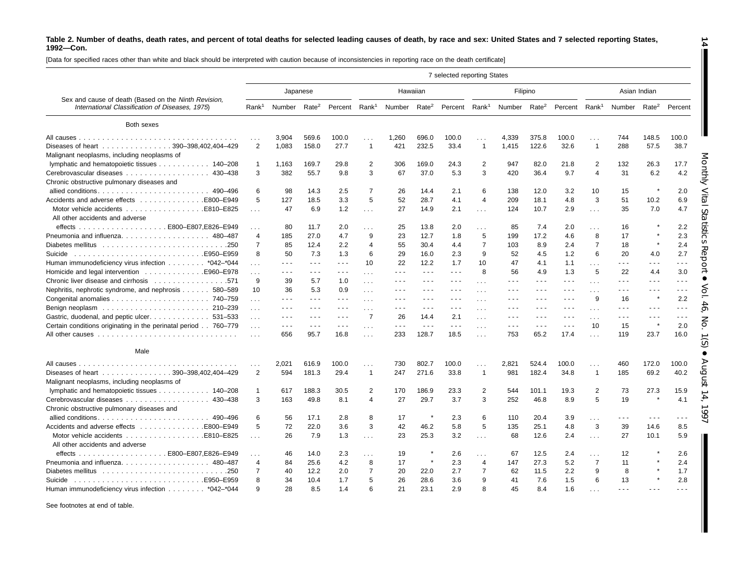[Data for specified races other than white and black should be interpreted with caution because of inconsistencies in reporting race on the death certificate]

|                                                                                                         |                   |                      |                      |                      |                   |                          |                      | 7 selected reporting States                                                                                                                                                                                                                                                                                                                                                                  |                |                          |                      |                      |                         |                      |                                                                                                                                                                                                                                                                                                                                                                                                                                                |                      |
|---------------------------------------------------------------------------------------------------------|-------------------|----------------------|----------------------|----------------------|-------------------|--------------------------|----------------------|----------------------------------------------------------------------------------------------------------------------------------------------------------------------------------------------------------------------------------------------------------------------------------------------------------------------------------------------------------------------------------------------|----------------|--------------------------|----------------------|----------------------|-------------------------|----------------------|------------------------------------------------------------------------------------------------------------------------------------------------------------------------------------------------------------------------------------------------------------------------------------------------------------------------------------------------------------------------------------------------------------------------------------------------|----------------------|
|                                                                                                         |                   |                      | Japanese             |                      |                   | Hawaiian                 |                      |                                                                                                                                                                                                                                                                                                                                                                                              |                |                          | Filipino             |                      |                         |                      | Asian Indian                                                                                                                                                                                                                                                                                                                                                                                                                                   |                      |
| Sex and cause of death (Based on the Ninth Revision,<br>International Classification of Diseases, 1975) | Rank <sup>1</sup> | Number               | Rate <sup>2</sup>    | Percent              | Rank <sup>1</sup> | Number Rate <sup>2</sup> |                      | Percent Rank <sup>1</sup>                                                                                                                                                                                                                                                                                                                                                                    |                | Number Rate <sup>2</sup> |                      | Percent              | Rank <sup>1</sup>       | Number               | Rate <sup>2</sup>                                                                                                                                                                                                                                                                                                                                                                                                                              | Percent              |
| Both sexes                                                                                              |                   |                      |                      |                      |                   |                          |                      |                                                                                                                                                                                                                                                                                                                                                                                              |                |                          |                      |                      |                         |                      |                                                                                                                                                                                                                                                                                                                                                                                                                                                |                      |
|                                                                                                         |                   | 3.904                | 569.6                | 100.0                |                   | 1.260                    | 696.0                | 100.0                                                                                                                                                                                                                                                                                                                                                                                        | .              | 4,339                    | 375.8                | 100.0                | .                       | 744                  | 148.5                                                                                                                                                                                                                                                                                                                                                                                                                                          | 100.0                |
| Diseases of heart 390-398,402,404-429<br>Malignant neoplasms, including neoplasms of                    | 2                 | 1,083                | 158.0                | 27.7                 | $\overline{1}$    | 421                      | 232.5                | 33.4                                                                                                                                                                                                                                                                                                                                                                                         | $\mathbf{1}$   | 1,415                    | 122.6                | 32.6                 | $\mathbf{1}$            | 288                  | 57.5                                                                                                                                                                                                                                                                                                                                                                                                                                           | 38.7                 |
| lymphatic and hematopoietic tissues 140–208                                                             | $\mathbf{1}$      | 1.163                | 169.7                | 29.8                 | 2                 | 306                      | 169.0                | 24.3                                                                                                                                                                                                                                                                                                                                                                                         | 2              | 947                      | 82.0                 | 21.8                 | $\overline{2}$          | 132                  | 26.3                                                                                                                                                                                                                                                                                                                                                                                                                                           | 17.7                 |
| Cerebrovascular diseases 430-438<br>Chronic obstructive pulmonary diseases and                          | 3                 | 382                  | 55.7                 | 9.8                  | 3                 | 67                       | 37.0                 | 5.3                                                                                                                                                                                                                                                                                                                                                                                          | 3              | 420                      | 36.4                 | 9.7                  | $\overline{4}$          | 31                   | 6.2                                                                                                                                                                                                                                                                                                                                                                                                                                            | 4.2                  |
| allied conditions 490–496                                                                               | 6                 | 98                   | 14.3                 | 2.5                  | $\overline{7}$    | 26                       | 14.4                 | 2.1                                                                                                                                                                                                                                                                                                                                                                                          | 6              | 138                      | 12.0                 | 3.2                  | 10                      | 15                   |                                                                                                                                                                                                                                                                                                                                                                                                                                                | 2.0                  |
|                                                                                                         | 5                 | 127                  | 18.5                 | 3.3                  | 5                 | 52                       | 28.7                 | 4.1                                                                                                                                                                                                                                                                                                                                                                                          | $\overline{4}$ | 209                      | 18.1                 | 4.8                  | 3                       | 51                   | 10.2                                                                                                                                                                                                                                                                                                                                                                                                                                           | 6.9                  |
| All other accidents and adverse                                                                         | $\sim$            | 47                   | 6.9                  | 1.2                  | $\sim$            | 27                       | 14.9                 | 2.1                                                                                                                                                                                                                                                                                                                                                                                          | .              | 124                      | 10.7                 | 2.9                  | .                       | 35                   | 7.0                                                                                                                                                                                                                                                                                                                                                                                                                                            | 4.7                  |
|                                                                                                         | .                 | 80                   | 11.7                 | 2.0                  | $\cdots$          | 25                       | 13.8                 | 2.0                                                                                                                                                                                                                                                                                                                                                                                          | $\cdots$       | 85                       | 7.4                  | 2.0                  | .                       | 16                   |                                                                                                                                                                                                                                                                                                                                                                                                                                                | 2.2                  |
|                                                                                                         | $\overline{4}$    | 185                  | 27.0                 | 4.7                  | 9                 | 23                       | 12.7                 | 1.8                                                                                                                                                                                                                                                                                                                                                                                          | 5              | 199                      | 17.2                 | 4.6                  | 8                       | 17                   |                                                                                                                                                                                                                                                                                                                                                                                                                                                | 2.3                  |
|                                                                                                         | $\overline{7}$    | 85                   | 12.4                 | 2.2                  | $\overline{4}$    | 55                       | 30.4                 | 4.4                                                                                                                                                                                                                                                                                                                                                                                          | $\overline{7}$ | 103                      | 8.9                  | 2.4                  | $\overline{7}$          | 18                   |                                                                                                                                                                                                                                                                                                                                                                                                                                                | 2.4                  |
|                                                                                                         | 8                 | 50                   | 7.3                  | 1.3                  | 6                 | 29                       | 16.0                 | 2.3                                                                                                                                                                                                                                                                                                                                                                                          | 9              | 52                       | 4.5                  | 1.2                  | 6                       | 20                   | 4.0                                                                                                                                                                                                                                                                                                                                                                                                                                            | 2.7                  |
| Human immunodeficiency virus infection * 042-*044                                                       |                   | $\sim$ $\sim$ $\sim$ | $\sim 100$           | $\sim$ $\sim$ $\sim$ | 10                | 22                       | 12.2                 | 1.7                                                                                                                                                                                                                                                                                                                                                                                          | 10             | 47                       | 4.1                  | 1.1                  | $\sim 100$              | .                    | .                                                                                                                                                                                                                                                                                                                                                                                                                                              | .                    |
|                                                                                                         | $\sim$            | $\sim$ $\sim$ $\sim$ | $\sim$ $\sim$ $\sim$ | $  -$                | $\sim$            | .                        | $\sim$ $\sim$ $\sim$ | $\sim$ $\sim$                                                                                                                                                                                                                                                                                                                                                                                | 8              | 56                       | 4.9                  | 1.3                  | 5                       | 22                   | 4.4                                                                                                                                                                                                                                                                                                                                                                                                                                            | 3.0                  |
|                                                                                                         | 9                 | 39                   | 5.7                  | 1.0                  |                   | ---                      | .                    | $  -$                                                                                                                                                                                                                                                                                                                                                                                        |                |                          | $- - -$              | $\sim$ $\sim$ $\sim$ |                         | .                    | $\sim$ $\sim$ $\sim$                                                                                                                                                                                                                                                                                                                                                                                                                           |                      |
| Nephritis, nephrotic syndrome, and nephrosis 580–589                                                    | 10                | 36                   | 5.3                  | 0.9                  | $\cdots$          | ---                      | $\sim$ $\sim$ $\sim$ | $- - -$                                                                                                                                                                                                                                                                                                                                                                                      | $\cdots$       | - - -                    | $  -$                | $\sim$ $\sim$ $\sim$ | $\cdots$                | $\sim$ $\sim$ $\sim$ | $\frac{1}{2} \left( \frac{1}{2} \right) + \frac{1}{2} \left( \frac{1}{2} \right) + \frac{1}{2} \left( \frac{1}{2} \right) + \frac{1}{2} \left( \frac{1}{2} \right) + \frac{1}{2} \left( \frac{1}{2} \right) + \frac{1}{2} \left( \frac{1}{2} \right) + \frac{1}{2} \left( \frac{1}{2} \right) + \frac{1}{2} \left( \frac{1}{2} \right) + \frac{1}{2} \left( \frac{1}{2} \right) + \frac{1}{2} \left( \frac{1}{2} \right) + \frac{1}{2} \left($ | - - -                |
|                                                                                                         |                   | $\sim$ $\sim$ $\sim$ | $\sim$ $\sim$ $\sim$ | $\sim$ $\sim$ $\sim$ | $\cdots$          | $  -$                    | $\sim$ $\sim$ $\sim$ | $\frac{1}{2} \frac{1}{2} \frac{1}{2} \frac{1}{2} \frac{1}{2} \frac{1}{2} \frac{1}{2} \frac{1}{2} \frac{1}{2} \frac{1}{2} \frac{1}{2} \frac{1}{2} \frac{1}{2} \frac{1}{2} \frac{1}{2} \frac{1}{2} \frac{1}{2} \frac{1}{2} \frac{1}{2} \frac{1}{2} \frac{1}{2} \frac{1}{2} \frac{1}{2} \frac{1}{2} \frac{1}{2} \frac{1}{2} \frac{1}{2} \frac{1}{2} \frac{1}{2} \frac{1}{2} \frac{1}{2} \frac{$ | .              | - - -                    | $\cdots$             | $\sim$ $\sim$ $\sim$ | .<br>9                  | 16                   |                                                                                                                                                                                                                                                                                                                                                                                                                                                | 2.2                  |
|                                                                                                         | $\sim$            |                      |                      |                      | $\cdots$          |                          |                      |                                                                                                                                                                                                                                                                                                                                                                                              | $\cdots$       |                          |                      |                      |                         |                      |                                                                                                                                                                                                                                                                                                                                                                                                                                                |                      |
|                                                                                                         | $\sim$ $\sim$     | $\sim$ $\sim$ $\sim$ | $\sim$ $\sim$ $\sim$ | $- - -$              | $\sim$ $\sim$     | $- - -$                  | $\sim$ $\sim$ $\sim$ | $- - -$                                                                                                                                                                                                                                                                                                                                                                                      | .              |                          | $\sim$ $\sim$ $\sim$ | $\sim$ $\sim$ $\sim$ | $\cdots$                | $\sim$ $\sim$ $\sim$ | $\sim$ $\sim$ $\sim$                                                                                                                                                                                                                                                                                                                                                                                                                           | $\sim$ $\sim$ $\sim$ |
| Gastric, duodenal, and peptic ulcer. 531–533                                                            | $\sim 10$         | $\sim$ $\sim$ $\sim$ | $\sim$ $\sim$ $\sim$ | $\sim$ $\sim$ $\sim$ | $\overline{7}$    | 26                       | 14.4                 | 2.1                                                                                                                                                                                                                                                                                                                                                                                          | $\cdots$       | - - -                    | $\sim$ $\sim$ $\sim$ | .                    | .                       | $\sim$ $\sim$ $\sim$ | $\sim$ $\sim$ $\sim$                                                                                                                                                                                                                                                                                                                                                                                                                           | .                    |
| Certain conditions originating in the perinatal period 760-779                                          | $\sim 10$         | $\sim$ $\sim$ $\sim$ | $\sim$ $\sim$ $\sim$ | $\sim$ $\sim$ $\sim$ | $\cdots$          | .                        | $\sim$ $\sim$ $\sim$ | $ -$                                                                                                                                                                                                                                                                                                                                                                                         | $\cdots$       | $  -$                    | $\sim$ $\sim$ $\sim$ | $\sim$ $\sim$ $\sim$ | 10                      | 15                   |                                                                                                                                                                                                                                                                                                                                                                                                                                                | 2.0                  |
|                                                                                                         | $\sim 10$         | 656                  | 95.7                 | 16.8                 | $\sim 100$        | 233                      | 128.7                | 18.5                                                                                                                                                                                                                                                                                                                                                                                         | $\sim 10$      | 753                      | 65.2                 | 17.4                 | $\sim$                  | 119                  | 23.7                                                                                                                                                                                                                                                                                                                                                                                                                                           | 16.0                 |
| Male                                                                                                    |                   |                      |                      |                      |                   |                          |                      |                                                                                                                                                                                                                                                                                                                                                                                              |                |                          |                      |                      |                         |                      |                                                                                                                                                                                                                                                                                                                                                                                                                                                |                      |
|                                                                                                         |                   | 2.021                | 616.9                | 100.0                | .                 | 730                      | 802.7                | 100.0                                                                                                                                                                                                                                                                                                                                                                                        | .              | 2,821                    | 524.4                | 100.0                | .                       | 460                  | 172.0                                                                                                                                                                                                                                                                                                                                                                                                                                          | 100.0                |
| Diseases of heart 390-398,402,404-429                                                                   | $\overline{2}$    | 594                  | 181.3                | 29.4                 | $\mathbf{1}$      | 247                      | 271.6                | 33.8                                                                                                                                                                                                                                                                                                                                                                                         | $\mathbf{1}$   | 981                      | 182.4                | 34.8                 | $\overline{1}$          | 185                  | 69.2                                                                                                                                                                                                                                                                                                                                                                                                                                           | 40.2                 |
| Malignant neoplasms, including neoplasms of                                                             |                   |                      |                      |                      |                   |                          |                      |                                                                                                                                                                                                                                                                                                                                                                                              |                |                          |                      |                      |                         |                      |                                                                                                                                                                                                                                                                                                                                                                                                                                                |                      |
| lymphatic and hematopoietic tissues 140–208                                                             | $\mathbf{1}$      | 617                  | 188.3                | 30.5                 | 2                 | 170                      | 186.9                | 23.3                                                                                                                                                                                                                                                                                                                                                                                         | $\overline{c}$ | 544                      | 101.1                | 19.3                 | $\overline{\mathbf{c}}$ | 73                   | 27.3                                                                                                                                                                                                                                                                                                                                                                                                                                           | 15.9                 |
|                                                                                                         | 3                 | 163                  | 49.8                 | 8.1                  | 4                 | 27                       | 29.7                 | 3.7                                                                                                                                                                                                                                                                                                                                                                                          | 3              | 252                      | 46.8                 | 8.9                  | 5                       | 19                   |                                                                                                                                                                                                                                                                                                                                                                                                                                                | 4.1                  |
| Chronic obstructive pulmonary diseases and                                                              |                   |                      |                      |                      |                   |                          |                      |                                                                                                                                                                                                                                                                                                                                                                                              |                |                          |                      |                      |                         |                      |                                                                                                                                                                                                                                                                                                                                                                                                                                                |                      |
|                                                                                                         | 6                 | 56                   | 17.1                 | 2.8                  | 8                 | 17                       |                      | 2.3                                                                                                                                                                                                                                                                                                                                                                                          | 6              | 110                      | 20.4                 | 3.9                  | .                       | $\sim$ $\sim$ $\sim$ | $\sim$ $\sim$ $\sim$                                                                                                                                                                                                                                                                                                                                                                                                                           |                      |
| Accidents and adverse effects E800–E949                                                                 | 5                 | 72                   | 22.0                 | 3.6                  | 3                 | 42                       | 46.2                 | 5.8                                                                                                                                                                                                                                                                                                                                                                                          | 5              | 135                      | 25.1                 | 4.8                  | 3                       | 39                   | 14.6                                                                                                                                                                                                                                                                                                                                                                                                                                           | 8.5                  |
|                                                                                                         | $\sim$            | 26                   | 7.9                  | 1.3                  | $\sim$            | 23                       | 25.3                 | 3.2                                                                                                                                                                                                                                                                                                                                                                                          | $\sim 10$      | 68                       | 12.6                 | 2.4                  | $\sim$ $\sim$ $\sim$    | 27                   | 10.1                                                                                                                                                                                                                                                                                                                                                                                                                                           | 5.9                  |
| All other accidents and adverse                                                                         |                   |                      |                      |                      |                   |                          |                      |                                                                                                                                                                                                                                                                                                                                                                                              |                |                          |                      |                      |                         |                      |                                                                                                                                                                                                                                                                                                                                                                                                                                                |                      |
|                                                                                                         |                   | 46                   | 14.0                 | 2.3                  | .                 | 19                       |                      | 2.6                                                                                                                                                                                                                                                                                                                                                                                          | .              | 67                       | 12.5                 | 2.4                  | .                       | 12                   |                                                                                                                                                                                                                                                                                                                                                                                                                                                | 2.6                  |
|                                                                                                         | $\overline{4}$    | 84                   | 25.6                 | 4.2                  | 8                 | 17                       |                      | 2.3                                                                                                                                                                                                                                                                                                                                                                                          | $\overline{4}$ | 147                      | 27.3                 | 5.2                  | $\overline{7}$          | 11                   |                                                                                                                                                                                                                                                                                                                                                                                                                                                | 2.4                  |
|                                                                                                         | $\overline{7}$    | 40                   | 12.2                 | 2.0                  | $\overline{7}$    | 20                       | 22.0                 | 2.7                                                                                                                                                                                                                                                                                                                                                                                          | $\overline{7}$ | 62                       | 11.5                 | 2.2                  | 9                       | 8                    |                                                                                                                                                                                                                                                                                                                                                                                                                                                | 1.7                  |
| Suicide                                                                                                 | 8                 | 34                   | 10.4                 | 1.7                  | 5                 | 26                       | 28.6                 | 3.6                                                                                                                                                                                                                                                                                                                                                                                          | $\mathbf{Q}$   | 41                       | 7.6                  | 1.5                  | 6                       | 13                   |                                                                                                                                                                                                                                                                                                                                                                                                                                                | 2.8                  |
|                                                                                                         |                   | 28                   |                      |                      |                   |                          |                      |                                                                                                                                                                                                                                                                                                                                                                                              | $\mathsf{R}$   | 45                       |                      |                      |                         |                      |                                                                                                                                                                                                                                                                                                                                                                                                                                                |                      |
| Human immunodeficiency virus infection *042–*044                                                        |                   |                      | 8.5                  | 1.4                  |                   | 21                       | 23.1                 | 2.9                                                                                                                                                                                                                                                                                                                                                                                          |                |                          | 8.4                  | 1.6                  |                         |                      |                                                                                                                                                                                                                                                                                                                                                                                                                                                |                      |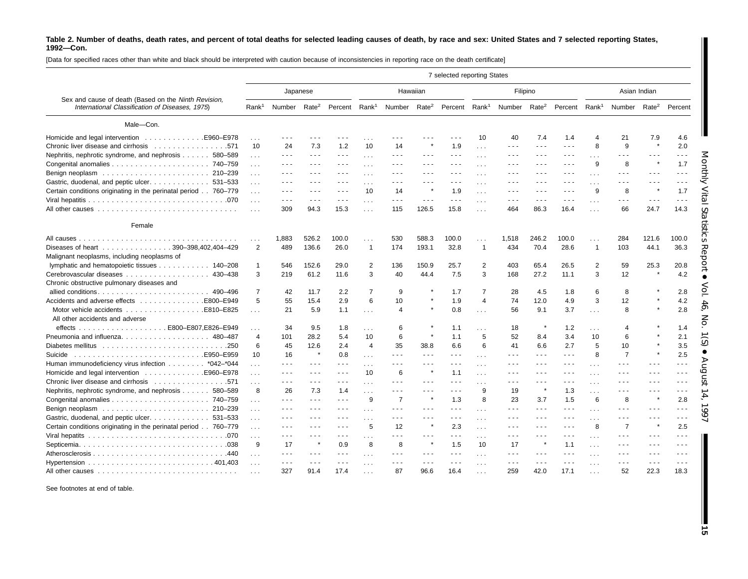[Data for specified races other than white and black should be interpreted with caution because of inconsistencies in reporting race on the death certificate]

|                                                                                                         |                 |                          |                                                                                                                                                                                                                                                                                                                                                                                                                                                |                                                                                                                                                                                                                                                                                                                                                                                                                                                |                   |                                                                                   |                                                                                                | 7 selected reporting States                                                                                                                                                                                                                                                                                                                                                                  |                      |                                                                                                |                                                                                 |                                                                                 |                      |                      |                                                                                                                                                                                                                                                                                                                                                                                                                                                |                      |
|---------------------------------------------------------------------------------------------------------|-----------------|--------------------------|------------------------------------------------------------------------------------------------------------------------------------------------------------------------------------------------------------------------------------------------------------------------------------------------------------------------------------------------------------------------------------------------------------------------------------------------|------------------------------------------------------------------------------------------------------------------------------------------------------------------------------------------------------------------------------------------------------------------------------------------------------------------------------------------------------------------------------------------------------------------------------------------------|-------------------|-----------------------------------------------------------------------------------|------------------------------------------------------------------------------------------------|----------------------------------------------------------------------------------------------------------------------------------------------------------------------------------------------------------------------------------------------------------------------------------------------------------------------------------------------------------------------------------------------|----------------------|------------------------------------------------------------------------------------------------|---------------------------------------------------------------------------------|---------------------------------------------------------------------------------|----------------------|----------------------|------------------------------------------------------------------------------------------------------------------------------------------------------------------------------------------------------------------------------------------------------------------------------------------------------------------------------------------------------------------------------------------------------------------------------------------------|----------------------|
|                                                                                                         |                 |                          | Japanese                                                                                                                                                                                                                                                                                                                                                                                                                                       |                                                                                                                                                                                                                                                                                                                                                                                                                                                |                   | Hawaiian                                                                          |                                                                                                |                                                                                                                                                                                                                                                                                                                                                                                              |                      |                                                                                                | Filipino                                                                        |                                                                                 |                      |                      | Asian Indian                                                                                                                                                                                                                                                                                                                                                                                                                                   |                      |
| Sex and cause of death (Based on the Ninth Revision,<br>International Classification of Diseases, 1975) |                 | Rank <sup>1</sup> Number | Rate <sup>2</sup>                                                                                                                                                                                                                                                                                                                                                                                                                              | Percent                                                                                                                                                                                                                                                                                                                                                                                                                                        | Rank <sup>1</sup> | Number Rate <sup>2</sup>                                                          |                                                                                                | Percent Rank <sup>1</sup>                                                                                                                                                                                                                                                                                                                                                                    |                      | Number Rate <sup>2</sup>                                                                       |                                                                                 | Percent Rank <sup>1</sup>                                                       |                      | Number               | Rate <sup>2</sup>                                                                                                                                                                                                                                                                                                                                                                                                                              | Percent              |
| Male-Con.                                                                                               |                 |                          |                                                                                                                                                                                                                                                                                                                                                                                                                                                |                                                                                                                                                                                                                                                                                                                                                                                                                                                |                   |                                                                                   |                                                                                                |                                                                                                                                                                                                                                                                                                                                                                                              |                      |                                                                                                |                                                                                 |                                                                                 |                      |                      |                                                                                                                                                                                                                                                                                                                                                                                                                                                |                      |
| Homicide and legal intervention E960-E978                                                               | .               |                          |                                                                                                                                                                                                                                                                                                                                                                                                                                                |                                                                                                                                                                                                                                                                                                                                                                                                                                                | $\ddotsc$         |                                                                                   |                                                                                                |                                                                                                                                                                                                                                                                                                                                                                                              | 10                   | 40                                                                                             | 7.4                                                                             | 1.4                                                                             | $\boldsymbol{4}$     | 21                   | 7.9                                                                                                                                                                                                                                                                                                                                                                                                                                            | 4.6                  |
| Chronic liver disease and cirrhosis 571                                                                 | 10              | 24                       | 7.3                                                                                                                                                                                                                                                                                                                                                                                                                                            | 1.2                                                                                                                                                                                                                                                                                                                                                                                                                                            | 10                | 14                                                                                |                                                                                                | 1.9                                                                                                                                                                                                                                                                                                                                                                                          | $\sim 10$            | .                                                                                              | $\frac{1}{2} \left( \frac{1}{2} \right) \frac{1}{2} \left( \frac{1}{2} \right)$ | $\sim$ $\sim$ $\sim$                                                            | 8                    | 9                    |                                                                                                                                                                                                                                                                                                                                                                                                                                                | 2.0                  |
| Nephritis, nephrotic syndrome, and nephrosis 580-589                                                    | $\sim 10$       | .                        | $\sim$ $\sim$ $\sim$                                                                                                                                                                                                                                                                                                                                                                                                                           | $  -$                                                                                                                                                                                                                                                                                                                                                                                                                                          | $\cdots$          | $\frac{1}{2} \left( \frac{1}{2} \right) \left( \frac{1}{2} \right) = \frac{1}{2}$ | $\sim$ $\sim$ $\sim$                                                                           | $  -$                                                                                                                                                                                                                                                                                                                                                                                        | .                    | - - -                                                                                          | $  -$                                                                           | $- - -$                                                                         | $\cdots$             | .                    | $\sim$ $\sim$ $\sim$                                                                                                                                                                                                                                                                                                                                                                                                                           | .                    |
|                                                                                                         | $\sim$ $\sim$   | .                        | $\frac{1}{2} \left( \frac{1}{2} \right) + \frac{1}{2} \left( \frac{1}{2} \right) + \frac{1}{2} \left( \frac{1}{2} \right) + \frac{1}{2} \left( \frac{1}{2} \right) + \frac{1}{2} \left( \frac{1}{2} \right) + \frac{1}{2} \left( \frac{1}{2} \right) + \frac{1}{2} \left( \frac{1}{2} \right) + \frac{1}{2} \left( \frac{1}{2} \right) + \frac{1}{2} \left( \frac{1}{2} \right) + \frac{1}{2} \left( \frac{1}{2} \right) + \frac{1}{2} \left($ | $\frac{1}{2} \left( \frac{1}{2} \right) \left( \frac{1}{2} \right) \left( \frac{1}{2} \right)$                                                                                                                                                                                                                                                                                                                                                 | $\cdots$          | $  -$                                                                             | $\frac{1}{2} \left( \frac{1}{2} \right) \left( \frac{1}{2} \right) \left( \frac{1}{2} \right)$ | $\frac{1}{2} \frac{1}{2} \frac{1}{2} \frac{1}{2} \frac{1}{2} \frac{1}{2} \frac{1}{2} \frac{1}{2} \frac{1}{2} \frac{1}{2} \frac{1}{2} \frac{1}{2} \frac{1}{2} \frac{1}{2} \frac{1}{2} \frac{1}{2} \frac{1}{2} \frac{1}{2} \frac{1}{2} \frac{1}{2} \frac{1}{2} \frac{1}{2} \frac{1}{2} \frac{1}{2} \frac{1}{2} \frac{1}{2} \frac{1}{2} \frac{1}{2} \frac{1}{2} \frac{1}{2} \frac{1}{2} \frac{$ | $\sim$ $\sim$ $\sim$ | - - -                                                                                          | $  -$                                                                           | $- - -$                                                                         | 9                    | 8                    | $\star$                                                                                                                                                                                                                                                                                                                                                                                                                                        | 1.7                  |
|                                                                                                         | $\sim 100$      | .                        | $  -$                                                                                                                                                                                                                                                                                                                                                                                                                                          | $\frac{1}{2} \left( \frac{1}{2} \right) \left( \frac{1}{2} \right) \left( \frac{1}{2} \right)$                                                                                                                                                                                                                                                                                                                                                 | .                 | .                                                                                 | $\sim$ $\sim$ $\sim$                                                                           | $  -$                                                                                                                                                                                                                                                                                                                                                                                        | .                    | - - -                                                                                          | $  -$                                                                           | $- - -$                                                                         | $\cdots$             | .                    | $  -$                                                                                                                                                                                                                                                                                                                                                                                                                                          | .                    |
| Gastric, duodenal, and peptic ulcer. 531-533                                                            | $\sim$ $\sim$   |                          | $\sim$ $\sim$ $\sim$                                                                                                                                                                                                                                                                                                                                                                                                                           | $\frac{1}{2} \left( \frac{1}{2} \right) + \frac{1}{2} \left( \frac{1}{2} \right) + \frac{1}{2} \left( \frac{1}{2} \right) + \frac{1}{2} \left( \frac{1}{2} \right) + \frac{1}{2} \left( \frac{1}{2} \right) + \frac{1}{2} \left( \frac{1}{2} \right) + \frac{1}{2} \left( \frac{1}{2} \right) + \frac{1}{2} \left( \frac{1}{2} \right) + \frac{1}{2} \left( \frac{1}{2} \right) + \frac{1}{2} \left( \frac{1}{2} \right) + \frac{1}{2} \left($ | $\cdots$          | .                                                                                 |                                                                                                | $\sim$ $\sim$ $\sim$                                                                                                                                                                                                                                                                                                                                                                         | .                    |                                                                                                | $\sim$ $\sim$ $\sim$                                                            | - - -                                                                           | $\cdots$             | .                    | $\sim$ $\sim$ $\sim$                                                                                                                                                                                                                                                                                                                                                                                                                           | .                    |
| Certain conditions originating in the perinatal period 760–779                                          | $\cdots$        | $  -$                    | $\cdots$                                                                                                                                                                                                                                                                                                                                                                                                                                       | $\frac{1}{2} \left( \frac{1}{2} \right) \left( \frac{1}{2} \right) \left( \frac{1}{2} \right)$                                                                                                                                                                                                                                                                                                                                                 | 10                | 14                                                                                |                                                                                                | 1.9                                                                                                                                                                                                                                                                                                                                                                                          | $\sim 10$            | - - -                                                                                          | $\cdots$                                                                        | $\frac{1}{2} \left( \frac{1}{2} \right) \frac{1}{2} \left( \frac{1}{2} \right)$ | 9                    | 8                    |                                                                                                                                                                                                                                                                                                                                                                                                                                                | 1.7                  |
|                                                                                                         | $\ldots$        | ---                      | $\sim$ $\sim$ $\sim$                                                                                                                                                                                                                                                                                                                                                                                                                           | $- - -$                                                                                                                                                                                                                                                                                                                                                                                                                                        | $\cdots$          | $\sim$ $\sim$ $\sim$                                                              | $\sim$ $\sim$ $\sim$                                                                           | $- - -$                                                                                                                                                                                                                                                                                                                                                                                      | .                    | .                                                                                              | $\sim$ $\sim$ $\sim$                                                            | $- - -$                                                                         | $\cdots$             | $- - -$              | $\sim$ $\sim$ $\sim$                                                                                                                                                                                                                                                                                                                                                                                                                           | $- - -$              |
|                                                                                                         |                 | 309                      | 94.3                                                                                                                                                                                                                                                                                                                                                                                                                                           | 15.3                                                                                                                                                                                                                                                                                                                                                                                                                                           | $\cdots$          | 115                                                                               | 126.5                                                                                          | 15.8                                                                                                                                                                                                                                                                                                                                                                                         | .                    | 464                                                                                            | 86.3                                                                            | 16.4                                                                            | $\sim$               | 66                   | 24.7                                                                                                                                                                                                                                                                                                                                                                                                                                           | 14.3                 |
| Female                                                                                                  |                 |                          |                                                                                                                                                                                                                                                                                                                                                                                                                                                |                                                                                                                                                                                                                                                                                                                                                                                                                                                |                   |                                                                                   |                                                                                                |                                                                                                                                                                                                                                                                                                                                                                                              |                      |                                                                                                |                                                                                 |                                                                                 |                      |                      |                                                                                                                                                                                                                                                                                                                                                                                                                                                |                      |
|                                                                                                         | $\cdots$        | 1,883                    | 526.2                                                                                                                                                                                                                                                                                                                                                                                                                                          | 100.0                                                                                                                                                                                                                                                                                                                                                                                                                                          | .                 | 530                                                                               | 588.3                                                                                          | 100.0                                                                                                                                                                                                                                                                                                                                                                                        | .                    | 1,518                                                                                          | 246.2                                                                           | 100.0                                                                           | .                    | 284                  | 121.6                                                                                                                                                                                                                                                                                                                                                                                                                                          | 100.0                |
| Diseases of heart 390-398,402,404-429                                                                   | 2               | 489                      | 136.6                                                                                                                                                                                                                                                                                                                                                                                                                                          | 26.0                                                                                                                                                                                                                                                                                                                                                                                                                                           | $\overline{1}$    | 174                                                                               | 193.1                                                                                          | 32.8                                                                                                                                                                                                                                                                                                                                                                                         | $\mathbf{1}$         | 434                                                                                            | 70.4                                                                            | 28.6                                                                            | $\mathbf{1}$         | 103                  | 44.1                                                                                                                                                                                                                                                                                                                                                                                                                                           | 36.3                 |
| Malignant neoplasms, including neoplasms of                                                             |                 |                          |                                                                                                                                                                                                                                                                                                                                                                                                                                                |                                                                                                                                                                                                                                                                                                                                                                                                                                                |                   |                                                                                   |                                                                                                |                                                                                                                                                                                                                                                                                                                                                                                              |                      |                                                                                                |                                                                                 |                                                                                 |                      |                      |                                                                                                                                                                                                                                                                                                                                                                                                                                                |                      |
|                                                                                                         |                 |                          |                                                                                                                                                                                                                                                                                                                                                                                                                                                |                                                                                                                                                                                                                                                                                                                                                                                                                                                |                   |                                                                                   |                                                                                                |                                                                                                                                                                                                                                                                                                                                                                                              | $\overline{2}$       |                                                                                                |                                                                                 |                                                                                 |                      |                      |                                                                                                                                                                                                                                                                                                                                                                                                                                                |                      |
| lymphatic and hematopoietic tissues 140-208                                                             | $\mathbf{1}$    | 546                      | 152.6                                                                                                                                                                                                                                                                                                                                                                                                                                          | 29.0                                                                                                                                                                                                                                                                                                                                                                                                                                           | 2                 | 136                                                                               | 150.9                                                                                          | 25.7                                                                                                                                                                                                                                                                                                                                                                                         |                      | 403                                                                                            | 65.4                                                                            | 26.5                                                                            | $\overline{2}$       | 59                   | 25.3                                                                                                                                                                                                                                                                                                                                                                                                                                           | 20.8                 |
| 430-438                                                                                                 | 3               | 219                      | 61.2                                                                                                                                                                                                                                                                                                                                                                                                                                           | 11.6                                                                                                                                                                                                                                                                                                                                                                                                                                           | 3                 | 40                                                                                | 44.4                                                                                           | 7.5                                                                                                                                                                                                                                                                                                                                                                                          | 3                    | 168                                                                                            | 27.2                                                                            | 11.1                                                                            | 3                    | 12                   |                                                                                                                                                                                                                                                                                                                                                                                                                                                | 4.2                  |
| Chronic obstructive pulmonary diseases and                                                              |                 |                          |                                                                                                                                                                                                                                                                                                                                                                                                                                                |                                                                                                                                                                                                                                                                                                                                                                                                                                                |                   |                                                                                   |                                                                                                |                                                                                                                                                                                                                                                                                                                                                                                              |                      |                                                                                                |                                                                                 |                                                                                 |                      |                      |                                                                                                                                                                                                                                                                                                                                                                                                                                                |                      |
|                                                                                                         | $\overline{7}$  | 42                       | 11.7                                                                                                                                                                                                                                                                                                                                                                                                                                           | 2.2                                                                                                                                                                                                                                                                                                                                                                                                                                            | $\overline{7}$    | 9                                                                                 |                                                                                                | 1.7                                                                                                                                                                                                                                                                                                                                                                                          | $\overline{7}$       | 28                                                                                             | 4.5                                                                             | 1.8                                                                             | 6                    | 8                    |                                                                                                                                                                                                                                                                                                                                                                                                                                                | 2.8                  |
| Accidents and adverse effects E800–E949                                                                 | 5               | 55                       | 15.4                                                                                                                                                                                                                                                                                                                                                                                                                                           | 2.9                                                                                                                                                                                                                                                                                                                                                                                                                                            | 6                 | 10                                                                                |                                                                                                | 1.9                                                                                                                                                                                                                                                                                                                                                                                          | $\overline{4}$       | 74                                                                                             | 12.0                                                                            | 4.9                                                                             | 3                    | 12                   |                                                                                                                                                                                                                                                                                                                                                                                                                                                | 4.2                  |
|                                                                                                         | $\sim 100$      | 21                       | 5.9                                                                                                                                                                                                                                                                                                                                                                                                                                            | 1.1                                                                                                                                                                                                                                                                                                                                                                                                                                            | $\cdots$          | $\overline{4}$                                                                    |                                                                                                | 0.8                                                                                                                                                                                                                                                                                                                                                                                          | $\sim 10$            | 56                                                                                             | 9.1                                                                             | 3.7                                                                             | $\sim$ $\sim$ $\sim$ | 8                    |                                                                                                                                                                                                                                                                                                                                                                                                                                                | 2.8                  |
| All other accidents and adverse                                                                         |                 |                          |                                                                                                                                                                                                                                                                                                                                                                                                                                                |                                                                                                                                                                                                                                                                                                                                                                                                                                                |                   |                                                                                   |                                                                                                |                                                                                                                                                                                                                                                                                                                                                                                              |                      |                                                                                                |                                                                                 |                                                                                 |                      |                      |                                                                                                                                                                                                                                                                                                                                                                                                                                                |                      |
|                                                                                                         | .               | 34                       | 9.5                                                                                                                                                                                                                                                                                                                                                                                                                                            | 1.8                                                                                                                                                                                                                                                                                                                                                                                                                                            | $\cdots$          | 6                                                                                 |                                                                                                | 1.1                                                                                                                                                                                                                                                                                                                                                                                          | .                    | 18                                                                                             | $\pmb{\ast}$                                                                    | 1.2                                                                             | .                    | $\overline{4}$       |                                                                                                                                                                                                                                                                                                                                                                                                                                                | 1.4                  |
| Pneumonia and influenza. 480-487                                                                        | $\overline{4}$  | 101                      | 28.2                                                                                                                                                                                                                                                                                                                                                                                                                                           | 5.4                                                                                                                                                                                                                                                                                                                                                                                                                                            | 10                | 6                                                                                 |                                                                                                | 1.1                                                                                                                                                                                                                                                                                                                                                                                          | 5                    | 52                                                                                             | 8.4                                                                             | 3.4                                                                             | 10                   | 6                    |                                                                                                                                                                                                                                                                                                                                                                                                                                                | 2.1                  |
| .250                                                                                                    | 6               | 45                       | 12.6                                                                                                                                                                                                                                                                                                                                                                                                                                           | 2.4                                                                                                                                                                                                                                                                                                                                                                                                                                            | $\overline{4}$    | 35                                                                                | 38.8                                                                                           | 6.6                                                                                                                                                                                                                                                                                                                                                                                          | 6                    | 41                                                                                             | 6.6                                                                             | 2.7                                                                             | 5                    | 10                   |                                                                                                                                                                                                                                                                                                                                                                                                                                                | 3.5                  |
| Suicide                                                                                                 | 10              | 16                       | ×                                                                                                                                                                                                                                                                                                                                                                                                                                              | 0.8                                                                                                                                                                                                                                                                                                                                                                                                                                            | $\cdots$          | .                                                                                 | $\sim$ $\sim$ $\sim$                                                                           | $\sim$ $\sim$ $\sim$                                                                                                                                                                                                                                                                                                                                                                         | .                    |                                                                                                | $\sim$ $\sim$ $\sim$                                                            | .                                                                               | 8                    | $\overline{7}$       |                                                                                                                                                                                                                                                                                                                                                                                                                                                | 2.5                  |
| Human immunodeficiency virus infection * 042-* 044                                                      | .               | $\sim$ $\sim$ $\sim$     | $\sim$ $\sim$ $\sim$                                                                                                                                                                                                                                                                                                                                                                                                                           | $\frac{1}{2} \left( \frac{1}{2} \right) + \frac{1}{2} \left( \frac{1}{2} \right) + \frac{1}{2} \left( \frac{1}{2} \right) + \frac{1}{2} \left( \frac{1}{2} \right) + \frac{1}{2} \left( \frac{1}{2} \right) + \frac{1}{2} \left( \frac{1}{2} \right) + \frac{1}{2} \left( \frac{1}{2} \right) + \frac{1}{2} \left( \frac{1}{2} \right) + \frac{1}{2} \left( \frac{1}{2} \right) + \frac{1}{2} \left( \frac{1}{2} \right) + \frac{1}{2} \left($ | $\cdots$          | $\sim$ $\sim$ $\sim$                                                              | $\sim$ $\sim$ $\sim$                                                                           | $- - -$                                                                                                                                                                                                                                                                                                                                                                                      | $\cdots$             | .                                                                                              | $  -$                                                                           | $  -$                                                                           | $\cdots$             | .                    | $\sim$ $\sim$ $\sim$                                                                                                                                                                                                                                                                                                                                                                                                                           | .                    |
|                                                                                                         | $\cdots$        | .                        | $\sim$ $\sim$ $\sim$                                                                                                                                                                                                                                                                                                                                                                                                                           | $\sim$ $\sim$ $\sim$                                                                                                                                                                                                                                                                                                                                                                                                                           | 10                | 6                                                                                 |                                                                                                | 1.1                                                                                                                                                                                                                                                                                                                                                                                          | $\cdots$             | - - -                                                                                          | $\sim$ $\sim$ $\sim$                                                            | .                                                                               | .                    |                      |                                                                                                                                                                                                                                                                                                                                                                                                                                                | .                    |
|                                                                                                         | $\sim$          | $ -$                     | $\sim$ $\sim$ $\sim$                                                                                                                                                                                                                                                                                                                                                                                                                           | $- - -$                                                                                                                                                                                                                                                                                                                                                                                                                                        | .                 | $\sim$ $\sim$ $\sim$                                                              | $  -$                                                                                          | $ -$                                                                                                                                                                                                                                                                                                                                                                                         | $\cdots$             | .                                                                                              | $\sim$ $\sim$ $\sim$                                                            | $\sim$ $\sim$ $\sim$                                                            | $\cdots$             | .                    | $  -$                                                                                                                                                                                                                                                                                                                                                                                                                                          | $- - -$              |
| Nephritis, nephrotic syndrome, and nephrosis 580-589                                                    | 8               | 26                       | 7.3                                                                                                                                                                                                                                                                                                                                                                                                                                            | 1.4                                                                                                                                                                                                                                                                                                                                                                                                                                            |                   | $\sim$ $\sim$ $\sim$                                                              | .                                                                                              | $\sim$ $\sim$ $\sim$                                                                                                                                                                                                                                                                                                                                                                         | 9                    | 19                                                                                             | $\pmb{\ast}$                                                                    | 1.3                                                                             | .                    | .                    | $\sim$ $\sim$ $\sim$                                                                                                                                                                                                                                                                                                                                                                                                                           | $\sim$ $\sim$ $\sim$ |
|                                                                                                         | $\cdots$        | $  -$                    | $\frac{1}{2} \left( \frac{1}{2} \right) + \frac{1}{2} \left( \frac{1}{2} \right) + \frac{1}{2} \left( \frac{1}{2} \right) + \frac{1}{2} \left( \frac{1}{2} \right) + \frac{1}{2} \left( \frac{1}{2} \right) + \frac{1}{2} \left( \frac{1}{2} \right) + \frac{1}{2} \left( \frac{1}{2} \right) + \frac{1}{2} \left( \frac{1}{2} \right) + \frac{1}{2} \left( \frac{1}{2} \right) + \frac{1}{2} \left( \frac{1}{2} \right) + \frac{1}{2} \left($ | $\sim$ $\sim$ $\sim$                                                                                                                                                                                                                                                                                                                                                                                                                           | 9                 | $\overline{7}$                                                                    |                                                                                                | 1.3                                                                                                                                                                                                                                                                                                                                                                                          | 8                    | 23                                                                                             | 3.7                                                                             | 1.5                                                                             | 6                    | 8                    |                                                                                                                                                                                                                                                                                                                                                                                                                                                | 2.8                  |
|                                                                                                         |                 | $ -$                     | $  -$                                                                                                                                                                                                                                                                                                                                                                                                                                          | $\frac{1}{2} \left( \frac{1}{2} \right) \left( \frac{1}{2} \right) \left( \frac{1}{2} \right)$                                                                                                                                                                                                                                                                                                                                                 |                   | $\sim$ $\sim$ $\sim$                                                              | $\sim$ $\sim$ $\sim$                                                                           | $- - -$                                                                                                                                                                                                                                                                                                                                                                                      | .                    | .                                                                                              | $\sim$ $\sim$ $\sim$                                                            | $  -$                                                                           | .                    | $\sim$ $\sim$ $\sim$ | $\frac{1}{2} \left( \frac{1}{2} \right) + \frac{1}{2} \left( \frac{1}{2} \right) + \frac{1}{2} \left( \frac{1}{2} \right) + \frac{1}{2} \left( \frac{1}{2} \right) + \frac{1}{2} \left( \frac{1}{2} \right) + \frac{1}{2} \left( \frac{1}{2} \right) + \frac{1}{2} \left( \frac{1}{2} \right) + \frac{1}{2} \left( \frac{1}{2} \right) + \frac{1}{2} \left( \frac{1}{2} \right) + \frac{1}{2} \left( \frac{1}{2} \right) + \frac{1}{2} \left($ | - - -                |
| Gastric, duodenal, and peptic ulcer. 531-533                                                            | $\sim$ $\sim$   | .                        | $\sim$ $\sim$ $\sim$                                                                                                                                                                                                                                                                                                                                                                                                                           |                                                                                                                                                                                                                                                                                                                                                                                                                                                | .                 | .                                                                                 |                                                                                                | $  -$                                                                                                                                                                                                                                                                                                                                                                                        | $\sim 10$            |                                                                                                | .                                                                               | - - -                                                                           | $\cdots$             | .                    | $\sim$ $\sim$ $\sim$                                                                                                                                                                                                                                                                                                                                                                                                                           | $- - -$              |
| Certain conditions originating in the perinatal period 760-779                                          | $\cdots$        | $\sim$ $\sim$ $\sim$     | $\frac{1}{2} \left( \frac{1}{2} \right) + \frac{1}{2} \left( \frac{1}{2} \right) + \frac{1}{2} \left( \frac{1}{2} \right) + \frac{1}{2} \left( \frac{1}{2} \right) + \frac{1}{2} \left( \frac{1}{2} \right) + \frac{1}{2} \left( \frac{1}{2} \right) + \frac{1}{2} \left( \frac{1}{2} \right) + \frac{1}{2} \left( \frac{1}{2} \right) + \frac{1}{2} \left( \frac{1}{2} \right) + \frac{1}{2} \left( \frac{1}{2} \right) + \frac{1}{2} \left($ | $\frac{1}{2} \left( \frac{1}{2} \right) \left( \frac{1}{2} \right) \left( \frac{1}{2} \right)$                                                                                                                                                                                                                                                                                                                                                 | 5                 | 12                                                                                | $\star$                                                                                        | 2.3                                                                                                                                                                                                                                                                                                                                                                                          | $\sim 10$            | .                                                                                              | $  -$                                                                           | $\sim$ $\sim$ $\sim$                                                            | 8                    | $\overline{7}$       | $\star$                                                                                                                                                                                                                                                                                                                                                                                                                                        | 2.5                  |
|                                                                                                         |                 | .                        | $\sim$ $\sim$ $\sim$                                                                                                                                                                                                                                                                                                                                                                                                                           | $  -$                                                                                                                                                                                                                                                                                                                                                                                                                                          |                   | - - -                                                                             | - - -                                                                                          | $- - -$                                                                                                                                                                                                                                                                                                                                                                                      |                      | - - -                                                                                          | $\sim$ $\sim$ $\sim$                                                            | $- - -$                                                                         |                      | $- - -$              | $\sim$ $\sim$ $\sim$                                                                                                                                                                                                                                                                                                                                                                                                                           | $\sim$ $\sim$ $\sim$ |
|                                                                                                         | $\sim 100$<br>9 | 17                       | $\star$                                                                                                                                                                                                                                                                                                                                                                                                                                        | 0.9                                                                                                                                                                                                                                                                                                                                                                                                                                            | .<br>8            | 8                                                                                 | $\star$                                                                                        | 1.5                                                                                                                                                                                                                                                                                                                                                                                          | $\cdots$<br>10       | 17                                                                                             | $\pmb{\ast}$                                                                    |                                                                                 | $\cdots$             | $  -$                | $  -$                                                                                                                                                                                                                                                                                                                                                                                                                                          | $ -$                 |
|                                                                                                         |                 |                          |                                                                                                                                                                                                                                                                                                                                                                                                                                                |                                                                                                                                                                                                                                                                                                                                                                                                                                                |                   |                                                                                   |                                                                                                |                                                                                                                                                                                                                                                                                                                                                                                              |                      |                                                                                                |                                                                                 | 1.1                                                                             | $\sim$ $\sim$ $\sim$ |                      |                                                                                                                                                                                                                                                                                                                                                                                                                                                |                      |
|                                                                                                         | $\sim 10$ .     | $\sim$ $\sim$ $\sim$     | $\sim$ $\sim$ $\sim$                                                                                                                                                                                                                                                                                                                                                                                                                           | $\sim$ $\sim$ $\sim$                                                                                                                                                                                                                                                                                                                                                                                                                           | $\cdots$          | $\sim$ $\sim$ $\sim$                                                              | $\sim$ $\sim$ $\sim$                                                                           | $- - -$                                                                                                                                                                                                                                                                                                                                                                                      | .                    | .                                                                                              | $\sim$ $\sim$ $\sim$                                                            | $\sim$ $\sim$ $\sim$                                                            | .                    | $\sim$ $\sim$ $\sim$ | $\sim$ $\sim$ $\sim$                                                                                                                                                                                                                                                                                                                                                                                                                           | $\sim$ $\sim$ $\sim$ |
| Hypertension $\ldots \ldots \ldots \ldots \ldots \ldots \ldots \ldots \ldots$                           |                 | $\sim$ $\sim$ $\sim$     | $\sim$ $\sim$ $\sim$                                                                                                                                                                                                                                                                                                                                                                                                                           | $\sim$ $\sim$ $\sim$                                                                                                                                                                                                                                                                                                                                                                                                                           | $\cdots$          | $- - -$                                                                           | $\sim$ $\sim$ $\sim$                                                                           | $- - -$                                                                                                                                                                                                                                                                                                                                                                                      | $\cdots$             | $\frac{1}{2} \left( \frac{1}{2} \right) \left( \frac{1}{2} \right) \left( \frac{1}{2} \right)$ | $\sim$ $\sim$ $\sim$                                                            | $\sim$ $\sim$ $\sim$                                                            | .                    | .                    | $\frac{1}{2} \left( \frac{1}{2} \right) + \frac{1}{2} \left( \frac{1}{2} \right) + \frac{1}{2} \left( \frac{1}{2} \right) + \frac{1}{2} \left( \frac{1}{2} \right) + \frac{1}{2} \left( \frac{1}{2} \right) + \frac{1}{2} \left( \frac{1}{2} \right) + \frac{1}{2} \left( \frac{1}{2} \right) + \frac{1}{2} \left( \frac{1}{2} \right) + \frac{1}{2} \left( \frac{1}{2} \right) + \frac{1}{2} \left( \frac{1}{2} \right) + \frac{1}{2} \left($ | $\sim$ $\sim$ $\sim$ |
|                                                                                                         |                 | 327                      | 91.4                                                                                                                                                                                                                                                                                                                                                                                                                                           | 17.4                                                                                                                                                                                                                                                                                                                                                                                                                                           |                   | 87                                                                                | 96.6                                                                                           | 16.4                                                                                                                                                                                                                                                                                                                                                                                         | .                    | 259                                                                                            | 42.0                                                                            | 17.1                                                                            |                      | 52                   | 22.3                                                                                                                                                                                                                                                                                                                                                                                                                                           | 18.3                 |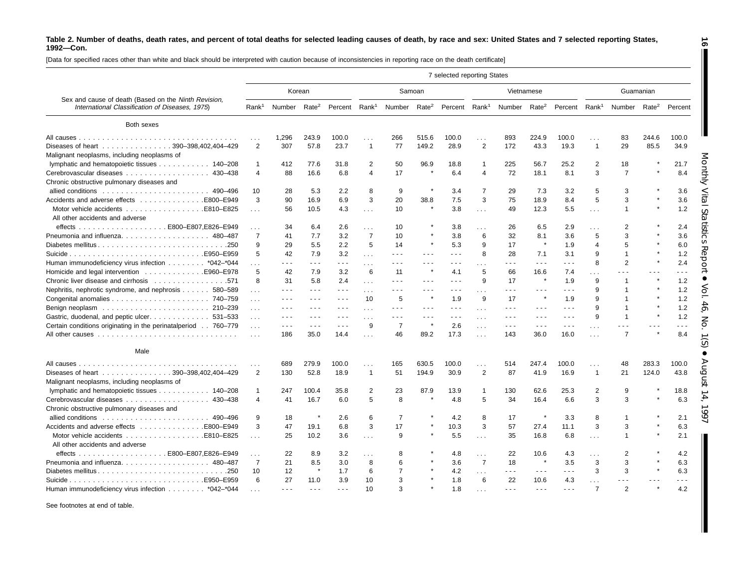[Data for specified races other than white and black should be interpreted with caution because of inconsistencies in reporting race on the death certificate]

|                                                                                                         |                   |                      |                                                                                                                                                                                                                                                                                                                                                                                                                                                |                                                                                                                                                                                                                                                                                                                                                                                              |                   |                          |                      | 7 selected reporting States                                                                                                                                                                                                                                                                                                                                                                  |                      |                          |                      |                      |                          |                |                   |         |
|---------------------------------------------------------------------------------------------------------|-------------------|----------------------|------------------------------------------------------------------------------------------------------------------------------------------------------------------------------------------------------------------------------------------------------------------------------------------------------------------------------------------------------------------------------------------------------------------------------------------------|----------------------------------------------------------------------------------------------------------------------------------------------------------------------------------------------------------------------------------------------------------------------------------------------------------------------------------------------------------------------------------------------|-------------------|--------------------------|----------------------|----------------------------------------------------------------------------------------------------------------------------------------------------------------------------------------------------------------------------------------------------------------------------------------------------------------------------------------------------------------------------------------------|----------------------|--------------------------|----------------------|----------------------|--------------------------|----------------|-------------------|---------|
|                                                                                                         |                   |                      | Korean                                                                                                                                                                                                                                                                                                                                                                                                                                         |                                                                                                                                                                                                                                                                                                                                                                                              |                   | Samoan                   |                      |                                                                                                                                                                                                                                                                                                                                                                                              |                      |                          | Vietnamese           |                      |                          |                | Guamanian         |         |
| Sex and cause of death (Based on the Ninth Revision,<br>International Classification of Diseases, 1975) | Rank <sup>1</sup> | Number               | Rate <sup>2</sup>                                                                                                                                                                                                                                                                                                                                                                                                                              | Percent                                                                                                                                                                                                                                                                                                                                                                                      | Rank <sup>1</sup> | Number Rate <sup>2</sup> |                      | Percent Rank <sup>1</sup>                                                                                                                                                                                                                                                                                                                                                                    |                      | Number Rate <sup>2</sup> |                      | Percent              | Rank <sup>1</sup>        | Number         | Rate <sup>2</sup> | Percent |
| Both sexes                                                                                              |                   |                      |                                                                                                                                                                                                                                                                                                                                                                                                                                                |                                                                                                                                                                                                                                                                                                                                                                                              |                   |                          |                      |                                                                                                                                                                                                                                                                                                                                                                                              |                      |                          |                      |                      |                          |                |                   |         |
|                                                                                                         |                   | 1.296                | 243.9                                                                                                                                                                                                                                                                                                                                                                                                                                          | 100.0                                                                                                                                                                                                                                                                                                                                                                                        |                   | 266                      | 515.6                | 100.0                                                                                                                                                                                                                                                                                                                                                                                        | .                    | 893                      | 224.9                | 100.0                | .                        | 83             | 244.6             | 100.0   |
| Diseases of heart 390-398,402,404-429<br>Malignant neoplasms, including neoplasms of                    | 2                 | 307                  | 57.8                                                                                                                                                                                                                                                                                                                                                                                                                                           | 23.7                                                                                                                                                                                                                                                                                                                                                                                         | $\overline{1}$    | 77                       | 149.2                | 28.9                                                                                                                                                                                                                                                                                                                                                                                         | 2                    | 172                      | 43.3                 | 19.3                 | $\mathbf{1}$             | 29             | 85.5              | 34.9    |
| lymphatic and hematopoietic tissues 140–208                                                             | $\mathbf{1}$      | 412                  | 77.6                                                                                                                                                                                                                                                                                                                                                                                                                                           | 31.8                                                                                                                                                                                                                                                                                                                                                                                         | 2                 | 50                       | 96.9                 | 18.8                                                                                                                                                                                                                                                                                                                                                                                         | $\mathbf{1}$         | 225                      | 56.7                 | 25.2                 | $\overline{2}$           | 18             |                   | 21.7    |
| Chronic obstructive pulmonary diseases and                                                              | $\overline{4}$    | 88                   | 16.6                                                                                                                                                                                                                                                                                                                                                                                                                                           | 6.8                                                                                                                                                                                                                                                                                                                                                                                          | $\overline{4}$    | 17                       | $\star$              | 6.4                                                                                                                                                                                                                                                                                                                                                                                          | $\overline{4}$       | 72                       | 18.1                 | 8.1                  | 3                        | $\overline{7}$ |                   | 8.4     |
|                                                                                                         | 10                | 28                   | 5.3                                                                                                                                                                                                                                                                                                                                                                                                                                            | 2.2                                                                                                                                                                                                                                                                                                                                                                                          | 8                 | 9                        |                      | 3.4                                                                                                                                                                                                                                                                                                                                                                                          | $\overline{7}$       | 29                       | 7.3                  | 3.2                  | 5                        | 3              |                   | 3.6     |
|                                                                                                         | 3                 | 90                   | 16.9                                                                                                                                                                                                                                                                                                                                                                                                                                           | 6.9                                                                                                                                                                                                                                                                                                                                                                                          | 3                 | 20                       | 38.8                 | 7.5                                                                                                                                                                                                                                                                                                                                                                                          | 3                    | 75                       | 18.9                 | 8.4                  | 5                        | 3              |                   | 3.6     |
| All other accidents and adverse                                                                         | $\sim 100$        | 56                   | 10.5                                                                                                                                                                                                                                                                                                                                                                                                                                           | 4.3                                                                                                                                                                                                                                                                                                                                                                                          | $\sim$            | 10                       |                      | 3.8                                                                                                                                                                                                                                                                                                                                                                                          | $\sim 10$            | 49                       | 12.3                 | 5.5                  | $\sim$                   | $\mathbf{1}$   |                   | 1.2     |
|                                                                                                         | .                 | 34                   | 6.4                                                                                                                                                                                                                                                                                                                                                                                                                                            | 2.6                                                                                                                                                                                                                                                                                                                                                                                          | $\cdots$          | 10                       |                      | 3.8                                                                                                                                                                                                                                                                                                                                                                                          | $\cdots$             | 26                       | 6.5                  | 2.9                  | .                        | $\overline{2}$ |                   | 2.4     |
|                                                                                                         | $\overline{7}$    | 41                   | 7.7                                                                                                                                                                                                                                                                                                                                                                                                                                            | 3.2                                                                                                                                                                                                                                                                                                                                                                                          | $\overline{7}$    | 10                       |                      | 3.8                                                                                                                                                                                                                                                                                                                                                                                          | 6                    | 32                       | 8.1                  | 3.6                  | 5                        | 3              |                   | 3.6     |
|                                                                                                         | 9                 | 29                   | 5.5                                                                                                                                                                                                                                                                                                                                                                                                                                            | 2.2                                                                                                                                                                                                                                                                                                                                                                                          | 5                 | 14                       |                      | 5.3                                                                                                                                                                                                                                                                                                                                                                                          | 9                    | 17                       | $\star$              | 1.9                  | $\overline{\mathcal{A}}$ | 5              |                   | 6.0     |
|                                                                                                         | 5                 | 42                   | 7.9                                                                                                                                                                                                                                                                                                                                                                                                                                            | 3.2                                                                                                                                                                                                                                                                                                                                                                                          | $\cdots$          | .                        |                      | $\sim$ $\sim$ $\sim$                                                                                                                                                                                                                                                                                                                                                                         | $\mathsf{R}$         | 28                       | 7.1                  | 3.1                  | 9                        | $\overline{1}$ |                   | 1.2     |
| Human immunodeficiency virus infection *042-*044                                                        | .                 | .                    | $\sim 100$                                                                                                                                                                                                                                                                                                                                                                                                                                     | $\sim$ $\sim$ $\sim$                                                                                                                                                                                                                                                                                                                                                                         | $\cdots$          | $\sim$ $\sim$ $\sim$     | .                    | $- - -$                                                                                                                                                                                                                                                                                                                                                                                      |                      | .                        | $\sim$ $\sim$ $\sim$ | - - -                | 8                        | $\overline{2}$ |                   | 2.4     |
|                                                                                                         | 5                 | 42                   | 7.9                                                                                                                                                                                                                                                                                                                                                                                                                                            | 3.2                                                                                                                                                                                                                                                                                                                                                                                          | 6                 | 11                       |                      | 4.1                                                                                                                                                                                                                                                                                                                                                                                          | 5                    | 66                       | 16.6                 | 7.4                  | .                        | $  -$          |                   | ---     |
|                                                                                                         | 8                 | 31                   | 5.8                                                                                                                                                                                                                                                                                                                                                                                                                                            | 2.4                                                                                                                                                                                                                                                                                                                                                                                          |                   | - - -                    | .                    | $- - -$                                                                                                                                                                                                                                                                                                                                                                                      | 9                    | 17                       | $\star$              | 1.9                  | 9                        | $\mathbf{1}$   |                   | 1.2     |
| Nephritis, nephrotic syndrome, and nephrosis 580–589                                                    |                   | $\sim$ $\sim$ $\sim$ | $\sim$ $\sim$ $\sim$                                                                                                                                                                                                                                                                                                                                                                                                                           | $\frac{1}{2} \frac{1}{2} \frac{1}{2} \frac{1}{2} \frac{1}{2} \frac{1}{2} \frac{1}{2} \frac{1}{2} \frac{1}{2} \frac{1}{2} \frac{1}{2} \frac{1}{2} \frac{1}{2} \frac{1}{2} \frac{1}{2} \frac{1}{2} \frac{1}{2} \frac{1}{2} \frac{1}{2} \frac{1}{2} \frac{1}{2} \frac{1}{2} \frac{1}{2} \frac{1}{2} \frac{1}{2} \frac{1}{2} \frac{1}{2} \frac{1}{2} \frac{1}{2} \frac{1}{2} \frac{1}{2} \frac{$ | $\cdots$          | $ -$                     | - - -                | $- - -$                                                                                                                                                                                                                                                                                                                                                                                      |                      | $\sim$ $\sim$ $\sim$     | $\sim$ $\sim$ $\sim$ | .                    | 9                        | $\mathbf{1}$   |                   | 1.2     |
|                                                                                                         | $\sim 100$        | $\sim$ $\sim$ $\sim$ | $\frac{1}{2} \left( \frac{1}{2} \right) + \frac{1}{2} \left( \frac{1}{2} \right) + \frac{1}{2} \left( \frac{1}{2} \right) + \frac{1}{2} \left( \frac{1}{2} \right) + \frac{1}{2} \left( \frac{1}{2} \right) + \frac{1}{2} \left( \frac{1}{2} \right) + \frac{1}{2} \left( \frac{1}{2} \right) + \frac{1}{2} \left( \frac{1}{2} \right) + \frac{1}{2} \left( \frac{1}{2} \right) + \frac{1}{2} \left( \frac{1}{2} \right) + \frac{1}{2} \left($ | $\sim$ $\sim$ $\sim$                                                                                                                                                                                                                                                                                                                                                                         | $\cdots$<br>10    | 5                        |                      | 1.9                                                                                                                                                                                                                                                                                                                                                                                          | .<br>9               | 17                       | $\star$              | 1.9                  | 9                        | $\mathbf{1}$   |                   | 1.2     |
|                                                                                                         | $\sim$            | $\sim$ $\sim$ $\sim$ | $\sim$ $\sim$ $\sim$                                                                                                                                                                                                                                                                                                                                                                                                                           | $\sim$ $\sim$ $\sim$                                                                                                                                                                                                                                                                                                                                                                         |                   | $\sim$ $\sim$ $\sim$     | $\sim$ $\sim$ $\sim$ | $\frac{1}{2} \frac{1}{2} \frac{1}{2} \frac{1}{2} \frac{1}{2} \frac{1}{2} \frac{1}{2} \frac{1}{2} \frac{1}{2} \frac{1}{2} \frac{1}{2} \frac{1}{2} \frac{1}{2} \frac{1}{2} \frac{1}{2} \frac{1}{2} \frac{1}{2} \frac{1}{2} \frac{1}{2} \frac{1}{2} \frac{1}{2} \frac{1}{2} \frac{1}{2} \frac{1}{2} \frac{1}{2} \frac{1}{2} \frac{1}{2} \frac{1}{2} \frac{1}{2} \frac{1}{2} \frac{1}{2} \frac{$ |                      | $\sim$ $\sim$ $\sim$     | $\sim$ $\sim$ $\sim$ | $\sim$ $\sim$ $\sim$ | 9                        | $\mathbf{1}$   |                   | 1.2     |
|                                                                                                         | $\sim$ $\sim$     | .                    | $\sim$ $\sim$ $\sim$                                                                                                                                                                                                                                                                                                                                                                                                                           | $\sim$ $\sim$ $\sim$                                                                                                                                                                                                                                                                                                                                                                         | $\sim$ $\sim$     | .                        |                      | $\sim$ $\sim$ $\sim$                                                                                                                                                                                                                                                                                                                                                                         | $\sim$ $\sim$ $\sim$ | $\sim$ $\sim$ $\sim$     | $\sim$ $\sim$ $\sim$ | .                    | 9                        | $\overline{1}$ |                   | 1.2     |
| Gastric, duodenal, and peptic ulcer. 531–533                                                            | $\sim 10$         | $\sim$ $\sim$ $\sim$ | $\sim$ $\sim$ $\sim$                                                                                                                                                                                                                                                                                                                                                                                                                           | $\sim$ $\sim$ $\sim$                                                                                                                                                                                                                                                                                                                                                                         |                   | $\overline{7}$           |                      |                                                                                                                                                                                                                                                                                                                                                                                              | $\cdots$             | $\sim$ $\sim$ $\sim$     |                      | $\sim$ $\sim$ $\sim$ |                          |                |                   |         |
| Certain conditions originating in the perinatalperiod 760-779                                           | $\sim 10$         |                      |                                                                                                                                                                                                                                                                                                                                                                                                                                                |                                                                                                                                                                                                                                                                                                                                                                                              | 9                 |                          |                      | 2.6                                                                                                                                                                                                                                                                                                                                                                                          | $\cdots$             |                          | $\sim$ $\sim$ $\sim$ |                      | .                        |                |                   |         |
|                                                                                                         |                   | 186                  | 35.0                                                                                                                                                                                                                                                                                                                                                                                                                                           | 14.4                                                                                                                                                                                                                                                                                                                                                                                         | $\sim$ $\sim$     | 46                       | 89.2                 | 17.3                                                                                                                                                                                                                                                                                                                                                                                         | $\sim 10$            | 143                      | 36.0                 | 16.0                 | $\sim$                   | $\overline{7}$ |                   | 8.4     |
| Male                                                                                                    |                   |                      |                                                                                                                                                                                                                                                                                                                                                                                                                                                |                                                                                                                                                                                                                                                                                                                                                                                              |                   |                          |                      |                                                                                                                                                                                                                                                                                                                                                                                              |                      |                          |                      |                      |                          |                |                   |         |
|                                                                                                         | $\cdots$          | 689                  | 279.9                                                                                                                                                                                                                                                                                                                                                                                                                                          | 100.0                                                                                                                                                                                                                                                                                                                                                                                        | .                 | 165                      | 630.5                | 100.0                                                                                                                                                                                                                                                                                                                                                                                        | .                    | 514                      | 247.4                | 100.0                | .                        | 48             | 283.3             | 100.0   |
| Diseases of heart 390-398,402,404-429                                                                   | 2                 | 130                  | 52.8                                                                                                                                                                                                                                                                                                                                                                                                                                           | 18.9                                                                                                                                                                                                                                                                                                                                                                                         | $\mathbf{1}$      | 51                       | 194.9                | 30.9                                                                                                                                                                                                                                                                                                                                                                                         | 2                    | 87                       | 41.9                 | 16.9                 | $\mathbf{1}$             | 21             | 124.0             | 43.8    |
| Malignant neoplasms, including neoplasms of                                                             |                   |                      |                                                                                                                                                                                                                                                                                                                                                                                                                                                |                                                                                                                                                                                                                                                                                                                                                                                              |                   |                          |                      |                                                                                                                                                                                                                                                                                                                                                                                              |                      |                          |                      |                      |                          |                |                   |         |
| lymphatic and hematopoietic tissues 140–208                                                             | $\mathbf{1}$      | 247                  | 100.4                                                                                                                                                                                                                                                                                                                                                                                                                                          | 35.8                                                                                                                                                                                                                                                                                                                                                                                         | 2                 | 23                       | 87.9                 | 13.9                                                                                                                                                                                                                                                                                                                                                                                         | -1                   | 130                      | 62.6                 | 25.3                 | $\overline{\mathbf{c}}$  | 9              |                   | 18.8    |
|                                                                                                         | $\overline{4}$    | 41                   | 16.7                                                                                                                                                                                                                                                                                                                                                                                                                                           | 6.0                                                                                                                                                                                                                                                                                                                                                                                          | 5                 | 8                        |                      | 4.8                                                                                                                                                                                                                                                                                                                                                                                          | 5                    | 34                       | 16.4                 | 6.6                  | 3                        | 3              |                   | 6.3     |
| Chronic obstructive pulmonary diseases and                                                              |                   |                      |                                                                                                                                                                                                                                                                                                                                                                                                                                                |                                                                                                                                                                                                                                                                                                                                                                                              |                   |                          |                      |                                                                                                                                                                                                                                                                                                                                                                                              |                      |                          |                      |                      |                          |                |                   |         |
|                                                                                                         | 9                 | 18                   | $\star$                                                                                                                                                                                                                                                                                                                                                                                                                                        | 2.6                                                                                                                                                                                                                                                                                                                                                                                          | 6                 | $\overline{7}$           |                      | 4.2                                                                                                                                                                                                                                                                                                                                                                                          | 8                    | 17                       | $\pmb{\ast}$         | 3.3                  | 8                        | $\mathbf 1$    |                   | 2.1     |
| Accidents and adverse effects E800–E949                                                                 | 3                 | 47                   | 19.1                                                                                                                                                                                                                                                                                                                                                                                                                                           | 6.8                                                                                                                                                                                                                                                                                                                                                                                          | 3                 | 17                       |                      | 10.3                                                                                                                                                                                                                                                                                                                                                                                         | 3                    | 57                       | 27.4                 | 11.1                 | 3                        | 3              |                   | 6.3     |
|                                                                                                         | $\sim$            | 25                   | 10.2                                                                                                                                                                                                                                                                                                                                                                                                                                           | 3.6                                                                                                                                                                                                                                                                                                                                                                                          | $\sim$            | 9                        |                      | 5.5                                                                                                                                                                                                                                                                                                                                                                                          | $\sim 10$            | 35                       | 16.8                 | 6.8                  | $\sim$                   | $\mathbf{1}$   |                   | 2.1     |
| All other accidents and adverse                                                                         |                   |                      |                                                                                                                                                                                                                                                                                                                                                                                                                                                |                                                                                                                                                                                                                                                                                                                                                                                              |                   |                          |                      |                                                                                                                                                                                                                                                                                                                                                                                              |                      |                          |                      |                      |                          |                |                   |         |
|                                                                                                         | .                 | 22                   | 8.9                                                                                                                                                                                                                                                                                                                                                                                                                                            | 3.2                                                                                                                                                                                                                                                                                                                                                                                          | $\sim$            | 8                        |                      | 4.8                                                                                                                                                                                                                                                                                                                                                                                          | .                    | 22                       | 10.6                 | 4.3                  | .                        | $\overline{2}$ |                   | 4.2     |
| Pneumonia and influenza. 480-487                                                                        | $\overline{7}$    | 21                   | 8.5                                                                                                                                                                                                                                                                                                                                                                                                                                            | 3.0                                                                                                                                                                                                                                                                                                                                                                                          | 8                 | 6                        |                      | 3.6                                                                                                                                                                                                                                                                                                                                                                                          | $\overline{7}$       | 18                       | $\pmb{\ast}$         | 3.5                  | 3                        | 3              |                   | 6.3     |
| Diabetes mellitus250                                                                                    | 10                | 12                   | $\pmb{\ast}$                                                                                                                                                                                                                                                                                                                                                                                                                                   | 1.7                                                                                                                                                                                                                                                                                                                                                                                          | 6                 | $\overline{7}$           |                      | 4.2                                                                                                                                                                                                                                                                                                                                                                                          | $\ldots$             | $ -$                     | $\sim$ $\sim$ $\sim$ | $\sim$ $\sim$ $\sim$ | 3                        | 3              |                   | 6.3     |
|                                                                                                         | 6                 | 27                   | 11.0                                                                                                                                                                                                                                                                                                                                                                                                                                           | 3.9                                                                                                                                                                                                                                                                                                                                                                                          | 10                | 3                        |                      | 1.8                                                                                                                                                                                                                                                                                                                                                                                          | 6                    | 22                       | 10.6                 | 4.3                  | $\sim$                   |                |                   | .       |
| Human immunodeficiency virus infection *042-*044                                                        |                   | $\sim$ $\sim$ $\sim$ | $\sim$ $\sim$ $\sim$                                                                                                                                                                                                                                                                                                                                                                                                                           | $  -$                                                                                                                                                                                                                                                                                                                                                                                        | 10                | ঽ                        |                      | 1.8                                                                                                                                                                                                                                                                                                                                                                                          |                      | $  -$                    |                      | - - -                | $\overline{7}$           | $\mathcal{P}$  |                   | 4.2     |

See footnotes at end of table.

**16**  $\blacksquare$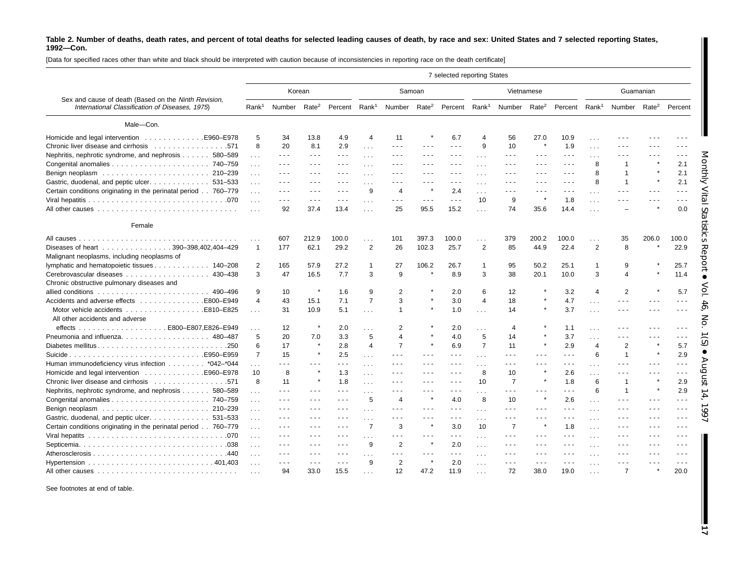[Data for specified races other than white and black should be interpreted with caution because of inconsistencies in reporting race on the death certificate]

| Korean<br>Samoan<br>Vietnamese<br>Guamanian<br>Sex and cause of death (Based on the Ninth Revision,<br>Number Rate <sup>2</sup><br>Percent Rank <sup>1</sup><br>Rate <sup>2</sup><br>Percent Rank <sup>1</sup> Number Rate <sup>2</sup><br>Number<br>Percent Rank <sup>1</sup><br>International Classification of Diseases, 1975)<br>Rank <sup>1</sup><br>Number Rate <sup>2</sup> Percent<br>Male-Con.<br>Homicide and legal intervention 5960–E978<br>5<br>34<br>11<br>6.7<br>56<br>13.8<br>4.9<br>$\overline{4}$<br>27.0<br>10.9<br>$\overline{4}$<br>- - -<br>$\sim$<br>9<br>1.9<br>8<br>20<br>8.1<br>2.9<br>10<br>$\pmb{\ast}$<br>$\frac{1}{2} \frac{1}{2} \frac{1}{2} \frac{1}{2} \frac{1}{2} \frac{1}{2} \frac{1}{2} \frac{1}{2} \frac{1}{2} \frac{1}{2} \frac{1}{2} \frac{1}{2} \frac{1}{2} \frac{1}{2} \frac{1}{2} \frac{1}{2} \frac{1}{2} \frac{1}{2} \frac{1}{2} \frac{1}{2} \frac{1}{2} \frac{1}{2} \frac{1}{2} \frac{1}{2} \frac{1}{2} \frac{1}{2} \frac{1}{2} \frac{1}{2} \frac{1}{2} \frac{1}{2} \frac{1}{2} \frac{$<br>$\sim$ $\sim$ $\sim$<br>$- - -$<br>$\sim$ $\sim$ $\sim$<br>$\sim$ $\sim$ $\sim$<br>$\cdots$<br>Nephritis, nephrotic syndrome, and nephrosis 580–589<br>- - -<br>$\sim$ $\sim$ $\sim$<br>$\sim$ $\sim$ $\sim$<br>$\sim$ $\sim$ $\sim$<br>$\sim$ $\sim$ $\sim$<br>$\sim$ $\sim$ $\sim$<br>$\cdots$<br>$\frac{1}{2} \left( \frac{1}{2} \right) \frac{1}{2} \left( \frac{1}{2} \right)$<br>$  -$<br>$\sim$ $\sim$ $\sim$<br>- - -<br>.<br>$\cdots$<br>$\cdots$<br>8<br>$\overline{1}$<br>2.1<br>$\sim$ $\sim$ $\sim$<br>.<br>$\sim$ $\sim$ $\sim$<br>$\sim$ $\sim$ $\sim$<br>$\sim$ $\sim$ $\sim$<br>.<br>$\sim$ $\sim$ $\sim$<br>$\sim$ $\sim$ $\sim$<br>$\sim 100$<br>$  -$<br>$\sim$ $\sim$ $\sim$<br>$\sim$ $\sim$ $\sim$<br>2.1<br>8<br>-1<br>.<br>$\sim$ $\sim$ $\sim$<br>$\sim$ $\sim$ $\sim$<br>$\sim$ $\sim$ $\sim$<br>$\sim$ $\sim$ $\sim$<br>$\frac{1}{2} \left( \frac{1}{2} \right) \left( \frac{1}{2} \right) \left( \frac{1}{2} \right)$<br>$\frac{1}{2} \left( \frac{1}{2} \right) \frac{1}{2} \left( \frac{1}{2} \right)$<br>$  -$<br>$\sim$<br>- - -<br>$\cdots$<br>Gastric, duodenal, and peptic ulcer. 531-533<br>8<br>2.1<br>$\overline{1}$<br>- - -<br>- - -<br>$\frac{1}{2} \left( \frac{1}{2} \right) + \frac{1}{2} \left( \frac{1}{2} \right) + \frac{1}{2} \left( \frac{1}{2} \right) + \frac{1}{2} \left( \frac{1}{2} \right) + \frac{1}{2} \left( \frac{1}{2} \right) + \frac{1}{2} \left( \frac{1}{2} \right) + \frac{1}{2} \left( \frac{1}{2} \right) + \frac{1}{2} \left( \frac{1}{2} \right) + \frac{1}{2} \left( \frac{1}{2} \right) + \frac{1}{2} \left( \frac{1}{2} \right) + \frac{1}{2} \left($<br>$  -$<br>$\sim$ $\sim$ $\sim$<br>$\sim$ $\sim$ $\sim$<br>$- - -$<br>$\cdots$<br>$\cdots$<br>Certain conditions originating in the perinatal period 760–779<br>9<br>$\overline{4}$<br>$\star$<br>2.4<br>$\sim$ $\sim$ $\sim$<br>$\frac{1}{2} \left( \frac{1}{2} \right) \left( \frac{1}{2} \right) \left( \frac{1}{2} \right)$<br>$\sim$ $\sim$ $\sim$<br>$\frac{1}{2} \left( \frac{1}{2} \right) \left( \frac{1}{2} \right) \left( \frac{1}{2} \right)$<br>$\sim$ $\sim$ $\sim$<br>$\sim$ $\sim$ $\sim$<br>$  -$<br>$  -$<br>$\sim$ $\sim$ $\sim$<br>$\cdots$<br>$\sim 100$<br>$\sim$ $\sim$ $\sim$<br>10<br>9<br>×<br>1.8<br>$  -$<br>- - -<br>$\frac{1}{2} \frac{1}{2} \frac{1}{2} \frac{1}{2} \frac{1}{2} \frac{1}{2} \frac{1}{2} \frac{1}{2} \frac{1}{2} \frac{1}{2} \frac{1}{2} \frac{1}{2} \frac{1}{2} \frac{1}{2} \frac{1}{2} \frac{1}{2} \frac{1}{2} \frac{1}{2} \frac{1}{2} \frac{1}{2} \frac{1}{2} \frac{1}{2} \frac{1}{2} \frac{1}{2} \frac{1}{2} \frac{1}{2} \frac{1}{2} \frac{1}{2} \frac{1}{2} \frac{1}{2} \frac{1}{2} \frac{$<br>$\sim$ $\sim$ $\sim$<br>$- - -$<br>$\mathbf{1}$<br>$\sim$ $\sim$ $\sim$<br>$  -$<br>$\sim$ $\sim$ $\sim$<br>.<br>$\cdots$<br>74<br>92<br>37.4<br>13.4<br>25<br>95.5<br>15.2<br>35.6<br>14.4<br>0.0<br>$\sim$<br>$\cdots$<br>Female<br>607<br>212.9<br>100.0<br>101<br>397.3<br>100.0<br>379<br>200.2<br>100.0<br>35<br>206.0<br>100.0<br>$\sim$<br>.<br>.<br>$\cdots$<br>2<br>$\overline{2}$<br>2<br>Diseases of heart 390-398,402,404-429<br>62.1<br>29.2<br>26<br>102.3<br>25.7<br>44.9<br>22.4<br>8<br>22.9<br>177<br>85<br>$\mathbf{1}$ |  |  |  |  | 7 selected reporting States |  |  |  |  |
|-----------------------------------------------------------------------------------------------------------------------------------------------------------------------------------------------------------------------------------------------------------------------------------------------------------------------------------------------------------------------------------------------------------------------------------------------------------------------------------------------------------------------------------------------------------------------------------------------------------------------------------------------------------------------------------------------------------------------------------------------------------------------------------------------------------------------------------------------------------------------------------------------------------------------------------------------------------------------------------------------------------------------------------------------------------------------------------------------------------------------------------------------------------------------------------------------------------------------------------------------------------------------------------------------------------------------------------------------------------------------------------------------------------------------------------------------------------------------------------------------------------------------------------------------------------------------------------------------------------------------------------------------------------------------------------------------------------------------------------------------------------------------------------------------------------------------------------------------------------------------------------------------------------------------------------------------------------------------------------------------------------------------------------------------------------------------------------------------------------------------------------------------------------------------------------------------------------------------------------------------------------------------------------------------------------------------------------------------------------------------------------------------------------------------------------------------------------------------------------------------------------------------------------------------------------------------------------------------------------------------------------------------------------------------------------------------------------------------------------------------------------------------------------------------------------------------------------------------------------------------------------------------------------------------------------------------------------------------------------------------------------------------------------------------------------------------------------------------------------------------------------------------------------------------------------------------------------------------------------------------------------------------------------------------------------------------------------------------------------------------------------------------------------------------------------------------------------------------------------------------------------------------------------------------------------------------------------------------------------------------------------------------------------------------------------------------------------------------------------------------------------------------------------------------------------------------------------------------------------------------------------------------------------------------------------------------------------------------------------------------------------------------------------------------------------------------------------------------------------------------------------------------------------------------------------------------------------------------------------------------------------------------|--|--|--|--|-----------------------------|--|--|--|--|
|                                                                                                                                                                                                                                                                                                                                                                                                                                                                                                                                                                                                                                                                                                                                                                                                                                                                                                                                                                                                                                                                                                                                                                                                                                                                                                                                                                                                                                                                                                                                                                                                                                                                                                                                                                                                                                                                                                                                                                                                                                                                                                                                                                                                                                                                                                                                                                                                                                                                                                                                                                                                                                                                                                                                                                                                                                                                                                                                                                                                                                                                                                                                                                                                                                                                                                                                                                                                                                                                                                                                                                                                                                                                                                                                                                                                                                                                                                                                                                                                                                                                                                                                                                                                                                                                       |  |  |  |  |                             |  |  |  |  |
|                                                                                                                                                                                                                                                                                                                                                                                                                                                                                                                                                                                                                                                                                                                                                                                                                                                                                                                                                                                                                                                                                                                                                                                                                                                                                                                                                                                                                                                                                                                                                                                                                                                                                                                                                                                                                                                                                                                                                                                                                                                                                                                                                                                                                                                                                                                                                                                                                                                                                                                                                                                                                                                                                                                                                                                                                                                                                                                                                                                                                                                                                                                                                                                                                                                                                                                                                                                                                                                                                                                                                                                                                                                                                                                                                                                                                                                                                                                                                                                                                                                                                                                                                                                                                                                                       |  |  |  |  |                             |  |  |  |  |
|                                                                                                                                                                                                                                                                                                                                                                                                                                                                                                                                                                                                                                                                                                                                                                                                                                                                                                                                                                                                                                                                                                                                                                                                                                                                                                                                                                                                                                                                                                                                                                                                                                                                                                                                                                                                                                                                                                                                                                                                                                                                                                                                                                                                                                                                                                                                                                                                                                                                                                                                                                                                                                                                                                                                                                                                                                                                                                                                                                                                                                                                                                                                                                                                                                                                                                                                                                                                                                                                                                                                                                                                                                                                                                                                                                                                                                                                                                                                                                                                                                                                                                                                                                                                                                                                       |  |  |  |  |                             |  |  |  |  |
|                                                                                                                                                                                                                                                                                                                                                                                                                                                                                                                                                                                                                                                                                                                                                                                                                                                                                                                                                                                                                                                                                                                                                                                                                                                                                                                                                                                                                                                                                                                                                                                                                                                                                                                                                                                                                                                                                                                                                                                                                                                                                                                                                                                                                                                                                                                                                                                                                                                                                                                                                                                                                                                                                                                                                                                                                                                                                                                                                                                                                                                                                                                                                                                                                                                                                                                                                                                                                                                                                                                                                                                                                                                                                                                                                                                                                                                                                                                                                                                                                                                                                                                                                                                                                                                                       |  |  |  |  |                             |  |  |  |  |
|                                                                                                                                                                                                                                                                                                                                                                                                                                                                                                                                                                                                                                                                                                                                                                                                                                                                                                                                                                                                                                                                                                                                                                                                                                                                                                                                                                                                                                                                                                                                                                                                                                                                                                                                                                                                                                                                                                                                                                                                                                                                                                                                                                                                                                                                                                                                                                                                                                                                                                                                                                                                                                                                                                                                                                                                                                                                                                                                                                                                                                                                                                                                                                                                                                                                                                                                                                                                                                                                                                                                                                                                                                                                                                                                                                                                                                                                                                                                                                                                                                                                                                                                                                                                                                                                       |  |  |  |  |                             |  |  |  |  |
|                                                                                                                                                                                                                                                                                                                                                                                                                                                                                                                                                                                                                                                                                                                                                                                                                                                                                                                                                                                                                                                                                                                                                                                                                                                                                                                                                                                                                                                                                                                                                                                                                                                                                                                                                                                                                                                                                                                                                                                                                                                                                                                                                                                                                                                                                                                                                                                                                                                                                                                                                                                                                                                                                                                                                                                                                                                                                                                                                                                                                                                                                                                                                                                                                                                                                                                                                                                                                                                                                                                                                                                                                                                                                                                                                                                                                                                                                                                                                                                                                                                                                                                                                                                                                                                                       |  |  |  |  |                             |  |  |  |  |
|                                                                                                                                                                                                                                                                                                                                                                                                                                                                                                                                                                                                                                                                                                                                                                                                                                                                                                                                                                                                                                                                                                                                                                                                                                                                                                                                                                                                                                                                                                                                                                                                                                                                                                                                                                                                                                                                                                                                                                                                                                                                                                                                                                                                                                                                                                                                                                                                                                                                                                                                                                                                                                                                                                                                                                                                                                                                                                                                                                                                                                                                                                                                                                                                                                                                                                                                                                                                                                                                                                                                                                                                                                                                                                                                                                                                                                                                                                                                                                                                                                                                                                                                                                                                                                                                       |  |  |  |  |                             |  |  |  |  |
|                                                                                                                                                                                                                                                                                                                                                                                                                                                                                                                                                                                                                                                                                                                                                                                                                                                                                                                                                                                                                                                                                                                                                                                                                                                                                                                                                                                                                                                                                                                                                                                                                                                                                                                                                                                                                                                                                                                                                                                                                                                                                                                                                                                                                                                                                                                                                                                                                                                                                                                                                                                                                                                                                                                                                                                                                                                                                                                                                                                                                                                                                                                                                                                                                                                                                                                                                                                                                                                                                                                                                                                                                                                                                                                                                                                                                                                                                                                                                                                                                                                                                                                                                                                                                                                                       |  |  |  |  |                             |  |  |  |  |
|                                                                                                                                                                                                                                                                                                                                                                                                                                                                                                                                                                                                                                                                                                                                                                                                                                                                                                                                                                                                                                                                                                                                                                                                                                                                                                                                                                                                                                                                                                                                                                                                                                                                                                                                                                                                                                                                                                                                                                                                                                                                                                                                                                                                                                                                                                                                                                                                                                                                                                                                                                                                                                                                                                                                                                                                                                                                                                                                                                                                                                                                                                                                                                                                                                                                                                                                                                                                                                                                                                                                                                                                                                                                                                                                                                                                                                                                                                                                                                                                                                                                                                                                                                                                                                                                       |  |  |  |  |                             |  |  |  |  |
|                                                                                                                                                                                                                                                                                                                                                                                                                                                                                                                                                                                                                                                                                                                                                                                                                                                                                                                                                                                                                                                                                                                                                                                                                                                                                                                                                                                                                                                                                                                                                                                                                                                                                                                                                                                                                                                                                                                                                                                                                                                                                                                                                                                                                                                                                                                                                                                                                                                                                                                                                                                                                                                                                                                                                                                                                                                                                                                                                                                                                                                                                                                                                                                                                                                                                                                                                                                                                                                                                                                                                                                                                                                                                                                                                                                                                                                                                                                                                                                                                                                                                                                                                                                                                                                                       |  |  |  |  |                             |  |  |  |  |
|                                                                                                                                                                                                                                                                                                                                                                                                                                                                                                                                                                                                                                                                                                                                                                                                                                                                                                                                                                                                                                                                                                                                                                                                                                                                                                                                                                                                                                                                                                                                                                                                                                                                                                                                                                                                                                                                                                                                                                                                                                                                                                                                                                                                                                                                                                                                                                                                                                                                                                                                                                                                                                                                                                                                                                                                                                                                                                                                                                                                                                                                                                                                                                                                                                                                                                                                                                                                                                                                                                                                                                                                                                                                                                                                                                                                                                                                                                                                                                                                                                                                                                                                                                                                                                                                       |  |  |  |  |                             |  |  |  |  |
|                                                                                                                                                                                                                                                                                                                                                                                                                                                                                                                                                                                                                                                                                                                                                                                                                                                                                                                                                                                                                                                                                                                                                                                                                                                                                                                                                                                                                                                                                                                                                                                                                                                                                                                                                                                                                                                                                                                                                                                                                                                                                                                                                                                                                                                                                                                                                                                                                                                                                                                                                                                                                                                                                                                                                                                                                                                                                                                                                                                                                                                                                                                                                                                                                                                                                                                                                                                                                                                                                                                                                                                                                                                                                                                                                                                                                                                                                                                                                                                                                                                                                                                                                                                                                                                                       |  |  |  |  |                             |  |  |  |  |
|                                                                                                                                                                                                                                                                                                                                                                                                                                                                                                                                                                                                                                                                                                                                                                                                                                                                                                                                                                                                                                                                                                                                                                                                                                                                                                                                                                                                                                                                                                                                                                                                                                                                                                                                                                                                                                                                                                                                                                                                                                                                                                                                                                                                                                                                                                                                                                                                                                                                                                                                                                                                                                                                                                                                                                                                                                                                                                                                                                                                                                                                                                                                                                                                                                                                                                                                                                                                                                                                                                                                                                                                                                                                                                                                                                                                                                                                                                                                                                                                                                                                                                                                                                                                                                                                       |  |  |  |  |                             |  |  |  |  |
|                                                                                                                                                                                                                                                                                                                                                                                                                                                                                                                                                                                                                                                                                                                                                                                                                                                                                                                                                                                                                                                                                                                                                                                                                                                                                                                                                                                                                                                                                                                                                                                                                                                                                                                                                                                                                                                                                                                                                                                                                                                                                                                                                                                                                                                                                                                                                                                                                                                                                                                                                                                                                                                                                                                                                                                                                                                                                                                                                                                                                                                                                                                                                                                                                                                                                                                                                                                                                                                                                                                                                                                                                                                                                                                                                                                                                                                                                                                                                                                                                                                                                                                                                                                                                                                                       |  |  |  |  |                             |  |  |  |  |
|                                                                                                                                                                                                                                                                                                                                                                                                                                                                                                                                                                                                                                                                                                                                                                                                                                                                                                                                                                                                                                                                                                                                                                                                                                                                                                                                                                                                                                                                                                                                                                                                                                                                                                                                                                                                                                                                                                                                                                                                                                                                                                                                                                                                                                                                                                                                                                                                                                                                                                                                                                                                                                                                                                                                                                                                                                                                                                                                                                                                                                                                                                                                                                                                                                                                                                                                                                                                                                                                                                                                                                                                                                                                                                                                                                                                                                                                                                                                                                                                                                                                                                                                                                                                                                                                       |  |  |  |  |                             |  |  |  |  |
| Malignant neoplasms, including neoplasms of                                                                                                                                                                                                                                                                                                                                                                                                                                                                                                                                                                                                                                                                                                                                                                                                                                                                                                                                                                                                                                                                                                                                                                                                                                                                                                                                                                                                                                                                                                                                                                                                                                                                                                                                                                                                                                                                                                                                                                                                                                                                                                                                                                                                                                                                                                                                                                                                                                                                                                                                                                                                                                                                                                                                                                                                                                                                                                                                                                                                                                                                                                                                                                                                                                                                                                                                                                                                                                                                                                                                                                                                                                                                                                                                                                                                                                                                                                                                                                                                                                                                                                                                                                                                                           |  |  |  |  |                             |  |  |  |  |
| 2<br>165<br>57.9<br>27.2<br>27<br>106.2<br>95<br>50.2<br>25.1<br>9<br>25.7<br>$\overline{1}$<br>26.7<br>1                                                                                                                                                                                                                                                                                                                                                                                                                                                                                                                                                                                                                                                                                                                                                                                                                                                                                                                                                                                                                                                                                                                                                                                                                                                                                                                                                                                                                                                                                                                                                                                                                                                                                                                                                                                                                                                                                                                                                                                                                                                                                                                                                                                                                                                                                                                                                                                                                                                                                                                                                                                                                                                                                                                                                                                                                                                                                                                                                                                                                                                                                                                                                                                                                                                                                                                                                                                                                                                                                                                                                                                                                                                                                                                                                                                                                                                                                                                                                                                                                                                                                                                                                             |  |  |  |  |                             |  |  |  |  |
| 9<br>$\star$<br>3<br>47<br>16.5<br>7.7<br>3<br>8.9<br>3<br>38<br>20.1<br>10.0<br>3<br>$\overline{4}$<br>Cerebrovascular diseases 430-438<br>11.4                                                                                                                                                                                                                                                                                                                                                                                                                                                                                                                                                                                                                                                                                                                                                                                                                                                                                                                                                                                                                                                                                                                                                                                                                                                                                                                                                                                                                                                                                                                                                                                                                                                                                                                                                                                                                                                                                                                                                                                                                                                                                                                                                                                                                                                                                                                                                                                                                                                                                                                                                                                                                                                                                                                                                                                                                                                                                                                                                                                                                                                                                                                                                                                                                                                                                                                                                                                                                                                                                                                                                                                                                                                                                                                                                                                                                                                                                                                                                                                                                                                                                                                      |  |  |  |  |                             |  |  |  |  |
| Chronic obstructive pulmonary diseases and                                                                                                                                                                                                                                                                                                                                                                                                                                                                                                                                                                                                                                                                                                                                                                                                                                                                                                                                                                                                                                                                                                                                                                                                                                                                                                                                                                                                                                                                                                                                                                                                                                                                                                                                                                                                                                                                                                                                                                                                                                                                                                                                                                                                                                                                                                                                                                                                                                                                                                                                                                                                                                                                                                                                                                                                                                                                                                                                                                                                                                                                                                                                                                                                                                                                                                                                                                                                                                                                                                                                                                                                                                                                                                                                                                                                                                                                                                                                                                                                                                                                                                                                                                                                                            |  |  |  |  |                             |  |  |  |  |
| $\star$<br>$\overline{2}$<br>$\overline{2}$<br>9<br>10<br>9<br>6<br>12<br>3.2<br>5.7<br>1.6<br>2.0<br>$\overline{4}$                                                                                                                                                                                                                                                                                                                                                                                                                                                                                                                                                                                                                                                                                                                                                                                                                                                                                                                                                                                                                                                                                                                                                                                                                                                                                                                                                                                                                                                                                                                                                                                                                                                                                                                                                                                                                                                                                                                                                                                                                                                                                                                                                                                                                                                                                                                                                                                                                                                                                                                                                                                                                                                                                                                                                                                                                                                                                                                                                                                                                                                                                                                                                                                                                                                                                                                                                                                                                                                                                                                                                                                                                                                                                                                                                                                                                                                                                                                                                                                                                                                                                                                                                  |  |  |  |  |                             |  |  |  |  |
| $\overline{7}$<br>3<br>Accidents and adverse effects E800-E949<br>7.1<br>$\star$<br>$\overline{4}$<br>18<br>$\star$<br>4.7<br>$\overline{4}$<br>43<br>3.0<br>$\sim$ $\sim$ $\sim$<br>$\sim$ $\sim$ $\sim$<br>$\sim$ $\sim$ $\sim$                                                                                                                                                                                                                                                                                                                                                                                                                                                                                                                                                                                                                                                                                                                                                                                                                                                                                                                                                                                                                                                                                                                                                                                                                                                                                                                                                                                                                                                                                                                                                                                                                                                                                                                                                                                                                                                                                                                                                                                                                                                                                                                                                                                                                                                                                                                                                                                                                                                                                                                                                                                                                                                                                                                                                                                                                                                                                                                                                                                                                                                                                                                                                                                                                                                                                                                                                                                                                                                                                                                                                                                                                                                                                                                                                                                                                                                                                                                                                                                                                                     |  |  |  |  |                             |  |  |  |  |
| 15.1<br>$\cdots$                                                                                                                                                                                                                                                                                                                                                                                                                                                                                                                                                                                                                                                                                                                                                                                                                                                                                                                                                                                                                                                                                                                                                                                                                                                                                                                                                                                                                                                                                                                                                                                                                                                                                                                                                                                                                                                                                                                                                                                                                                                                                                                                                                                                                                                                                                                                                                                                                                                                                                                                                                                                                                                                                                                                                                                                                                                                                                                                                                                                                                                                                                                                                                                                                                                                                                                                                                                                                                                                                                                                                                                                                                                                                                                                                                                                                                                                                                                                                                                                                                                                                                                                                                                                                                                      |  |  |  |  |                             |  |  |  |  |
| Motor vehicle accidents E810-E825<br>3.7<br>31<br>10.9<br>5.1<br>$\mathbf{1}$<br>1.0<br>14<br>---<br>$\sim 100$<br>$\sim 100$<br>$\cdots$<br>.                                                                                                                                                                                                                                                                                                                                                                                                                                                                                                                                                                                                                                                                                                                                                                                                                                                                                                                                                                                                                                                                                                                                                                                                                                                                                                                                                                                                                                                                                                                                                                                                                                                                                                                                                                                                                                                                                                                                                                                                                                                                                                                                                                                                                                                                                                                                                                                                                                                                                                                                                                                                                                                                                                                                                                                                                                                                                                                                                                                                                                                                                                                                                                                                                                                                                                                                                                                                                                                                                                                                                                                                                                                                                                                                                                                                                                                                                                                                                                                                                                                                                                                        |  |  |  |  |                             |  |  |  |  |
| All other accidents and adverse<br>$\star$                                                                                                                                                                                                                                                                                                                                                                                                                                                                                                                                                                                                                                                                                                                                                                                                                                                                                                                                                                                                                                                                                                                                                                                                                                                                                                                                                                                                                                                                                                                                                                                                                                                                                                                                                                                                                                                                                                                                                                                                                                                                                                                                                                                                                                                                                                                                                                                                                                                                                                                                                                                                                                                                                                                                                                                                                                                                                                                                                                                                                                                                                                                                                                                                                                                                                                                                                                                                                                                                                                                                                                                                                                                                                                                                                                                                                                                                                                                                                                                                                                                                                                                                                                                                                            |  |  |  |  |                             |  |  |  |  |
| 12<br>2.0<br>2<br>2.0<br>4<br>1.1<br>$\sim$ $\sim$ $\sim$<br>.<br>$\sim$<br>.                                                                                                                                                                                                                                                                                                                                                                                                                                                                                                                                                                                                                                                                                                                                                                                                                                                                                                                                                                                                                                                                                                                                                                                                                                                                                                                                                                                                                                                                                                                                                                                                                                                                                                                                                                                                                                                                                                                                                                                                                                                                                                                                                                                                                                                                                                                                                                                                                                                                                                                                                                                                                                                                                                                                                                                                                                                                                                                                                                                                                                                                                                                                                                                                                                                                                                                                                                                                                                                                                                                                                                                                                                                                                                                                                                                                                                                                                                                                                                                                                                                                                                                                                                                         |  |  |  |  |                             |  |  |  |  |
| Pneumonia and influenza. 480-487<br>20<br>$\overline{4}$<br>5<br>3.7<br>5<br>7.0<br>3.3<br>5<br>4.0<br>14<br>$\sim$ $\sim$ $\sim$<br>.<br>$\sim$ $\sim$ $\sim$<br>.                                                                                                                                                                                                                                                                                                                                                                                                                                                                                                                                                                                                                                                                                                                                                                                                                                                                                                                                                                                                                                                                                                                                                                                                                                                                                                                                                                                                                                                                                                                                                                                                                                                                                                                                                                                                                                                                                                                                                                                                                                                                                                                                                                                                                                                                                                                                                                                                                                                                                                                                                                                                                                                                                                                                                                                                                                                                                                                                                                                                                                                                                                                                                                                                                                                                                                                                                                                                                                                                                                                                                                                                                                                                                                                                                                                                                                                                                                                                                                                                                                                                                                   |  |  |  |  |                             |  |  |  |  |
| $\overline{7}$<br>17<br>$\overline{7}$<br>$\pmb{\ast}$<br>$\star$<br>2.9<br>$\sqrt{2}$<br>5.7<br>Diabetes mellitus<br>2.8<br>$\overline{4}$<br>6.9<br>$\overline{4}$<br>.250<br>6<br>11                                                                                                                                                                                                                                                                                                                                                                                                                                                                                                                                                                                                                                                                                                                                                                                                                                                                                                                                                                                                                                                                                                                                                                                                                                                                                                                                                                                                                                                                                                                                                                                                                                                                                                                                                                                                                                                                                                                                                                                                                                                                                                                                                                                                                                                                                                                                                                                                                                                                                                                                                                                                                                                                                                                                                                                                                                                                                                                                                                                                                                                                                                                                                                                                                                                                                                                                                                                                                                                                                                                                                                                                                                                                                                                                                                                                                                                                                                                                                                                                                                                                               |  |  |  |  |                             |  |  |  |  |
| $\pmb{\ast}$<br>15<br>2.5<br>6<br>$\overline{1}$<br>2.9<br>7<br>$\sim$ $\sim$ $\sim$<br>$\sim$ $\sim$ $\sim$<br>$\sim$ $\sim$ $\sim$<br>.<br>$\sim$ $\sim$ $\sim$<br>$ -$<br>$\cdots$<br>$\cdots$                                                                                                                                                                                                                                                                                                                                                                                                                                                                                                                                                                                                                                                                                                                                                                                                                                                                                                                                                                                                                                                                                                                                                                                                                                                                                                                                                                                                                                                                                                                                                                                                                                                                                                                                                                                                                                                                                                                                                                                                                                                                                                                                                                                                                                                                                                                                                                                                                                                                                                                                                                                                                                                                                                                                                                                                                                                                                                                                                                                                                                                                                                                                                                                                                                                                                                                                                                                                                                                                                                                                                                                                                                                                                                                                                                                                                                                                                                                                                                                                                                                                     |  |  |  |  |                             |  |  |  |  |
| Human immunodeficiency virus infection *042-*044<br>$\sim$ $\sim$ $\sim$<br>.<br>.<br>$\sim$ $\sim$ $\sim$<br>$  -$<br>$  -$<br>$  -$<br>$  -$<br>.<br>.<br>.<br>.<br>$\cdots$                                                                                                                                                                                                                                                                                                                                                                                                                                                                                                                                                                                                                                                                                                                                                                                                                                                                                                                                                                                                                                                                                                                                                                                                                                                                                                                                                                                                                                                                                                                                                                                                                                                                                                                                                                                                                                                                                                                                                                                                                                                                                                                                                                                                                                                                                                                                                                                                                                                                                                                                                                                                                                                                                                                                                                                                                                                                                                                                                                                                                                                                                                                                                                                                                                                                                                                                                                                                                                                                                                                                                                                                                                                                                                                                                                                                                                                                                                                                                                                                                                                                                        |  |  |  |  |                             |  |  |  |  |
| $\star$<br>8<br>10<br>8<br>1.3<br>10<br>2.6<br>$- - -$<br>$  -$<br>$  -$<br>.<br>.<br>$\sim$ $\sim$ $\sim$<br>$\sim$ $\sim$<br>$\sim$ $\sim$                                                                                                                                                                                                                                                                                                                                                                                                                                                                                                                                                                                                                                                                                                                                                                                                                                                                                                                                                                                                                                                                                                                                                                                                                                                                                                                                                                                                                                                                                                                                                                                                                                                                                                                                                                                                                                                                                                                                                                                                                                                                                                                                                                                                                                                                                                                                                                                                                                                                                                                                                                                                                                                                                                                                                                                                                                                                                                                                                                                                                                                                                                                                                                                                                                                                                                                                                                                                                                                                                                                                                                                                                                                                                                                                                                                                                                                                                                                                                                                                                                                                                                                          |  |  |  |  |                             |  |  |  |  |
| 8<br>1.8<br>$\overline{7}$<br>$\pmb{\ast}$<br>6<br>2.9<br>11<br>×<br>10<br>1.8<br>$\overline{1}$<br>$ -$<br>$- - -$<br>.                                                                                                                                                                                                                                                                                                                                                                                                                                                                                                                                                                                                                                                                                                                                                                                                                                                                                                                                                                                                                                                                                                                                                                                                                                                                                                                                                                                                                                                                                                                                                                                                                                                                                                                                                                                                                                                                                                                                                                                                                                                                                                                                                                                                                                                                                                                                                                                                                                                                                                                                                                                                                                                                                                                                                                                                                                                                                                                                                                                                                                                                                                                                                                                                                                                                                                                                                                                                                                                                                                                                                                                                                                                                                                                                                                                                                                                                                                                                                                                                                                                                                                                                              |  |  |  |  |                             |  |  |  |  |
| Nephritis, nephrotic syndrome, and nephrosis 580-589<br>6<br>$\overline{1}$<br>2.9<br>.<br>.<br>$\sim$ $\sim$ $\sim$<br>$\sim$ $\sim$ $\sim$<br>$\sim$ $\sim$ $\sim$<br>$\sim$ $\sim$ $\sim$<br>$  -$<br>- - -<br>- - -<br>$\cdots$<br>$\cdots$                                                                                                                                                                                                                                                                                                                                                                                                                                                                                                                                                                                                                                                                                                                                                                                                                                                                                                                                                                                                                                                                                                                                                                                                                                                                                                                                                                                                                                                                                                                                                                                                                                                                                                                                                                                                                                                                                                                                                                                                                                                                                                                                                                                                                                                                                                                                                                                                                                                                                                                                                                                                                                                                                                                                                                                                                                                                                                                                                                                                                                                                                                                                                                                                                                                                                                                                                                                                                                                                                                                                                                                                                                                                                                                                                                                                                                                                                                                                                                                                                       |  |  |  |  |                             |  |  |  |  |
| 5<br>$\star$<br>8<br>$\star$<br>2.6<br>$\overline{4}$<br>4.0<br>10<br>$ -$<br>$\sim$ $\sim$ $\sim$<br>$  -$<br>$\sim$ $\sim$ $\sim$<br>$\sim$ $\sim$ $\sim$<br>$\sim$ $\sim$ $\sim$<br>.<br>$\cdots$                                                                                                                                                                                                                                                                                                                                                                                                                                                                                                                                                                                                                                                                                                                                                                                                                                                                                                                                                                                                                                                                                                                                                                                                                                                                                                                                                                                                                                                                                                                                                                                                                                                                                                                                                                                                                                                                                                                                                                                                                                                                                                                                                                                                                                                                                                                                                                                                                                                                                                                                                                                                                                                                                                                                                                                                                                                                                                                                                                                                                                                                                                                                                                                                                                                                                                                                                                                                                                                                                                                                                                                                                                                                                                                                                                                                                                                                                                                                                                                                                                                                  |  |  |  |  |                             |  |  |  |  |
| .<br>$\sim$ $\sim$ $\sim$<br>$\sim$ $\sim$ $\sim$<br>$\sim$ $\sim$ $\sim$<br>$- - -$<br>$\sim$ $\sim$ $\sim$<br>$\sim$ $\sim$ $\sim$<br>$\sim$ $\sim$ $\sim$<br>$- - -$<br>.<br>$\sim$ $\sim$ $\sim$<br>- - -<br>$\sim$<br>$\cdots$<br>$\cdots$                                                                                                                                                                                                                                                                                                                                                                                                                                                                                                                                                                                                                                                                                                                                                                                                                                                                                                                                                                                                                                                                                                                                                                                                                                                                                                                                                                                                                                                                                                                                                                                                                                                                                                                                                                                                                                                                                                                                                                                                                                                                                                                                                                                                                                                                                                                                                                                                                                                                                                                                                                                                                                                                                                                                                                                                                                                                                                                                                                                                                                                                                                                                                                                                                                                                                                                                                                                                                                                                                                                                                                                                                                                                                                                                                                                                                                                                                                                                                                                                                       |  |  |  |  |                             |  |  |  |  |
| Gastric, duodenal, and peptic ulcer. 531-533<br>.<br>$  -$<br>$  -$<br>$\sim$ $\sim$ $\sim$<br>$\sim$ $\sim$ $\sim$<br>$\sim$ $\sim$ $\sim$<br>$- - -$<br>$- - -$<br>$  -$<br>$  -$<br>$\sim$ $\sim$ $\sim$<br>$- - -$<br>$\sim$<br>$\cdots$<br>$\cdots$                                                                                                                                                                                                                                                                                                                                                                                                                                                                                                                                                                                                                                                                                                                                                                                                                                                                                                                                                                                                                                                                                                                                                                                                                                                                                                                                                                                                                                                                                                                                                                                                                                                                                                                                                                                                                                                                                                                                                                                                                                                                                                                                                                                                                                                                                                                                                                                                                                                                                                                                                                                                                                                                                                                                                                                                                                                                                                                                                                                                                                                                                                                                                                                                                                                                                                                                                                                                                                                                                                                                                                                                                                                                                                                                                                                                                                                                                                                                                                                                              |  |  |  |  |                             |  |  |  |  |
| Certain conditions originating in the perinatal period 760-779<br>$\overline{7}$<br>3<br>$\star$<br>$\overline{7}$<br>$\star$<br>3.0<br>10<br>1.8<br>.<br>.<br>$\sim$ $\sim$ $\sim$<br>$\sim$ $\sim$ $\sim$<br>.<br>$\sim$ $\sim$ $\sim$<br>$\sim 100$<br>$\cdots$                                                                                                                                                                                                                                                                                                                                                                                                                                                                                                                                                                                                                                                                                                                                                                                                                                                                                                                                                                                                                                                                                                                                                                                                                                                                                                                                                                                                                                                                                                                                                                                                                                                                                                                                                                                                                                                                                                                                                                                                                                                                                                                                                                                                                                                                                                                                                                                                                                                                                                                                                                                                                                                                                                                                                                                                                                                                                                                                                                                                                                                                                                                                                                                                                                                                                                                                                                                                                                                                                                                                                                                                                                                                                                                                                                                                                                                                                                                                                                                                    |  |  |  |  |                             |  |  |  |  |
| $  -$<br>$  -$<br>$ -$<br>.<br>$- - -$<br>$\sim$ $\sim$ $\sim$<br>$- - -$<br>.<br>$  -$<br>$\cdots$<br>$  -$<br>$\frac{1}{2}$<br>$  -$<br>$\sim$ $\sim$ $\sim$<br>$\sim$ $\sim$ $\sim$                                                                                                                                                                                                                                                                                                                                                                                                                                                                                                                                                                                                                                                                                                                                                                                                                                                                                                                                                                                                                                                                                                                                                                                                                                                                                                                                                                                                                                                                                                                                                                                                                                                                                                                                                                                                                                                                                                                                                                                                                                                                                                                                                                                                                                                                                                                                                                                                                                                                                                                                                                                                                                                                                                                                                                                                                                                                                                                                                                                                                                                                                                                                                                                                                                                                                                                                                                                                                                                                                                                                                                                                                                                                                                                                                                                                                                                                                                                                                                                                                                                                                |  |  |  |  |                             |  |  |  |  |
| $\overline{2}$<br>9<br>$\star$<br>2.0<br>.<br>$\sim$ $\sim$ $\sim$<br>$\sim$ $\sim$ $\sim$<br>$  -$<br>- - -<br>$\frac{1}{2} \left( \frac{1}{2} \right) \left( \frac{1}{2} \right) \left( \frac{1}{2} \right)$<br>$\sim$ $\sim$ $\sim$<br>.<br>$\frac{1}{2}$<br>$\cdots$<br>$\sim$ $\sim$ $\sim$<br>$\cdots$                                                                                                                                                                                                                                                                                                                                                                                                                                                                                                                                                                                                                                                                                                                                                                                                                                                                                                                                                                                                                                                                                                                                                                                                                                                                                                                                                                                                                                                                                                                                                                                                                                                                                                                                                                                                                                                                                                                                                                                                                                                                                                                                                                                                                                                                                                                                                                                                                                                                                                                                                                                                                                                                                                                                                                                                                                                                                                                                                                                                                                                                                                                                                                                                                                                                                                                                                                                                                                                                                                                                                                                                                                                                                                                                                                                                                                                                                                                                                          |  |  |  |  |                             |  |  |  |  |
| $\sim$ $\sim$ $\sim$<br>$\sim$ $\sim$ $\sim$<br>- - -<br>$- - -$<br>$\frac{1}{2} \left( \frac{1}{2} \right) \left( \frac{1}{2} \right) \left( \frac{1}{2} \right)$<br>$  -$<br>$- - -$<br>$- - -$<br>$\frac{1}{2} \left( \frac{1}{2} \right) \left( \frac{1}{2} \right) \left( \frac{1}{2} \right)$<br>$\frac{1}{2} \left( \frac{1}{2} \right) \left( \frac{1}{2} \right) \left( \frac{1}{2} \right)$<br>.<br>$\sim$ $\sim$ $\sim$<br>$\cdots$<br>$\cdots$<br>$\sim$ $\sim$ $\sim$<br>$\cdots$                                                                                                                                                                                                                                                                                                                                                                                                                                                                                                                                                                                                                                                                                                                                                                                                                                                                                                                                                                                                                                                                                                                                                                                                                                                                                                                                                                                                                                                                                                                                                                                                                                                                                                                                                                                                                                                                                                                                                                                                                                                                                                                                                                                                                                                                                                                                                                                                                                                                                                                                                                                                                                                                                                                                                                                                                                                                                                                                                                                                                                                                                                                                                                                                                                                                                                                                                                                                                                                                                                                                                                                                                                                                                                                                                                        |  |  |  |  |                             |  |  |  |  |
| $\overline{2}$<br>$\pmb{\ast}$<br>9<br>2.0<br>.<br>$\sim$ $\sim$ $\sim$<br>$\sim$ $\sim$ $\sim$<br>$\sim$ $\sim$ $\sim$<br>$\sim$ $\sim$ $\sim$<br>$\sim$ $\sim$ $\sim$<br>$\sim 100$<br>$\sim$ $\sim$ $\sim$<br>$\cdots$                                                                                                                                                                                                                                                                                                                                                                                                                                                                                                                                                                                                                                                                                                                                                                                                                                                                                                                                                                                                                                                                                                                                                                                                                                                                                                                                                                                                                                                                                                                                                                                                                                                                                                                                                                                                                                                                                                                                                                                                                                                                                                                                                                                                                                                                                                                                                                                                                                                                                                                                                                                                                                                                                                                                                                                                                                                                                                                                                                                                                                                                                                                                                                                                                                                                                                                                                                                                                                                                                                                                                                                                                                                                                                                                                                                                                                                                                                                                                                                                                                             |  |  |  |  |                             |  |  |  |  |
| $\overline{7}$<br>94<br>33.0<br>15.5<br>12<br>47.2<br>11.9<br>72<br>38.0<br>19.0<br>20.0<br>$\sim$ $\sim$ $\sim$<br>$\sim$ $\sim$<br>$\sim 100$<br>$\cdots$                                                                                                                                                                                                                                                                                                                                                                                                                                                                                                                                                                                                                                                                                                                                                                                                                                                                                                                                                                                                                                                                                                                                                                                                                                                                                                                                                                                                                                                                                                                                                                                                                                                                                                                                                                                                                                                                                                                                                                                                                                                                                                                                                                                                                                                                                                                                                                                                                                                                                                                                                                                                                                                                                                                                                                                                                                                                                                                                                                                                                                                                                                                                                                                                                                                                                                                                                                                                                                                                                                                                                                                                                                                                                                                                                                                                                                                                                                                                                                                                                                                                                                           |  |  |  |  |                             |  |  |  |  |

See footnotes at end of table.

Monthly Vital StatisticsReport • Vol. 46, No. 1(S)  $\bullet$ August 14, 1997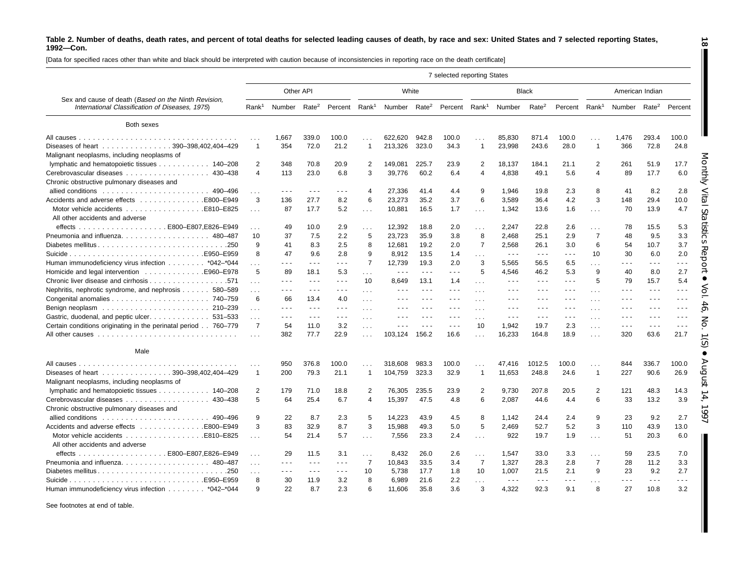[Data for specified races other than white and black should be interpreted with caution because of inconsistencies in reporting race on the death certificate]

|                                                                                                         |                      |                          |                      |                           |                      |                                                                                                |                      | 7 selected reporting States |                |                                                                                                |                                                                                                                                                                                                                                                                                                                                                                                              |                           |                |                                                                                 |                      |                      |
|---------------------------------------------------------------------------------------------------------|----------------------|--------------------------|----------------------|---------------------------|----------------------|------------------------------------------------------------------------------------------------|----------------------|-----------------------------|----------------|------------------------------------------------------------------------------------------------|----------------------------------------------------------------------------------------------------------------------------------------------------------------------------------------------------------------------------------------------------------------------------------------------------------------------------------------------------------------------------------------------|---------------------------|----------------|---------------------------------------------------------------------------------|----------------------|----------------------|
|                                                                                                         |                      |                          | Other API            |                           |                      | White                                                                                          |                      |                             |                |                                                                                                | <b>Black</b>                                                                                                                                                                                                                                                                                                                                                                                 |                           |                |                                                                                 | American Indian      |                      |
| Sex and cause of death (Based on the Ninth Revision,<br>International Classification of Diseases, 1975) | Rank <sup>1</sup>    | Number Rate <sup>2</sup> |                      | Percent Rank <sup>1</sup> |                      | Number Rate <sup>2</sup>                                                                       |                      | Percent Rank <sup>1</sup>   |                | Number                                                                                         | Rate <sup>2</sup>                                                                                                                                                                                                                                                                                                                                                                            | Percent Rank <sup>1</sup> |                | Number                                                                          | Rate <sup>2</sup>    | Percent              |
| Both sexes                                                                                              |                      |                          |                      |                           |                      |                                                                                                |                      |                             |                |                                                                                                |                                                                                                                                                                                                                                                                                                                                                                                              |                           |                |                                                                                 |                      |                      |
|                                                                                                         | $\cdots$             | 1,667                    | 339.0                | 100.0                     | $\mathbf{1}$         | 622.620                                                                                        | 942.8                | 100.0                       | .              | 85,830                                                                                         | 871.4                                                                                                                                                                                                                                                                                                                                                                                        | 100.0                     | .              | 1,476                                                                           | 293.4                | 100.0                |
| Diseases of heart 390-398,402,404-429<br>Malignant neoplasms, including neoplasms of                    | 1                    | 354                      | 72.0                 | 21.2                      | $\overline{1}$       | 213,326                                                                                        | 323.0                | 34.3                        | $\mathbf{1}$   | 23,998                                                                                         | 243.6                                                                                                                                                                                                                                                                                                                                                                                        | 28.0                      | $\mathbf{1}$   | 366                                                                             | 72.8                 | 24.8                 |
| lymphatic and hematopoietic tissues 140-208                                                             | $\overline{2}$       | 348                      | 70.8                 | 20.9                      | $\overline{2}$       | 149,081                                                                                        | 225.7                | 23.9                        | $\overline{2}$ | 18,137                                                                                         | 184.1                                                                                                                                                                                                                                                                                                                                                                                        | 21.1                      | $\overline{2}$ | 261                                                                             | 51.9                 | 17.7                 |
|                                                                                                         | $\overline{4}$       | 113                      | 23.0                 | 6.8                       | 3                    | 39,776                                                                                         | 60.2                 | 6.4                         | $\overline{4}$ | 4,838                                                                                          | 49.1                                                                                                                                                                                                                                                                                                                                                                                         | 5.6                       | 4              | 89                                                                              | 17.7                 | 6.0                  |
| Chronic obstructive pulmonary diseases and                                                              |                      |                          |                      |                           |                      |                                                                                                |                      |                             |                |                                                                                                |                                                                                                                                                                                                                                                                                                                                                                                              |                           |                |                                                                                 |                      |                      |
|                                                                                                         | $\sim$ .             | .                        | $\sim$ $\sim$ $\sim$ | $\sim$ $\sim$ $\sim$      | 4                    | 27,336                                                                                         | 41.4                 | 4.4                         | 9              | 1.946                                                                                          | 19.8                                                                                                                                                                                                                                                                                                                                                                                         | 2.3                       | 8              | 41                                                                              | 8.2                  | 2.8                  |
| Accidents and adverse effects E800–E949                                                                 | 3                    | 136                      | 27.7                 | 8.2                       | 6                    | 23,273                                                                                         | 35.2                 | 3.7                         | 6              | 3,589                                                                                          | 36.4                                                                                                                                                                                                                                                                                                                                                                                         | 4.2                       | 3              | 148                                                                             | 29.4                 | 10.0                 |
| All other accidents and adverse                                                                         | $\sim 100$           | 87                       | 17.7                 | 5.2                       | $\sim 100$           | 10,881                                                                                         | 16.5                 | 1.7                         | $\cdots$       | 1,342                                                                                          | 13.6                                                                                                                                                                                                                                                                                                                                                                                         | 1.6                       | $\mathbf{1}$   | 70                                                                              | 13.9                 | 4.7                  |
|                                                                                                         | $\cdots$             | 49                       | 10.0                 | 2.9                       | $\sim 100$           | 12,392                                                                                         | 18.8                 | 2.0                         | $\sim 10$      | 2.247                                                                                          | 22.8                                                                                                                                                                                                                                                                                                                                                                                         | 2.6                       | $\sim 100$     | 78                                                                              | 15.5                 | 5.3                  |
|                                                                                                         | 10                   | 37                       | 7.5                  | 2.2                       | 5                    | 23,723                                                                                         | 35.9                 | 3.8                         | 8              | 2,468                                                                                          | 25.1                                                                                                                                                                                                                                                                                                                                                                                         | 2.9                       | $\overline{7}$ | 48                                                                              | 9.5                  | 3.3                  |
| Diabetes mellitus250                                                                                    | 9                    | 41                       | 8.3                  | 2.5                       | 8                    | 12,681                                                                                         | 19.2                 | 2.0                         | $\overline{7}$ | 2,568                                                                                          | 26.1                                                                                                                                                                                                                                                                                                                                                                                         | 3.0                       | 6              | 54                                                                              | 10.7                 | 3.7                  |
|                                                                                                         | 8                    | 47                       | 9.6                  | 2.8                       | 9                    | 8.912                                                                                          | 13.5                 | 1.4                         | $\mathbf{1}$   | $\sim$ $\sim$ $\sim$                                                                           | $\sim$ $\sim$ $\sim$                                                                                                                                                                                                                                                                                                                                                                         | $\sim$ $\sim$ $\sim$      | 10             | 30                                                                              | 6.0                  | 2.0                  |
| Human immunodeficiency virus infection *042-*044                                                        | .                    | .                        | $\sim$ $\sim$ $\sim$ | $\omega \sim \omega$      | $\overline{7}$       | 12,739                                                                                         | 19.3                 | 2.0                         | 3              | 5.565                                                                                          | 56.5                                                                                                                                                                                                                                                                                                                                                                                         | 6.5                       | $\cdots$       | .                                                                               | - - -                | .                    |
| Homicide and legal intervention 5960–E978                                                               | 5                    | 89                       | 18.1                 | 5.3                       | $\sim 100$           | $\sim$ $\sim$ $\sim$                                                                           | $\sim$ $\sim$ $\sim$ | $  -$                       | 5              | 4,546                                                                                          | 46.2                                                                                                                                                                                                                                                                                                                                                                                         | 5.3                       | 9              | 40                                                                              | 8.0                  | 2.7                  |
|                                                                                                         | $\mathbf{1}$         | .                        | $\sim$ $\sim$ $\sim$ | $  -$                     | 10                   | 8,649                                                                                          | 13.1                 | 1.4                         | $\cdots$       | $  -$                                                                                          | $\frac{1}{2} \frac{1}{2} \frac{1}{2} \frac{1}{2} \frac{1}{2} \frac{1}{2} \frac{1}{2} \frac{1}{2} \frac{1}{2} \frac{1}{2} \frac{1}{2} \frac{1}{2} \frac{1}{2} \frac{1}{2} \frac{1}{2} \frac{1}{2} \frac{1}{2} \frac{1}{2} \frac{1}{2} \frac{1}{2} \frac{1}{2} \frac{1}{2} \frac{1}{2} \frac{1}{2} \frac{1}{2} \frac{1}{2} \frac{1}{2} \frac{1}{2} \frac{1}{2} \frac{1}{2} \frac{1}{2} \frac{$ | $  -$                     | 5              | 79                                                                              | 15.7                 | 5.4                  |
| Nephritis, nephrotic syndrome, and nephrosis 580–589                                                    | $\cdots$             | - - -                    | $\sim$ $\sim$ $\sim$ | $  -$                     | $\sim$ $\sim$ $\sim$ | $  -$                                                                                          |                      | $\sim$ $\sim$ $\sim$        | $\sim$ $\sim$  |                                                                                                | - - -                                                                                                                                                                                                                                                                                                                                                                                        | $\sim$ $\sim$ $\sim$      | $\cdots$       | $  -$                                                                           | $  -$                | - - -                |
|                                                                                                         | 6                    | 66                       | 13.4                 | 4.0                       | $\ldots$ .           | $\cdots$                                                                                       | $  -$                | $  -$                       | $\cdots$       | $  -$                                                                                          | $  -$                                                                                                                                                                                                                                                                                                                                                                                        | $\sim$ $\sim$ $\sim$      | $\cdots$       | $\cdots$                                                                        | $\sim$ $\sim$ $\sim$ | $  -$                |
|                                                                                                         | $\cdots$             | $\sim$ $\sim$ $\sim$     | $\sim$ $\sim$ $\sim$ | $\sim$ $\sim$ $\sim$      | $\ldots$             | $\frac{1}{2} \left( \frac{1}{2} \right) \left( \frac{1}{2} \right) \left( \frac{1}{2} \right)$ | $\sim$ $\sim$ $\sim$ | $\sim$ $\sim$ $\sim$        | $\sim$ $\sim$  | $\frac{1}{2} \left( \frac{1}{2} \right) \left( \frac{1}{2} \right) \left( \frac{1}{2} \right)$ | $\frac{1}{2} \left( \frac{1}{2} \right) \frac{1}{2} \left( \frac{1}{2} \right)$                                                                                                                                                                                                                                                                                                              | $\sim$ $\sim$ $\sim$      | $\cdots$       | $\frac{1}{2} \left( \frac{1}{2} \right) \frac{1}{2} \left( \frac{1}{2} \right)$ | $  -$                | $- - -$              |
| Gastric, duodenal, and peptic ulcer. 531–533                                                            | $\cdots$             | .                        | $\sim$ $\sim$ $\sim$ | $\sim$ $\sim$ $\sim$      | $\ldots$             | $\frac{1}{2} \left( \frac{1}{2} \right) \left( \frac{1}{2} \right) \left( \frac{1}{2} \right)$ | $\sim$ $\sim$ $\sim$ | $\sim$ $\sim$ $\sim$        | $\sim$ $\sim$  | $\sim$ $\sim$ $\sim$                                                                           | $\sim$ $\sim$ $\sim$                                                                                                                                                                                                                                                                                                                                                                         | $\sim$ $\sim$ $\sim$      | $\cdots$       | $\sim$ $\sim$ $\sim$                                                            | $\sim$ $\sim$ $\sim$ | $\sim$ $\sim$ $\sim$ |
| Certain conditions originating in the perinatal period 760-779                                          | $\overline{7}$       | 54                       | 11.0                 | 3.2                       | $\ldots$             | $\sim$ $\sim$ $\sim$                                                                           |                      | $\sim$ $\sim$ $\sim$        | 10             | 1,942                                                                                          | 19.7                                                                                                                                                                                                                                                                                                                                                                                         | 2.3                       | $\cdots$       | $\sim$ $\sim$ $\sim$                                                            | $\sim$ $\sim$ $\sim$ | $\sim$ $\sim$ $\sim$ |
|                                                                                                         |                      | 382                      | 77.7                 | 22.9                      | $\sim 10$            | 103,124                                                                                        | 156.2                | 16.6                        | .              | 16,233                                                                                         | 164.8                                                                                                                                                                                                                                                                                                                                                                                        | 18.9                      | .              | 320                                                                             | 63.6                 | 21.7                 |
| Male                                                                                                    |                      |                          |                      |                           |                      |                                                                                                |                      |                             |                |                                                                                                |                                                                                                                                                                                                                                                                                                                                                                                              |                           |                |                                                                                 |                      |                      |
|                                                                                                         | $\sim$ $\sim$ $\sim$ | 950                      | 376.8                | 100.0                     | $\sim$ $\sim$ $\sim$ | 318,608                                                                                        | 983.3                | 100.0                       | .              | 47,416                                                                                         | 1012.5                                                                                                                                                                                                                                                                                                                                                                                       | 100.0                     | $\cdots$       | 844                                                                             | 336.7                | 100.0                |
| Diseases of heart 390-398,402,404-429                                                                   | 1                    | 200                      | 79.3                 | 21.1                      | $\overline{1}$       | 104,759                                                                                        | 323.3                | 32.9                        | $\mathbf{1}$   | 11,653                                                                                         | 248.8                                                                                                                                                                                                                                                                                                                                                                                        | 24.6                      | $\mathbf{1}$   | 227                                                                             | 90.6                 | 26.9                 |
| Malignant neoplasms, including neoplasms of                                                             |                      |                          |                      |                           |                      |                                                                                                |                      |                             |                |                                                                                                |                                                                                                                                                                                                                                                                                                                                                                                              |                           |                |                                                                                 |                      |                      |
| lymphatic and hematopoietic tissues 140–208                                                             | 2                    | 179                      | 71.0                 | 18.8                      | 2                    | 76.305                                                                                         | 235.5                | 23.9                        | $\overline{2}$ | 9.730                                                                                          | 207.8                                                                                                                                                                                                                                                                                                                                                                                        | 20.5                      | $\overline{2}$ | 121                                                                             | 48.3                 | 14.3                 |
| Cerebrovascular diseases 430-438                                                                        | 5                    | 64                       | 25.4                 | 6.7                       | $\overline{4}$       | 15,397                                                                                         | 47.5                 | 4.8                         | 6              | 2,087                                                                                          | 44.6                                                                                                                                                                                                                                                                                                                                                                                         | 4.4                       | 6              | 33                                                                              | 13.2                 | 3.9                  |
| Chronic obstructive pulmonary diseases and                                                              |                      |                          |                      |                           |                      |                                                                                                |                      |                             |                |                                                                                                |                                                                                                                                                                                                                                                                                                                                                                                              |                           |                |                                                                                 |                      |                      |
|                                                                                                         | 9                    | 22                       | 8.7                  | 2.3                       | 5                    | 14.223                                                                                         | 43.9                 | 4.5                         | 8              | 1.142                                                                                          | 24.4                                                                                                                                                                                                                                                                                                                                                                                         | 2.4                       | 9              | 23                                                                              | 9.2                  | 2.7                  |
| Accidents and adverse effects E800–E949                                                                 | 3                    | 83                       | 32.9                 | 8.7                       | 3                    | 15,988                                                                                         | 49.3                 | 5.0                         | 5              | 2,469                                                                                          | 52.7                                                                                                                                                                                                                                                                                                                                                                                         | 5.2                       | 3              | 110                                                                             | 43.9                 | 13.0                 |
|                                                                                                         | $\sim$ $\sim$ $\sim$ | 54                       | 21.4                 | 5.7                       | $\sim 100$           | 7,556                                                                                          | 23.3                 | 2.4                         | .              | 922                                                                                            | 19.7                                                                                                                                                                                                                                                                                                                                                                                         | 1.9                       | $\mathbf{1}$   | 51                                                                              | 20.3                 | 6.0                  |
| All other accidents and adverse                                                                         |                      |                          |                      |                           |                      |                                                                                                |                      |                             |                |                                                                                                |                                                                                                                                                                                                                                                                                                                                                                                              |                           |                |                                                                                 |                      |                      |
|                                                                                                         | $\ldots$             | 29                       | 11.5                 | 3.1                       | $\sim 100$           | 8.432                                                                                          | 26.0                 | 2.6                         | $\sim 10$      | 1,547                                                                                          | 33.0                                                                                                                                                                                                                                                                                                                                                                                         | 3.3                       | $\sim 100$     | 59                                                                              | 23.5                 | 7.0                  |
| Pneumonia and influenza. 480-487                                                                        | $\sim$ $\sim$        | .                        | $\sim$ $\sim$ $\sim$ | $\sim$ $\sim$ $\sim$      | $\overline{7}$       | 10,843                                                                                         | 33.5                 | 3.4                         | $\overline{7}$ | 1,327                                                                                          | 28.3                                                                                                                                                                                                                                                                                                                                                                                         | 2.8                       | $\overline{7}$ | 28                                                                              | 11.2                 | 3.3                  |
| Diabetes mellitus<br>.250                                                                               | .                    | .                        | $\sim$ $\sim$ $\sim$ | $\sim$ $\sim$ $\sim$      | 10                   | 5,738                                                                                          | 17.7                 | 1.8                         | 10             | 1,007                                                                                          | 21.5                                                                                                                                                                                                                                                                                                                                                                                         | 2.1                       | 9              | 23                                                                              | 9.2                  | 2.7                  |
|                                                                                                         | 8                    | 30                       | 11.9                 | 3.2                       | 8                    | 6.989                                                                                          | 21.6                 | 2.2                         | $\sim$         | $\sim$ $\sim$ $\sim$                                                                           | $\sim$ $\sim$ $\sim$                                                                                                                                                                                                                                                                                                                                                                         | $\sim$ $\sim$ $\sim$      | $\cdots$       |                                                                                 | $\sim$ $\sim$ $\sim$ | .                    |
| Human immunodeficiency virus infection *042-*044                                                        | 9                    | 22                       | 8.7                  | 2.3                       | 6                    | 11.606                                                                                         | 35.8                 | 3.6                         | $\mathcal{R}$  | 4.322                                                                                          | 92.3                                                                                                                                                                                                                                                                                                                                                                                         | 9.1                       | 8              | 27                                                                              | 10.8                 | 3.2                  |

See footnotes at end of table.

**18**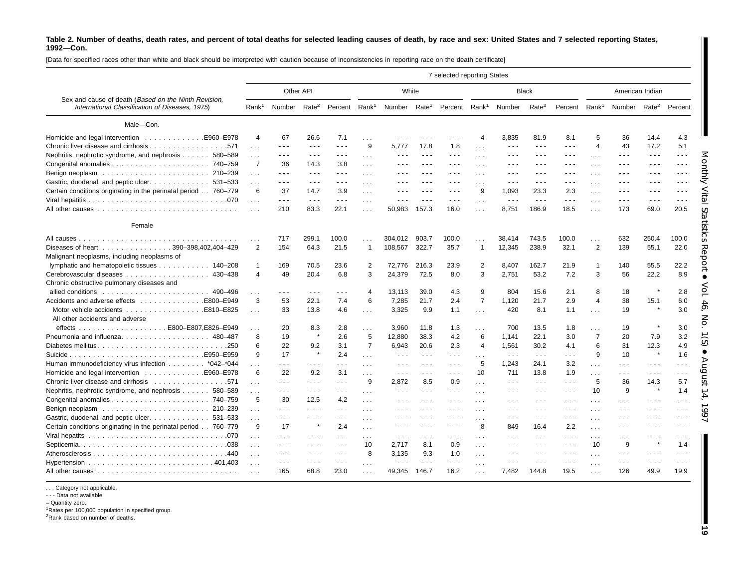[Data for specified races other than white and black should be interpreted with caution because of inconsistencies in reporting race on the death certificate]

|                                                                                                         | 7 selected reporting States<br>Other API<br>White<br><b>Black</b><br>American Indian |                                                                                                                                                                                                                                                                                                                                                                                                                                                |                                                                                                |                      |                       |                                                                                                                                                                                                                                                                                                                                                                                                                                                |                                                                                                                                                                                                                                                                                                                                                                                                                                                |                                                                                                |                |                                                                                                                                                                                                                                                                                                                                                                                              |                                                                                                |                                                                                                                                                                                                                                                                                                                                                                                                                                                |                      |                                  |                      |                                                                                                |
|---------------------------------------------------------------------------------------------------------|--------------------------------------------------------------------------------------|------------------------------------------------------------------------------------------------------------------------------------------------------------------------------------------------------------------------------------------------------------------------------------------------------------------------------------------------------------------------------------------------------------------------------------------------|------------------------------------------------------------------------------------------------|----------------------|-----------------------|------------------------------------------------------------------------------------------------------------------------------------------------------------------------------------------------------------------------------------------------------------------------------------------------------------------------------------------------------------------------------------------------------------------------------------------------|------------------------------------------------------------------------------------------------------------------------------------------------------------------------------------------------------------------------------------------------------------------------------------------------------------------------------------------------------------------------------------------------------------------------------------------------|------------------------------------------------------------------------------------------------|----------------|----------------------------------------------------------------------------------------------------------------------------------------------------------------------------------------------------------------------------------------------------------------------------------------------------------------------------------------------------------------------------------------------|------------------------------------------------------------------------------------------------|------------------------------------------------------------------------------------------------------------------------------------------------------------------------------------------------------------------------------------------------------------------------------------------------------------------------------------------------------------------------------------------------------------------------------------------------|----------------------|----------------------------------|----------------------|------------------------------------------------------------------------------------------------|
|                                                                                                         |                                                                                      |                                                                                                                                                                                                                                                                                                                                                                                                                                                |                                                                                                |                      |                       |                                                                                                                                                                                                                                                                                                                                                                                                                                                |                                                                                                                                                                                                                                                                                                                                                                                                                                                |                                                                                                |                |                                                                                                                                                                                                                                                                                                                                                                                              |                                                                                                |                                                                                                                                                                                                                                                                                                                                                                                                                                                |                      |                                  |                      |                                                                                                |
| Sex and cause of death (Based on the Ninth Revision,<br>International Classification of Diseases, 1975) |                                                                                      | Rank <sup>1</sup> Number                                                                                                                                                                                                                                                                                                                                                                                                                       | Rate <sup>2</sup>                                                                              | Percent              | Rank <sup>1</sup>     | Number Rate <sup>2</sup>                                                                                                                                                                                                                                                                                                                                                                                                                       |                                                                                                                                                                                                                                                                                                                                                                                                                                                | Percent Rank <sup>1</sup>                                                                      |                | Number                                                                                                                                                                                                                                                                                                                                                                                       | Rate <sup>2</sup>                                                                              | Percent Rank <sup>1</sup>                                                                                                                                                                                                                                                                                                                                                                                                                      |                      | Number Rate <sup>2</sup> Percent |                      |                                                                                                |
| Male-Con.                                                                                               |                                                                                      |                                                                                                                                                                                                                                                                                                                                                                                                                                                |                                                                                                |                      |                       |                                                                                                                                                                                                                                                                                                                                                                                                                                                |                                                                                                                                                                                                                                                                                                                                                                                                                                                |                                                                                                |                |                                                                                                                                                                                                                                                                                                                                                                                              |                                                                                                |                                                                                                                                                                                                                                                                                                                                                                                                                                                |                      |                                  |                      |                                                                                                |
| .E960-E978<br>Homicide and legal intervention                                                           | $\overline{4}$                                                                       | 67                                                                                                                                                                                                                                                                                                                                                                                                                                             | 26.6                                                                                           | 7.1                  | $\sim 10$             | $  -$                                                                                                                                                                                                                                                                                                                                                                                                                                          |                                                                                                                                                                                                                                                                                                                                                                                                                                                | $\sim$ $\sim$ $\sim$                                                                           | $\overline{4}$ | 3,835                                                                                                                                                                                                                                                                                                                                                                                        | 81.9                                                                                           | 8.1                                                                                                                                                                                                                                                                                                                                                                                                                                            | 5                    | 36                               | 14.4                 | 4.3                                                                                            |
|                                                                                                         | .                                                                                    | $\sim$ $\sim$ $\sim$                                                                                                                                                                                                                                                                                                                                                                                                                           | $\sim$ $\sim$ $\sim$                                                                           | $\sim$ $\sim$ $\sim$ | 9                     | 5.777                                                                                                                                                                                                                                                                                                                                                                                                                                          | 17.8                                                                                                                                                                                                                                                                                                                                                                                                                                           | 1.8                                                                                            | $\sim$         | - - -                                                                                                                                                                                                                                                                                                                                                                                        | $\sim$ $\sim$ $\sim$                                                                           | $  -$                                                                                                                                                                                                                                                                                                                                                                                                                                          | $\overline{4}$       | 43                               | 17.2                 | 5.1                                                                                            |
| Nephritis, nephrotic syndrome, and nephrosis 580-589                                                    | $\cdots$                                                                             | $\frac{1}{2} \left( \frac{1}{2} \right) + \frac{1}{2} \left( \frac{1}{2} \right) + \frac{1}{2} \left( \frac{1}{2} \right) + \frac{1}{2} \left( \frac{1}{2} \right) + \frac{1}{2} \left( \frac{1}{2} \right) + \frac{1}{2} \left( \frac{1}{2} \right) + \frac{1}{2} \left( \frac{1}{2} \right) + \frac{1}{2} \left( \frac{1}{2} \right) + \frac{1}{2} \left( \frac{1}{2} \right) + \frac{1}{2} \left( \frac{1}{2} \right) + \frac{1}{2} \left($ | $\sim$ $\sim$ $\sim$                                                                           | $\sim$ $\sim$ $\sim$ | $\sim 100$            | $\frac{1}{2} \left( \frac{1}{2} \right) + \frac{1}{2} \left( \frac{1}{2} \right) + \frac{1}{2} \left( \frac{1}{2} \right) + \frac{1}{2} \left( \frac{1}{2} \right) + \frac{1}{2} \left( \frac{1}{2} \right) + \frac{1}{2} \left( \frac{1}{2} \right) + \frac{1}{2} \left( \frac{1}{2} \right) + \frac{1}{2} \left( \frac{1}{2} \right) + \frac{1}{2} \left( \frac{1}{2} \right) + \frac{1}{2} \left( \frac{1}{2} \right) + \frac{1}{2} \left($ | $\sim$ $\sim$ $\sim$                                                                                                                                                                                                                                                                                                                                                                                                                           | $\sim$ $\sim$ $\sim$                                                                           | $\sim$ $\sim$  | ---                                                                                                                                                                                                                                                                                                                                                                                          | $\sim$ $\sim$ $\sim$                                                                           | $\sim$ $\sim$ $\sim$                                                                                                                                                                                                                                                                                                                                                                                                                           | $\sim 100$           | $\sim$ $\sim$ $\sim$             | $\sim$ $\sim$ $\sim$ | $  -$                                                                                          |
|                                                                                                         | $\overline{7}$                                                                       | 36                                                                                                                                                                                                                                                                                                                                                                                                                                             | 14.3                                                                                           | 3.8                  | $\ldots$              | $  -$                                                                                                                                                                                                                                                                                                                                                                                                                                          |                                                                                                                                                                                                                                                                                                                                                                                                                                                | $\sim$ $\sim$ $\sim$                                                                           | .              | - - -                                                                                                                                                                                                                                                                                                                                                                                        | $\sim$ $\sim$ $\sim$                                                                           | $  -$                                                                                                                                                                                                                                                                                                                                                                                                                                          | $\cdots$             | $  -$                            | - - -                | $\frac{1}{2} \left( \frac{1}{2} \right) \left( \frac{1}{2} \right) \left( \frac{1}{2} \right)$ |
|                                                                                                         | .                                                                                    | $\sim$ $\sim$ $\sim$                                                                                                                                                                                                                                                                                                                                                                                                                           | $\sim$ $\sim$ $\sim$                                                                           | $\sim$ $\sim$ $\sim$ | $\ldots$              | $\frac{1}{2}$                                                                                                                                                                                                                                                                                                                                                                                                                                  | $  -$                                                                                                                                                                                                                                                                                                                                                                                                                                          | $\frac{1}{2} \left( \frac{1}{2} \right) \frac{1}{2} \left( \frac{1}{2} \right)$                | .              | ---                                                                                                                                                                                                                                                                                                                                                                                          | $\sim$ $\sim$ $\sim$                                                                           | $\sim$ $\sim$ $\sim$                                                                                                                                                                                                                                                                                                                                                                                                                           | $\cdots$             | $  -$                            | $  -$                | $- - -$                                                                                        |
| Gastric, duodenal, and peptic ulcer. 531-533                                                            | .                                                                                    | $\frac{1}{2} \left( \frac{1}{2} \right) + \frac{1}{2} \left( \frac{1}{2} \right) + \frac{1}{2} \left( \frac{1}{2} \right) + \frac{1}{2} \left( \frac{1}{2} \right) + \frac{1}{2} \left( \frac{1}{2} \right) + \frac{1}{2} \left( \frac{1}{2} \right) + \frac{1}{2} \left( \frac{1}{2} \right) + \frac{1}{2} \left( \frac{1}{2} \right) + \frac{1}{2} \left( \frac{1}{2} \right) + \frac{1}{2} \left( \frac{1}{2} \right) + \frac{1}{2} \left($ | $\sim$ $\sim$ $\sim$                                                                           | $\sim$ $\sim$ $\sim$ |                       | $  -$                                                                                                                                                                                                                                                                                                                                                                                                                                          | - - -                                                                                                                                                                                                                                                                                                                                                                                                                                          | $  -$                                                                                          | .              | $\frac{1}{2} \left( \frac{1}{2} \right) \left( \frac{1}{2} \right) \left( \frac{1}{2} \right)$                                                                                                                                                                                                                                                                                               | $\sim$ $\sim$ $\sim$                                                                           | $\sim$ $\sim$ $\sim$                                                                                                                                                                                                                                                                                                                                                                                                                           | $\cdots$             | $  -$                            | - - -                | $\frac{1}{2}$                                                                                  |
| Certain conditions originating in the perinatal period 760–779                                          | 6                                                                                    | 37                                                                                                                                                                                                                                                                                                                                                                                                                                             | 14.7                                                                                           | 3.9                  | $\ldots$              | $\cdots$                                                                                                                                                                                                                                                                                                                                                                                                                                       | $\frac{1}{2} \left( \frac{1}{2} \right) + \frac{1}{2} \left( \frac{1}{2} \right) + \frac{1}{2} \left( \frac{1}{2} \right) + \frac{1}{2} \left( \frac{1}{2} \right) + \frac{1}{2} \left( \frac{1}{2} \right) + \frac{1}{2} \left( \frac{1}{2} \right) + \frac{1}{2} \left( \frac{1}{2} \right) + \frac{1}{2} \left( \frac{1}{2} \right) + \frac{1}{2} \left( \frac{1}{2} \right) + \frac{1}{2} \left( \frac{1}{2} \right) + \frac{1}{2} \left($ | $\cdots$                                                                                       | 9              | 1.093                                                                                                                                                                                                                                                                                                                                                                                        | 23.3                                                                                           | 2.3                                                                                                                                                                                                                                                                                                                                                                                                                                            | $\sim$ $\sim$ $\sim$ | $  -$                            | - - -                | $\frac{1}{2} \left( \frac{1}{2} \right) \left( \frac{1}{2} \right) \left( \frac{1}{2} \right)$ |
|                                                                                                         | $\cdots$                                                                             | $\sim$ $\sim$ $\sim$                                                                                                                                                                                                                                                                                                                                                                                                                           | $\sim$ $\sim$ $\sim$                                                                           | $\sim$ $\sim$ $\sim$ | $\sim$ $\sim$         | $\sim$ $\sim$ $\sim$                                                                                                                                                                                                                                                                                                                                                                                                                           | $\frac{1}{2} \left( \frac{1}{2} \right) + \frac{1}{2} \left( \frac{1}{2} \right) + \frac{1}{2} \left( \frac{1}{2} \right) + \frac{1}{2} \left( \frac{1}{2} \right) + \frac{1}{2} \left( \frac{1}{2} \right) + \frac{1}{2} \left( \frac{1}{2} \right) + \frac{1}{2} \left( \frac{1}{2} \right) + \frac{1}{2} \left( \frac{1}{2} \right) + \frac{1}{2} \left( \frac{1}{2} \right) + \frac{1}{2} \left( \frac{1}{2} \right) + \frac{1}{2} \left($ | $\sim$ $\sim$ $\sim$                                                                           | .              | $\sim$ $\sim$ $\sim$                                                                                                                                                                                                                                                                                                                                                                         | $\sim$ $\sim$ $\sim$                                                                           | $\sim$ $\sim$ $\sim$                                                                                                                                                                                                                                                                                                                                                                                                                           | $\sim$ $\sim$ $\sim$ | $\sim$ $\sim$ $\sim$             | $\sim$ $\sim$ $\sim$ | $\sim$ $\sim$ $\sim$                                                                           |
|                                                                                                         |                                                                                      | 210                                                                                                                                                                                                                                                                                                                                                                                                                                            | 83.3                                                                                           | 22.1                 | $\sim 10$             | 50,983                                                                                                                                                                                                                                                                                                                                                                                                                                         | 157.3                                                                                                                                                                                                                                                                                                                                                                                                                                          | 16.0                                                                                           | $\sim 100$     | 8,751                                                                                                                                                                                                                                                                                                                                                                                        | 186.9                                                                                          | 18.5                                                                                                                                                                                                                                                                                                                                                                                                                                           | $\sim 100$           | 173                              | 69.0                 | 20.5                                                                                           |
| Female                                                                                                  |                                                                                      |                                                                                                                                                                                                                                                                                                                                                                                                                                                |                                                                                                |                      |                       |                                                                                                                                                                                                                                                                                                                                                                                                                                                |                                                                                                                                                                                                                                                                                                                                                                                                                                                |                                                                                                |                |                                                                                                                                                                                                                                                                                                                                                                                              |                                                                                                |                                                                                                                                                                                                                                                                                                                                                                                                                                                |                      |                                  |                      |                                                                                                |
| All causes.                                                                                             |                                                                                      | 717                                                                                                                                                                                                                                                                                                                                                                                                                                            | 299.1                                                                                          | 100.0                |                       | 304.012                                                                                                                                                                                                                                                                                                                                                                                                                                        | 903.7                                                                                                                                                                                                                                                                                                                                                                                                                                          | 100.0                                                                                          |                | 38,414                                                                                                                                                                                                                                                                                                                                                                                       | 743.5                                                                                          | 100.0                                                                                                                                                                                                                                                                                                                                                                                                                                          | $\cdots$             | 632                              | 250.4                | 100.0                                                                                          |
| Diseases of heart 390-398,402,404-429                                                                   | 2                                                                                    | 154                                                                                                                                                                                                                                                                                                                                                                                                                                            | 64.3                                                                                           | 21.5                 | $\overline{1}$        | 108,567                                                                                                                                                                                                                                                                                                                                                                                                                                        | 322.7                                                                                                                                                                                                                                                                                                                                                                                                                                          | 35.7                                                                                           | $\mathbf{1}$   | 12,345                                                                                                                                                                                                                                                                                                                                                                                       | 238.9                                                                                          | 32.1                                                                                                                                                                                                                                                                                                                                                                                                                                           | $\overline{2}$       | 139                              | 55.1                 | 22.0                                                                                           |
| Malignant neoplasms, including neoplasms of                                                             |                                                                                      |                                                                                                                                                                                                                                                                                                                                                                                                                                                |                                                                                                |                      |                       |                                                                                                                                                                                                                                                                                                                                                                                                                                                |                                                                                                                                                                                                                                                                                                                                                                                                                                                |                                                                                                |                |                                                                                                                                                                                                                                                                                                                                                                                              |                                                                                                |                                                                                                                                                                                                                                                                                                                                                                                                                                                |                      |                                  |                      |                                                                                                |
| lymphatic and hematopoietic tissues 140–208                                                             | $\mathbf{1}$                                                                         | 169                                                                                                                                                                                                                                                                                                                                                                                                                                            | 70.5                                                                                           | 23.6                 | 2                     | 72.776                                                                                                                                                                                                                                                                                                                                                                                                                                         | 216.3                                                                                                                                                                                                                                                                                                                                                                                                                                          | 23.9                                                                                           | 2              | 8.407                                                                                                                                                                                                                                                                                                                                                                                        | 162.7                                                                                          | 21.9                                                                                                                                                                                                                                                                                                                                                                                                                                           | $\overline{1}$       | 140                              | 55.5                 | 22.2                                                                                           |
|                                                                                                         | $\overline{4}$                                                                       | 49                                                                                                                                                                                                                                                                                                                                                                                                                                             | 20.4                                                                                           | 6.8                  | 3                     | 24,379                                                                                                                                                                                                                                                                                                                                                                                                                                         | 72.5                                                                                                                                                                                                                                                                                                                                                                                                                                           | 8.0                                                                                            | 3              | 2,751                                                                                                                                                                                                                                                                                                                                                                                        | 53.2                                                                                           | 7.2                                                                                                                                                                                                                                                                                                                                                                                                                                            | 3                    | 56                               | 22.2                 | 8.9                                                                                            |
| Chronic obstructive pulmonary diseases and                                                              |                                                                                      |                                                                                                                                                                                                                                                                                                                                                                                                                                                |                                                                                                |                      |                       |                                                                                                                                                                                                                                                                                                                                                                                                                                                |                                                                                                                                                                                                                                                                                                                                                                                                                                                |                                                                                                |                |                                                                                                                                                                                                                                                                                                                                                                                              |                                                                                                |                                                                                                                                                                                                                                                                                                                                                                                                                                                |                      |                                  |                      |                                                                                                |
| allied conditions $\ldots \ldots \ldots \ldots \ldots \ldots$<br>490–496                                | .                                                                                    | .                                                                                                                                                                                                                                                                                                                                                                                                                                              | $\sim$ $\sim$ $\sim$                                                                           | $\sim$ $\sim$ $\sim$ | $\boldsymbol{\Delta}$ | 13.113                                                                                                                                                                                                                                                                                                                                                                                                                                         | 39.0                                                                                                                                                                                                                                                                                                                                                                                                                                           | 4.3                                                                                            | 9              | 804                                                                                                                                                                                                                                                                                                                                                                                          | 15.6                                                                                           | 2.1                                                                                                                                                                                                                                                                                                                                                                                                                                            | 8                    | 18                               |                      | 2.8                                                                                            |
| Accidents and adverse effects E800–E949                                                                 | 3                                                                                    | 53                                                                                                                                                                                                                                                                                                                                                                                                                                             | 22.1                                                                                           | 7.4                  | 6                     | 7,285                                                                                                                                                                                                                                                                                                                                                                                                                                          | 21.7                                                                                                                                                                                                                                                                                                                                                                                                                                           | 2.4                                                                                            | $\overline{7}$ | 1,120                                                                                                                                                                                                                                                                                                                                                                                        | 21.7                                                                                           | 2.9                                                                                                                                                                                                                                                                                                                                                                                                                                            | $\overline{4}$       | 38                               | 15.1                 | 6.0                                                                                            |
| All other accidents and adverse                                                                         | $\sim 10$                                                                            | 33                                                                                                                                                                                                                                                                                                                                                                                                                                             | 13.8                                                                                           | 4.6                  | $\sim$ $\sim$ $\sim$  | 3.325                                                                                                                                                                                                                                                                                                                                                                                                                                          | 9.9                                                                                                                                                                                                                                                                                                                                                                                                                                            | 1.1                                                                                            | $\cdots$       | 420                                                                                                                                                                                                                                                                                                                                                                                          | 8.1                                                                                            | 1.1                                                                                                                                                                                                                                                                                                                                                                                                                                            | $\sim$ $\sim$ $\sim$ | 19                               |                      | 3.0                                                                                            |
| effects                                                                                                 | .                                                                                    | 20                                                                                                                                                                                                                                                                                                                                                                                                                                             | 8.3                                                                                            | 2.8                  | $\sim 10$             | 3.960                                                                                                                                                                                                                                                                                                                                                                                                                                          | 11.8                                                                                                                                                                                                                                                                                                                                                                                                                                           | 1.3                                                                                            | $\cdots$       | 700                                                                                                                                                                                                                                                                                                                                                                                          | 13.5                                                                                           | 1.8                                                                                                                                                                                                                                                                                                                                                                                                                                            | $\cdots$             | 19                               | $\star$              | 3.0                                                                                            |
| Pneumonia and influenza 480–487                                                                         | 8                                                                                    | 19                                                                                                                                                                                                                                                                                                                                                                                                                                             | $\star$                                                                                        | 2.6                  | 5                     | 12,880                                                                                                                                                                                                                                                                                                                                                                                                                                         | 38.3                                                                                                                                                                                                                                                                                                                                                                                                                                           | 4.2                                                                                            | 6              | 1,141                                                                                                                                                                                                                                                                                                                                                                                        | 22.1                                                                                           | 3.0                                                                                                                                                                                                                                                                                                                                                                                                                                            | $\overline{7}$       | 20                               | 7.9                  | 3.2                                                                                            |
|                                                                                                         | 6                                                                                    | 22                                                                                                                                                                                                                                                                                                                                                                                                                                             | 9.2                                                                                            | 3.1                  | $\overline{7}$        | 6,943                                                                                                                                                                                                                                                                                                                                                                                                                                          | 20.6                                                                                                                                                                                                                                                                                                                                                                                                                                           | 2.3                                                                                            | $\overline{4}$ | 1.561                                                                                                                                                                                                                                                                                                                                                                                        | 30.2                                                                                           | 4.1                                                                                                                                                                                                                                                                                                                                                                                                                                            | 6                    | 31                               | 12.3                 | 4.9                                                                                            |
|                                                                                                         | 9                                                                                    | 17                                                                                                                                                                                                                                                                                                                                                                                                                                             | $\star$                                                                                        | 2.4                  | $\sim 100$            | $\cdots$                                                                                                                                                                                                                                                                                                                                                                                                                                       | $\sim$ $\sim$ $\sim$                                                                                                                                                                                                                                                                                                                                                                                                                           | $\frac{1}{2} \left( \frac{1}{2} \right) \frac{1}{2} \left( \frac{1}{2} \right)$                | .              | $\frac{1}{2} \frac{1}{2} \frac{1}{2} \frac{1}{2} \frac{1}{2} \frac{1}{2} \frac{1}{2} \frac{1}{2} \frac{1}{2} \frac{1}{2} \frac{1}{2} \frac{1}{2} \frac{1}{2} \frac{1}{2} \frac{1}{2} \frac{1}{2} \frac{1}{2} \frac{1}{2} \frac{1}{2} \frac{1}{2} \frac{1}{2} \frac{1}{2} \frac{1}{2} \frac{1}{2} \frac{1}{2} \frac{1}{2} \frac{1}{2} \frac{1}{2} \frac{1}{2} \frac{1}{2} \frac{1}{2} \frac{$ | $\sim$ $\sim$ $\sim$                                                                           | $\sim$ $\sim$ $\sim$                                                                                                                                                                                                                                                                                                                                                                                                                           | 9                    | 10                               | $\pmb{\ast}$         | 1.6                                                                                            |
| Human immunodeficiency virus infection *042-*044                                                        |                                                                                      | .                                                                                                                                                                                                                                                                                                                                                                                                                                              | $\sim$ $\sim$ $\sim$                                                                           | .                    |                       | $\sim$ $\sim$ $\sim$                                                                                                                                                                                                                                                                                                                                                                                                                           | $\sim$ $\sim$ $\sim$                                                                                                                                                                                                                                                                                                                                                                                                                           | $\sim$ $\sim$ $\sim$                                                                           | 5              | 1,243                                                                                                                                                                                                                                                                                                                                                                                        | 24.1                                                                                           | 3.2                                                                                                                                                                                                                                                                                                                                                                                                                                            |                      | $\sim$ $\sim$ $\sim$             | $\sim$ $\sim$ $\sim$ | $\sim$ $\sim$ $\sim$                                                                           |
|                                                                                                         | 6                                                                                    | 22                                                                                                                                                                                                                                                                                                                                                                                                                                             | 9.2                                                                                            | 3.1                  | $\sim$ $\sim$         | $\frac{1}{2} \left( \frac{1}{2} \right) \left( \frac{1}{2} \right) \left( \frac{1}{2} \right)$                                                                                                                                                                                                                                                                                                                                                 | $\sim$ $\sim$ $\sim$                                                                                                                                                                                                                                                                                                                                                                                                                           | $\sim$ $\sim$ $\sim$                                                                           | 10             | 711                                                                                                                                                                                                                                                                                                                                                                                          | 13.8                                                                                           | 1.9                                                                                                                                                                                                                                                                                                                                                                                                                                            | $\cdots$             | .                                | - - -                | $- - -$                                                                                        |
|                                                                                                         |                                                                                      |                                                                                                                                                                                                                                                                                                                                                                                                                                                | $\sim$ $\sim$ $\sim$                                                                           | $\sim$ $\sim$ $\sim$ | $\ldots$<br>9         | 2,872                                                                                                                                                                                                                                                                                                                                                                                                                                          | 8.5                                                                                                                                                                                                                                                                                                                                                                                                                                            | 0.9                                                                                            |                | $\sim$ $\sim$ $\sim$                                                                                                                                                                                                                                                                                                                                                                         | $\sim$ $\sim$ $\sim$                                                                           | $- - -$                                                                                                                                                                                                                                                                                                                                                                                                                                        | $\sim 100$<br>5      | 36                               | 14.3                 | 5.7                                                                                            |
|                                                                                                         | .                                                                                    |                                                                                                                                                                                                                                                                                                                                                                                                                                                |                                                                                                |                      |                       |                                                                                                                                                                                                                                                                                                                                                                                                                                                |                                                                                                                                                                                                                                                                                                                                                                                                                                                |                                                                                                | .              |                                                                                                                                                                                                                                                                                                                                                                                              |                                                                                                |                                                                                                                                                                                                                                                                                                                                                                                                                                                |                      |                                  |                      |                                                                                                |
| Nephritis, nephrotic syndrome, and nephrosis 580-589                                                    | .                                                                                    | .                                                                                                                                                                                                                                                                                                                                                                                                                                              | $\sim$ $\sim$ $\sim$                                                                           | $  -$                | $\ldots$              | $- - -$                                                                                                                                                                                                                                                                                                                                                                                                                                        | $- - -$                                                                                                                                                                                                                                                                                                                                                                                                                                        | $\sim$ $\sim$ $\sim$                                                                           | $\cdots$       | - - -                                                                                                                                                                                                                                                                                                                                                                                        | $\sim$ $\sim$ $\sim$                                                                           | $- - -$                                                                                                                                                                                                                                                                                                                                                                                                                                        | 10                   | 9                                |                      | 1.4                                                                                            |
|                                                                                                         | 5                                                                                    | 30                                                                                                                                                                                                                                                                                                                                                                                                                                             | 12.5                                                                                           | 4.2                  | $\ldots$              | $\frac{1}{2}$                                                                                                                                                                                                                                                                                                                                                                                                                                  | $  -$                                                                                                                                                                                                                                                                                                                                                                                                                                          | $\frac{1}{2} \left( \frac{1}{2} \right) \left( \frac{1}{2} \right) \left( \frac{1}{2} \right)$ | .              | - - -                                                                                                                                                                                                                                                                                                                                                                                        | $\frac{1}{2} \left( \frac{1}{2} \right) \left( \frac{1}{2} \right) \left( \frac{1}{2} \right)$ | $\frac{1}{2} \left( \frac{1}{2} \right) + \frac{1}{2} \left( \frac{1}{2} \right) + \frac{1}{2} \left( \frac{1}{2} \right) + \frac{1}{2} \left( \frac{1}{2} \right) + \frac{1}{2} \left( \frac{1}{2} \right) + \frac{1}{2} \left( \frac{1}{2} \right) + \frac{1}{2} \left( \frac{1}{2} \right) + \frac{1}{2} \left( \frac{1}{2} \right) + \frac{1}{2} \left( \frac{1}{2} \right) + \frac{1}{2} \left( \frac{1}{2} \right) + \frac{1}{2} \left($ | $\sim$ $\sim$ $\sim$ | $  -$                            | $\sim$ $\sim$ $\sim$ | $  -$                                                                                          |
|                                                                                                         | .                                                                                    | - - -                                                                                                                                                                                                                                                                                                                                                                                                                                          | $\sim$ $\sim$ $\sim$                                                                           | $  -$                | $\ldots$              | $  -$                                                                                                                                                                                                                                                                                                                                                                                                                                          |                                                                                                                                                                                                                                                                                                                                                                                                                                                | $  -$                                                                                          | .              |                                                                                                                                                                                                                                                                                                                                                                                              | $\sim$ $\sim$ $\sim$                                                                           | $  -$                                                                                                                                                                                                                                                                                                                                                                                                                                          | $\cdots$             | - - -                            |                      | $  -$                                                                                          |
| Gastric, duodenal, and peptic ulcer.<br>531-533                                                         | .                                                                                    | $\sim$ $\sim$ $\sim$                                                                                                                                                                                                                                                                                                                                                                                                                           | $\sim$ $\sim$ $\sim$                                                                           | $\sim$ $\sim$ $\sim$ | $\ldots$              | $\frac{1}{2} \left( \frac{1}{2} \right) \left( \frac{1}{2} \right) \left( \frac{1}{2} \right)$                                                                                                                                                                                                                                                                                                                                                 | $\sim$ $\sim$ $\sim$                                                                                                                                                                                                                                                                                                                                                                                                                           | $\sim$ $\sim$ $\sim$                                                                           | .              | - - -                                                                                                                                                                                                                                                                                                                                                                                        | $\sim$ $\sim$ $\sim$                                                                           | $\sim$ $\sim$ $\sim$                                                                                                                                                                                                                                                                                                                                                                                                                           | $\cdots$             | $- - -$                          | $\sim$ $\sim$ $\sim$ | $\frac{1}{2} \left( \frac{1}{2} \right) \left( \frac{1}{2} \right) \left( \frac{1}{2} \right)$ |
| Certain conditions originating in the perinatal period 760-779                                          | 9                                                                                    | 17                                                                                                                                                                                                                                                                                                                                                                                                                                             | $\star$                                                                                        | 2.4                  | $\sim$ $\sim$ $\sim$  | $\sim$ $\sim$ $\sim$                                                                                                                                                                                                                                                                                                                                                                                                                           | $\frac{1}{2} \left( \frac{1}{2} \right) + \frac{1}{2} \left( \frac{1}{2} \right) + \frac{1}{2} \left( \frac{1}{2} \right) + \frac{1}{2} \left( \frac{1}{2} \right) + \frac{1}{2} \left( \frac{1}{2} \right) + \frac{1}{2} \left( \frac{1}{2} \right) + \frac{1}{2} \left( \frac{1}{2} \right) + \frac{1}{2} \left( \frac{1}{2} \right) + \frac{1}{2} \left( \frac{1}{2} \right) + \frac{1}{2} \left( \frac{1}{2} \right) + \frac{1}{2} \left($ | $\sim$ $\sim$ $\sim$                                                                           | 8              | 849                                                                                                                                                                                                                                                                                                                                                                                          | 16.4                                                                                           | 2.2                                                                                                                                                                                                                                                                                                                                                                                                                                            | $\sim$ $\sim$ $\sim$ | .                                | .                    | $\sim$ $\sim$ $\sim$                                                                           |
|                                                                                                         | $\cdots$                                                                             | .                                                                                                                                                                                                                                                                                                                                                                                                                                              | $\frac{1}{2} \left( \frac{1}{2} \right) \left( \frac{1}{2} \right) \left( \frac{1}{2} \right)$ | $- - -$              | $\sim 100$            | $\frac{1}{2} \left( \frac{1}{2} \right) \frac{1}{2} \left( \frac{1}{2} \right)$                                                                                                                                                                                                                                                                                                                                                                | $\sim$ $\sim$ $\sim$                                                                                                                                                                                                                                                                                                                                                                                                                           | $\sim$ $\sim$ $\sim$                                                                           | $\cdots$       | $\sim$ $\sim$ $\sim$                                                                                                                                                                                                                                                                                                                                                                         | $\sim$ $\sim$ $\sim$                                                                           | $\sim$ $\sim$ $\sim$                                                                                                                                                                                                                                                                                                                                                                                                                           | $\cdots$             | $- - -$                          | $\sim$ $\sim$ $\sim$ | $- - -$                                                                                        |
|                                                                                                         | $\cdots$                                                                             |                                                                                                                                                                                                                                                                                                                                                                                                                                                | $\sim$ $\sim$ $\sim$                                                                           | $\sim$ $\sim$ $\sim$ | 10                    | 2,717                                                                                                                                                                                                                                                                                                                                                                                                                                          | 8.1                                                                                                                                                                                                                                                                                                                                                                                                                                            | 0.9                                                                                            | $\cdots$       | $  -$                                                                                                                                                                                                                                                                                                                                                                                        | $\sim$ $\sim$ $\sim$                                                                           | $\sim$ $\sim$ $\sim$                                                                                                                                                                                                                                                                                                                                                                                                                           | 10                   | 9                                |                      | 1.4                                                                                            |
|                                                                                                         | $\ldots$                                                                             | - - -                                                                                                                                                                                                                                                                                                                                                                                                                                          | $\sim$ $\sim$ $\sim$                                                                           | $\sim$ $\sim$ $\sim$ | 8                     | 3,135                                                                                                                                                                                                                                                                                                                                                                                                                                          | 9.3                                                                                                                                                                                                                                                                                                                                                                                                                                            | 1.0                                                                                            | $\cdots$       | - - -                                                                                                                                                                                                                                                                                                                                                                                        | $\sim$ $\sim$ $\sim$                                                                           | $- - -$                                                                                                                                                                                                                                                                                                                                                                                                                                        | $\sim$ $\sim$ $\sim$ | $- - -$                          | $  -$                | $\sim$ $\sim$ $\sim$                                                                           |
|                                                                                                         |                                                                                      | $  -$                                                                                                                                                                                                                                                                                                                                                                                                                                          | $\sim$ $\sim$ $\sim$                                                                           | $\sim$ $\sim$ $\sim$ |                       | $\sim$ $\sim$ $\sim$                                                                                                                                                                                                                                                                                                                                                                                                                           | $\sim$ $\sim$ $\sim$                                                                                                                                                                                                                                                                                                                                                                                                                           | $\sim$ $\sim$ $\sim$                                                                           |                | .                                                                                                                                                                                                                                                                                                                                                                                            | $\sim$ $\sim$ $\sim$                                                                           | $\sim$ $\sim$ $\sim$                                                                                                                                                                                                                                                                                                                                                                                                                           | $\cdots$             | $\sim$ $\sim$ $\sim$             | - - -                | $\sim$ $\sim$ $\sim$                                                                           |
|                                                                                                         |                                                                                      | 165                                                                                                                                                                                                                                                                                                                                                                                                                                            | 68.8                                                                                           | 23.0                 | $\sim$ $\sim$         | 49.345                                                                                                                                                                                                                                                                                                                                                                                                                                         | 146.7                                                                                                                                                                                                                                                                                                                                                                                                                                          | 16.2                                                                                           |                | 7.482                                                                                                                                                                                                                                                                                                                                                                                        | 144.8                                                                                          | 19.5                                                                                                                                                                                                                                                                                                                                                                                                                                           | $\sim$ $\sim$        | 126                              | 49.9                 | 19.9                                                                                           |

. . . Category not applicable.

- - - Data not available.

– Quantity zero.

1Rates per 100,000 population in specified group.

<sup>2</sup>Rank based on number of deaths.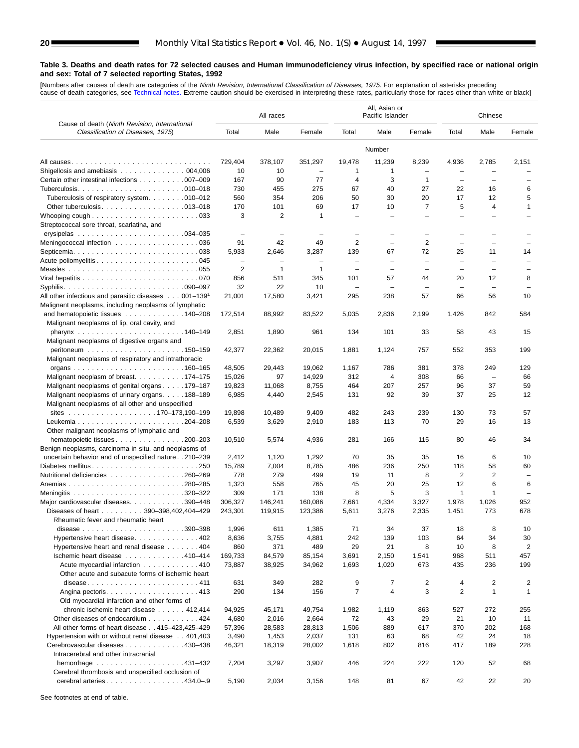<span id="page-19-0"></span>[Numbers after causes of de[ath are categories of](#page-61-0) the *Ninth Revision, International Classification of Diseases, 1975.* For explanation of asterisks preceding<br>cause-of-death categories, see Technical notes. Extreme caution

|                                                                                                                 |                                            | All races                     |                                          |                                 | All, Asian or<br>Pacific Islander |                          |                          | Chinese                        |                                                      |
|-----------------------------------------------------------------------------------------------------------------|--------------------------------------------|-------------------------------|------------------------------------------|---------------------------------|-----------------------------------|--------------------------|--------------------------|--------------------------------|------------------------------------------------------|
| Cause of death (Ninth Revision, International<br>Classification of Diseases, 1975)                              | Total                                      | Male                          | Female                                   | Total                           | Male                              | Female                   | Total                    | Male                           | Female                                               |
|                                                                                                                 |                                            |                               |                                          |                                 | Number                            |                          |                          |                                |                                                      |
|                                                                                                                 | 729.404                                    | 378,107                       | 351,297                                  | 19,478                          | 11,239                            | 8,239                    | 4,936                    | 2,785                          | 2,151                                                |
| Shigellosis and amebiasis 004,006                                                                               | 10                                         | 10                            | $\overline{\phantom{a}}$                 | 1                               | 1                                 | $\overline{\phantom{0}}$ | $\overline{\phantom{0}}$ | $\overline{\phantom{0}}$       |                                                      |
| Certain other intestinal infections 007-009                                                                     | 167                                        | 90                            | 77                                       | $\overline{4}$                  | 3                                 | 1                        | $\overline{\phantom{m}}$ | $\overline{\phantom{0}}$       | $\overline{\phantom{0}}$                             |
|                                                                                                                 | 730                                        | 455                           | 275                                      | 67                              | 40                                | 27                       | 22                       | 16                             | 6                                                    |
| Tuberculosis of respiratory system010–012                                                                       | 560                                        | 354                           | 206                                      | 50                              | 30                                | 20                       | 17                       | 12                             | 5                                                    |
| Other tuberculosis. 013-018                                                                                     | 170                                        | 101                           | 69                                       | 17                              | 10                                | 7                        | 5                        | 4                              | $\mathbf{1}$                                         |
| Whooping cough $\ldots \ldots \ldots \ldots \ldots \ldots \ldots$<br>Streptococcal sore throat, scarlatina, and | 3                                          | 2                             | $\mathbf{1}$                             | $\overline{\phantom{0}}$        |                                   | $\overline{\phantom{0}}$ | $\overline{\phantom{0}}$ | ÷                              |                                                      |
| erysipelas $\ldots \ldots \ldots \ldots \ldots \ldots \ldots \ldots 034-035$                                    | $\overline{\phantom{0}}$                   | $\overline{\phantom{0}}$      | $\overline{\phantom{0}}$                 | $\overline{\phantom{0}}$        | $\equiv$                          | $\overline{\phantom{0}}$ | $\overline{\phantom{0}}$ | $\overline{\phantom{0}}$       |                                                      |
| Meningococcal infection 036                                                                                     | 91                                         | 42                            | 49                                       | 2                               | $\overline{\phantom{0}}$          | 2                        | $\overline{\phantom{0}}$ | $\overline{\phantom{0}}$       |                                                      |
| Septicemia. $\ldots \ldots \ldots \ldots \ldots \ldots \ldots \ldots \ldots$ . 038                              | 5,933                                      | 2,646                         | 3,287                                    | 139                             | 67                                | 72                       | 25                       | 11                             | 14                                                   |
|                                                                                                                 | $\overline{\phantom{0}}$<br>$\overline{2}$ | $\overline{\phantom{0}}$<br>1 | $\overline{\phantom{0}}$<br>$\mathbf{1}$ | $\overline{\phantom{0}}$        | $\overline{\phantom{0}}$          | $\qquad \qquad -$        | $\overline{\phantom{0}}$ | $\overline{\phantom{0}}$       | $\overline{\phantom{0}}$<br>$\overline{\phantom{0}}$ |
|                                                                                                                 | 856                                        | 511                           | 345                                      | $\overline{\phantom{0}}$<br>101 | $\overline{\phantom{0}}$<br>57    | $\qquad \qquad -$<br>44  | $\qquad \qquad -$<br>20  | $\overline{\phantom{0}}$<br>12 | 8                                                    |
|                                                                                                                 | 32                                         | 22                            | 10                                       | $\qquad \qquad -$               | $\overline{\phantom{0}}$          | $\qquad \qquad -$        | $\overline{\phantom{a}}$ | $\overline{\phantom{m}}$       | $\overline{\phantom{0}}$                             |
| All other infectious and parasitic diseases 001-139 <sup>1</sup>                                                | 21,001                                     | 17,580                        | 3,421                                    | 295                             | 238                               | 57                       | 66                       | 56                             | 10                                                   |
| Malignant neoplasms, including neoplasms of lymphatic                                                           |                                            |                               |                                          |                                 |                                   |                          |                          |                                |                                                      |
| and hematopoietic tissues $\ldots \ldots \ldots \ldots 140-208$                                                 | 172,514                                    | 88,992                        | 83,522                                   | 5,035                           | 2,836                             | 2,199                    | 1,426                    | 842                            | 584                                                  |
| Malignant neoplasms of lip, oral cavity, and                                                                    | 2,851                                      | 1,890                         | 961                                      | 134                             | 101                               | 33                       | 58                       | 43                             | 15                                                   |
| Malignant neoplasms of digestive organs and                                                                     |                                            |                               |                                          |                                 |                                   |                          |                          |                                |                                                      |
|                                                                                                                 | 42,377                                     | 22,362                        | 20,015                                   | 1,881                           | 1,124                             | 757                      | 552                      | 353                            | 199                                                  |
| Malignant neoplasms of respiratory and intrathoracic                                                            |                                            |                               |                                          |                                 |                                   |                          |                          |                                |                                                      |
|                                                                                                                 | 48,505                                     | 29,443                        | 19,062                                   | 1,167                           | 786                               | 381                      | 378                      | 249                            | 129                                                  |
| Malignant neoplasm of breast. 174–175                                                                           | 15,026                                     | 97                            | 14,929                                   | 312                             | 4                                 | 308                      | 66                       | $\overline{\phantom{0}}$       | 66                                                   |
| Malignant neoplasms of genital organs 179–187                                                                   | 19,823                                     | 11,068                        | 8,755                                    | 464                             | 207                               | 257                      | 96                       | 37                             | 59                                                   |
| Malignant neoplasms of urinary organs188-189                                                                    | 6,985                                      | 4,440                         | 2,545                                    | 131                             | 92                                | 39                       | 37                       | 25                             | 12                                                   |
| Malignant neoplasms of all other and unspecified                                                                |                                            |                               |                                          |                                 |                                   |                          |                          |                                |                                                      |
|                                                                                                                 | 19,898                                     | 10,489                        | 9,409                                    | 482                             | 243                               | 239                      | 130                      | 73                             | 57                                                   |
|                                                                                                                 | 6,539                                      | 3,629                         | 2,910                                    | 183                             | 113                               | 70                       | 29                       | 16                             | 13                                                   |
| Other malignant neoplasms of lymphatic and                                                                      |                                            |                               |                                          |                                 |                                   |                          |                          |                                |                                                      |
| hematopoietic tissues 200–203                                                                                   | 10,510                                     | 5,574                         | 4,936                                    | 281                             | 166                               | 115                      | 80                       | 46                             | 34                                                   |
| Benign neoplasms, carcinoma in situ, and neoplasms of                                                           |                                            |                               |                                          |                                 |                                   |                          |                          |                                |                                                      |
| uncertain behavior and of unspecified nature 210-239<br>Diabetes mellitus250                                    | 2,412<br>15,789                            | 1,120<br>7,004                | 1,292<br>8,785                           | 70<br>486                       | 35<br>236                         | 35<br>250                | 16<br>118                | 6<br>58                        | 10<br>60                                             |
| Nutritional deficiencies 260-269                                                                                | 778                                        | 279                           | 499                                      | 19                              | 11                                | 8                        | $\overline{2}$           | 2                              | $\overline{\phantom{0}}$                             |
|                                                                                                                 | 1,323                                      | 558                           | 765                                      | 45                              | 20                                | 25                       | 12                       | 6                              | 6                                                    |
|                                                                                                                 | 309                                        | 171                           | 138                                      | 8                               | 5                                 | 3                        | $\mathbf{1}$             | 1                              |                                                      |
| Major cardiovascular diseases. 390-448                                                                          | 306,327                                    | 146,241                       | 160,086                                  | 7,661                           | 4,334                             | 3,327                    | 1,978                    | 1,026                          | 952                                                  |
| Diseases of heart 390-398.402.404-429                                                                           | 243.301                                    | 119,915                       | 123,386                                  | 5,611                           | 3,276                             | 2,335                    | 1,451                    | 773                            | 678                                                  |
| Rheumatic fever and rheumatic heart                                                                             |                                            |                               |                                          |                                 |                                   |                          |                          |                                |                                                      |
|                                                                                                                 | 1,996                                      | 611                           | 1,385                                    | 71                              | 34                                | 37                       | 18                       | 8                              | 10                                                   |
| Hypertensive heart disease. 402                                                                                 | 8,636                                      | 3,755                         | 4,881                                    | 242                             | 139                               | 103                      | 64                       | 34                             | 30                                                   |
| Hypertensive heart and renal disease 404                                                                        | 860                                        | 371                           | 489                                      | 29                              | 21                                | 8                        | 10                       | 8                              | $\overline{c}$                                       |
| Ischemic heart disease 410-414                                                                                  | 169,733                                    | 84,579                        | 85,154                                   | 3,691                           | 2,150                             | 1,541                    | 968                      | 511                            | 457                                                  |
| Acute myocardial infarction 410                                                                                 | 73,887                                     | 38,925                        | 34,962                                   | 1,693                           | 1,020                             | 673                      | 435                      | 236                            | 199                                                  |
| Other acute and subacute forms of ischemic heart                                                                |                                            |                               |                                          |                                 |                                   |                          |                          |                                |                                                      |
| disease411                                                                                                      | 631                                        | 349                           | 282                                      | 9                               | 7                                 | 2                        | 4                        | 2                              | 2                                                    |
|                                                                                                                 | 290                                        | 134                           | 156                                      | 7                               | 4                                 | 3                        | 2                        | $\mathbf{1}$                   | 1                                                    |
| Old myocardial infarction and other forms of                                                                    |                                            |                               |                                          |                                 |                                   |                          |                          |                                |                                                      |
| chronic ischemic heart disease 412,414                                                                          | 94,925                                     | 45,171                        | 49,754                                   | 1,982                           | 1,119                             | 863                      | 527                      | 272                            | 255                                                  |
| Other diseases of endocardium 424                                                                               | 4,680                                      | 2,016                         | 2,664                                    | 72                              | 43                                | 29                       | 21                       | 10                             | 11                                                   |
| All other forms of heart disease 415-423,425-429                                                                | 57,396                                     | 28,583                        | 28,813                                   | 1,506                           | 889                               | 617                      | 370                      | 202                            | 168                                                  |
| Hypertension with or without renal disease 401,403                                                              | 3,490                                      | 1,453                         | 2,037                                    | 131                             | 63                                | 68                       | 42<br>417                | 24<br>189                      | 18                                                   |
| Cerebrovascular diseases 430-438<br>Intracerebral and other intracranial                                        | 46,321                                     | 18,319                        | 28,002                                   | 1,618                           | 802                               | 816                      |                          |                                | 228                                                  |
|                                                                                                                 | 7,204                                      | 3,297                         | 3,907                                    | 446                             | 224                               | 222                      | 120                      | 52                             | 68                                                   |
| Cerebral thrombosis and unspecified occlusion of                                                                |                                            |                               |                                          |                                 |                                   |                          |                          |                                |                                                      |
| cerebral arteries434.0-.9                                                                                       | 5,190                                      | 2,034                         | 3,156                                    | 148                             | 81                                | 67                       | 42                       | 22                             | 20                                                   |
|                                                                                                                 |                                            |                               |                                          |                                 |                                   |                          |                          |                                |                                                      |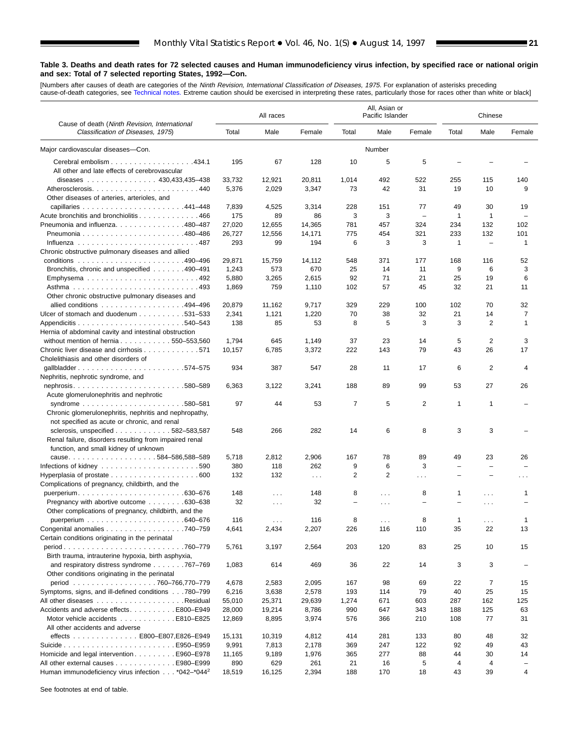[Numbers after causes of de[ath are categories of](#page-61-0) the *Ninth Revision, International Classification of Diseases, 1975.* For explanation of asterisks preceding<br>cause-of-death categories, see Technical notes. Extreme caution

|                                                                                                                                |        | All races |             |                          | All, Asian or<br>Pacific Islander |                          |                          | Chinese                  |                 |
|--------------------------------------------------------------------------------------------------------------------------------|--------|-----------|-------------|--------------------------|-----------------------------------|--------------------------|--------------------------|--------------------------|-----------------|
| Cause of death (Ninth Revision, International<br>Classification of Diseases, 1975)                                             | Total  | Male      | Female      | Total                    | Male                              | Female                   | Total                    | Male                     | Female          |
| Major cardiovascular diseases-Con.                                                                                             |        |           |             |                          | Number                            |                          |                          |                          |                 |
| Cerebral embolism 434.1<br>All other and late effects of cerebrovascular                                                       | 195    | 67        | 128         | 10                       | 5                                 | 5                        |                          |                          |                 |
| diseases 430,433,435-438                                                                                                       | 33,732 | 12,921    | 20,811      | 1,014                    | 492                               | 522                      | 255                      | 115                      | 140             |
|                                                                                                                                | 5,376  | 2,029     | 3,347       | 73                       | 42                                | 31                       | 19                       | 10                       | 9               |
| Other diseases of arteries, arterioles, and                                                                                    |        |           |             |                          |                                   |                          |                          |                          |                 |
|                                                                                                                                | 7,839  | 4,525     | 3,314       | 228                      | 151                               | 77                       | 49                       | 30                       | 19              |
| Acute bronchitis and bronchiolitis 466                                                                                         | 175    | 89        | 86          | 3                        | 3                                 | $\qquad \qquad -$        | 1                        | $\mathbf{1}$             |                 |
| Pneumonia and influenza. 480-487                                                                                               | 27,020 | 12,655    | 14.365      | 781                      | 457                               | 324                      | 234                      | 132                      | 102             |
|                                                                                                                                | 26,727 | 12,556    | 14,171      | 775                      | 454                               | 321                      | 233                      | 132                      | 101             |
|                                                                                                                                | 293    | 99        | 194         | 6                        | 3                                 | 3                        | 1                        | $\overline{\phantom{0}}$ | 1               |
| Chronic obstructive pulmonary diseases and allied                                                                              |        |           |             |                          |                                   |                          |                          |                          |                 |
|                                                                                                                                | 29,871 | 15,759    | 14,112      | 548                      | 371                               | 177                      | 168                      | 116                      | 52              |
| Bronchitis, chronic and unspecified 490–491                                                                                    | 1,243  | 573       | 670         | 25                       | 14                                | 11                       | 9                        | 6                        | 3               |
|                                                                                                                                | 5,880  | 3,265     | 2,615       | 92                       | 71                                | 21                       | 25                       | 19                       | 6               |
|                                                                                                                                | 1,869  | 759       | 1,110       | 102                      | 57                                | 45                       | 32                       | 21                       | 11              |
| Other chronic obstructive pulmonary diseases and                                                                               |        |           |             |                          |                                   |                          |                          |                          |                 |
| allied conditions 494-496                                                                                                      | 20,879 | 11,162    | 9,717       | 329                      | 229                               | 100                      | 102                      | 70                       | 32              |
| Ulcer of stomach and duodenum 531-533                                                                                          | 2,341  | 1,121     | 1,220       | 70                       | 38                                | 32                       | 21                       | 14                       | 7               |
|                                                                                                                                | 138    | 85        | 53          | 8                        | 5                                 | 3                        | 3                        | $\overline{2}$           | 1               |
| Hernia of abdominal cavity and intestinal obstruction                                                                          |        |           |             |                          |                                   |                          |                          |                          |                 |
| without mention of hernia 550-553,560                                                                                          | 1,794  | 645       | 1,149       | 37                       | 23                                | 14                       | 5                        | 2                        | 3               |
| Chronic liver disease and cirrhosis 571                                                                                        | 10,157 | 6,785     | 3,372       | 222                      | 143                               | 79                       | 43                       | 26                       | 17              |
| Cholelithiasis and other disorders of                                                                                          |        |           |             |                          |                                   |                          |                          |                          |                 |
| qallbladder574-575                                                                                                             | 934    | 387       | 547         | 28                       | 11                                | 17                       | 6                        | 2                        | 4               |
| Nephritis, nephrotic syndrome, and                                                                                             |        |           |             |                          |                                   |                          |                          |                          |                 |
| nephrosis580-589                                                                                                               | 6,363  | 3,122     | 3,241       | 188                      | 89                                | 99                       | 53                       | 27                       | 26              |
| Acute glomerulonephritis and nephrotic                                                                                         |        |           |             |                          |                                   |                          |                          |                          |                 |
| syndrome<br>.580–581<br>Chronic glomerulonephritis, nephritis and nephropathy,<br>not specified as acute or chronic, and renal | 97     | 44        | 53          | $\overline{7}$           | 5                                 | $\overline{2}$           | $\mathbf{1}$             | $\mathbf{1}$             |                 |
| sclerosis, unspecified 582-583,587                                                                                             | 548    | 266       | 282         | 14                       | 6                                 | 8                        | 3                        | 3                        |                 |
| Renal failure, disorders resulting from impaired renal<br>function, and small kidney of unknown                                |        |           |             |                          |                                   |                          |                          |                          |                 |
|                                                                                                                                | 5,718  | 2,812     | 2,906       | 167                      | 78                                | 89                       | 49                       | 23                       | 26              |
|                                                                                                                                | 380    | 118       | 262         | 9                        | 6                                 | 3                        | $\overline{\phantom{0}}$ | $\equiv$                 |                 |
|                                                                                                                                | 132    | 132       | $\sim 10$ . | 2                        | 2                                 | $\sim$ $\sim$ $\sim$     |                          |                          | $\cdots$        |
| Complications of pregnancy, childbirth, and the                                                                                |        |           |             |                          |                                   |                          |                          |                          |                 |
|                                                                                                                                | 148    | $\sim$    | 148         | 8                        | $\cdots$                          | 8                        | 1                        | $\sim$                   | 1               |
| Pregnancy with abortive outcome 630–638                                                                                        | 32     | $\cdots$  | 32          | $\overline{\phantom{0}}$ | $\cdots$                          | $\overline{\phantom{m}}$ | $\overline{\phantom{0}}$ | $\cdots$                 |                 |
| Other complications of pregnancy, childbirth, and the                                                                          |        |           |             |                          |                                   |                          |                          |                          |                 |
|                                                                                                                                | 116    | $\cdots$  | 116         | 8                        | $\cdots$                          | 8                        | $\mathbf{1}$             | $\cdots$                 | 1               |
| Congenital anomalies 740-759                                                                                                   | 4,641  | 2,434     | 2,207       | 226                      | 116                               | 110                      | 35                       | 22                       | 13              |
| Certain conditions originating in the perinatal                                                                                |        |           |             |                          |                                   |                          |                          |                          |                 |
| period760–779<br>Birth trauma, intrauterine hypoxia, birth asphyxia,                                                           | 5,761  | 3,197     | 2,564       | 203                      | 120                               | 83                       | 25                       | 10                       | 15              |
| and respiratory distress syndrome 767–769                                                                                      | 1,083  | 614       | 469         | 36                       | 22                                | 14                       | 3                        | 3                        |                 |
| Other conditions originating in the perinatal                                                                                  |        |           |             |                          |                                   |                          |                          |                          |                 |
|                                                                                                                                | 4,678  | 2,583     | 2,095       | 167                      | 98                                | 69                       | 22                       | 7                        | 15              |
| Symptoms, signs, and ill-defined conditions 780–799                                                                            | 6,216  | 3,638     | 2,578       | 193                      | 114                               | 79                       | 40                       | 25                       | 15              |
|                                                                                                                                | 55,010 | 25,371    | 29,639      | 1,274                    | 671                               | 603                      | 287                      | 162                      | 125             |
| Accidents and adverse effectsE800–E949                                                                                         |        |           |             | 990                      |                                   |                          | 188                      | 125                      |                 |
|                                                                                                                                | 28,000 | 19,214    | 8,786       |                          | 647                               | 343                      |                          |                          | 63              |
| Motor vehicle accidents E810–E825<br>All other accidents and adverse                                                           | 12,869 | 8,895     | 3,974       | 576                      | 366                               | 210                      | 108                      | 77                       | 31              |
| effects E800-E807,E826-E949                                                                                                    | 15,131 | 10,319    | 4,812       | 414                      | 281                               | 133                      | 80                       | 48                       | 32              |
|                                                                                                                                | 9,991  | 7,813     | 2,178       | 369                      | 247                               | 122                      | 92                       | 49                       | 43              |
| Homicide and legal intervention E960–E978                                                                                      | 11,165 | 9,189     | 1,976       | 365                      | 277                               | 88                       | 44                       | 30                       | 14              |
| All other external causes E980–E999                                                                                            | 890    | 629       | 261         | 21                       | 16                                | 5                        | 4                        | 4                        | $\qquad \qquad$ |
| Human immunodeficiency virus infection *042-*044 <sup>2</sup>                                                                  | 18,519 | 16,125    | 2,394       | 188                      | 170                               | 18                       | 43                       | 39                       | 4               |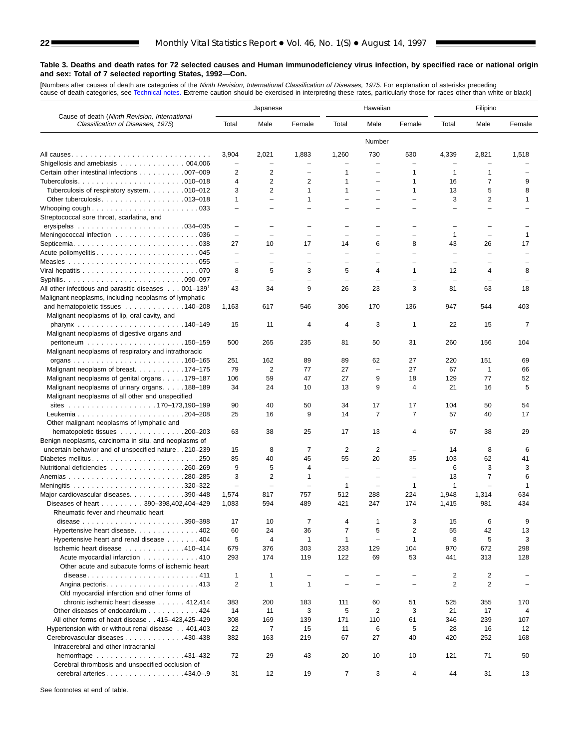[Numbers after causes of death are categories of the *Ninth Revision, International Classification of Diseases, 1975.* For explanation of asterisks preceding<br>cause-of-death categories, see [Technical notes.](#page-61-0) Extreme caution

|                                                                                    |                          | Japanese                 |                          |                          | Hawaiian                       |                          |                          | Filipino                 |                          |
|------------------------------------------------------------------------------------|--------------------------|--------------------------|--------------------------|--------------------------|--------------------------------|--------------------------|--------------------------|--------------------------|--------------------------|
| Cause of death (Ninth Revision, International<br>Classification of Diseases, 1975) | Total                    | Male                     | Female                   | Total                    | Male                           | Female                   | Total                    | Male                     | Female                   |
|                                                                                    |                          |                          |                          |                          | Number                         |                          |                          |                          |                          |
|                                                                                    | 3,904                    | 2,021                    | 1,883                    | 1,260                    | 730                            | 530                      | 4,339                    | 2,821                    | 1,518                    |
| Shigellosis and amebiasis $\ldots \ldots \ldots \ldots \ldots 004,006$             |                          |                          |                          |                          |                                |                          |                          |                          |                          |
| Certain other intestinal infections 007-009                                        | 2                        | 2                        |                          | $\mathbf 1$              |                                | 1                        | 1                        | 1                        |                          |
|                                                                                    | $\overline{4}$           | 2                        | 2                        | $\mathbf{1}$             | $\overline{\phantom{0}}$       | 1                        | 16                       | 7                        | 9                        |
| Tuberculosis of respiratory system. 010-012                                        | 3                        | 2                        | 1                        | $\mathbf{1}$             | $\overline{\phantom{0}}$       | 1                        | 13                       | 5                        | 8                        |
|                                                                                    | 1                        | $\overline{\phantom{0}}$ | 1                        |                          | $\overline{\phantom{0}}$       |                          | 3                        | 2                        | $\mathbf{1}$             |
| Whooping cough $\ldots \ldots \ldots \ldots \ldots \ldots \ldots$                  | $\overline{\phantom{0}}$ |                          |                          |                          |                                |                          |                          |                          |                          |
| Streptococcal sore throat, scarlatina, and                                         |                          |                          |                          |                          |                                |                          |                          |                          |                          |
|                                                                                    | L.                       |                          |                          |                          |                                |                          | $\overline{\phantom{0}}$ |                          |                          |
| Meningococcal infection 036                                                        | $\overline{\phantom{0}}$ | $\overline{\phantom{0}}$ | ÷                        | $\overline{\phantom{0}}$ | $\equiv$                       | $\equiv$                 | 1                        | $\overline{\phantom{0}}$ | $\mathbf{1}$             |
|                                                                                    | 27                       | 10                       | 17                       | 14                       | 6                              | 8                        | 43                       | 26                       | 17                       |
|                                                                                    | $\overline{\phantom{0}}$ | $\overline{\phantom{0}}$ | $\overline{\phantom{0}}$ | $\overline{\phantom{0}}$ |                                |                          | $\overline{\phantom{0}}$ | Ē,                       | $\overline{\phantom{0}}$ |
| Measles $\ldots \ldots \ldots \ldots \ldots \ldots \ldots \ldots \ldots \ldots$    | $\overline{\phantom{0}}$ | $\overline{\phantom{0}}$ | $\overline{\phantom{0}}$ | $\overline{\phantom{m}}$ | $\equiv$                       | $\overline{\phantom{0}}$ | $\overline{\phantom{0}}$ | Ē,                       |                          |
|                                                                                    | 8                        | 5                        | 3                        | 5                        | 4                              | 1                        | 12                       | 4                        | 8                        |
|                                                                                    | $\overline{\phantom{0}}$ | ÷                        |                          | $\overline{\phantom{0}}$ | L,                             |                          | $\overline{\phantom{0}}$ |                          |                          |
| All other infectious and parasitic diseases 001-139 <sup>1</sup>                   | 43                       | 34                       | 9                        | 26                       | 23                             | 3                        | 81                       | 63                       | 18                       |
| Malignant neoplasms, including neoplasms of lymphatic                              |                          |                          |                          |                          |                                |                          |                          |                          |                          |
| and hematopoietic tissues 140–208                                                  | 1,163                    | 617                      | 546                      | 306                      | 170                            | 136                      | 947                      | 544                      | 403                      |
| Malignant neoplasms of lip, oral cavity, and                                       |                          |                          |                          |                          |                                |                          |                          |                          |                          |
|                                                                                    | 15                       | 11                       | 4                        | 4                        | 3                              | 1                        | 22                       | 15                       | 7                        |
| Malignant neoplasms of digestive organs and                                        |                          |                          |                          |                          |                                |                          |                          |                          |                          |
|                                                                                    | 500                      | 265                      | 235                      | 81                       | 50                             | 31                       | 260                      | 156                      | 104                      |
| Malignant neoplasms of respiratory and intrathoracic                               | 251                      | 162                      | 89                       | 89                       |                                | 27                       | 220                      | 151                      | 69                       |
| Malignant neoplasm of breast. 174–175                                              | 79                       | 2                        | 77                       | 27                       | 62<br>$\overline{\phantom{a}}$ | 27                       | 67                       | $\mathbf{1}$             | 66                       |
| Malignant neoplasms of genital organs 179–187                                      | 106                      | 59                       | 47                       | 27                       | 9                              | 18                       | 129                      | 77                       | 52                       |
| Malignant neoplasms of urinary organs. 188–189                                     | 34                       | 24                       | 10                       | 13                       | 9                              | 4                        | 21                       | 16                       | 5                        |
| Malignant neoplasms of all other and unspecified                                   |                          |                          |                          |                          |                                |                          |                          |                          |                          |
|                                                                                    | 90                       | 40                       | 50                       | 34                       | 17                             | 17                       | 104                      | 50                       | 54                       |
|                                                                                    | 25                       | 16                       | 9                        | 14                       | $\overline{7}$                 | $\overline{7}$           | 57                       | 40                       | 17                       |
| Other malignant neoplasms of lymphatic and                                         |                          |                          |                          |                          |                                |                          |                          |                          |                          |
| hematopoietic tissues 200-203                                                      | 63                       | 38                       | 25                       | 17                       | 13                             | 4                        | 67                       | 38                       | 29                       |
| Benign neoplasms, carcinoma in situ, and neoplasms of                              |                          |                          |                          |                          |                                |                          |                          |                          |                          |
| uncertain behavior and of unspecified nature 210-239                               | 15                       | 8                        | 7                        | 2                        | 2                              | $\overline{\phantom{0}}$ | 14                       | 8                        | 6                        |
| Diabetes mellitus250                                                               | 85                       | 40                       | 45                       | 55                       | 20                             | 35                       | 103                      | 62                       | 41                       |
| Nutritional deficiencies 260–269                                                   | 9                        | 5                        | 4                        | $\qquad \qquad -$        | $\overline{\phantom{0}}$       | $\overline{\phantom{0}}$ | 6                        | 3                        | 3                        |
|                                                                                    | 3                        | 2                        | $\mathbf{1}$             | $\overline{\phantom{0}}$ | $\overline{\phantom{0}}$       | $\overline{\phantom{0}}$ | 13                       | $\overline{7}$           | 6                        |
|                                                                                    | $\overline{\phantom{0}}$ | $\overline{\phantom{0}}$ | ÷                        | 1                        | $\overline{\phantom{0}}$       | 1                        | 1                        | $\overline{\phantom{0}}$ | 1                        |
| Major cardiovascular diseases. 390-448                                             | 1,574                    | 817                      | 757                      | 512                      | 288                            | 224                      | 1,948                    | 1,314                    | 634                      |
| Diseases of heart 390-398,402,404-429                                              | 1,083                    | 594                      | 489                      | 421                      | 247                            | 174                      | 1,415                    | 981                      | 434                      |
| Rheumatic fever and rheumatic heart                                                |                          |                          |                          |                          |                                |                          |                          |                          |                          |
| 390-398<br>disease $\ldots \ldots \ldots \ldots \ldots \ldots \ldots$              | 17                       | 10                       | 7                        | $\overline{4}$           | 1                              | 3                        | 15                       | 6                        | 9                        |
| Hypertensive heart disease. 402                                                    | 60                       | 24                       | 36                       | $\overline{7}$           | 5                              | $\overline{\mathbf{c}}$  | 55                       | 42                       | 13                       |
| Hypertensive heart and renal disease 404                                           | 5                        | $\overline{4}$           | $\mathbf{1}$             | $\mathbf{1}$             | $\overline{\phantom{0}}$       | $\mathbf{1}$             | 8                        | 5                        | 3                        |
| Ischemic heart disease 410-414                                                     | 679                      | 376                      | 303                      | 233                      | 129                            | 104                      | 970                      | 672                      | 298                      |
| Acute myocardial infarction 410                                                    | 293                      | 174                      | 119                      | 122                      | 69                             | 53                       | 441                      | 313                      | 128                      |
| Other acute and subacute forms of ischemic heart                                   |                          |                          |                          |                          |                                |                          |                          |                          |                          |
| disease411                                                                         | 1                        | $\mathbf{1}$             | $\overline{\phantom{0}}$ |                          |                                |                          | $\overline{2}$           | $\overline{2}$           |                          |
|                                                                                    | 2                        | 1                        | $\mathbf{1}$             |                          | $\overline{\phantom{0}}$       |                          | 2                        | $\overline{2}$           |                          |
| Old myocardial infarction and other forms of                                       |                          |                          |                          |                          |                                |                          |                          |                          |                          |
| chronic ischemic heart disease 412,414                                             | 383                      | 200                      | 183                      | 111                      | 60                             | 51                       | 525                      | 355                      | 170                      |
| Other diseases of endocardium 424                                                  | 14                       | 11                       | 3                        | 5                        | $\overline{2}$                 | 3                        | 21                       | 17                       | 4                        |
| All other forms of heart disease 415-423,425-429                                   | 308                      | 169                      | 139                      | 171                      | 110                            | 61                       | 346                      | 239                      | 107                      |
| Hypertension with or without renal disease 401,403                                 | 22                       | 7                        | 15                       | 11                       | 6                              | 5                        | 28                       | 16                       | 12                       |
| Cerebrovascular diseases 430–438                                                   | 382                      | 163                      | 219                      | 67                       | 27                             | 40                       | 420                      | 252                      | 168                      |
| Intracerebral and other intracranial                                               |                          |                          |                          |                          |                                |                          |                          |                          |                          |
| hemorrhage $\ldots \ldots \ldots \ldots \ldots \ldots$ . 431-432                   | 72                       | 29                       | 43                       | 20                       | 10                             | 10                       | 121                      | 71                       | 50                       |
| Cerebral thrombosis and unspecified occlusion of                                   |                          |                          |                          |                          |                                |                          |                          |                          |                          |
| cerebral arteries434.0-.9                                                          | 31                       | 12                       | 19                       | 7                        | 3                              | 4                        | 44                       | 31                       | 13                       |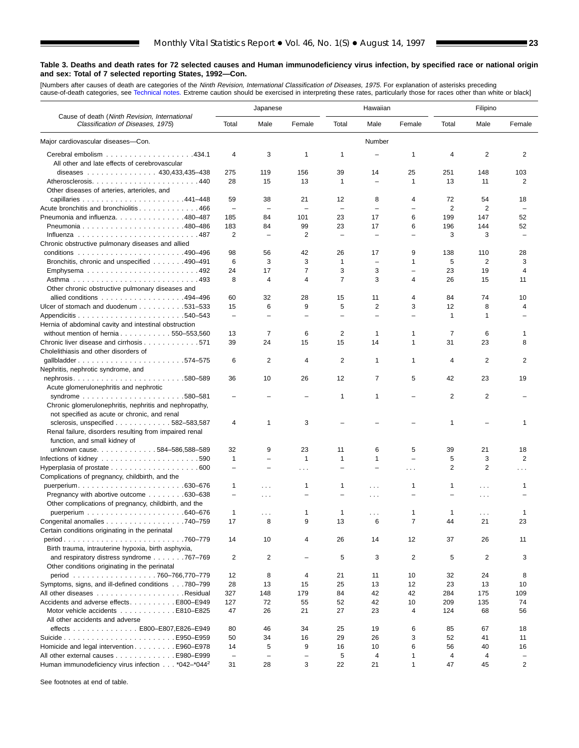[Numbers after causes of de[ath are categories of](#page-61-0) the *Ninth Revision, International Classification of Diseases, 1975.* For explanation of asterisks preceding<br>cause-of-death categories, see Technical notes. Extreme caution

■

|                                                                                    |                          | Japanese                 |              |                          | Hawaiian                 |                          |                | Filipino       |          |
|------------------------------------------------------------------------------------|--------------------------|--------------------------|--------------|--------------------------|--------------------------|--------------------------|----------------|----------------|----------|
| Cause of death (Ninth Revision, International<br>Classification of Diseases, 1975) | Total                    | Male                     | Female       | Total                    | Male                     | Female                   | Total          | Male           | Female   |
| Major cardiovascular diseases-Con.                                                 |                          |                          |              |                          | Number                   |                          |                |                |          |
|                                                                                    | $\overline{4}$           | 3                        | 1            | 1                        |                          | 1                        | 4              | 2              | 2        |
| All other and late effects of cerebrovascular                                      |                          |                          |              |                          |                          |                          |                |                |          |
| diseases 430,433,435-438                                                           | 275                      | 119                      | 156          | 39                       | 14                       | 25                       | 251            | 148            | 103      |
|                                                                                    | 28                       | 15                       | 13           | $\mathbf{1}$             |                          | 1                        | 13             | 11             | 2        |
| Other diseases of arteries, arterioles, and                                        |                          |                          |              |                          |                          |                          |                |                |          |
|                                                                                    | 59                       | 38                       | 21           | 12                       | 8                        | 4                        | 72             | 54             | 18       |
| Acute bronchitis and bronchiolitis 466                                             | $\overline{\phantom{m}}$ | $\overline{\phantom{0}}$ |              | $\overline{\phantom{a}}$ |                          | $\overline{\phantom{0}}$ | $\overline{2}$ | $\overline{2}$ |          |
| Pneumonia and influenza. 480–487                                                   | 185                      | 84                       | 101          | 23                       | 17                       | 6                        | 199            | 147            | 52       |
|                                                                                    | 183                      | 84                       | 99           | 23                       | 17                       | 6                        | 196            | 144            | 52       |
|                                                                                    | $\overline{2}$           | $\overline{\phantom{0}}$ | 2            | $\overline{\phantom{0}}$ | ÷                        | $\overline{\phantom{0}}$ | 3              | 3              |          |
| Chronic obstructive pulmonary diseases and allied                                  |                          |                          |              |                          |                          |                          |                |                |          |
|                                                                                    | 98                       | 56                       | 42           | 26                       | 17                       | 9                        | 138            | 110            | 28       |
| Bronchitis, chronic and unspecified 490–491                                        | 6                        | 3                        | 3            | 1                        | $\overline{\phantom{0}}$ | 1                        | 5              | $\overline{2}$ | 3        |
| Emphysema492                                                                       | 24                       | 17                       | 7            | 3                        | 3                        | $\overline{\phantom{0}}$ | 23             | 19             | 4        |
|                                                                                    | 8                        | 4                        | 4            | $\overline{7}$           | 3                        | 4                        | 26             | 15             | 11       |
| Other chronic obstructive pulmonary diseases and                                   |                          |                          |              |                          |                          |                          |                |                |          |
| allied conditions 494–496                                                          | 60                       | 32                       | 28           | 15                       | 11                       | 4                        | 84             | 74             | 10       |
| Ulcer of stomach and duodenum 531–533                                              | 15                       | 6                        | 9            | 5                        | 2                        | 3                        | 12             | 8              | 4        |
|                                                                                    | $\overline{\phantom{0}}$ |                          |              |                          |                          |                          | 1              | 1              |          |
| Hernia of abdominal cavity and intestinal obstruction                              |                          |                          |              |                          |                          |                          |                |                |          |
| without mention of hernia $\ldots \ldots \ldots \ldots 550 - 553,560$              | 13                       | 7                        | 6            | 2                        | 1                        | 1                        | 7              | 6              | -1       |
| Chronic liver disease and cirrhosis 571                                            | 39                       | 24                       | 15           | 15                       | 14                       | 1                        | 31             | 23             | 8        |
| Cholelithiasis and other disorders of<br>gallbladder574-575                        | 6                        | 2                        | 4            | 2                        | 1                        | 1                        | 4              | 2              | 2        |
| Nephritis, nephrotic syndrome, and                                                 |                          |                          |              |                          |                          |                          |                |                |          |
| nephrosis580-589                                                                   | 36                       | 10                       | 26           | 12                       | 7                        | 5                        | 42             | 23             | 19       |
| Acute glomerulonephritis and nephrotic                                             |                          |                          |              |                          |                          |                          |                |                |          |
|                                                                                    |                          |                          |              | $\mathbf{1}$             | 1                        |                          | 2              | $\overline{2}$ |          |
| Chronic glomerulonephritis, nephritis and nephropathy,                             |                          |                          |              |                          |                          |                          |                |                |          |
| not specified as acute or chronic, and renal                                       |                          |                          |              |                          |                          |                          |                |                |          |
| sclerosis, unspecified $\ldots$ , , , 582-583,587                                  | $\overline{4}$           | 1                        | 3            |                          |                          |                          | 1              |                | 1        |
| Renal failure, disorders resulting from impaired renal                             |                          |                          |              |                          |                          |                          |                |                |          |
| function, and small kidney of                                                      |                          |                          |              |                          |                          |                          |                |                |          |
| unknown cause. 584-586,588-589                                                     | 32                       | 9                        | 23           | 11                       | 6                        | 5                        | 39             | 21             | 18       |
| Infections of kidney $\ldots \ldots \ldots \ldots \ldots \ldots \ldots 590$        | $\mathbf{1}$             | $\overline{\phantom{0}}$ | $\mathbf{1}$ | $\mathbf{1}$             | 1                        | $\overline{\phantom{0}}$ | 5              | 3              | 2        |
| Hyperplasia of prostate $\ldots \ldots \ldots \ldots \ldots \ldots$ . 600          | $\overline{\phantom{0}}$ | $\equiv$                 | $\cdots$     | $\equiv$                 | L.                       | .                        | 2              | $\overline{2}$ | $\cdots$ |
| Complications of pregnancy, childbirth, and the                                    |                          |                          |              |                          |                          |                          |                |                |          |
|                                                                                    | 1                        | $\sim$ $\sim$ $\sim$     | 1            | 1                        | $\cdots$                 | 1                        | 1              | .              | 1        |
| Pregnancy with abortive outcome 630–638                                            | $\overline{\phantom{0}}$ | $\sim$ $\sim$ $\sim$     | -            |                          | .                        |                          |                | $\cdots$       |          |
| Other complications of pregnancy, childbirth, and the                              |                          |                          |              |                          |                          |                          |                |                |          |
|                                                                                    | $\mathbf{1}$             | .                        | 1            | 1                        | .                        | 1                        | 1              | .              | 1        |
| Congenital anomalies 740-759                                                       | 17                       | 8                        | 9            | 13                       | 6                        | 7                        | 44             | 21             | 23       |
| Certain conditions originating in the perinatal                                    |                          |                          |              |                          |                          |                          |                |                |          |
|                                                                                    | 14                       | 10                       | 4            | 26                       | 14                       | 12                       | 37             | 26             | 11       |
| Birth trauma, intrauterine hypoxia, birth asphyxia,                                |                          |                          |              |                          |                          |                          |                |                |          |
| and respiratory distress syndrome $\ldots \ldots \ldots$ 767–769                   | 2                        | 2                        |              | 5                        | 3                        | 2                        | 5              | 2              | 3        |
| Other conditions originating in the perinatal<br>period 760-766,770-779            |                          |                          |              |                          |                          |                          |                |                |          |
| Symptoms, signs, and ill-defined conditions 780-799                                | 12<br>28                 | 8<br>13                  | 4<br>15      | 21<br>25                 | 11<br>13                 | 10<br>12                 | 32<br>23       | 24<br>13       | 8<br>10  |
|                                                                                    | 327                      | 148                      | 179          | 84                       | 42                       | 42                       | 284            | 175            | 109      |
|                                                                                    |                          |                          |              |                          |                          |                          |                |                |          |
| Accidents and adverse effects. E800-E949<br>Motor vehicle accidents E810–E825      | 127<br>47                | 72<br>26                 | 55<br>21     | 52<br>27                 | 42<br>23                 | 10<br>4                  | 209<br>124     | 135<br>68      | 74       |
| All other accidents and adverse                                                    |                          |                          |              |                          |                          |                          |                |                | 56       |
| effects E800-E807, E826-E949                                                       | 80                       | 46                       | 34           | 25                       | 19                       | 6                        | 85             | 67             | 18       |
|                                                                                    | 50                       | 34                       | 16           | 29                       | 26                       | 3                        | 52             | 41             | 11       |
| Homicide and legal intervention E960–E978                                          | 14                       | 5                        | 9            | 16                       | 10                       | 6                        | 56             | 40             | 16       |
| All other external causes E980-E999                                                | $\overline{\phantom{m}}$ | $\overline{\phantom{0}}$ | -            | 5                        | 4                        | 1                        | 4              | 4              |          |
| Human immunodeficiency virus infection *042-*044 <sup>2</sup>                      | 31                       | 28                       | 3            | 22                       | 21                       | $\mathbf{1}$             | 47             | 45             | 2        |
|                                                                                    |                          |                          |              |                          |                          |                          |                |                |          |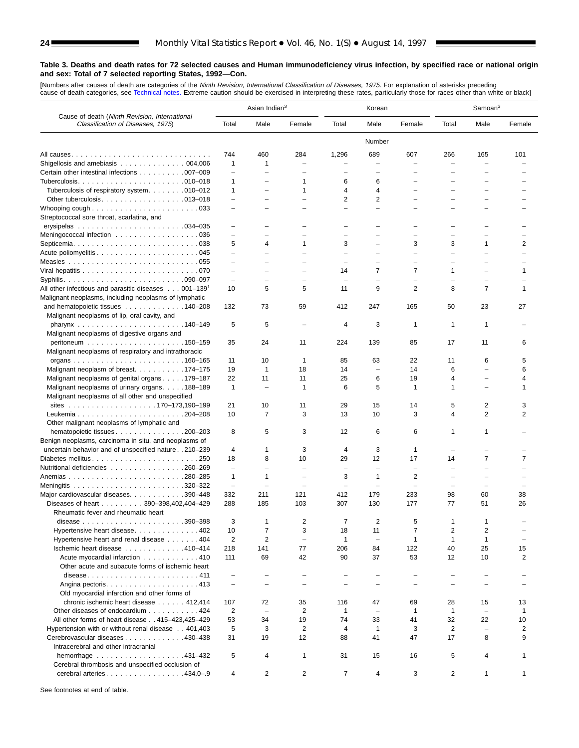[Numbers after causes of death are categories of the *Ninth Revision, International Classification of Diseases, 1975.* For explanation of asterisks preceding<br>cause-of-death categories, see [Technical notes.](#page-61-0) Extreme caution

| Classification of Diseases, 1975)<br>Male<br>Female<br>Male<br>Female<br>Total<br>Male<br>Female<br>Total<br>Total<br>Number<br>689<br>744<br>460<br>284<br>1,296<br>607<br>266<br>165<br>101<br>1<br>Shigellosis and amebiasis $\ldots \ldots \ldots \ldots \ldots 004,006$<br>1<br>L.<br>L,<br>Certain other intestinal infections 007-009<br>$\overline{\phantom{0}}$<br>$\overline{\phantom{0}}$<br>$\overline{\phantom{0}}$<br>L,<br>1<br>6<br>1<br>6<br>-<br>Tuberculosis of respiratory system. 010-012<br>4<br>1<br>4<br>1<br>L,<br>2<br>2<br>Other tuberculosis. $\ldots$ . 013–018<br>$\overline{\phantom{0}}$<br>$\overline{\phantom{0}}$<br>$\overline{\phantom{0}}$<br>$\equiv$<br>$\overline{\phantom{0}}$<br>$\equiv$<br>Whooping cough $\ldots \ldots \ldots \ldots \ldots \ldots \ldots \ldots 033$<br>$\overline{\phantom{0}}$<br>$\equiv$<br>$\equiv$<br>L.<br>$\overline{\phantom{0}}$<br>Streptococcal sore throat, scarlatina, and<br>$\qquad \qquad -$<br>-<br>Meningococcal infection 036<br>$\qquad \qquad -$<br>÷<br>$\equiv$<br>$\equiv$<br>L,<br>L,<br>5<br>3<br>3<br>3<br>1<br>2<br>4<br>1<br>$\overline{\phantom{0}}$<br>$\overline{\phantom{a}}$<br>$\overline{\phantom{0}}$<br>$\overline{\phantom{0}}$<br>$\overline{\phantom{0}}$<br>$\equiv$<br>$\equiv$<br>$\overline{\phantom{0}}$<br>$\equiv$<br>$\overline{\phantom{0}}$<br>$\equiv$<br>$\overline{\phantom{m}}$<br>$\overline{\phantom{0}}$<br>-<br>$\equiv$<br>$\overline{\phantom{0}}$<br>$\overline{\phantom{0}}$<br>14<br>7<br>7<br>1<br>$\mathbf{1}$<br>$\overline{\phantom{0}}$<br>$\overline{\phantom{0}}$<br>$\overline{\phantom{0}}$<br>$\overline{\phantom{0}}$<br>L.<br>÷<br>L,<br>$\overline{\phantom{0}}$<br>$\overline{\phantom{0}}$<br>$\overline{\phantom{0}}$<br>$\overline{\phantom{0}}$<br>$\overline{7}$<br>All other infectious and parasitic diseases $\ldots$ 001–139 <sup>1</sup><br>10<br>5<br>5<br>9<br>2<br>8<br>$\mathbf{1}$<br>11<br>Malignant neoplasms, including neoplasms of lymphatic<br>412<br>247<br>23<br>27<br>and hematopoietic tissues 140–208<br>132<br>73<br>59<br>165<br>50<br>Malignant neoplasms of lip, oral cavity, and<br>5<br>5<br>3<br>4<br>1<br>1<br>1<br>Malignant neoplasms of digestive organs and<br>35<br>24<br>11<br>224<br>139<br>85<br>17<br>11<br>6<br>Malignant neoplasms of respiratory and intrathoracic<br>6<br>5<br>11<br>10<br>$\mathbf{1}$<br>85<br>63<br>22<br>11<br>19<br>18<br>14<br>14<br>6<br>6<br>Malignant neoplasm of breast. 174–175<br>1<br>÷,<br>$\overline{\phantom{0}}$<br>22<br>25<br>Malignant neoplasms of genital organs 179-187<br>11<br>11<br>6<br>19<br>4<br>4<br>$\overline{\phantom{0}}$<br>$\mathbf{1}$<br>5<br>$\mathbf{1}$<br>6<br>$\mathbf{1}$<br>1<br>Malignant neoplasms of urinary organs188-189<br>1<br>$\equiv$<br>L,<br>Malignant neoplasms of all other and unspecified<br>21<br>29<br>5<br>2<br>10<br>11<br>15<br>14<br>3<br>$\overline{2}$<br>$\overline{7}$<br>3<br>10<br>13<br>10<br>3<br>4<br>2<br>Other malignant neoplasms of lymphatic and<br>hematopoietic tissues 200-203<br>8<br>5<br>3<br>12<br>6<br>6<br>1<br>1<br>Benign neoplasms, carcinoma in situ, and neoplasms of<br>uncertain behavior and of unspecified nature 210-239<br>3<br>3<br>4<br>1<br>4<br>1<br>L,<br>$\overline{7}$<br>18<br>8<br>10<br>29<br>12<br>17<br>14<br>7<br>Diabetes mellitus250<br>Nutritional deficiencies 260–269<br>$\qquad \qquad -$<br>$\overline{\phantom{0}}$<br>$\qquad \qquad -$<br>$\overline{\phantom{0}}$<br>$\overline{\phantom{0}}$<br>1<br>3<br>2<br>1<br>1<br>÷,<br>$\overline{\phantom{0}}$<br>$\overline{\phantom{0}}$<br>$\qquad \qquad -$<br>$\overline{\phantom{0}}$<br>$\equiv$<br>$\overline{\phantom{0}}$<br>$\equiv$<br>$\sim$<br>$\overline{\phantom{0}}$<br>$\overline{\phantom{0}}$<br>Major cardiovascular diseases. 390-448<br>332<br>211<br>121<br>412<br>179<br>233<br>98<br>60<br>38<br>288<br>103<br>307<br>130<br>177<br>77<br>51<br>26<br>Diseases of heart 390-398,402,404-429<br>185<br>Rheumatic fever and rheumatic heart<br>3<br>2<br>2<br>7<br>5<br>1<br>$\overline{7}$<br>3<br>$\overline{7}$<br>2<br>$\overline{\mathbf{c}}$<br>Hypertensive heart disease402<br>10<br>18<br>11<br>2<br>$\overline{2}$<br>Hypertensive heart and renal disease 404<br>$\mathbf{1}$<br>$\mathbf{1}$<br>1<br>$\overline{\phantom{a}}$<br>1<br>$\overline{\phantom{m}}$<br>77<br>122<br>25<br>Ischemic heart disease 410-414<br>218<br>141<br>206<br>40<br>15<br>84<br>42<br>37<br>53<br>10<br>2<br>Acute myocardial infarction 410<br>111<br>69<br>90<br>12<br>Other acute and subacute forms of ischemic heart<br>disease411<br>$\qquad \qquad -$<br>$\overline{\phantom{0}}$<br>-<br>$\overline{\phantom{0}}$<br>$\overline{\phantom{0}}$<br>$\overline{\phantom{0}}$<br>Old myocardial infarction and other forms of<br>chronic ischemic heart disease 412,414<br>107<br>72<br>35<br>116<br>47<br>69<br>28<br>15<br>13<br>Other diseases of endocardium 424<br>2<br>2<br>$\mathbf{1}$<br>1<br>1<br>1<br>$\qquad \qquad -$<br>$\overline{\phantom{m}}$<br>$\overline{\phantom{a}}$<br>All other forms of heart disease 415-423,425-429<br>53<br>34<br>19<br>74<br>33<br>41<br>32<br>22<br>10<br>5<br>Hypertension with or without renal disease 401,403<br>3<br>2<br>$\mathbf{1}$<br>3<br>2<br>2<br>4<br>$\overline{\phantom{a}}$<br>8<br>Cerebrovascular diseases 430-438<br>31<br>12<br>47<br>17<br>9<br>19<br>88<br>41<br>Intracerebral and other intracranial<br>hemorrhage 431-432<br>5<br>4<br>31<br>15<br>16<br>5<br>4<br>$\mathbf{1}$<br>$\mathbf 1$<br>Cerebral thrombosis and unspecified occlusion of<br>$\overline{7}$<br>cerebral arteries. 434.0-.9<br>2<br>2<br>4<br>3<br>2<br>$\mathbf{1}$<br>4<br>$\mathbf 1$ |                                               | Asian Indian <sup>3</sup> |  | Korean |  | Samoan <sup>3</sup> |  |
|--------------------------------------------------------------------------------------------------------------------------------------------------------------------------------------------------------------------------------------------------------------------------------------------------------------------------------------------------------------------------------------------------------------------------------------------------------------------------------------------------------------------------------------------------------------------------------------------------------------------------------------------------------------------------------------------------------------------------------------------------------------------------------------------------------------------------------------------------------------------------------------------------------------------------------------------------------------------------------------------------------------------------------------------------------------------------------------------------------------------------------------------------------------------------------------------------------------------------------------------------------------------------------------------------------------------------------------------------------------------------------------------------------------------------------------------------------------------------------------------------------------------------------------------------------------------------------------------------------------------------------------------------------------------------------------------------------------------------------------------------------------------------------------------------------------------------------------------------------------------------------------------------------------------------------------------------------------------------------------------------------------------------------------------------------------------------------------------------------------------------------------------------------------------------------------------------------------------------------------------------------------------------------------------------------------------------------------------------------------------------------------------------------------------------------------------------------------------------------------------------------------------------------------------------------------------------------------------------------------------------------------------------------------------------------------------------------------------------------------------------------------------------------------------------------------------------------------------------------------------------------------------------------------------------------------------------------------------------------------------------------------------------------------------------------------------------------------------------------------------------------------------------------------------------------------------------------------------------------------------------------------------------------------------------------------------------------------------------------------------------------------------------------------------------------------------------------------------------------------------------------------------------------------------------------------------------------------------------------------------------------------------------------------------------------------------------------------------------------------------------------------------------------------------------------------------------------------------------------------------------------------------------------------------------------------------------------------------------------------------------------------------------------------------------------------------------------------------------------------------------------------------------------------------------------------------------------------------------------------------------------------------------------------------------------------------------------------------------------------------------------------------------------------------------------------------------------------------------------------------------------------------------------------------------------------------------------------------------------------------------------------------------------------------------------------------------------------------------------------------------------------------------------------------------------------------------------------------------------------------------------------------------------------------------------------------------------------------------------------------------------------------------------------------------------------------------------------------------------------------------------------------------------------------------------------------------------------------------------------------------------------------------------------------------------------------------------------------------------------------------------------------------------------------------------------------------------------------------------------------------------------------------------------------------------------------------------------------------------------------------------------------------------------------------------------------------------------------------------------------------|-----------------------------------------------|---------------------------|--|--------|--|---------------------|--|
|                                                                                                                                                                                                                                                                                                                                                                                                                                                                                                                                                                                                                                                                                                                                                                                                                                                                                                                                                                                                                                                                                                                                                                                                                                                                                                                                                                                                                                                                                                                                                                                                                                                                                                                                                                                                                                                                                                                                                                                                                                                                                                                                                                                                                                                                                                                                                                                                                                                                                                                                                                                                                                                                                                                                                                                                                                                                                                                                                                                                                                                                                                                                                                                                                                                                                                                                                                                                                                                                                                                                                                                                                                                                                                                                                                                                                                                                                                                                                                                                                                                                                                                                                                                                                                                                                                                                                                                                                                                                                                                                                                                                                                                                                                                                                                                                                                                                                                                                                                                                                                                                                                                                                                                                                                                                                                                                                                                                                                                                                                                                                                                                                                                                                                                                                  | Cause of death (Ninth Revision, International |                           |  |        |  |                     |  |
|                                                                                                                                                                                                                                                                                                                                                                                                                                                                                                                                                                                                                                                                                                                                                                                                                                                                                                                                                                                                                                                                                                                                                                                                                                                                                                                                                                                                                                                                                                                                                                                                                                                                                                                                                                                                                                                                                                                                                                                                                                                                                                                                                                                                                                                                                                                                                                                                                                                                                                                                                                                                                                                                                                                                                                                                                                                                                                                                                                                                                                                                                                                                                                                                                                                                                                                                                                                                                                                                                                                                                                                                                                                                                                                                                                                                                                                                                                                                                                                                                                                                                                                                                                                                                                                                                                                                                                                                                                                                                                                                                                                                                                                                                                                                                                                                                                                                                                                                                                                                                                                                                                                                                                                                                                                                                                                                                                                                                                                                                                                                                                                                                                                                                                                                                  |                                               |                           |  |        |  |                     |  |
|                                                                                                                                                                                                                                                                                                                                                                                                                                                                                                                                                                                                                                                                                                                                                                                                                                                                                                                                                                                                                                                                                                                                                                                                                                                                                                                                                                                                                                                                                                                                                                                                                                                                                                                                                                                                                                                                                                                                                                                                                                                                                                                                                                                                                                                                                                                                                                                                                                                                                                                                                                                                                                                                                                                                                                                                                                                                                                                                                                                                                                                                                                                                                                                                                                                                                                                                                                                                                                                                                                                                                                                                                                                                                                                                                                                                                                                                                                                                                                                                                                                                                                                                                                                                                                                                                                                                                                                                                                                                                                                                                                                                                                                                                                                                                                                                                                                                                                                                                                                                                                                                                                                                                                                                                                                                                                                                                                                                                                                                                                                                                                                                                                                                                                                                                  |                                               |                           |  |        |  |                     |  |
|                                                                                                                                                                                                                                                                                                                                                                                                                                                                                                                                                                                                                                                                                                                                                                                                                                                                                                                                                                                                                                                                                                                                                                                                                                                                                                                                                                                                                                                                                                                                                                                                                                                                                                                                                                                                                                                                                                                                                                                                                                                                                                                                                                                                                                                                                                                                                                                                                                                                                                                                                                                                                                                                                                                                                                                                                                                                                                                                                                                                                                                                                                                                                                                                                                                                                                                                                                                                                                                                                                                                                                                                                                                                                                                                                                                                                                                                                                                                                                                                                                                                                                                                                                                                                                                                                                                                                                                                                                                                                                                                                                                                                                                                                                                                                                                                                                                                                                                                                                                                                                                                                                                                                                                                                                                                                                                                                                                                                                                                                                                                                                                                                                                                                                                                                  |                                               |                           |  |        |  |                     |  |
|                                                                                                                                                                                                                                                                                                                                                                                                                                                                                                                                                                                                                                                                                                                                                                                                                                                                                                                                                                                                                                                                                                                                                                                                                                                                                                                                                                                                                                                                                                                                                                                                                                                                                                                                                                                                                                                                                                                                                                                                                                                                                                                                                                                                                                                                                                                                                                                                                                                                                                                                                                                                                                                                                                                                                                                                                                                                                                                                                                                                                                                                                                                                                                                                                                                                                                                                                                                                                                                                                                                                                                                                                                                                                                                                                                                                                                                                                                                                                                                                                                                                                                                                                                                                                                                                                                                                                                                                                                                                                                                                                                                                                                                                                                                                                                                                                                                                                                                                                                                                                                                                                                                                                                                                                                                                                                                                                                                                                                                                                                                                                                                                                                                                                                                                                  |                                               |                           |  |        |  |                     |  |
|                                                                                                                                                                                                                                                                                                                                                                                                                                                                                                                                                                                                                                                                                                                                                                                                                                                                                                                                                                                                                                                                                                                                                                                                                                                                                                                                                                                                                                                                                                                                                                                                                                                                                                                                                                                                                                                                                                                                                                                                                                                                                                                                                                                                                                                                                                                                                                                                                                                                                                                                                                                                                                                                                                                                                                                                                                                                                                                                                                                                                                                                                                                                                                                                                                                                                                                                                                                                                                                                                                                                                                                                                                                                                                                                                                                                                                                                                                                                                                                                                                                                                                                                                                                                                                                                                                                                                                                                                                                                                                                                                                                                                                                                                                                                                                                                                                                                                                                                                                                                                                                                                                                                                                                                                                                                                                                                                                                                                                                                                                                                                                                                                                                                                                                                                  |                                               |                           |  |        |  |                     |  |
|                                                                                                                                                                                                                                                                                                                                                                                                                                                                                                                                                                                                                                                                                                                                                                                                                                                                                                                                                                                                                                                                                                                                                                                                                                                                                                                                                                                                                                                                                                                                                                                                                                                                                                                                                                                                                                                                                                                                                                                                                                                                                                                                                                                                                                                                                                                                                                                                                                                                                                                                                                                                                                                                                                                                                                                                                                                                                                                                                                                                                                                                                                                                                                                                                                                                                                                                                                                                                                                                                                                                                                                                                                                                                                                                                                                                                                                                                                                                                                                                                                                                                                                                                                                                                                                                                                                                                                                                                                                                                                                                                                                                                                                                                                                                                                                                                                                                                                                                                                                                                                                                                                                                                                                                                                                                                                                                                                                                                                                                                                                                                                                                                                                                                                                                                  |                                               |                           |  |        |  |                     |  |
|                                                                                                                                                                                                                                                                                                                                                                                                                                                                                                                                                                                                                                                                                                                                                                                                                                                                                                                                                                                                                                                                                                                                                                                                                                                                                                                                                                                                                                                                                                                                                                                                                                                                                                                                                                                                                                                                                                                                                                                                                                                                                                                                                                                                                                                                                                                                                                                                                                                                                                                                                                                                                                                                                                                                                                                                                                                                                                                                                                                                                                                                                                                                                                                                                                                                                                                                                                                                                                                                                                                                                                                                                                                                                                                                                                                                                                                                                                                                                                                                                                                                                                                                                                                                                                                                                                                                                                                                                                                                                                                                                                                                                                                                                                                                                                                                                                                                                                                                                                                                                                                                                                                                                                                                                                                                                                                                                                                                                                                                                                                                                                                                                                                                                                                                                  |                                               |                           |  |        |  |                     |  |
|                                                                                                                                                                                                                                                                                                                                                                                                                                                                                                                                                                                                                                                                                                                                                                                                                                                                                                                                                                                                                                                                                                                                                                                                                                                                                                                                                                                                                                                                                                                                                                                                                                                                                                                                                                                                                                                                                                                                                                                                                                                                                                                                                                                                                                                                                                                                                                                                                                                                                                                                                                                                                                                                                                                                                                                                                                                                                                                                                                                                                                                                                                                                                                                                                                                                                                                                                                                                                                                                                                                                                                                                                                                                                                                                                                                                                                                                                                                                                                                                                                                                                                                                                                                                                                                                                                                                                                                                                                                                                                                                                                                                                                                                                                                                                                                                                                                                                                                                                                                                                                                                                                                                                                                                                                                                                                                                                                                                                                                                                                                                                                                                                                                                                                                                                  |                                               |                           |  |        |  |                     |  |
|                                                                                                                                                                                                                                                                                                                                                                                                                                                                                                                                                                                                                                                                                                                                                                                                                                                                                                                                                                                                                                                                                                                                                                                                                                                                                                                                                                                                                                                                                                                                                                                                                                                                                                                                                                                                                                                                                                                                                                                                                                                                                                                                                                                                                                                                                                                                                                                                                                                                                                                                                                                                                                                                                                                                                                                                                                                                                                                                                                                                                                                                                                                                                                                                                                                                                                                                                                                                                                                                                                                                                                                                                                                                                                                                                                                                                                                                                                                                                                                                                                                                                                                                                                                                                                                                                                                                                                                                                                                                                                                                                                                                                                                                                                                                                                                                                                                                                                                                                                                                                                                                                                                                                                                                                                                                                                                                                                                                                                                                                                                                                                                                                                                                                                                                                  |                                               |                           |  |        |  |                     |  |
|                                                                                                                                                                                                                                                                                                                                                                                                                                                                                                                                                                                                                                                                                                                                                                                                                                                                                                                                                                                                                                                                                                                                                                                                                                                                                                                                                                                                                                                                                                                                                                                                                                                                                                                                                                                                                                                                                                                                                                                                                                                                                                                                                                                                                                                                                                                                                                                                                                                                                                                                                                                                                                                                                                                                                                                                                                                                                                                                                                                                                                                                                                                                                                                                                                                                                                                                                                                                                                                                                                                                                                                                                                                                                                                                                                                                                                                                                                                                                                                                                                                                                                                                                                                                                                                                                                                                                                                                                                                                                                                                                                                                                                                                                                                                                                                                                                                                                                                                                                                                                                                                                                                                                                                                                                                                                                                                                                                                                                                                                                                                                                                                                                                                                                                                                  |                                               |                           |  |        |  |                     |  |
|                                                                                                                                                                                                                                                                                                                                                                                                                                                                                                                                                                                                                                                                                                                                                                                                                                                                                                                                                                                                                                                                                                                                                                                                                                                                                                                                                                                                                                                                                                                                                                                                                                                                                                                                                                                                                                                                                                                                                                                                                                                                                                                                                                                                                                                                                                                                                                                                                                                                                                                                                                                                                                                                                                                                                                                                                                                                                                                                                                                                                                                                                                                                                                                                                                                                                                                                                                                                                                                                                                                                                                                                                                                                                                                                                                                                                                                                                                                                                                                                                                                                                                                                                                                                                                                                                                                                                                                                                                                                                                                                                                                                                                                                                                                                                                                                                                                                                                                                                                                                                                                                                                                                                                                                                                                                                                                                                                                                                                                                                                                                                                                                                                                                                                                                                  |                                               |                           |  |        |  |                     |  |
|                                                                                                                                                                                                                                                                                                                                                                                                                                                                                                                                                                                                                                                                                                                                                                                                                                                                                                                                                                                                                                                                                                                                                                                                                                                                                                                                                                                                                                                                                                                                                                                                                                                                                                                                                                                                                                                                                                                                                                                                                                                                                                                                                                                                                                                                                                                                                                                                                                                                                                                                                                                                                                                                                                                                                                                                                                                                                                                                                                                                                                                                                                                                                                                                                                                                                                                                                                                                                                                                                                                                                                                                                                                                                                                                                                                                                                                                                                                                                                                                                                                                                                                                                                                                                                                                                                                                                                                                                                                                                                                                                                                                                                                                                                                                                                                                                                                                                                                                                                                                                                                                                                                                                                                                                                                                                                                                                                                                                                                                                                                                                                                                                                                                                                                                                  |                                               |                           |  |        |  |                     |  |
|                                                                                                                                                                                                                                                                                                                                                                                                                                                                                                                                                                                                                                                                                                                                                                                                                                                                                                                                                                                                                                                                                                                                                                                                                                                                                                                                                                                                                                                                                                                                                                                                                                                                                                                                                                                                                                                                                                                                                                                                                                                                                                                                                                                                                                                                                                                                                                                                                                                                                                                                                                                                                                                                                                                                                                                                                                                                                                                                                                                                                                                                                                                                                                                                                                                                                                                                                                                                                                                                                                                                                                                                                                                                                                                                                                                                                                                                                                                                                                                                                                                                                                                                                                                                                                                                                                                                                                                                                                                                                                                                                                                                                                                                                                                                                                                                                                                                                                                                                                                                                                                                                                                                                                                                                                                                                                                                                                                                                                                                                                                                                                                                                                                                                                                                                  |                                               |                           |  |        |  |                     |  |
|                                                                                                                                                                                                                                                                                                                                                                                                                                                                                                                                                                                                                                                                                                                                                                                                                                                                                                                                                                                                                                                                                                                                                                                                                                                                                                                                                                                                                                                                                                                                                                                                                                                                                                                                                                                                                                                                                                                                                                                                                                                                                                                                                                                                                                                                                                                                                                                                                                                                                                                                                                                                                                                                                                                                                                                                                                                                                                                                                                                                                                                                                                                                                                                                                                                                                                                                                                                                                                                                                                                                                                                                                                                                                                                                                                                                                                                                                                                                                                                                                                                                                                                                                                                                                                                                                                                                                                                                                                                                                                                                                                                                                                                                                                                                                                                                                                                                                                                                                                                                                                                                                                                                                                                                                                                                                                                                                                                                                                                                                                                                                                                                                                                                                                                                                  |                                               |                           |  |        |  |                     |  |
|                                                                                                                                                                                                                                                                                                                                                                                                                                                                                                                                                                                                                                                                                                                                                                                                                                                                                                                                                                                                                                                                                                                                                                                                                                                                                                                                                                                                                                                                                                                                                                                                                                                                                                                                                                                                                                                                                                                                                                                                                                                                                                                                                                                                                                                                                                                                                                                                                                                                                                                                                                                                                                                                                                                                                                                                                                                                                                                                                                                                                                                                                                                                                                                                                                                                                                                                                                                                                                                                                                                                                                                                                                                                                                                                                                                                                                                                                                                                                                                                                                                                                                                                                                                                                                                                                                                                                                                                                                                                                                                                                                                                                                                                                                                                                                                                                                                                                                                                                                                                                                                                                                                                                                                                                                                                                                                                                                                                                                                                                                                                                                                                                                                                                                                                                  |                                               |                           |  |        |  |                     |  |
|                                                                                                                                                                                                                                                                                                                                                                                                                                                                                                                                                                                                                                                                                                                                                                                                                                                                                                                                                                                                                                                                                                                                                                                                                                                                                                                                                                                                                                                                                                                                                                                                                                                                                                                                                                                                                                                                                                                                                                                                                                                                                                                                                                                                                                                                                                                                                                                                                                                                                                                                                                                                                                                                                                                                                                                                                                                                                                                                                                                                                                                                                                                                                                                                                                                                                                                                                                                                                                                                                                                                                                                                                                                                                                                                                                                                                                                                                                                                                                                                                                                                                                                                                                                                                                                                                                                                                                                                                                                                                                                                                                                                                                                                                                                                                                                                                                                                                                                                                                                                                                                                                                                                                                                                                                                                                                                                                                                                                                                                                                                                                                                                                                                                                                                                                  |                                               |                           |  |        |  |                     |  |
|                                                                                                                                                                                                                                                                                                                                                                                                                                                                                                                                                                                                                                                                                                                                                                                                                                                                                                                                                                                                                                                                                                                                                                                                                                                                                                                                                                                                                                                                                                                                                                                                                                                                                                                                                                                                                                                                                                                                                                                                                                                                                                                                                                                                                                                                                                                                                                                                                                                                                                                                                                                                                                                                                                                                                                                                                                                                                                                                                                                                                                                                                                                                                                                                                                                                                                                                                                                                                                                                                                                                                                                                                                                                                                                                                                                                                                                                                                                                                                                                                                                                                                                                                                                                                                                                                                                                                                                                                                                                                                                                                                                                                                                                                                                                                                                                                                                                                                                                                                                                                                                                                                                                                                                                                                                                                                                                                                                                                                                                                                                                                                                                                                                                                                                                                  |                                               |                           |  |        |  |                     |  |
|                                                                                                                                                                                                                                                                                                                                                                                                                                                                                                                                                                                                                                                                                                                                                                                                                                                                                                                                                                                                                                                                                                                                                                                                                                                                                                                                                                                                                                                                                                                                                                                                                                                                                                                                                                                                                                                                                                                                                                                                                                                                                                                                                                                                                                                                                                                                                                                                                                                                                                                                                                                                                                                                                                                                                                                                                                                                                                                                                                                                                                                                                                                                                                                                                                                                                                                                                                                                                                                                                                                                                                                                                                                                                                                                                                                                                                                                                                                                                                                                                                                                                                                                                                                                                                                                                                                                                                                                                                                                                                                                                                                                                                                                                                                                                                                                                                                                                                                                                                                                                                                                                                                                                                                                                                                                                                                                                                                                                                                                                                                                                                                                                                                                                                                                                  |                                               |                           |  |        |  |                     |  |
|                                                                                                                                                                                                                                                                                                                                                                                                                                                                                                                                                                                                                                                                                                                                                                                                                                                                                                                                                                                                                                                                                                                                                                                                                                                                                                                                                                                                                                                                                                                                                                                                                                                                                                                                                                                                                                                                                                                                                                                                                                                                                                                                                                                                                                                                                                                                                                                                                                                                                                                                                                                                                                                                                                                                                                                                                                                                                                                                                                                                                                                                                                                                                                                                                                                                                                                                                                                                                                                                                                                                                                                                                                                                                                                                                                                                                                                                                                                                                                                                                                                                                                                                                                                                                                                                                                                                                                                                                                                                                                                                                                                                                                                                                                                                                                                                                                                                                                                                                                                                                                                                                                                                                                                                                                                                                                                                                                                                                                                                                                                                                                                                                                                                                                                                                  |                                               |                           |  |        |  |                     |  |
|                                                                                                                                                                                                                                                                                                                                                                                                                                                                                                                                                                                                                                                                                                                                                                                                                                                                                                                                                                                                                                                                                                                                                                                                                                                                                                                                                                                                                                                                                                                                                                                                                                                                                                                                                                                                                                                                                                                                                                                                                                                                                                                                                                                                                                                                                                                                                                                                                                                                                                                                                                                                                                                                                                                                                                                                                                                                                                                                                                                                                                                                                                                                                                                                                                                                                                                                                                                                                                                                                                                                                                                                                                                                                                                                                                                                                                                                                                                                                                                                                                                                                                                                                                                                                                                                                                                                                                                                                                                                                                                                                                                                                                                                                                                                                                                                                                                                                                                                                                                                                                                                                                                                                                                                                                                                                                                                                                                                                                                                                                                                                                                                                                                                                                                                                  |                                               |                           |  |        |  |                     |  |
|                                                                                                                                                                                                                                                                                                                                                                                                                                                                                                                                                                                                                                                                                                                                                                                                                                                                                                                                                                                                                                                                                                                                                                                                                                                                                                                                                                                                                                                                                                                                                                                                                                                                                                                                                                                                                                                                                                                                                                                                                                                                                                                                                                                                                                                                                                                                                                                                                                                                                                                                                                                                                                                                                                                                                                                                                                                                                                                                                                                                                                                                                                                                                                                                                                                                                                                                                                                                                                                                                                                                                                                                                                                                                                                                                                                                                                                                                                                                                                                                                                                                                                                                                                                                                                                                                                                                                                                                                                                                                                                                                                                                                                                                                                                                                                                                                                                                                                                                                                                                                                                                                                                                                                                                                                                                                                                                                                                                                                                                                                                                                                                                                                                                                                                                                  |                                               |                           |  |        |  |                     |  |
|                                                                                                                                                                                                                                                                                                                                                                                                                                                                                                                                                                                                                                                                                                                                                                                                                                                                                                                                                                                                                                                                                                                                                                                                                                                                                                                                                                                                                                                                                                                                                                                                                                                                                                                                                                                                                                                                                                                                                                                                                                                                                                                                                                                                                                                                                                                                                                                                                                                                                                                                                                                                                                                                                                                                                                                                                                                                                                                                                                                                                                                                                                                                                                                                                                                                                                                                                                                                                                                                                                                                                                                                                                                                                                                                                                                                                                                                                                                                                                                                                                                                                                                                                                                                                                                                                                                                                                                                                                                                                                                                                                                                                                                                                                                                                                                                                                                                                                                                                                                                                                                                                                                                                                                                                                                                                                                                                                                                                                                                                                                                                                                                                                                                                                                                                  |                                               |                           |  |        |  |                     |  |
|                                                                                                                                                                                                                                                                                                                                                                                                                                                                                                                                                                                                                                                                                                                                                                                                                                                                                                                                                                                                                                                                                                                                                                                                                                                                                                                                                                                                                                                                                                                                                                                                                                                                                                                                                                                                                                                                                                                                                                                                                                                                                                                                                                                                                                                                                                                                                                                                                                                                                                                                                                                                                                                                                                                                                                                                                                                                                                                                                                                                                                                                                                                                                                                                                                                                                                                                                                                                                                                                                                                                                                                                                                                                                                                                                                                                                                                                                                                                                                                                                                                                                                                                                                                                                                                                                                                                                                                                                                                                                                                                                                                                                                                                                                                                                                                                                                                                                                                                                                                                                                                                                                                                                                                                                                                                                                                                                                                                                                                                                                                                                                                                                                                                                                                                                  |                                               |                           |  |        |  |                     |  |
|                                                                                                                                                                                                                                                                                                                                                                                                                                                                                                                                                                                                                                                                                                                                                                                                                                                                                                                                                                                                                                                                                                                                                                                                                                                                                                                                                                                                                                                                                                                                                                                                                                                                                                                                                                                                                                                                                                                                                                                                                                                                                                                                                                                                                                                                                                                                                                                                                                                                                                                                                                                                                                                                                                                                                                                                                                                                                                                                                                                                                                                                                                                                                                                                                                                                                                                                                                                                                                                                                                                                                                                                                                                                                                                                                                                                                                                                                                                                                                                                                                                                                                                                                                                                                                                                                                                                                                                                                                                                                                                                                                                                                                                                                                                                                                                                                                                                                                                                                                                                                                                                                                                                                                                                                                                                                                                                                                                                                                                                                                                                                                                                                                                                                                                                                  |                                               |                           |  |        |  |                     |  |
|                                                                                                                                                                                                                                                                                                                                                                                                                                                                                                                                                                                                                                                                                                                                                                                                                                                                                                                                                                                                                                                                                                                                                                                                                                                                                                                                                                                                                                                                                                                                                                                                                                                                                                                                                                                                                                                                                                                                                                                                                                                                                                                                                                                                                                                                                                                                                                                                                                                                                                                                                                                                                                                                                                                                                                                                                                                                                                                                                                                                                                                                                                                                                                                                                                                                                                                                                                                                                                                                                                                                                                                                                                                                                                                                                                                                                                                                                                                                                                                                                                                                                                                                                                                                                                                                                                                                                                                                                                                                                                                                                                                                                                                                                                                                                                                                                                                                                                                                                                                                                                                                                                                                                                                                                                                                                                                                                                                                                                                                                                                                                                                                                                                                                                                                                  |                                               |                           |  |        |  |                     |  |
|                                                                                                                                                                                                                                                                                                                                                                                                                                                                                                                                                                                                                                                                                                                                                                                                                                                                                                                                                                                                                                                                                                                                                                                                                                                                                                                                                                                                                                                                                                                                                                                                                                                                                                                                                                                                                                                                                                                                                                                                                                                                                                                                                                                                                                                                                                                                                                                                                                                                                                                                                                                                                                                                                                                                                                                                                                                                                                                                                                                                                                                                                                                                                                                                                                                                                                                                                                                                                                                                                                                                                                                                                                                                                                                                                                                                                                                                                                                                                                                                                                                                                                                                                                                                                                                                                                                                                                                                                                                                                                                                                                                                                                                                                                                                                                                                                                                                                                                                                                                                                                                                                                                                                                                                                                                                                                                                                                                                                                                                                                                                                                                                                                                                                                                                                  |                                               |                           |  |        |  |                     |  |
|                                                                                                                                                                                                                                                                                                                                                                                                                                                                                                                                                                                                                                                                                                                                                                                                                                                                                                                                                                                                                                                                                                                                                                                                                                                                                                                                                                                                                                                                                                                                                                                                                                                                                                                                                                                                                                                                                                                                                                                                                                                                                                                                                                                                                                                                                                                                                                                                                                                                                                                                                                                                                                                                                                                                                                                                                                                                                                                                                                                                                                                                                                                                                                                                                                                                                                                                                                                                                                                                                                                                                                                                                                                                                                                                                                                                                                                                                                                                                                                                                                                                                                                                                                                                                                                                                                                                                                                                                                                                                                                                                                                                                                                                                                                                                                                                                                                                                                                                                                                                                                                                                                                                                                                                                                                                                                                                                                                                                                                                                                                                                                                                                                                                                                                                                  |                                               |                           |  |        |  |                     |  |
|                                                                                                                                                                                                                                                                                                                                                                                                                                                                                                                                                                                                                                                                                                                                                                                                                                                                                                                                                                                                                                                                                                                                                                                                                                                                                                                                                                                                                                                                                                                                                                                                                                                                                                                                                                                                                                                                                                                                                                                                                                                                                                                                                                                                                                                                                                                                                                                                                                                                                                                                                                                                                                                                                                                                                                                                                                                                                                                                                                                                                                                                                                                                                                                                                                                                                                                                                                                                                                                                                                                                                                                                                                                                                                                                                                                                                                                                                                                                                                                                                                                                                                                                                                                                                                                                                                                                                                                                                                                                                                                                                                                                                                                                                                                                                                                                                                                                                                                                                                                                                                                                                                                                                                                                                                                                                                                                                                                                                                                                                                                                                                                                                                                                                                                                                  |                                               |                           |  |        |  |                     |  |
|                                                                                                                                                                                                                                                                                                                                                                                                                                                                                                                                                                                                                                                                                                                                                                                                                                                                                                                                                                                                                                                                                                                                                                                                                                                                                                                                                                                                                                                                                                                                                                                                                                                                                                                                                                                                                                                                                                                                                                                                                                                                                                                                                                                                                                                                                                                                                                                                                                                                                                                                                                                                                                                                                                                                                                                                                                                                                                                                                                                                                                                                                                                                                                                                                                                                                                                                                                                                                                                                                                                                                                                                                                                                                                                                                                                                                                                                                                                                                                                                                                                                                                                                                                                                                                                                                                                                                                                                                                                                                                                                                                                                                                                                                                                                                                                                                                                                                                                                                                                                                                                                                                                                                                                                                                                                                                                                                                                                                                                                                                                                                                                                                                                                                                                                                  |                                               |                           |  |        |  |                     |  |
|                                                                                                                                                                                                                                                                                                                                                                                                                                                                                                                                                                                                                                                                                                                                                                                                                                                                                                                                                                                                                                                                                                                                                                                                                                                                                                                                                                                                                                                                                                                                                                                                                                                                                                                                                                                                                                                                                                                                                                                                                                                                                                                                                                                                                                                                                                                                                                                                                                                                                                                                                                                                                                                                                                                                                                                                                                                                                                                                                                                                                                                                                                                                                                                                                                                                                                                                                                                                                                                                                                                                                                                                                                                                                                                                                                                                                                                                                                                                                                                                                                                                                                                                                                                                                                                                                                                                                                                                                                                                                                                                                                                                                                                                                                                                                                                                                                                                                                                                                                                                                                                                                                                                                                                                                                                                                                                                                                                                                                                                                                                                                                                                                                                                                                                                                  |                                               |                           |  |        |  |                     |  |
|                                                                                                                                                                                                                                                                                                                                                                                                                                                                                                                                                                                                                                                                                                                                                                                                                                                                                                                                                                                                                                                                                                                                                                                                                                                                                                                                                                                                                                                                                                                                                                                                                                                                                                                                                                                                                                                                                                                                                                                                                                                                                                                                                                                                                                                                                                                                                                                                                                                                                                                                                                                                                                                                                                                                                                                                                                                                                                                                                                                                                                                                                                                                                                                                                                                                                                                                                                                                                                                                                                                                                                                                                                                                                                                                                                                                                                                                                                                                                                                                                                                                                                                                                                                                                                                                                                                                                                                                                                                                                                                                                                                                                                                                                                                                                                                                                                                                                                                                                                                                                                                                                                                                                                                                                                                                                                                                                                                                                                                                                                                                                                                                                                                                                                                                                  |                                               |                           |  |        |  |                     |  |
|                                                                                                                                                                                                                                                                                                                                                                                                                                                                                                                                                                                                                                                                                                                                                                                                                                                                                                                                                                                                                                                                                                                                                                                                                                                                                                                                                                                                                                                                                                                                                                                                                                                                                                                                                                                                                                                                                                                                                                                                                                                                                                                                                                                                                                                                                                                                                                                                                                                                                                                                                                                                                                                                                                                                                                                                                                                                                                                                                                                                                                                                                                                                                                                                                                                                                                                                                                                                                                                                                                                                                                                                                                                                                                                                                                                                                                                                                                                                                                                                                                                                                                                                                                                                                                                                                                                                                                                                                                                                                                                                                                                                                                                                                                                                                                                                                                                                                                                                                                                                                                                                                                                                                                                                                                                                                                                                                                                                                                                                                                                                                                                                                                                                                                                                                  |                                               |                           |  |        |  |                     |  |
|                                                                                                                                                                                                                                                                                                                                                                                                                                                                                                                                                                                                                                                                                                                                                                                                                                                                                                                                                                                                                                                                                                                                                                                                                                                                                                                                                                                                                                                                                                                                                                                                                                                                                                                                                                                                                                                                                                                                                                                                                                                                                                                                                                                                                                                                                                                                                                                                                                                                                                                                                                                                                                                                                                                                                                                                                                                                                                                                                                                                                                                                                                                                                                                                                                                                                                                                                                                                                                                                                                                                                                                                                                                                                                                                                                                                                                                                                                                                                                                                                                                                                                                                                                                                                                                                                                                                                                                                                                                                                                                                                                                                                                                                                                                                                                                                                                                                                                                                                                                                                                                                                                                                                                                                                                                                                                                                                                                                                                                                                                                                                                                                                                                                                                                                                  |                                               |                           |  |        |  |                     |  |
|                                                                                                                                                                                                                                                                                                                                                                                                                                                                                                                                                                                                                                                                                                                                                                                                                                                                                                                                                                                                                                                                                                                                                                                                                                                                                                                                                                                                                                                                                                                                                                                                                                                                                                                                                                                                                                                                                                                                                                                                                                                                                                                                                                                                                                                                                                                                                                                                                                                                                                                                                                                                                                                                                                                                                                                                                                                                                                                                                                                                                                                                                                                                                                                                                                                                                                                                                                                                                                                                                                                                                                                                                                                                                                                                                                                                                                                                                                                                                                                                                                                                                                                                                                                                                                                                                                                                                                                                                                                                                                                                                                                                                                                                                                                                                                                                                                                                                                                                                                                                                                                                                                                                                                                                                                                                                                                                                                                                                                                                                                                                                                                                                                                                                                                                                  |                                               |                           |  |        |  |                     |  |
|                                                                                                                                                                                                                                                                                                                                                                                                                                                                                                                                                                                                                                                                                                                                                                                                                                                                                                                                                                                                                                                                                                                                                                                                                                                                                                                                                                                                                                                                                                                                                                                                                                                                                                                                                                                                                                                                                                                                                                                                                                                                                                                                                                                                                                                                                                                                                                                                                                                                                                                                                                                                                                                                                                                                                                                                                                                                                                                                                                                                                                                                                                                                                                                                                                                                                                                                                                                                                                                                                                                                                                                                                                                                                                                                                                                                                                                                                                                                                                                                                                                                                                                                                                                                                                                                                                                                                                                                                                                                                                                                                                                                                                                                                                                                                                                                                                                                                                                                                                                                                                                                                                                                                                                                                                                                                                                                                                                                                                                                                                                                                                                                                                                                                                                                                  |                                               |                           |  |        |  |                     |  |
|                                                                                                                                                                                                                                                                                                                                                                                                                                                                                                                                                                                                                                                                                                                                                                                                                                                                                                                                                                                                                                                                                                                                                                                                                                                                                                                                                                                                                                                                                                                                                                                                                                                                                                                                                                                                                                                                                                                                                                                                                                                                                                                                                                                                                                                                                                                                                                                                                                                                                                                                                                                                                                                                                                                                                                                                                                                                                                                                                                                                                                                                                                                                                                                                                                                                                                                                                                                                                                                                                                                                                                                                                                                                                                                                                                                                                                                                                                                                                                                                                                                                                                                                                                                                                                                                                                                                                                                                                                                                                                                                                                                                                                                                                                                                                                                                                                                                                                                                                                                                                                                                                                                                                                                                                                                                                                                                                                                                                                                                                                                                                                                                                                                                                                                                                  |                                               |                           |  |        |  |                     |  |
|                                                                                                                                                                                                                                                                                                                                                                                                                                                                                                                                                                                                                                                                                                                                                                                                                                                                                                                                                                                                                                                                                                                                                                                                                                                                                                                                                                                                                                                                                                                                                                                                                                                                                                                                                                                                                                                                                                                                                                                                                                                                                                                                                                                                                                                                                                                                                                                                                                                                                                                                                                                                                                                                                                                                                                                                                                                                                                                                                                                                                                                                                                                                                                                                                                                                                                                                                                                                                                                                                                                                                                                                                                                                                                                                                                                                                                                                                                                                                                                                                                                                                                                                                                                                                                                                                                                                                                                                                                                                                                                                                                                                                                                                                                                                                                                                                                                                                                                                                                                                                                                                                                                                                                                                                                                                                                                                                                                                                                                                                                                                                                                                                                                                                                                                                  |                                               |                           |  |        |  |                     |  |
|                                                                                                                                                                                                                                                                                                                                                                                                                                                                                                                                                                                                                                                                                                                                                                                                                                                                                                                                                                                                                                                                                                                                                                                                                                                                                                                                                                                                                                                                                                                                                                                                                                                                                                                                                                                                                                                                                                                                                                                                                                                                                                                                                                                                                                                                                                                                                                                                                                                                                                                                                                                                                                                                                                                                                                                                                                                                                                                                                                                                                                                                                                                                                                                                                                                                                                                                                                                                                                                                                                                                                                                                                                                                                                                                                                                                                                                                                                                                                                                                                                                                                                                                                                                                                                                                                                                                                                                                                                                                                                                                                                                                                                                                                                                                                                                                                                                                                                                                                                                                                                                                                                                                                                                                                                                                                                                                                                                                                                                                                                                                                                                                                                                                                                                                                  |                                               |                           |  |        |  |                     |  |
|                                                                                                                                                                                                                                                                                                                                                                                                                                                                                                                                                                                                                                                                                                                                                                                                                                                                                                                                                                                                                                                                                                                                                                                                                                                                                                                                                                                                                                                                                                                                                                                                                                                                                                                                                                                                                                                                                                                                                                                                                                                                                                                                                                                                                                                                                                                                                                                                                                                                                                                                                                                                                                                                                                                                                                                                                                                                                                                                                                                                                                                                                                                                                                                                                                                                                                                                                                                                                                                                                                                                                                                                                                                                                                                                                                                                                                                                                                                                                                                                                                                                                                                                                                                                                                                                                                                                                                                                                                                                                                                                                                                                                                                                                                                                                                                                                                                                                                                                                                                                                                                                                                                                                                                                                                                                                                                                                                                                                                                                                                                                                                                                                                                                                                                                                  |                                               |                           |  |        |  |                     |  |
|                                                                                                                                                                                                                                                                                                                                                                                                                                                                                                                                                                                                                                                                                                                                                                                                                                                                                                                                                                                                                                                                                                                                                                                                                                                                                                                                                                                                                                                                                                                                                                                                                                                                                                                                                                                                                                                                                                                                                                                                                                                                                                                                                                                                                                                                                                                                                                                                                                                                                                                                                                                                                                                                                                                                                                                                                                                                                                                                                                                                                                                                                                                                                                                                                                                                                                                                                                                                                                                                                                                                                                                                                                                                                                                                                                                                                                                                                                                                                                                                                                                                                                                                                                                                                                                                                                                                                                                                                                                                                                                                                                                                                                                                                                                                                                                                                                                                                                                                                                                                                                                                                                                                                                                                                                                                                                                                                                                                                                                                                                                                                                                                                                                                                                                                                  |                                               |                           |  |        |  |                     |  |
|                                                                                                                                                                                                                                                                                                                                                                                                                                                                                                                                                                                                                                                                                                                                                                                                                                                                                                                                                                                                                                                                                                                                                                                                                                                                                                                                                                                                                                                                                                                                                                                                                                                                                                                                                                                                                                                                                                                                                                                                                                                                                                                                                                                                                                                                                                                                                                                                                                                                                                                                                                                                                                                                                                                                                                                                                                                                                                                                                                                                                                                                                                                                                                                                                                                                                                                                                                                                                                                                                                                                                                                                                                                                                                                                                                                                                                                                                                                                                                                                                                                                                                                                                                                                                                                                                                                                                                                                                                                                                                                                                                                                                                                                                                                                                                                                                                                                                                                                                                                                                                                                                                                                                                                                                                                                                                                                                                                                                                                                                                                                                                                                                                                                                                                                                  |                                               |                           |  |        |  |                     |  |
|                                                                                                                                                                                                                                                                                                                                                                                                                                                                                                                                                                                                                                                                                                                                                                                                                                                                                                                                                                                                                                                                                                                                                                                                                                                                                                                                                                                                                                                                                                                                                                                                                                                                                                                                                                                                                                                                                                                                                                                                                                                                                                                                                                                                                                                                                                                                                                                                                                                                                                                                                                                                                                                                                                                                                                                                                                                                                                                                                                                                                                                                                                                                                                                                                                                                                                                                                                                                                                                                                                                                                                                                                                                                                                                                                                                                                                                                                                                                                                                                                                                                                                                                                                                                                                                                                                                                                                                                                                                                                                                                                                                                                                                                                                                                                                                                                                                                                                                                                                                                                                                                                                                                                                                                                                                                                                                                                                                                                                                                                                                                                                                                                                                                                                                                                  |                                               |                           |  |        |  |                     |  |
|                                                                                                                                                                                                                                                                                                                                                                                                                                                                                                                                                                                                                                                                                                                                                                                                                                                                                                                                                                                                                                                                                                                                                                                                                                                                                                                                                                                                                                                                                                                                                                                                                                                                                                                                                                                                                                                                                                                                                                                                                                                                                                                                                                                                                                                                                                                                                                                                                                                                                                                                                                                                                                                                                                                                                                                                                                                                                                                                                                                                                                                                                                                                                                                                                                                                                                                                                                                                                                                                                                                                                                                                                                                                                                                                                                                                                                                                                                                                                                                                                                                                                                                                                                                                                                                                                                                                                                                                                                                                                                                                                                                                                                                                                                                                                                                                                                                                                                                                                                                                                                                                                                                                                                                                                                                                                                                                                                                                                                                                                                                                                                                                                                                                                                                                                  |                                               |                           |  |        |  |                     |  |
|                                                                                                                                                                                                                                                                                                                                                                                                                                                                                                                                                                                                                                                                                                                                                                                                                                                                                                                                                                                                                                                                                                                                                                                                                                                                                                                                                                                                                                                                                                                                                                                                                                                                                                                                                                                                                                                                                                                                                                                                                                                                                                                                                                                                                                                                                                                                                                                                                                                                                                                                                                                                                                                                                                                                                                                                                                                                                                                                                                                                                                                                                                                                                                                                                                                                                                                                                                                                                                                                                                                                                                                                                                                                                                                                                                                                                                                                                                                                                                                                                                                                                                                                                                                                                                                                                                                                                                                                                                                                                                                                                                                                                                                                                                                                                                                                                                                                                                                                                                                                                                                                                                                                                                                                                                                                                                                                                                                                                                                                                                                                                                                                                                                                                                                                                  |                                               |                           |  |        |  |                     |  |
|                                                                                                                                                                                                                                                                                                                                                                                                                                                                                                                                                                                                                                                                                                                                                                                                                                                                                                                                                                                                                                                                                                                                                                                                                                                                                                                                                                                                                                                                                                                                                                                                                                                                                                                                                                                                                                                                                                                                                                                                                                                                                                                                                                                                                                                                                                                                                                                                                                                                                                                                                                                                                                                                                                                                                                                                                                                                                                                                                                                                                                                                                                                                                                                                                                                                                                                                                                                                                                                                                                                                                                                                                                                                                                                                                                                                                                                                                                                                                                                                                                                                                                                                                                                                                                                                                                                                                                                                                                                                                                                                                                                                                                                                                                                                                                                                                                                                                                                                                                                                                                                                                                                                                                                                                                                                                                                                                                                                                                                                                                                                                                                                                                                                                                                                                  |                                               |                           |  |        |  |                     |  |
|                                                                                                                                                                                                                                                                                                                                                                                                                                                                                                                                                                                                                                                                                                                                                                                                                                                                                                                                                                                                                                                                                                                                                                                                                                                                                                                                                                                                                                                                                                                                                                                                                                                                                                                                                                                                                                                                                                                                                                                                                                                                                                                                                                                                                                                                                                                                                                                                                                                                                                                                                                                                                                                                                                                                                                                                                                                                                                                                                                                                                                                                                                                                                                                                                                                                                                                                                                                                                                                                                                                                                                                                                                                                                                                                                                                                                                                                                                                                                                                                                                                                                                                                                                                                                                                                                                                                                                                                                                                                                                                                                                                                                                                                                                                                                                                                                                                                                                                                                                                                                                                                                                                                                                                                                                                                                                                                                                                                                                                                                                                                                                                                                                                                                                                                                  |                                               |                           |  |        |  |                     |  |
|                                                                                                                                                                                                                                                                                                                                                                                                                                                                                                                                                                                                                                                                                                                                                                                                                                                                                                                                                                                                                                                                                                                                                                                                                                                                                                                                                                                                                                                                                                                                                                                                                                                                                                                                                                                                                                                                                                                                                                                                                                                                                                                                                                                                                                                                                                                                                                                                                                                                                                                                                                                                                                                                                                                                                                                                                                                                                                                                                                                                                                                                                                                                                                                                                                                                                                                                                                                                                                                                                                                                                                                                                                                                                                                                                                                                                                                                                                                                                                                                                                                                                                                                                                                                                                                                                                                                                                                                                                                                                                                                                                                                                                                                                                                                                                                                                                                                                                                                                                                                                                                                                                                                                                                                                                                                                                                                                                                                                                                                                                                                                                                                                                                                                                                                                  |                                               |                           |  |        |  |                     |  |
|                                                                                                                                                                                                                                                                                                                                                                                                                                                                                                                                                                                                                                                                                                                                                                                                                                                                                                                                                                                                                                                                                                                                                                                                                                                                                                                                                                                                                                                                                                                                                                                                                                                                                                                                                                                                                                                                                                                                                                                                                                                                                                                                                                                                                                                                                                                                                                                                                                                                                                                                                                                                                                                                                                                                                                                                                                                                                                                                                                                                                                                                                                                                                                                                                                                                                                                                                                                                                                                                                                                                                                                                                                                                                                                                                                                                                                                                                                                                                                                                                                                                                                                                                                                                                                                                                                                                                                                                                                                                                                                                                                                                                                                                                                                                                                                                                                                                                                                                                                                                                                                                                                                                                                                                                                                                                                                                                                                                                                                                                                                                                                                                                                                                                                                                                  |                                               |                           |  |        |  |                     |  |
|                                                                                                                                                                                                                                                                                                                                                                                                                                                                                                                                                                                                                                                                                                                                                                                                                                                                                                                                                                                                                                                                                                                                                                                                                                                                                                                                                                                                                                                                                                                                                                                                                                                                                                                                                                                                                                                                                                                                                                                                                                                                                                                                                                                                                                                                                                                                                                                                                                                                                                                                                                                                                                                                                                                                                                                                                                                                                                                                                                                                                                                                                                                                                                                                                                                                                                                                                                                                                                                                                                                                                                                                                                                                                                                                                                                                                                                                                                                                                                                                                                                                                                                                                                                                                                                                                                                                                                                                                                                                                                                                                                                                                                                                                                                                                                                                                                                                                                                                                                                                                                                                                                                                                                                                                                                                                                                                                                                                                                                                                                                                                                                                                                                                                                                                                  |                                               |                           |  |        |  |                     |  |
|                                                                                                                                                                                                                                                                                                                                                                                                                                                                                                                                                                                                                                                                                                                                                                                                                                                                                                                                                                                                                                                                                                                                                                                                                                                                                                                                                                                                                                                                                                                                                                                                                                                                                                                                                                                                                                                                                                                                                                                                                                                                                                                                                                                                                                                                                                                                                                                                                                                                                                                                                                                                                                                                                                                                                                                                                                                                                                                                                                                                                                                                                                                                                                                                                                                                                                                                                                                                                                                                                                                                                                                                                                                                                                                                                                                                                                                                                                                                                                                                                                                                                                                                                                                                                                                                                                                                                                                                                                                                                                                                                                                                                                                                                                                                                                                                                                                                                                                                                                                                                                                                                                                                                                                                                                                                                                                                                                                                                                                                                                                                                                                                                                                                                                                                                  |                                               |                           |  |        |  |                     |  |
|                                                                                                                                                                                                                                                                                                                                                                                                                                                                                                                                                                                                                                                                                                                                                                                                                                                                                                                                                                                                                                                                                                                                                                                                                                                                                                                                                                                                                                                                                                                                                                                                                                                                                                                                                                                                                                                                                                                                                                                                                                                                                                                                                                                                                                                                                                                                                                                                                                                                                                                                                                                                                                                                                                                                                                                                                                                                                                                                                                                                                                                                                                                                                                                                                                                                                                                                                                                                                                                                                                                                                                                                                                                                                                                                                                                                                                                                                                                                                                                                                                                                                                                                                                                                                                                                                                                                                                                                                                                                                                                                                                                                                                                                                                                                                                                                                                                                                                                                                                                                                                                                                                                                                                                                                                                                                                                                                                                                                                                                                                                                                                                                                                                                                                                                                  |                                               |                           |  |        |  |                     |  |
|                                                                                                                                                                                                                                                                                                                                                                                                                                                                                                                                                                                                                                                                                                                                                                                                                                                                                                                                                                                                                                                                                                                                                                                                                                                                                                                                                                                                                                                                                                                                                                                                                                                                                                                                                                                                                                                                                                                                                                                                                                                                                                                                                                                                                                                                                                                                                                                                                                                                                                                                                                                                                                                                                                                                                                                                                                                                                                                                                                                                                                                                                                                                                                                                                                                                                                                                                                                                                                                                                                                                                                                                                                                                                                                                                                                                                                                                                                                                                                                                                                                                                                                                                                                                                                                                                                                                                                                                                                                                                                                                                                                                                                                                                                                                                                                                                                                                                                                                                                                                                                                                                                                                                                                                                                                                                                                                                                                                                                                                                                                                                                                                                                                                                                                                                  |                                               |                           |  |        |  |                     |  |
|                                                                                                                                                                                                                                                                                                                                                                                                                                                                                                                                                                                                                                                                                                                                                                                                                                                                                                                                                                                                                                                                                                                                                                                                                                                                                                                                                                                                                                                                                                                                                                                                                                                                                                                                                                                                                                                                                                                                                                                                                                                                                                                                                                                                                                                                                                                                                                                                                                                                                                                                                                                                                                                                                                                                                                                                                                                                                                                                                                                                                                                                                                                                                                                                                                                                                                                                                                                                                                                                                                                                                                                                                                                                                                                                                                                                                                                                                                                                                                                                                                                                                                                                                                                                                                                                                                                                                                                                                                                                                                                                                                                                                                                                                                                                                                                                                                                                                                                                                                                                                                                                                                                                                                                                                                                                                                                                                                                                                                                                                                                                                                                                                                                                                                                                                  |                                               |                           |  |        |  |                     |  |
|                                                                                                                                                                                                                                                                                                                                                                                                                                                                                                                                                                                                                                                                                                                                                                                                                                                                                                                                                                                                                                                                                                                                                                                                                                                                                                                                                                                                                                                                                                                                                                                                                                                                                                                                                                                                                                                                                                                                                                                                                                                                                                                                                                                                                                                                                                                                                                                                                                                                                                                                                                                                                                                                                                                                                                                                                                                                                                                                                                                                                                                                                                                                                                                                                                                                                                                                                                                                                                                                                                                                                                                                                                                                                                                                                                                                                                                                                                                                                                                                                                                                                                                                                                                                                                                                                                                                                                                                                                                                                                                                                                                                                                                                                                                                                                                                                                                                                                                                                                                                                                                                                                                                                                                                                                                                                                                                                                                                                                                                                                                                                                                                                                                                                                                                                  |                                               |                           |  |        |  |                     |  |
|                                                                                                                                                                                                                                                                                                                                                                                                                                                                                                                                                                                                                                                                                                                                                                                                                                                                                                                                                                                                                                                                                                                                                                                                                                                                                                                                                                                                                                                                                                                                                                                                                                                                                                                                                                                                                                                                                                                                                                                                                                                                                                                                                                                                                                                                                                                                                                                                                                                                                                                                                                                                                                                                                                                                                                                                                                                                                                                                                                                                                                                                                                                                                                                                                                                                                                                                                                                                                                                                                                                                                                                                                                                                                                                                                                                                                                                                                                                                                                                                                                                                                                                                                                                                                                                                                                                                                                                                                                                                                                                                                                                                                                                                                                                                                                                                                                                                                                                                                                                                                                                                                                                                                                                                                                                                                                                                                                                                                                                                                                                                                                                                                                                                                                                                                  |                                               |                           |  |        |  |                     |  |
|                                                                                                                                                                                                                                                                                                                                                                                                                                                                                                                                                                                                                                                                                                                                                                                                                                                                                                                                                                                                                                                                                                                                                                                                                                                                                                                                                                                                                                                                                                                                                                                                                                                                                                                                                                                                                                                                                                                                                                                                                                                                                                                                                                                                                                                                                                                                                                                                                                                                                                                                                                                                                                                                                                                                                                                                                                                                                                                                                                                                                                                                                                                                                                                                                                                                                                                                                                                                                                                                                                                                                                                                                                                                                                                                                                                                                                                                                                                                                                                                                                                                                                                                                                                                                                                                                                                                                                                                                                                                                                                                                                                                                                                                                                                                                                                                                                                                                                                                                                                                                                                                                                                                                                                                                                                                                                                                                                                                                                                                                                                                                                                                                                                                                                                                                  |                                               |                           |  |        |  |                     |  |
|                                                                                                                                                                                                                                                                                                                                                                                                                                                                                                                                                                                                                                                                                                                                                                                                                                                                                                                                                                                                                                                                                                                                                                                                                                                                                                                                                                                                                                                                                                                                                                                                                                                                                                                                                                                                                                                                                                                                                                                                                                                                                                                                                                                                                                                                                                                                                                                                                                                                                                                                                                                                                                                                                                                                                                                                                                                                                                                                                                                                                                                                                                                                                                                                                                                                                                                                                                                                                                                                                                                                                                                                                                                                                                                                                                                                                                                                                                                                                                                                                                                                                                                                                                                                                                                                                                                                                                                                                                                                                                                                                                                                                                                                                                                                                                                                                                                                                                                                                                                                                                                                                                                                                                                                                                                                                                                                                                                                                                                                                                                                                                                                                                                                                                                                                  |                                               |                           |  |        |  |                     |  |
|                                                                                                                                                                                                                                                                                                                                                                                                                                                                                                                                                                                                                                                                                                                                                                                                                                                                                                                                                                                                                                                                                                                                                                                                                                                                                                                                                                                                                                                                                                                                                                                                                                                                                                                                                                                                                                                                                                                                                                                                                                                                                                                                                                                                                                                                                                                                                                                                                                                                                                                                                                                                                                                                                                                                                                                                                                                                                                                                                                                                                                                                                                                                                                                                                                                                                                                                                                                                                                                                                                                                                                                                                                                                                                                                                                                                                                                                                                                                                                                                                                                                                                                                                                                                                                                                                                                                                                                                                                                                                                                                                                                                                                                                                                                                                                                                                                                                                                                                                                                                                                                                                                                                                                                                                                                                                                                                                                                                                                                                                                                                                                                                                                                                                                                                                  |                                               |                           |  |        |  |                     |  |
|                                                                                                                                                                                                                                                                                                                                                                                                                                                                                                                                                                                                                                                                                                                                                                                                                                                                                                                                                                                                                                                                                                                                                                                                                                                                                                                                                                                                                                                                                                                                                                                                                                                                                                                                                                                                                                                                                                                                                                                                                                                                                                                                                                                                                                                                                                                                                                                                                                                                                                                                                                                                                                                                                                                                                                                                                                                                                                                                                                                                                                                                                                                                                                                                                                                                                                                                                                                                                                                                                                                                                                                                                                                                                                                                                                                                                                                                                                                                                                                                                                                                                                                                                                                                                                                                                                                                                                                                                                                                                                                                                                                                                                                                                                                                                                                                                                                                                                                                                                                                                                                                                                                                                                                                                                                                                                                                                                                                                                                                                                                                                                                                                                                                                                                                                  |                                               |                           |  |        |  |                     |  |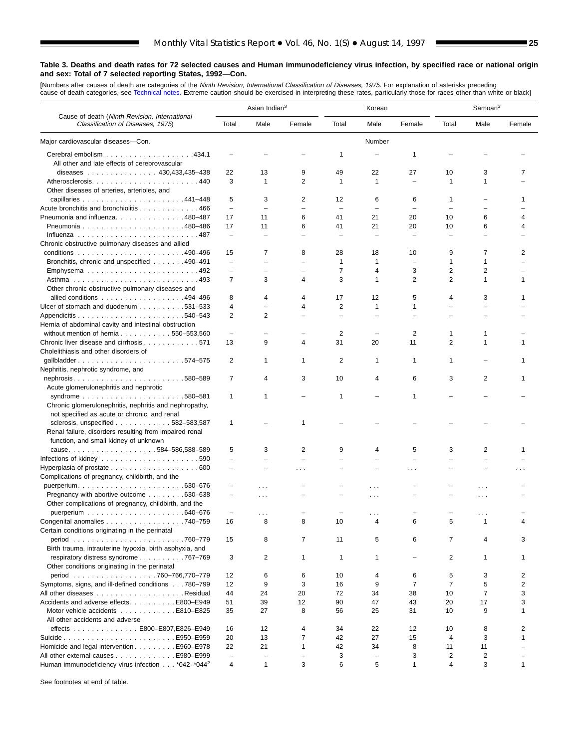[Numbers after causes of dea[th are categories of](#page-61-0) the *Ninth Revision, International Classification of Diseases, 1975.* For explanation of asterisks preceding<br>cause-of-death categories, see Technical notes. Extreme caution

٠

|                                                                                    |                          | Asian Indian <sup>3</sup>     |                          |                          | Korean                   |                          |                          | Samoan <sup>3</sup> |        |
|------------------------------------------------------------------------------------|--------------------------|-------------------------------|--------------------------|--------------------------|--------------------------|--------------------------|--------------------------|---------------------|--------|
| Cause of death (Ninth Revision, International<br>Classification of Diseases, 1975) | Total                    | Male                          | Female                   | Total                    | Male                     | Female                   | Total                    | Male                | Female |
| Major cardiovascular diseases-Con.                                                 |                          |                               |                          |                          | Number                   |                          |                          |                     |        |
|                                                                                    |                          |                               |                          | 1                        |                          | 1                        |                          |                     |        |
| All other and late effects of cerebrovascular                                      |                          |                               |                          |                          |                          |                          |                          |                     |        |
| diseases 430,433,435-438                                                           | 22                       | 13                            | 9                        | 49                       | 22                       | 27                       | 10                       | 3                   | 7      |
| Atherosclerosis440                                                                 | 3                        | 1                             | 2                        | $\mathbf{1}$             | $\mathbf{1}$             | $\overline{\phantom{0}}$ | $\mathbf{1}$             | 1                   |        |
| Other diseases of arteries, arterioles, and                                        |                          |                               |                          |                          |                          |                          |                          |                     |        |
|                                                                                    | 5                        | 3                             | 2                        | 12                       | 6                        | 6                        | $\mathbf{1}$             |                     |        |
| Acute bronchitis and bronchiolitis 466                                             | $\overline{\phantom{0}}$ | $\overline{\phantom{0}}$      | $\overline{\phantom{0}}$ | $\overline{\phantom{a}}$ |                          |                          |                          |                     |        |
| Pneumonia and influenza. 480–487                                                   | 17                       | 11                            | 6                        | 41                       | 21                       | 20                       | 10                       | 6                   | 4      |
|                                                                                    | 17                       | 11                            | 6                        | 41                       | 21                       | 20                       | 10                       | 6                   |        |
|                                                                                    | $\overline{\phantom{0}}$ | L.                            |                          |                          | Ē,                       | $\overline{\phantom{0}}$ |                          |                     |        |
| Chronic obstructive pulmonary diseases and allied                                  |                          |                               |                          |                          |                          |                          |                          |                     |        |
|                                                                                    | 15                       | $\overline{7}$                | 8                        | 28                       | 18                       | 10                       | 9                        | 7                   | 2      |
| Bronchitis, chronic and unspecified 490–491                                        | $\overline{\phantom{0}}$ | $\overline{\phantom{0}}$      | $\overline{\phantom{0}}$ | $\mathbf{1}$             | 1                        | $\overline{\phantom{0}}$ | 1                        | 1                   |        |
|                                                                                    | $\overline{\phantom{0}}$ | $\equiv$                      |                          | $\overline{7}$           | 4                        | 3                        | $\overline{2}$           | 2                   |        |
|                                                                                    | $\overline{7}$           | 3                             | 4                        | 3                        | 1                        | $\overline{2}$           | $\overline{2}$           | $\mathbf{1}$        | 1      |
| Other chronic obstructive pulmonary diseases and                                   |                          |                               |                          |                          |                          |                          |                          |                     |        |
| allied conditions 494–496                                                          | 8                        | 4                             | 4                        | 17                       | 12                       | 5                        | 4                        | 3                   | 1      |
| Ulcer of stomach and duodenum 531–533                                              | 4                        | $\overline{\phantom{0}}$      | 4                        | $\overline{2}$           | $\mathbf{1}$             | $\mathbf{1}$             | $\overline{\phantom{0}}$ |                     |        |
|                                                                                    | $\overline{2}$           | $\overline{2}$                |                          |                          |                          |                          |                          |                     |        |
| Hernia of abdominal cavity and intestinal obstruction                              |                          |                               |                          |                          |                          |                          |                          |                     |        |
| without mention of hernia 550-553,560                                              | $\overline{\phantom{0}}$ | $\equiv$                      |                          | 2                        |                          | 2                        | $\mathbf 1$              | 1                   |        |
| Chronic liver disease and cirrhosis 571                                            | 13                       | 9                             | 4                        | 31                       | 20                       | 11                       | $\overline{2}$           | 1                   |        |
| Cholelithiasis and other disorders of                                              |                          |                               |                          |                          |                          |                          |                          |                     |        |
|                                                                                    | 2                        | 1                             | 1                        | 2                        | 1                        | 1                        | 1                        |                     |        |
| Nephritis, nephrotic syndrome, and                                                 |                          |                               |                          |                          |                          |                          |                          |                     |        |
|                                                                                    | $\overline{7}$           | 4                             | 3                        | 10                       | 4                        | 6                        | 3                        | 2                   | 1      |
| Acute glomerulonephritis and nephrotic                                             |                          |                               |                          |                          |                          |                          |                          |                     |        |
|                                                                                    | $\mathbf{1}$             | 1                             |                          | 1                        |                          | 1                        |                          |                     |        |
| Chronic glomerulonephritis, nephritis and nephropathy,                             |                          |                               |                          |                          |                          |                          |                          |                     |        |
| not specified as acute or chronic, and renal                                       |                          |                               |                          |                          |                          |                          |                          |                     |        |
| sclerosis, unspecified $\ldots$ , , , 582-583,587                                  | 1                        |                               | 1                        |                          |                          |                          |                          |                     |        |
| Renal failure, disorders resulting from impaired renal                             |                          |                               |                          |                          |                          |                          |                          |                     |        |
|                                                                                    |                          |                               |                          |                          |                          |                          |                          |                     |        |
| function, and small kidney of unknown                                              | 5                        |                               | $\overline{2}$           | 9                        | 4                        |                          | 3                        | 2                   |        |
| cause584-586,588-589                                                               | $\overline{\phantom{0}}$ | 3<br>$\overline{\phantom{0}}$ | $\overline{\phantom{0}}$ | $\equiv$                 |                          | 5                        |                          | L.                  |        |
| Infections of kidney $\ldots \ldots \ldots \ldots \ldots \ldots \ldots 590$        | $\equiv$                 | $\overline{\phantom{0}}$      |                          |                          |                          |                          |                          |                     |        |
| Hyperplasia of prostate $\ldots \ldots \ldots \ldots \ldots \ldots$ . 600          |                          |                               | .                        |                          |                          | .                        |                          |                     |        |
| Complications of pregnancy, childbirth, and the                                    |                          |                               |                          |                          |                          |                          |                          |                     |        |
|                                                                                    |                          | $\cdots$                      |                          |                          |                          |                          |                          |                     |        |
| Pregnancy with abortive outcome 630–638                                            | $\overline{\phantom{0}}$ | $\cdots$                      |                          |                          | $\cdots$                 |                          |                          | .                   |        |
| Other complications of pregnancy, childbirth, and the                              |                          |                               |                          |                          |                          |                          |                          |                     |        |
|                                                                                    | $\overline{\phantom{0}}$ | .                             |                          |                          |                          |                          |                          | .                   |        |
| Congenital anomalies 740-759                                                       | 16                       | 8                             | 8                        | 10                       | 4                        | ี                        | 5                        | 1                   |        |
| Certain conditions originating in the perinatal                                    |                          |                               |                          |                          |                          |                          |                          |                     |        |
|                                                                                    | 15                       | 8                             | 7                        | 11                       | 5                        | 6                        | 7                        |                     | 3      |
| Birth trauma, intrauterine hypoxia, birth asphyxia, and                            |                          |                               |                          |                          |                          |                          |                          |                     |        |
| respiratory distress syndrome 767-769                                              | 3                        | 2                             | $\mathbf{1}$             | $\mathbf{1}$             | 1                        |                          | 2                        | 1                   | 1      |
| Other conditions originating in the perinatal                                      |                          |                               |                          |                          |                          |                          |                          |                     |        |
| period 760-766,770-779                                                             | 12                       | 6                             | 6                        | 10                       | 4                        | 6                        | 5                        | 3                   | 2      |
| Symptoms, signs, and ill-defined conditions780-799                                 | 12                       | 9                             | 3                        | 16                       | 9                        | 7                        | 7                        | 5                   | 2      |
|                                                                                    | 44                       | 24                            | 20                       | 72                       | 34                       | 38                       | 10                       | $\overline{7}$      | 3      |
| Accidents and adverse effects. E800–E949                                           | 51                       | 39                            | 12                       | 90                       | 47                       | 43                       | 20                       | 17                  | 3      |
| Motor vehicle accidents E810–E825                                                  | 35                       | 27                            | 8                        | 56                       | 25                       | 31                       | 10                       | 9                   | 1      |
| All other accidents and adverse                                                    |                          |                               |                          |                          |                          |                          |                          |                     |        |
| effects E800-E807, E826-E949                                                       | 16                       | 12                            | 4                        | 34                       | 22                       | 12                       | 10                       | 8                   | 2      |
|                                                                                    | 20                       | 13                            | $\overline{7}$           | 42                       | 27                       | 15                       | $\overline{4}$           | 3                   | 1      |
| Homicide and legal intervention E960–E978                                          | 22                       | 21                            | $\mathbf{1}$             | 42                       | 34                       | 8                        | 11                       | 11                  |        |
| All other external causes E980-E999                                                | $\qquad \qquad -$        | $\qquad \qquad -$             | $\overline{\phantom{0}}$ | 3                        | $\overline{\phantom{0}}$ | 3                        | $\overline{2}$           | $\overline{c}$      |        |
| Human immunodeficiency virus infection *042-*044 <sup>2</sup>                      | 4                        | $\mathbf{1}$                  | 3                        | 6                        | 5                        | $\mathbf{1}$             | 4                        | 3                   | 1      |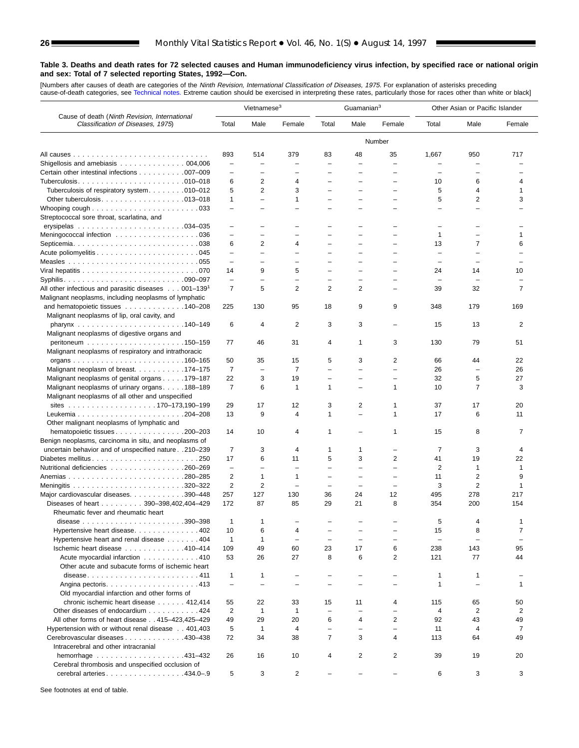[Numbers after causes of dea[th are categories of](#page-61-0) the *Ninth Revision, International Classification of Diseases, 1975.* For explanation of asterisks preceding<br>cause-of-death categories, see Technical notes. Extreme caution

|                                                                                    |                          | Vietnamese <sup>3</sup>  |                                 |                                | Guamanian <sup>3</sup>         |                          |                          | Other Asian or Pacific Islander |                    |
|------------------------------------------------------------------------------------|--------------------------|--------------------------|---------------------------------|--------------------------------|--------------------------------|--------------------------|--------------------------|---------------------------------|--------------------|
| Cause of death (Ninth Revision, International<br>Classification of Diseases, 1975) | Total                    | Male                     | Female                          | Total                          | Male                           | Female                   | Total                    | Male                            | Female             |
|                                                                                    |                          |                          |                                 |                                |                                | Number                   |                          |                                 |                    |
|                                                                                    | 893                      | 514                      | 379                             | 83                             | 48                             | 35                       | 1,667                    | 950                             | 717                |
| Shigellosis and amebiasis $\ldots \ldots \ldots \ldots \ldots 004,006$             | $\overline{\phantom{0}}$ | L,                       |                                 | Ē,                             |                                | ÷                        |                          |                                 |                    |
| Certain other intestinal infections 007-009                                        | $\overline{\phantom{0}}$ |                          |                                 |                                |                                | -                        | $\equiv$                 |                                 |                    |
|                                                                                    | 6                        | 2                        | 4                               | ÷                              |                                | -                        | 10                       | 6                               | 4                  |
| Tuberculosis of respiratory system. 010-012                                        | 5                        | 2                        | 3                               |                                |                                |                          | 5                        | 4                               | 1                  |
| Other tuberculosis. $\ldots$ . 013–018                                             | $\mathbf{1}$             | $\overline{\phantom{0}}$ | $\mathbf 1$                     | $\overline{\phantom{0}}$       | $\overline{\phantom{0}}$       | $\overline{\phantom{0}}$ | 5                        | 2                               | 3                  |
| Whooping cough $\ldots \ldots \ldots \ldots \ldots \ldots \ldots \ldots$           | $\overline{\phantom{0}}$ | -                        |                                 |                                |                                |                          | $\overline{\phantom{0}}$ |                                 |                    |
| Streptococcal sore throat, scarlatina, and                                         | $\equiv$                 | $\equiv$                 |                                 |                                |                                | $\equiv$                 | $\overline{\phantom{0}}$ |                                 |                    |
| Meningococcal infection 036                                                        | $\equiv$                 | $\equiv$                 |                                 | L.                             | $\overline{\phantom{a}}$       | $\equiv$                 | 1                        | $\equiv$                        | 1                  |
|                                                                                    | 6                        | 2                        | 4                               |                                |                                |                          | 13                       | 7                               | 6                  |
|                                                                                    | -                        | -                        |                                 |                                |                                |                          | $\overline{\phantom{0}}$ |                                 |                    |
|                                                                                    | $\overline{\phantom{0}}$ | $\overline{\phantom{0}}$ | $\overline{\phantom{0}}$        | $\overline{\phantom{0}}$       | $\equiv$                       | $=$                      | $\overline{\phantom{0}}$ | $\equiv$                        |                    |
|                                                                                    | 14                       | 9                        | 5                               | ÷                              | $\equiv$                       | $=$                      | 24                       | 14                              | 10                 |
|                                                                                    | $\overline{\phantom{0}}$ | L.                       | $\equiv$                        | L.                             | $\equiv$                       | $=$                      | $\equiv$                 | $\overline{\phantom{0}}$        |                    |
| All other infectious and parasitic diseases $\ldots$ 001–139 <sup>1</sup>          | 7                        | 5                        | 2                               | 2                              | 2                              | $\equiv$                 | 39                       | 32                              | 7                  |
| Malignant neoplasms, including neoplasms of lymphatic                              |                          |                          |                                 |                                |                                |                          |                          |                                 |                    |
| and hematopoietic tissues 140–208                                                  | 225                      | 130                      | 95                              | 18                             | 9                              | 9                        | 348                      | 179                             | 169                |
| Malignant neoplasms of lip, oral cavity, and                                       |                          |                          |                                 |                                |                                |                          |                          |                                 |                    |
|                                                                                    | 6                        | 4                        | 2                               | 3                              | 3                              |                          | 15                       | 13                              | 2                  |
| Malignant neoplasms of digestive organs and                                        |                          |                          |                                 | $\overline{4}$                 | $\mathbf{1}$                   |                          |                          |                                 |                    |
| Malignant neoplasms of respiratory and intrathoracic                               | 77                       | 46                       | 31                              |                                |                                | 3                        | 130                      | 79                              | 51                 |
|                                                                                    | 50                       | 35                       | 15                              | 5                              | 3                              | 2                        | 66                       | 44                              | 22                 |
| Malignant neoplasm of breast. 174–175                                              | 7                        | $\overline{\phantom{a}}$ | 7                               | $\overline{\phantom{0}}$       | $\overline{\phantom{0}}$       | $\overline{\phantom{0}}$ | 26                       | $\overline{\phantom{0}}$        | 26                 |
| Malignant neoplasms of genital organs 179–187                                      | 22                       | 3                        | 19                              | ÷                              |                                | $\overline{\phantom{0}}$ | 32                       | 5                               | 27                 |
| Malignant neoplasms of urinary organs. 188–189                                     | $\overline{7}$           | 6                        | $\mathbf{1}$                    | 1                              | $\overline{\phantom{0}}$       | 1                        | 10                       | $\overline{7}$                  | 3                  |
| Malignant neoplasms of all other and unspecified                                   |                          |                          |                                 |                                |                                |                          |                          |                                 |                    |
|                                                                                    | 29                       | 17                       | 12                              | 3                              | $\overline{2}$                 | 1                        | 37                       | 17                              | 20                 |
|                                                                                    | 13                       | 9                        | 4                               | $\mathbf{1}$                   | $\overline{\phantom{0}}$       | $\mathbf{1}$             | 17                       | 6                               | 11                 |
| Other malignant neoplasms of lymphatic and                                         |                          |                          |                                 |                                |                                |                          |                          |                                 |                    |
| hematopoietic tissues 200-203                                                      | 14                       | 10                       | 4                               | 1                              | $\overline{\phantom{m}}$       | 1                        | 15                       | 8                               | 7                  |
| Benign neoplasms, carcinoma in situ, and neoplasms of                              |                          |                          |                                 |                                |                                |                          |                          |                                 |                    |
| uncertain behavior and of unspecified nature 210-239                               | 7                        | 3                        | 4                               | 1                              | 1                              | $\overline{\phantom{0}}$ | 7                        | 3                               | 4                  |
| Diabetes mellitus250                                                               | 17                       | 6                        | 11                              | 5                              | 3                              | 2                        | 41                       | 19                              | 22                 |
| Nutritional deficiencies 260–269                                                   | $\qquad \qquad -$        | -                        |                                 | ÷                              |                                |                          | $\overline{2}$           | 1                               | $\mathbf{1}$       |
|                                                                                    | 2                        | $\mathbf{1}$             | 1                               | $\overline{\phantom{0}}$       |                                | -<br>$\equiv$            | 11                       | $\overline{2}$                  | 9                  |
| Major cardiovascular diseases. 390-448                                             | 2<br>257                 | $\overline{2}$<br>127    | $\overline{\phantom{0}}$<br>130 | $\overline{\phantom{0}}$<br>36 | $\overline{\phantom{0}}$<br>24 | 12                       | 3<br>495                 | 2<br>278                        | $\mathbf 1$<br>217 |
| Diseases of heart 390-398,402,404-429                                              | 172                      | 87                       | 85                              | 29                             | 21                             | 8                        | 354                      | 200                             | 154                |
| Rheumatic fever and rheumatic heart                                                |                          |                          |                                 |                                |                                |                          |                          |                                 |                    |
|                                                                                    | 1                        | $\mathbf{1}$             |                                 |                                |                                |                          | 5                        | ⊿                               |                    |
| Hypertensive heart disease402                                                      | 10                       | 6                        | 4                               |                                |                                |                          | 15                       | 8                               | $\overline{7}$     |
| Hypertensive heart and renal disease 404                                           | $\mathbf{1}$             | $\mathbf{1}$             | $\overline{\phantom{0}}$        | $\overline{\phantom{0}}$       | $\equiv$                       | $\equiv$                 | $\overline{\phantom{0}}$ | $\sim$                          |                    |
| Ischemic heart disease 410-414                                                     | 109                      | 49                       | 60                              | 23                             | 17                             | 6                        | 238                      | 143                             | 95                 |
| Acute myocardial infarction 410                                                    | 53                       | 26                       | 27                              | 8                              | 6                              | $\overline{2}$           | 121                      | 77                              | 44                 |
| Other acute and subacute forms of ischemic heart                                   |                          |                          |                                 |                                |                                |                          |                          |                                 |                    |
| disease411                                                                         | $\mathbf{1}$             | $\mathbf{1}$             |                                 | ÷                              |                                | $\overline{\phantom{0}}$ | $\mathbf{1}$             | $\mathbf{1}$                    |                    |
|                                                                                    | $\overline{\phantom{0}}$ | $\overline{\phantom{a}}$ |                                 | $\overline{\phantom{0}}$       |                                | $\overline{\phantom{0}}$ | 1                        |                                 | 1                  |
| Old myocardial infarction and other forms of                                       |                          |                          |                                 |                                |                                |                          |                          |                                 |                    |
| chronic ischemic heart disease 412,414                                             | 55                       | 22                       | 33                              | 15                             | 11                             | 4                        | 115                      | 65                              | 50                 |
| Other diseases of endocardium 424                                                  | 2                        | $\mathbf{1}$             | $\mathbf{1}$                    | $\qquad \qquad -$              |                                | $\overline{\phantom{0}}$ | 4                        | $\overline{2}$                  | 2                  |
| All other forms of heart disease 415-423,425-429                                   | 49                       | 29                       | 20                              | 6                              | 4                              | 2                        | 92                       | 43                              | 49                 |
| Hypertension with or without renal disease 401,403                                 | 5                        | $\mathbf{1}$             | 4                               | $\overline{\phantom{0}}$       | $\overline{\phantom{0}}$       | ÷                        | 11                       | $\overline{4}$                  | 7                  |
| Cerebrovascular diseases 430-438                                                   | 72                       | 34                       | 38                              | $\overline{7}$                 | 3                              | 4                        | 113                      | 64                              | 49                 |
| Intracerebral and other intracranial                                               | 26                       | 16                       | 10                              | 4                              | 2                              | 2                        | 39                       | 19                              | 20                 |
| Cerebral thrombosis and unspecified occlusion of                                   |                          |                          |                                 |                                |                                |                          |                          |                                 |                    |
| cerebral arteries. 434.0-9                                                         | 5                        | 3                        | 2                               |                                |                                | $\overline{\phantom{0}}$ | 6                        | 3                               | 3                  |
|                                                                                    |                          |                          |                                 |                                |                                |                          |                          |                                 |                    |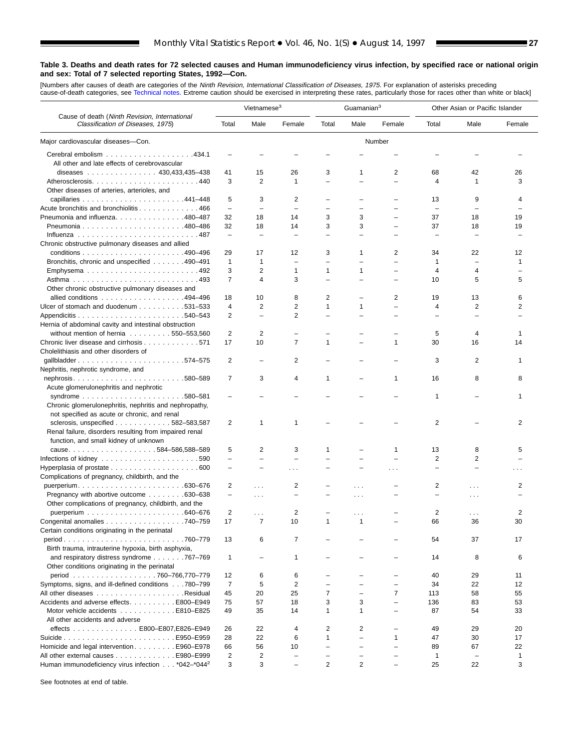■

#### **Table 3. Deaths and death rates for 72 selected causes and Human immunodeficiency virus infection, by specified race or national origin and sex: Total of 7 selected reporting States, 1992—Con.**

[Numbers after causes of death are categories of the *Ninth Revision, International Classification of Diseases, 1975.* For explanation of asterisks preceding<br>cause-of-death categories, see [Technical notes.](#page-61-0) Extreme caution

|                                                                                    |                          | Vietnamese <sup>3</sup>  |                          |                          | Guamanian <sup>3</sup> |                          |                          | Other Asian or Pacific Islander |        |
|------------------------------------------------------------------------------------|--------------------------|--------------------------|--------------------------|--------------------------|------------------------|--------------------------|--------------------------|---------------------------------|--------|
| Cause of death (Ninth Revision, International<br>Classification of Diseases, 1975) | Total                    | Male                     | Female                   | Total                    | Male                   | Female                   | Total                    | Male                            | Female |
| Major cardiovascular diseases-Con.                                                 |                          |                          |                          |                          |                        | Number                   |                          |                                 |        |
| All other and late effects of cerebrovascular                                      |                          |                          |                          |                          |                        |                          |                          |                                 |        |
| diseases 430,433,435-438                                                           | 41                       | 15                       | 26                       | 3                        | 1                      | 2                        | 68                       | 42                              | 26     |
| Atherosclerosis440                                                                 | 3                        | $\overline{2}$           | 1                        | ÷,                       |                        | $\overline{\phantom{0}}$ | 4                        | 1                               | 3      |
| Other diseases of arteries, arterioles, and                                        |                          |                          |                          |                          |                        |                          |                          |                                 |        |
|                                                                                    | 5                        | 3                        | 2                        |                          |                        |                          | 13                       | 9                               | 4      |
| Acute bronchitis and bronchiolitis 466                                             | $\qquad \qquad -$        | ÷                        | ÷                        | -                        |                        |                          | $\overline{\phantom{0}}$ |                                 |        |
| Pneumonia and influenza. 480–487                                                   | 32                       | 18                       | 14                       | 3                        | 3                      |                          | 37                       | 18                              | 19     |
|                                                                                    | 32                       | 18                       | 14                       | 3                        | 3                      | L,                       | 37                       | 18                              | 19     |
|                                                                                    | $\overline{\phantom{0}}$ |                          |                          |                          |                        |                          |                          |                                 |        |
| Chronic obstructive pulmonary diseases and allied                                  |                          |                          |                          |                          |                        |                          |                          |                                 |        |
|                                                                                    | 29                       | 17                       | 12                       | 3                        | 1                      | 2                        | 34                       | 22                              | 12     |
| Bronchitis, chronic and unspecified 490-491                                        | $\mathbf{1}$             | $\mathbf{1}$             | $\overline{\phantom{0}}$ | $\overline{\phantom{0}}$ |                        | $\overline{\phantom{0}}$ | $\mathbf{1}$             |                                 | 1      |
|                                                                                    | 3                        | $\overline{2}$           | 1                        | 1                        | 1                      | $\equiv$                 | $\overline{4}$           | 4                               |        |
| Emphysema492                                                                       | $\overline{7}$           | $\overline{4}$           |                          | $\equiv$                 |                        |                          |                          | 5                               | 5      |
|                                                                                    |                          |                          | 3                        |                          |                        |                          | 10                       |                                 |        |
| Other chronic obstructive pulmonary diseases and                                   |                          |                          |                          |                          |                        |                          |                          |                                 |        |
| allied conditions 494–496                                                          | 18                       | 10                       | 8                        | 2                        |                        | 2                        | 19                       | 13                              | 6      |
| Ulcer of stomach and duodenum 531–533                                              | 4                        | 2                        | 2                        | $\mathbf{1}$             | 1                      | $\overline{\phantom{0}}$ | 4                        | 2                               | 2      |
|                                                                                    | 2                        | $\overline{\phantom{0}}$ | 2                        |                          |                        |                          |                          |                                 |        |
| Hernia of abdominal cavity and intestinal obstruction                              |                          |                          |                          |                          |                        |                          |                          |                                 |        |
| without mention of hernia $\ldots \ldots \ldots 550 - 553,560$                     | 2                        | 2                        |                          |                          |                        |                          | 5                        | 4                               | 1      |
| Chronic liver disease and cirrhosis 571                                            | 17                       | 10                       | $\overline{7}$           | 1                        |                        | 1                        | 30                       | 16                              | 14     |
| Cholelithiasis and other disorders of                                              |                          |                          |                          |                          |                        |                          |                          |                                 |        |
| qallbladder574-575                                                                 | 2                        |                          | 2                        |                          |                        |                          | 3                        | 2                               | 1      |
| Nephritis, nephrotic syndrome, and                                                 |                          |                          |                          |                          |                        |                          |                          |                                 |        |
| nephrosis580–589                                                                   | 7                        | 3                        | 4                        | 1                        |                        | 1                        | 16                       | 8                               | 8      |
| Acute glomerulonephritis and nephrotic                                             |                          |                          |                          |                          |                        |                          |                          |                                 |        |
|                                                                                    |                          |                          |                          |                          |                        |                          | $\mathbf{1}$             |                                 | 1      |
| Chronic glomerulonephritis, nephritis and nephropathy,                             |                          |                          |                          |                          |                        |                          |                          |                                 |        |
| not specified as acute or chronic, and renal                                       |                          |                          |                          |                          |                        |                          |                          |                                 |        |
| sclerosis, unspecified $\ldots$ 582–583,587                                        | 2                        | $\mathbf{1}$             | 1                        |                          |                        |                          | 2                        |                                 | 2      |
| Renal failure, disorders resulting from impaired renal                             |                          |                          |                          |                          |                        |                          |                          |                                 |        |
| function, and small kidney of unknown                                              |                          |                          |                          |                          |                        |                          |                          |                                 |        |
|                                                                                    | 5                        | 2                        | 3                        | 1                        |                        | 1                        | 13                       | 8                               | 5      |
| Infections of kidney $\ldots \ldots \ldots \ldots \ldots \ldots \ldots 590$        | $\qquad \qquad -$        | ÷                        |                          |                          |                        |                          | $\overline{2}$           | $\overline{2}$                  |        |
|                                                                                    |                          |                          |                          |                          |                        | .                        | $\overline{\phantom{0}}$ |                                 | .      |
| Complications of pregnancy, childbirth, and the                                    |                          |                          |                          |                          |                        |                          |                          |                                 |        |
|                                                                                    | 2                        | a a la                   | 2                        |                          | .                      |                          | 2                        | .                               | 2      |
| Pregnancy with abortive outcome 630–638                                            | $\overline{\phantom{0}}$ | $\cdots$                 | L.                       |                          | .                      |                          |                          | .                               |        |
| Other complications of pregnancy, childbirth, and the                              |                          |                          |                          |                          |                        |                          |                          |                                 |        |
|                                                                                    | 2                        | $\sim$ $\sim$            | 2                        |                          |                        |                          | 2                        | .                               | 2      |
| Congenital anomalies 740–759                                                       | 17                       | 7                        | 10                       | 1                        | 1                      |                          | 66                       | 36                              | 30     |
| Certain conditions originating in the perinatal                                    |                          |                          |                          |                          |                        |                          |                          |                                 |        |
|                                                                                    | 13                       | 6                        | 7                        |                          |                        |                          | 54                       | 37                              | 17     |
| Birth trauma, intrauterine hypoxia, birth asphyxia,                                |                          |                          |                          |                          |                        |                          |                          |                                 |        |
| and respiratory distress syndrome 767-769                                          | $\mathbf{1}$             | $\overline{\phantom{0}}$ | 1                        |                          |                        |                          | 14                       | 8                               | 6      |
| Other conditions originating in the perinatal                                      |                          |                          |                          |                          |                        |                          |                          |                                 |        |
| period 760-766,770-779                                                             | 12                       | 6                        | 6                        |                          |                        |                          | 40                       | 29                              | 11     |
| Symptoms, signs, and ill-defined conditions780-799                                 | 7                        | 5                        | 2                        | $\overline{\phantom{0}}$ |                        | $\overline{\phantom{0}}$ | 34                       | 22                              | 12     |
|                                                                                    | 45                       | 20                       | 25                       | $\overline{7}$           |                        | $\overline{7}$           | 113                      | 58                              | 55     |
| Accidents and adverse effects. E800–E949                                           | 75                       | 57                       | 18                       | 3                        | 3                      | $\equiv$                 | 136                      | 83                              | 53     |
| Motor vehicle accidents E810–E825                                                  | 49                       | 35                       | 14                       | 1                        | 1                      | $\equiv$                 | 87                       | 54                              | 33     |
| All other accidents and adverse                                                    |                          |                          |                          |                          |                        |                          |                          |                                 |        |
| effects E800-E807, E826-E949                                                       | 26                       | 22                       | 4                        | 2                        | 2                      |                          | 49                       | 29                              | 20     |
|                                                                                    | 28                       | 22                       | 6                        | $\mathbf{1}$             |                        | 1                        | 47                       | 30                              | 17     |
| Homicide and legal intervention E960–E978                                          | 66                       | 56                       | 10                       | $\overline{\phantom{0}}$ |                        | $\overline{\phantom{0}}$ | 89                       | 67                              | 22     |
| All other external causes E980-E999                                                | $\overline{2}$           | $\overline{c}$           |                          | $\overline{\phantom{0}}$ |                        |                          | $\mathbf{1}$             | $\overline{\phantom{0}}$        | 1      |
| Human immunodeficiency virus infection *042-*044 <sup>2</sup>                      | 3                        | 3                        | L.                       | 2                        | 2                      |                          | 25                       | 22                              | 3      |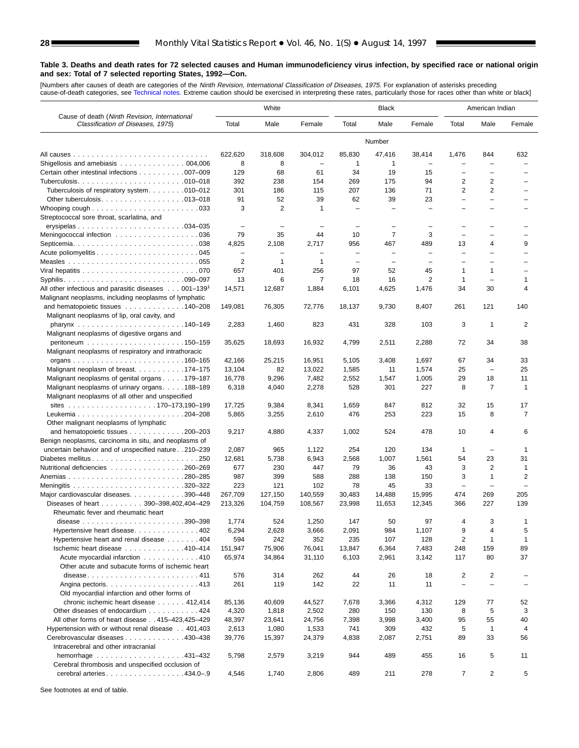[Numbers after causes of de[ath are categories of](#page-61-0) the *Ninth Revision, International Classification of Diseases, 1975.* For explanation of asterisks preceding<br>cause-of-death categories, see Technical notes. Extreme caution

|                                                                                    |                          | White                    |                          |                          | <b>Black</b>             |                          |                          | American Indian          |                          |
|------------------------------------------------------------------------------------|--------------------------|--------------------------|--------------------------|--------------------------|--------------------------|--------------------------|--------------------------|--------------------------|--------------------------|
| Cause of death (Ninth Revision, International<br>Classification of Diseases, 1975) | Total                    | Male                     | Female                   | Total                    | Male                     | Female                   | Total                    | Male                     | Female                   |
|                                                                                    |                          |                          |                          |                          | Number                   |                          |                          |                          |                          |
|                                                                                    | 622,620                  | 318,608                  | 304,012                  | 85,830                   | 47,416                   | 38,414                   | 1,476                    | 844                      | 632                      |
| Shigellosis and amebiasis 004,006                                                  | 8                        | 8                        |                          | 1                        | 1                        |                          |                          |                          |                          |
| Certain other intestinal infections 007-009                                        | 129                      | 68                       | 61                       | 34                       | 19                       | 15                       | $\overline{\phantom{0}}$ |                          |                          |
|                                                                                    | 392                      | 238                      | 154                      | 269                      | 175                      | 94                       | 2                        | $\overline{2}$           |                          |
| Tuberculosis of respiratory system. 010-012                                        | 301                      | 186                      | 115                      | 207                      | 136                      | 71                       | $\overline{2}$           | $\overline{2}$           |                          |
| Other tuberculosis. $\ldots$ . 013–018                                             | 91                       | 52                       | 39                       | 62                       | 39                       | 23                       | $\overline{\phantom{0}}$ | $\overline{\phantom{0}}$ | $\overline{\phantom{0}}$ |
| Whooping cough $\ldots \ldots \ldots \ldots \ldots \ldots \ldots \ldots$           | 3                        | 2                        | 1                        |                          | $\overline{\phantom{0}}$ | $\overline{\phantom{0}}$ |                          |                          |                          |
| Streptococcal sore throat, scarlatina, and                                         |                          |                          |                          |                          |                          |                          |                          |                          |                          |
|                                                                                    | ÷                        | $\overline{\phantom{m}}$ | $\overline{\phantom{0}}$ | $\overline{\phantom{m}}$ | $\overline{\phantom{0}}$ | $\overline{\phantom{0}}$ | $\equiv$                 | $\equiv$                 |                          |
| Meningococcal infection 036                                                        | 79                       | 35                       | 44                       | 10                       | 7                        | 3                        | $\equiv$                 | $\equiv$                 | $\equiv$                 |
|                                                                                    | 4,825                    | 2,108                    | 2,717                    | 956                      | 467                      | 489                      | 13                       | 4                        | 9                        |
|                                                                                    | $\overline{\phantom{0}}$ |                          | -                        | $\overline{\phantom{0}}$ | $\overline{\phantom{0}}$ | $\overline{\phantom{0}}$ | $\overline{\phantom{0}}$ | -                        | $\overline{\phantom{0}}$ |
|                                                                                    | $\overline{2}$           | $\mathbf 1$              | 1                        | $\overline{\phantom{0}}$ | $\overline{\phantom{0}}$ | $\overline{\phantom{0}}$ | $\qquad \qquad -$        | $\overline{\phantom{0}}$ | $\overline{\phantom{0}}$ |
|                                                                                    | 657                      | 401                      | 256                      | 97                       | 52                       | 45                       | 1                        | $\mathbf{1}$<br>$\equiv$ | $\overline{\phantom{0}}$ |
|                                                                                    | 13                       | 6                        | 7                        | 18                       | 16                       | 2                        | 1                        |                          | 1                        |
| All other infectious and parasitic diseases 001-139 <sup>1</sup>                   | 14,571                   | 12,687                   | 1,884                    | 6,101                    | 4,625                    | 1,476                    | 34                       | 30                       | $\overline{4}$           |
| Malignant neoplasms, including neoplasms of lymphatic                              | 149,081                  | 76,305                   | 72,776                   | 18,137                   | 9,730                    | 8,407                    | 261                      | 121                      | 140                      |
| and hematopoietic tissues 140–208<br>Malignant neoplasms of lip, oral cavity, and  |                          |                          |                          |                          |                          |                          |                          |                          |                          |
|                                                                                    | 2,283                    | 1,460                    | 823                      | 431                      | 328                      | 103                      | 3                        | 1                        | 2                        |
| Malignant neoplasms of digestive organs and                                        |                          |                          |                          |                          |                          |                          |                          |                          |                          |
|                                                                                    | 35,625                   | 18,693                   | 16,932                   | 4,799                    | 2,511                    | 2,288                    | 72                       | 34                       | 38                       |
| Malignant neoplasms of respiratory and intrathoracic                               |                          |                          |                          |                          |                          |                          |                          |                          |                          |
|                                                                                    | 42,166                   | 25,215                   | 16,951                   | 5,105                    | 3,408                    | 1,697                    | 67                       | 34                       | 33                       |
| Malignant neoplasm of breast. 174–175                                              | 13,104                   | 82                       | 13,022                   | 1,585                    | 11                       | 1,574                    | 25                       | $\overline{\phantom{0}}$ | 25                       |
| Malignant neoplasms of genital organs 179–187                                      | 16,778                   | 9,296                    | 7,482                    | 2,552                    | 1,547                    | 1,005                    | 29                       | 18                       | 11                       |
| Malignant neoplasms of urinary organs. 188–189                                     | 6,318                    | 4,040                    | 2,278                    | 528                      | 301                      | 227                      | 8                        | 7                        | $\mathbf{1}$             |
| Malignant neoplasms of all other and unspecified                                   |                          |                          |                          |                          |                          |                          |                          |                          |                          |
|                                                                                    | 17,725                   | 9,384                    | 8,341                    | 1,659                    | 847                      | 812                      | 32                       | 15                       | 17                       |
|                                                                                    | 5,865                    | 3,255                    | 2,610                    | 476                      | 253                      | 223                      | 15                       | 8                        | $\overline{7}$           |
| Other malignant neoplasms of lymphatic                                             |                          |                          |                          |                          |                          |                          |                          |                          |                          |
| and hematopoietic tissues 200-203                                                  | 9,217                    | 4,880                    | 4,337                    | 1,002                    | 524                      | 478                      | 10                       | 4                        | 6                        |
| Benign neoplasms, carcinoma in situ, and neoplasms of                              |                          |                          |                          |                          |                          |                          |                          |                          |                          |
| uncertain behavior and of unspecified nature 210-239                               | 2,087                    | 965                      | 1,122                    | 254                      | 120                      | 134                      | 1                        |                          | $\mathbf{1}$             |
| Diabetes mellitus250                                                               | 12,681                   | 5,738                    | 6,943                    | 2,568                    | 1,007                    | 1,561                    | 54                       | 23                       | 31                       |
| Nutritional deficiencies 260–269                                                   | 677                      | 230                      | 447                      | 79                       | 36                       | 43                       | 3                        | $\overline{2}$           | $\mathbf{1}$             |
|                                                                                    | 987                      | 399                      | 588                      | 288                      | 138                      | 150                      | 3                        | 1                        | $\overline{2}$           |
|                                                                                    | 223                      | 121                      | 102                      | 78                       | 45                       | 33                       | $\qquad \qquad -$        | $\equiv$                 | $\equiv$                 |
| Major cardiovascular diseases. 390-448                                             | 267,709                  | 127,150                  | 140,559                  | 30,483                   | 14,488                   | 15,995                   | 474                      | 269                      | 205                      |
| Diseases of heart 390-398,402,404-429                                              | 213,326                  | 104,759                  | 108,567                  | 23,998                   | 11,653                   | 12,345                   | 366                      | 227                      | 139                      |
| Rheumatic fever and rheumatic heart                                                |                          |                          |                          |                          |                          |                          |                          |                          |                          |
|                                                                                    | 1,774                    | 524                      | 1,250                    | 147                      | 50                       | 97                       | 4                        | 3                        |                          |
| Hypertensive heart disease402                                                      | 6,294                    | 2,628                    | 3,666                    | 2,091                    | 984                      | 1,107                    | 9                        | 4                        | 5                        |
| Hypertensive heart and renal disease 404                                           | 594                      | 242                      | 352                      | 235                      | 107                      | 128                      | $\overline{c}$           | 1<br>159                 | $\mathbf{1}$<br>89       |
| Ischemic heart disease 410-414<br>Acute myocardial infarction 410                  | 151,947<br>65,974        | 75,906<br>34,864         | 76,041<br>31,110         | 13,847<br>6,103          | 6,364<br>2,961           | 7,483<br>3,142           | 248<br>117               | 80                       | 37                       |
| Other acute and subacute forms of ischemic heart                                   |                          |                          |                          |                          |                          |                          |                          |                          |                          |
| disease411                                                                         | 576                      | 314                      | 262                      | 44                       | 26                       | 18                       | 2                        | 2                        |                          |
|                                                                                    | 261                      | 119                      | 142                      | 22                       | 11                       | 11                       | $\qquad \qquad -$        |                          |                          |
| Old myocardial infarction and other forms of                                       |                          |                          |                          |                          |                          |                          |                          |                          |                          |
| chronic ischemic heart disease 412,414                                             | 85,136                   | 40,609                   | 44,527                   | 7,678                    | 3,366                    | 4,312                    | 129                      | 77                       | 52                       |
| Other diseases of endocardium 424                                                  | 4,320                    | 1,818                    | 2,502                    | 280                      | 150                      | 130                      | 8                        | 5                        | 3                        |
| All other forms of heart disease 415-423,425-429                                   | 48,397                   | 23,641                   | 24,756                   | 7,398                    | 3,998                    | 3,400                    | 95                       | 55                       | 40                       |
| Hypertension with or without renal disease 401,403                                 | 2,613                    | 1,080                    | 1,533                    | 741                      | 309                      | 432                      | 5                        | $\mathbf{1}$             | 4                        |
| Cerebrovascular diseases 430-438                                                   | 39,776                   | 15,397                   | 24,379                   | 4,838                    | 2,087                    | 2,751                    | 89                       | 33                       | 56                       |
| Intracerebral and other intracranial                                               |                          |                          |                          |                          |                          |                          |                          |                          |                          |
| hemorrhage $\ldots \ldots \ldots \ldots \ldots \ldots$ . 431-432                   | 5,798                    | 2,579                    | 3,219                    | 944                      | 489                      | 455                      | 16                       | 5                        | 11                       |
| Cerebral thrombosis and unspecified occlusion of                                   |                          |                          |                          |                          |                          |                          |                          |                          |                          |
| cerebral arteries. 434.0-9                                                         | 4,546                    | 1,740                    | 2,806                    | 489                      | 211                      | 278                      | 7                        | 2                        | 5                        |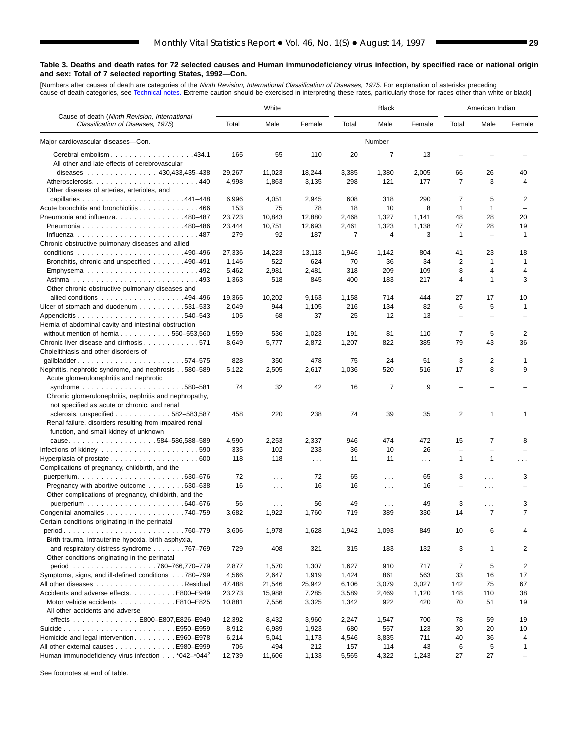[Numbers after causes of death are categories of the *Ninth Revision, International Classification of Diseases, 1975.* For explanation of asterisks preceding<br>cause-of-death categories, see [Technical notes.](#page-61-0) Extreme caution

■

|                                                                                    |              | White                         |              |           | <b>Black</b>    |                      |                                | American Indian          |                   |
|------------------------------------------------------------------------------------|--------------|-------------------------------|--------------|-----------|-----------------|----------------------|--------------------------------|--------------------------|-------------------|
| Cause of death (Ninth Revision, International<br>Classification of Diseases, 1975) | Total        | Male                          | Female       | Total     | Male            | Female               | Total                          | Male                     | Female            |
| Major cardiovascular diseases-Con.                                                 |              |                               |              |           | Number          |                      |                                |                          |                   |
| Cerebral embolism 434.1                                                            | 165          | 55                            | 110          | 20        | 7               | 13                   |                                |                          |                   |
| All other and late effects of cerebrovascular                                      |              |                               |              |           |                 |                      |                                |                          |                   |
| diseases $\ldots$ , , , , 430,433,435-438                                          | 29,267       | 11,023                        | 18,244       | 3,385     | 1,380           | 2,005                | 66                             | 26                       | 40                |
| Atherosclerosis440                                                                 | 4,998        | 1,863                         | 3,135        | 298       | 121             | 177                  | $\overline{7}$                 | 3                        | 4                 |
| Other diseases of arteries, arterioles, and                                        |              |                               |              |           |                 |                      |                                |                          |                   |
|                                                                                    | 6,996        | 4,051                         | 2,945        | 608       | 318             | 290                  | 7                              | 5                        | 2                 |
| Acute bronchitis and bronchiolitis 466                                             | 153          | 75                            | 78           | 18        | 10              | 8                    | $\mathbf{1}$                   | $\mathbf{1}$             | $\qquad \qquad -$ |
| Pneumonia and influenza. 480-487                                                   | 23,723       | 10,843                        | 12,880       | 2,468     | 1,327           | 1,141                | 48                             | 28                       | 20                |
|                                                                                    | 23.444       | 10,751                        | 12,693       | 2,461     | 1,323           | 1,138                | 47                             | 28                       | 19                |
|                                                                                    | 279          | 92                            | 187          | 7         | 4               | 3                    | $\mathbf{1}$                   |                          | 1                 |
| Chronic obstructive pulmonary diseases and allied                                  |              |                               |              |           |                 |                      |                                |                          |                   |
|                                                                                    | 27,336       | 14,223                        | 13,113       | 1,946     | 1,142           | 804                  | 41                             | 23                       | 18                |
| Bronchitis, chronic and unspecified 490–491                                        | 1,146        | 522                           | 624          | 70        | 36              | 34                   | $\overline{2}$                 | 1                        | $\mathbf{1}$      |
| Emphysema492                                                                       | 5,462        | 2,981                         | 2,481        | 318       | 209             | 109                  | 8                              | 4                        | 4                 |
|                                                                                    | 1,363        | 518                           | 845          | 400       | 183             | 217                  | $\overline{4}$                 | 1                        | 3                 |
| Other chronic obstructive pulmonary diseases and                                   |              |                               |              |           |                 |                      |                                |                          |                   |
| allied conditions 494–496                                                          | 19,365       | 10,202                        | 9,163        | 1,158     | 714             | 444                  | 27                             | 17                       | 10                |
| Ulcer of stomach and duodenum 531–533                                              | 2,049        | 944                           | 1,105        | 216       | 134             | 82                   | 6                              | 5                        | 1                 |
|                                                                                    | 105          | 68                            | 37           | 25        | 12              | 13                   | $\overline{\phantom{0}}$       | $\overline{\phantom{0}}$ |                   |
| Hernia of abdominal cavity and intestinal obstruction                              |              |                               |              |           |                 |                      |                                |                          |                   |
| without mention of hernia $\ldots \ldots \ldots \ldots 550 - 553,560$              | 1,559        | 536                           | 1,023        | 191       | 81              | 110                  | 7                              | 5                        | 2                 |
| Chronic liver disease and cirrhosis 571                                            | 8,649        | 5,777                         | 2,872        | 1,207     | 822             | 385                  | 79                             | 43                       | 36                |
| Cholelithiasis and other disorders of                                              |              |                               |              |           |                 |                      |                                |                          |                   |
| qallbladder574-575                                                                 | 828          | 350                           | 478          | 75        | 24              | 51                   | 3                              | 2                        | 1                 |
| Nephritis, nephrotic syndrome, and nephrosis580–589                                | 5,122        | 2,505                         | 2,617        | 1,036     | 520             | 516                  | 17                             | 8                        | 9                 |
| Acute glomerulonephritis and nephrotic                                             |              |                               |              |           |                 |                      |                                |                          |                   |
|                                                                                    | 74           | 32                            | 42           | 16        | 7               | 9                    |                                |                          |                   |
| Chronic glomerulonephritis, nephritis and nephropathy,                             |              |                               |              |           |                 |                      |                                |                          |                   |
| not specified as acute or chronic, and renal                                       |              |                               |              |           |                 |                      |                                |                          |                   |
| sclerosis, unspecified $\ldots \ldots \ldots \ldots 582 - 583,587$                 | 458          | 220                           | 238          | 74        | 39              | 35                   | $\overline{2}$                 | $\mathbf{1}$             | 1                 |
| Renal failure, disorders resulting from impaired renal                             |              |                               |              |           |                 |                      |                                |                          |                   |
| function, and small kidney of unknown                                              |              |                               |              |           |                 |                      |                                |                          |                   |
| cause584-586,588-589                                                               | 4,590<br>335 | 2,253<br>102                  | 2,337<br>233 | 946<br>36 | 474<br>10       | 472<br>26            | 15<br>$\overline{\phantom{a}}$ | 7<br>$=$                 | 8                 |
| Infections of kidney $\ldots \ldots \ldots \ldots \ldots \ldots \ldots \ldots 590$ | 118          | 118                           |              | 11        | 11              |                      | $\mathbf{1}$                   | $\mathbf{1}$             |                   |
|                                                                                    |              |                               | $\sim 100$   |           |                 | $\sim$ $\sim$ $\sim$ |                                |                          | .                 |
| Complications of pregnancy, childbirth, and the                                    | 72           |                               | 72           | 65        |                 | 65                   | 3                              |                          | 3                 |
| Pregnancy with abortive outcome 630–638                                            | 16           | $\sim 100$                    | 16           | 16        | $\sim$          | 16                   | $\overline{\phantom{0}}$       | $\cdots$                 |                   |
| Other complications of pregnancy, childbirth, and the                              |              | $\sim$ $\sim$ $\sim$          |              |           | $\sim$ .        |                      |                                | $\cdots$                 |                   |
|                                                                                    | 56           |                               | 56           | 49        |                 | 49                   | 3                              | $\sim$                   | 3                 |
| Congenital anomalies 740–759                                                       | 3,682        | $\sim$ $\sim$ $\sim$<br>1,922 | 1,760        | 719       | $\cdots$<br>389 | 330                  | 14                             | $\overline{7}$           | $\overline{7}$    |
| Certain conditions originating in the perinatal                                    |              |                               |              |           |                 |                      |                                |                          |                   |
| .760-779<br>$period. \ldots \ldots \ldots \ldots \ldots \ldots \ldots$             | 3,606        | 1,978                         | 1,628        | 1,942     | 1,093           | 849                  | 10                             | 6                        | 4                 |
| Birth trauma, intrauterine hypoxia, birth asphyxia,                                |              |                               |              |           |                 |                      |                                |                          |                   |
| and respiratory distress syndrome 767–769                                          | 729          | 408                           | 321          | 315       | 183             | 132                  | 3                              | 1                        | 2                 |
| Other conditions originating in the perinatal                                      |              |                               |              |           |                 |                      |                                |                          |                   |
| period 760-766,770-779                                                             | 2,877        | 1,570                         | 1,307        | 1,627     | 910             | 717                  | 7                              | 5                        | 2                 |
| Symptoms, signs, and ill-defined conditions 780-799                                | 4,566        | 2,647                         | 1,919        | 1,424     | 861             | 563                  | 33                             | 16                       | 17                |
|                                                                                    | 47,488       | 21,546                        | 25,942       | 6,106     | 3,079           | 3,027                | 142                            | 75                       | 67                |
| Accidents and adverse effects. E800-E949                                           | 23,273       | 15,988                        | 7,285        | 3,589     | 2,469           | 1,120                | 148                            | 110                      | 38                |
| Motor vehicle accidents E810-E825                                                  | 10,881       | 7,556                         | 3,325        | 1,342     | 922             | 420                  | 70                             | 51                       | 19                |
| All other accidents and adverse                                                    |              |                               |              |           |                 |                      |                                |                          |                   |
| effects E800-E807, E826-E949                                                       | 12,392       | 8,432                         | 3,960        | 2,247     | 1,547           | 700                  | 78                             | 59                       | 19                |
|                                                                                    | 8,912        | 6,989                         | 1,923        | 680       | 557             | 123                  | 30                             | 20                       | 10                |
| Homicide and legal intervention E960–E978                                          | 6,214        | 5,041                         | 1,173        | 4,546     | 3,835           | 711                  | 40                             | 36                       | 4                 |
| All other external causes E980-E999                                                | 706          | 494                           | 212          | 157       | 114             | 43                   | 6                              | 5                        | 1                 |
| Human immunodeficiency virus infection *042-*044 <sup>2</sup>                      | 12,739       | 11,606                        | 1,133        | 5,565     | 4,322           | 1,243                | 27                             | 27                       | L,                |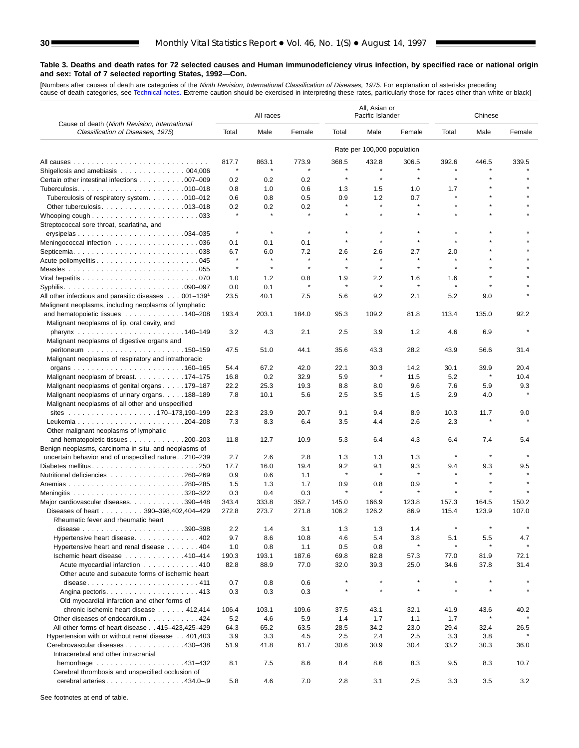[Numbers after causes of dea[th are categories of](#page-61-0) the *Ninth Revision, International Classification of Diseases, 1975.* For explanation of asterisks preceding<br>cause-of-death categories, see Technical notes. Extreme caution

|                                                                                                                 | All races    |              |         |         | All, Asian or<br>Pacific Islander |         | Chinese            |         |         |  |
|-----------------------------------------------------------------------------------------------------------------|--------------|--------------|---------|---------|-----------------------------------|---------|--------------------|---------|---------|--|
| Cause of death (Ninth Revision, International<br>Classification of Diseases, 1975)                              | Total        | Male         | Female  | Total   | Male                              | Female  | Total              | Male    | Female  |  |
|                                                                                                                 |              |              |         |         | Rate per 100,000 population       |         |                    |         |         |  |
|                                                                                                                 | 817.7        | 863.1        | 773.9   | 368.5   | 432.8                             | 306.5   | 392.6              | 446.5   | 339.5   |  |
| Shigellosis and amebiasis 004,006                                                                               | $\star$      |              |         |         |                                   |         |                    |         |         |  |
| Certain other intestinal infections 007-009                                                                     | 0.2          | 0.2          | 0.2     | $\star$ | $\star$                           | $\star$ | $\star$            |         |         |  |
|                                                                                                                 | 0.8          | 1.0          | 0.6     | 1.3     | 1.5                               | 1.0     | 1.7                |         |         |  |
| Tuberculosis of respiratory system010–012                                                                       | 0.6          | 0.8          | 0.5     | 0.9     | 1.2                               | 0.7     | $\star$            |         |         |  |
|                                                                                                                 | 0.2          | 0.2          | 0.2     | $\star$ | $\star$                           | $\star$ |                    |         |         |  |
| Streptococcal sore throat, scarlatina, and                                                                      | $\star$      |              | $\star$ |         |                                   |         |                    |         |         |  |
|                                                                                                                 | $\star$      | $\star$      | $\star$ | $\star$ | $\star$                           | $\star$ | $\star$            |         |         |  |
| Meningococcal infection 036                                                                                     | 0.1          | 0.1          | 0.1     | $\star$ | $\star$                           |         | $\star$            |         |         |  |
| Septicemia. $\ldots \ldots \ldots \ldots \ldots \ldots \ldots \ldots \ldots$ . 038                              | 6.7          | 6.0          | 7.2     | 2.6     | 2.6                               | 2.7     | 2.0                |         |         |  |
|                                                                                                                 | $\star$      | $\pmb{\ast}$ | $\star$ | $\star$ | $\star$                           | $\star$ | $\star$            |         |         |  |
|                                                                                                                 | $\pmb{\ast}$ | $\pmb{\ast}$ | $\star$ | $\star$ | $\star$                           | $\star$ | $\star$            |         |         |  |
|                                                                                                                 | 1.0          | 1.2          | 0.8     | 1.9     | 2.2                               | 1.6     | 1.6                |         |         |  |
|                                                                                                                 | 0.0          | 0.1          | $\star$ | $\star$ | $\star$                           |         |                    |         |         |  |
| All other infectious and parasitic diseases $\ldots$ 001–139 <sup>1</sup>                                       | 23.5         | 40.1         | 7.5     | 5.6     | 9.2                               | 2.1     | 5.2                | 9.0     |         |  |
| Malignant neoplasms, including neoplasms of lymphatic                                                           |              |              |         |         |                                   |         |                    |         |         |  |
| and hematopoietic tissues $\ldots \ldots \ldots \ldots 140-208$<br>Malignant neoplasms of lip, oral cavity, and | 193.4        | 203.1        | 184.0   | 95.3    | 109.2                             | 81.8    | 113.4              | 135.0   | 92.2    |  |
| Malignant neoplasms of digestive organs and                                                                     | 3.2          | 4.3          | 2.1     | 2.5     | 3.9                               | $1.2$   | 4.6                | 6.9     |         |  |
|                                                                                                                 | 47.5         | 51.0         | 44.1    | 35.6    | 43.3                              | 28.2    | 43.9               | 56.6    | 31.4    |  |
| Malignant neoplasms of respiratory and intrathoracic                                                            |              |              |         |         |                                   |         |                    |         |         |  |
|                                                                                                                 | 54.4         | 67.2         | 42.0    | 22.1    | 30.3                              | 14.2    | 30.1               | 39.9    | 20.4    |  |
| Malignant neoplasm of breast. 174–175                                                                           | 16.8         | 0.2          | 32.9    | 5.9     | $\star$                           | 11.5    | 5.2                | $\star$ | 10.4    |  |
| Malignant neoplasms of genital organs 179–187                                                                   | 22.2         | 25.3         | 19.3    | 8.8     | 8.0                               | 9.6     | 7.6                | 5.9     | 9.3     |  |
| Malignant neoplasms of urinary organs188-189                                                                    | 7.8          | 10.1         | 5.6     | 2.5     | 3.5                               | 1.5     | 2.9                | 4.0     |         |  |
| Malignant neoplasms of all other and unspecified                                                                |              |              |         |         |                                   |         |                    |         |         |  |
|                                                                                                                 | 22.3         | 23.9         | 20.7    | 9.1     | 9.4                               | 8.9     | 10.3               | 11.7    | 9.0     |  |
|                                                                                                                 | 7.3          | 8.3          | 6.4     | 3.5     | 4.4                               | 2.6     | 2.3                |         |         |  |
| Other malignant neoplasms of lymphatic                                                                          |              |              |         |         |                                   |         |                    |         |         |  |
| and hematopoietic tissues 200–203                                                                               | 11.8         | 12.7         | 10.9    | 5.3     | 6.4                               | 4.3     | 6.4                | 7.4     | 5.4     |  |
| Benign neoplasms, carcinoma in situ, and neoplasms of                                                           |              |              |         |         |                                   |         |                    |         |         |  |
| uncertain behavior and of unspecified nature 210-239                                                            | 2.7          | 2.6          | 2.8     | 1.3     | 1.3                               | 1.3     | $\star$            | $\star$ | $\star$ |  |
| Diabetes mellitus250                                                                                            | 17.7         | 16.0         | 19.4    | 9.2     | 9.1                               | 9.3     | 9.4                | 9.3     | 9.5     |  |
| Nutritional deficiencies 260–269                                                                                | 0.9          | 0.6          | 1.1     | $\star$ | $\star$                           | $\star$ | $\star$            |         | $\star$ |  |
|                                                                                                                 | 1.5          | 1.3          | 1.7     | 0.9     | 0.8                               | 0.9     |                    |         |         |  |
|                                                                                                                 | 0.3          | 0.4          | 0.3     |         | $\star$                           |         | $\star$            |         |         |  |
| Major cardiovascular diseases. 390-448                                                                          | 343.4        | 333.8        | 352.7   | 145.0   | 166.9                             | 123.8   | 157.3              | 164.5   | 150.2   |  |
| Diseases of heart 390-398,402,404-429                                                                           | 272.8        | 273.7        | 271.8   | 106.2   | 126.2                             | 86.9    | 115.4              | 123.9   | 107.0   |  |
| Rheumatic fever and rheumatic heart                                                                             |              |              |         |         |                                   |         |                    |         |         |  |
| disease $\ldots \ldots \ldots \ldots \ldots \ldots \ldots \ldots 390-398$                                       | 2.2          | 1.4          | 3.1     | 1.3     | 1.3                               | 1.4     |                    |         |         |  |
| Hypertensive heart disease402                                                                                   | 9.7          | 8.6          | 10.8    | 4.6     | 5.4                               | 3.8     | 5.1                | 5.5     | 4.7     |  |
| Hypertensive heart and renal disease 404                                                                        | 1.0          | 0.8          | 1.1     | 0.5     | 0.8                               |         |                    |         |         |  |
| Ischemic heart disease 410-414                                                                                  | 190.3        | 193.1        | 187.6   | 69.8    | 82.8                              | 57.3    | 77.0               | 81.9    | 72.1    |  |
| Acute myocardial infarction 410                                                                                 | 82.8         | 88.9         | 77.0    | 32.0    | 39.3                              | 25.0    | 34.6               | 37.8    | 31.4    |  |
| Other acute and subacute forms of ischemic heart                                                                |              |              |         |         | $\star$                           |         |                    |         |         |  |
| disease411                                                                                                      | 0.7          | 0.8          | 0.6     |         |                                   |         | $\star$<br>$\star$ |         |         |  |
|                                                                                                                 | 0.3          | 0.3          | 0.3     |         |                                   |         |                    |         |         |  |
| Old myocardial infarction and other forms of                                                                    |              |              |         |         |                                   |         |                    |         |         |  |
| chronic ischemic heart disease 412,414                                                                          | 106.4        | 103.1        | 109.6   | 37.5    | 43.1                              | 32.1    | 41.9               | 43.6    | 40.2    |  |
| Other diseases of endocardium 424                                                                               | 5.2          | 4.6          | 5.9     | 1.4     | 1.7                               | 1.1     | 1.7                |         |         |  |
| All other forms of heart disease 415-423,425-429                                                                | 64.3         | 65.2         | 63.5    | 28.5    | 34.2                              | 23.0    | 29.4               | 32.4    | 26.5    |  |
| Hypertension with or without renal disease 401,403                                                              | 3.9          | 3.3          | 4.5     | 2.5     | 2.4                               | 2.5     | 3.3                | 3.8     |         |  |
| Cerebrovascular diseases 430-438                                                                                | 51.9         | 41.8         | 61.7    | 30.6    | 30.9                              | 30.4    | 33.2               | 30.3    | 36.0    |  |
| Intracerebral and other intracranial                                                                            | 8.1          | 7.5          | 8.6     | 8.4     | 8.6                               | 8.3     | 9.5                | 8.3     | 10.7    |  |
| Cerebral thrombosis and unspecified occlusion of                                                                |              |              |         |         |                                   |         |                    |         |         |  |
| cerebral arteries434.0-.9                                                                                       | 5.8          | 4.6          | 7.0     | 2.8     | 3.1                               | 2.5     | 3.3                | 3.5     | 3.2     |  |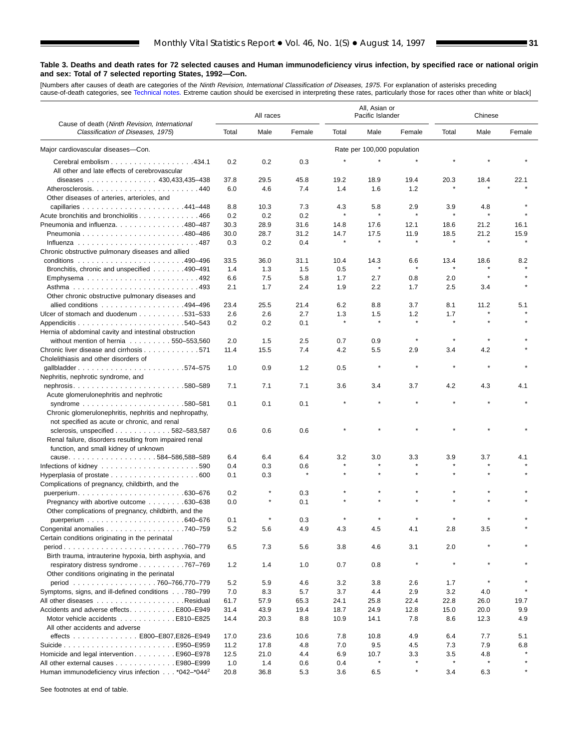[Numbers after causes of death are categories of the *Ninth Revision, International Classification of Diseases, 1975.* For explanation of asterisks preceding<br>cause-of-death categories, see [Technical notes.](#page-61-0) Extreme caution

Ξ

|                                                                                    | All races |        |         | All, Asian or<br>Pacific Islander |                             |              | Chinese |              |        |  |
|------------------------------------------------------------------------------------|-----------|--------|---------|-----------------------------------|-----------------------------|--------------|---------|--------------|--------|--|
| Cause of death (Ninth Revision, International<br>Classification of Diseases, 1975) | Total     | Male   | Female  | Total                             | Male                        | Female       | Total   | Male         | Female |  |
| Major cardiovascular diseases-Con.                                                 |           |        |         |                                   | Rate per 100,000 population |              |         |              |        |  |
| Cerebral embolism 434.1<br>All other and late effects of cerebrovascular           | 0.2       | 0.2    | 0.3     | $\star$                           |                             |              |         |              |        |  |
| diseases 430,433,435-438                                                           | 37.8      | 29.5   | 45.8    | 19.2                              | 18.9                        | 19.4         | 20.3    | 18.4         | 22.1   |  |
|                                                                                    | 6.0       | 4.6    | 7.4     | 1.4                               | 1.6                         | 1.2          |         |              |        |  |
| Other diseases of arteries, arterioles, and                                        |           |        |         |                                   |                             |              |         |              |        |  |
|                                                                                    | 8.8       | 10.3   | 7.3     | 4.3                               | 5.8                         | 2.9          | 3.9     | 4.8          |        |  |
| Acute bronchitis and bronchiolitis 466                                             | 0.2       | 0.2    | 0.2     | $\star$                           | $\star$                     | $\star$      | $\star$ | $\star$      |        |  |
| Pneumonia and influenza. 480-487                                                   | 30.3      | 28.9   | 31.6    | 14.8                              | 17.6                        | 12.1         | 18.6    | 21.2         | 16.1   |  |
|                                                                                    | 30.0      | 28.7   | 31.2    | 14.7                              | 17.5                        | 11.9         | 18.5    | 21.2         | 15.9   |  |
|                                                                                    | 0.3       | 0.2    | 0.4     | $\star$                           |                             | $\star$      | $\star$ | $\star$      |        |  |
| Chronic obstructive pulmonary diseases and allied                                  |           |        |         |                                   |                             |              |         |              |        |  |
|                                                                                    | 33.5      | 36.0   | 31.1    | 10.4                              | 14.3                        | 6.6          | 13.4    | 18.6         | 8.2    |  |
| Bronchitis, chronic and unspecified 490–491                                        | 1.4       | 1.3    | 1.5     | 0.5                               | $\pmb{\ast}$                | $\pmb{\ast}$ | $\star$ | $\star$      |        |  |
|                                                                                    | 6.6       | 7.5    | 5.8     | 1.7                               | 2.7                         | 0.8          | 2.0     | $\pmb{\ast}$ |        |  |
|                                                                                    | 2.1       | 1.7    | 2.4     | 1.9                               | 2.2                         | 1.7          | 2.5     | 3.4          |        |  |
| Other chronic obstructive pulmonary diseases and                                   |           |        |         |                                   |                             |              |         |              |        |  |
| allied conditions 494–496                                                          | 23.4      | 25.5   | 21.4    | 6.2                               | 8.8                         | 3.7          | 8.1     | 11.2         | 5.1    |  |
| Ulcer of stomach and duodenum 531–533                                              | 2.6       | 2.6    | 2.7     | 1.3                               | 1.5                         | 1.2          | 1.7     |              |        |  |
|                                                                                    | 0.2       | 0.2    | 0.1     | $\pmb{\ast}$                      | $\pmb{\ast}$                | $\pmb{\ast}$ | $\star$ |              |        |  |
| Hernia of abdominal cavity and intestinal obstruction                              |           |        |         |                                   |                             |              |         |              |        |  |
| without mention of hernia 550-553,560                                              | 2.0       | 1.5    | 2.5     | 0.7                               | 0.9                         |              | $\star$ |              |        |  |
| Chronic liver disease and cirrhosis 571                                            | 11.4      | 15.5   | 7.4     | 4.2                               | 5.5                         | 2.9          | 3.4     | 4.2          |        |  |
| Cholelithiasis and other disorders of                                              |           |        |         |                                   |                             |              |         |              |        |  |
| gallbladder574-575                                                                 | 1.0       | 0.9    | 1.2     | 0.5                               | $\star$                     | $\star$      | $\star$ | $\star$      |        |  |
| Nephritis, nephrotic syndrome, and                                                 |           |        |         |                                   |                             |              |         |              |        |  |
| nephrosis580-589                                                                   | 7.1       | 7.1    | 7.1     | 3.6                               | 3.4                         | 3.7          | 4.2     | 4.3          | 4.1    |  |
| Acute glomerulonephritis and nephrotic                                             |           |        |         |                                   |                             |              |         |              |        |  |
|                                                                                    | 0.1       | 0.1    | 0.1     |                                   |                             |              |         |              |        |  |
| Chronic glomerulonephritis, nephritis and nephropathy,                             |           |        |         |                                   |                             |              |         |              |        |  |
| not specified as acute or chronic, and renal                                       |           |        |         |                                   |                             |              |         |              |        |  |
| sclerosis, unspecified 582-583,587                                                 | 0.6       | 0.6    | 0.6     |                                   |                             |              |         |              |        |  |
| Renal failure, disorders resulting from impaired renal                             |           |        |         |                                   |                             |              |         |              |        |  |
| function, and small kidney of unknown                                              |           |        |         |                                   |                             |              |         |              |        |  |
|                                                                                    | 6.4       | 6.4    | 6.4     | 3.2                               | 3.0                         | 3.3          | 3.9     | 3.7          | 4.1    |  |
|                                                                                    | 0.4       | 0.3    | 0.6     |                                   |                             |              |         |              |        |  |
|                                                                                    | 0.1       | 0.3    | $\star$ | $\star$                           | $\star$                     | $\star$      |         |              |        |  |
| Complications of pregnancy, childbirth, and the                                    |           |        |         |                                   |                             |              |         |              |        |  |
|                                                                                    | 0.2       |        | 0.3     |                                   |                             |              |         |              |        |  |
| Pregnancy with abortive outcome 630–638                                            | 0.0       | $\ast$ | 0.1     |                                   |                             |              |         |              |        |  |
| Other complications of pregnancy, childbirth, and the                              |           |        |         |                                   |                             |              |         |              |        |  |
|                                                                                    | 0.1       |        | 0.3     |                                   |                             |              |         |              |        |  |
| Congenital anomalies $\ldots \ldots \ldots \ldots \ldots \ldots$ . 740–759         | 5.2       | 5.6    | 4.9     | 4.3                               | 4.5                         | 4.1          | 2.8     | 3.5          |        |  |
| Certain conditions originating in the perinatal                                    |           |        |         |                                   |                             |              |         |              |        |  |
|                                                                                    | 6.5       | 7.3    | 5.6     | 3.8                               | 4.6                         | 3.1          | 2.0     |              |        |  |
| Birth trauma, intrauterine hypoxia, birth asphyxia, and                            |           |        |         |                                   |                             |              |         |              |        |  |
| respiratory distress syndrome767-769                                               | 1.2       | 1.4    | 1.0     | 0.7                               | 0.8                         | $\star$      | $\star$ |              |        |  |
| Other conditions originating in the perinatal                                      |           |        |         |                                   |                             |              |         |              |        |  |
|                                                                                    | 5.2       | 5.9    | 4.6     | 3.2                               | 3.8                         | 2.6          | 1.7     | $\star$      |        |  |
| Symptoms, signs, and ill-defined conditions780-799                                 | 7.0       | 8.3    | 5.7     | 3.7                               | 4.4                         | 2.9          | 3.2     | 4.0          |        |  |
|                                                                                    | 61.7      | 57.9   | 65.3    | 24.1                              | 25.8                        | 22.4         | 22.8    | 26.0         | 19.7   |  |
| Accidents and adverse effects. E800-E949                                           | 31.4      | 43.9   | 19.4    | 18.7                              | 24.9                        | 12.8         | 15.0    | 20.0         | 9.9    |  |
| Motor vehicle accidents E810–E825                                                  | 14.4      | 20.3   | 8.8     | 10.9                              | 14.1                        | 7.8          | 8.6     | 12.3         | 4.9    |  |
| All other accidents and adverse                                                    |           |        |         |                                   |                             |              |         |              |        |  |
| effects E800-E807,E826-E949                                                        | 17.0      | 23.6   | 10.6    | 7.8                               | 10.8                        | 4.9          | 6.4     | 7.7          | 5.1    |  |
|                                                                                    | 11.2      | 17.8   | 4.8     | 7.0                               | 9.5                         | 4.5          | 7.3     | 7.9          | 6.8    |  |
| Homicide and legal intervention E960–E978                                          | 12.5      | 21.0   | 4.4     | 6.9                               | 10.7                        | 3.3          | 3.5     | 4.8          |        |  |
| All other external causes E980-E999                                                | 1.0       | 1.4    | 0.6     | 0.4                               |                             | $\star$      |         | $\star$      |        |  |
| Human immunodeficiency virus infection *042-*044 <sup>2</sup>                      | 20.8      | 36.8   | 5.3     | 3.6                               | 6.5                         | $\star$      | 3.4     | 6.3          |        |  |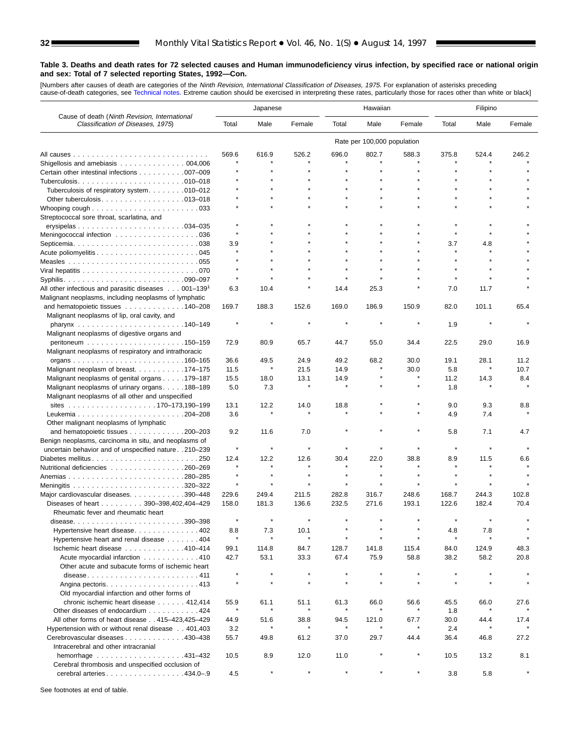[Numbers after causes of dea[th are categories of t](#page-61-0)he *Ninth Revision, International Classification of Diseases, 1975.* For explanation of asterisks preceding<br>cause-of-death categories, see Technical notes. Extreme caution

|                                                                                    | Japanese     |              |         | Hawaiian     |                             |         | Filipino |         |         |
|------------------------------------------------------------------------------------|--------------|--------------|---------|--------------|-----------------------------|---------|----------|---------|---------|
| Cause of death (Ninth Revision, International<br>Classification of Diseases, 1975) | Total        | Male         | Female  | Total        | Male                        | Female  | Total    | Male    | Female  |
|                                                                                    |              |              |         |              | Rate per 100,000 population |         |          |         |         |
|                                                                                    | 569.6        | 616.9        | 526.2   | 696.0        | 802.7                       | 588.3   | 375.8    | 524.4   | 246.2   |
| Shigellosis and amebiasis $\ldots \ldots \ldots \ldots \ldots$ 004,006             |              |              |         |              |                             |         |          |         |         |
| Certain other intestinal infections 007-009                                        |              |              |         |              |                             |         |          |         |         |
|                                                                                    |              |              |         |              |                             |         |          |         |         |
| Tuberculosis of respiratory system. 010-012                                        |              |              |         |              |                             |         |          |         |         |
|                                                                                    |              |              |         |              |                             |         |          |         |         |
|                                                                                    |              |              |         |              |                             |         |          |         |         |
| Streptococcal sore throat, scarlatina, and                                         |              |              |         |              |                             |         |          |         |         |
|                                                                                    |              |              |         |              |                             |         |          |         |         |
| Meningococcal infection 036                                                        | $\star$      |              |         |              |                             |         | $\star$  |         |         |
|                                                                                    | 3.9          |              |         |              |                             |         | 3.7      | 4.8     |         |
|                                                                                    |              |              |         |              |                             |         | $\star$  |         |         |
|                                                                                    |              |              |         |              |                             |         |          |         |         |
|                                                                                    | $\star$      |              |         |              |                             |         | $\star$  |         |         |
|                                                                                    |              |              |         |              |                             |         |          |         |         |
| All other infectious and parasitic diseases $\ldots$ 001-139 <sup>1</sup>          | 6.3          | 10.4         |         | 14.4         | 25.3                        |         | 7.0      | 11.7    |         |
| Malignant neoplasms, including neoplasms of lymphatic                              |              |              |         |              |                             |         |          |         |         |
| and hematopoietic tissues 140–208                                                  | 169.7        | 188.3        | 152.6   | 169.0        | 186.9                       | 150.9   | 82.0     | 101.1   | 65.4    |
| Malignant neoplasms of lip, oral cavity, and                                       |              |              |         |              |                             | $\star$ |          |         |         |
|                                                                                    |              |              |         |              |                             |         | 1.9      |         |         |
| Malignant neoplasms of digestive organs and                                        |              |              |         |              |                             |         |          |         |         |
|                                                                                    | 72.9         | 80.9         | 65.7    | 44.7         | 55.0                        | 34.4    | 22.5     | 29.0    | 16.9    |
| Malignant neoplasms of respiratory and intrathoracic                               | 36.6         | 49.5         | 24.9    | 49.2         | 68.2                        | 30.0    | 19.1     | 28.1    | 11.2    |
| Malignant neoplasm of breast. 174–175                                              | 11.5         |              | 21.5    | 14.9         |                             | 30.0    | 5.8      |         | 10.7    |
| Malignant neoplasms of genital organs 179–187                                      | 15.5         | 18.0         | 13.1    | 14.9         |                             |         | 11.2     | 14.3    | 8.4     |
| Malignant neoplasms of urinary organs. 188–189                                     | 5.0          | 7.3          | $\ast$  |              |                             |         | 1.8      |         |         |
| Malignant neoplasms of all other and unspecified                                   |              |              |         |              |                             |         |          |         |         |
|                                                                                    | 13.1         | 12.2         | 14.0    | 18.8         |                             |         | 9.0      | 9.3     | 8.8     |
|                                                                                    | 3.6          | $\star$      |         |              |                             |         | 4.9      | 7.4     |         |
| Other malignant neoplasms of lymphatic                                             |              |              |         |              |                             |         |          |         |         |
| and hematopoietic tissues 200–203                                                  | 9.2          | 11.6         | 7.0     |              |                             |         | 5.8      | 7.1     | 4.7     |
| Benign neoplasms, carcinoma in situ, and neoplasms of                              |              |              |         |              |                             |         |          |         |         |
| uncertain behavior and of unspecified nature. .210-239                             |              | $\star$      | $\star$ |              |                             |         | $\star$  |         |         |
| Diabetes mellitus250                                                               | 12.4         | 12.2         | 12.6    | 30.4         | 22.0                        | 38.8    | 8.9      | 11.5    | 6.6     |
| Nutritional deficiencies 260–269                                                   | $\star$      | $\star$      | $\star$ |              |                             |         |          |         |         |
|                                                                                    |              | $\star$      |         |              |                             |         |          |         |         |
|                                                                                    |              | $\star$      | $\star$ |              |                             |         | $\star$  |         |         |
| Major cardiovascular diseases. 390-448                                             | 229.6        | 249.4        | 211.5   | 282.8        | 316.7                       | 248.6   | 168.7    | 244.3   | 102.8   |
| Diseases of heart 390-398,402,404-429                                              | 158.0        | 181.3        | 136.6   | 232.5        | 271.6                       | 193.1   | 122.6    | 182.4   | 70.4    |
| Rheumatic fever and rheumatic heart                                                |              |              |         |              |                             |         |          |         |         |
| .390–398<br>disease.<br>.                                                          |              |              |         |              |                             |         |          |         |         |
| Hypertensive heart disease402                                                      | 8.8          | 7.3          | 10.1    | $\star$      |                             |         | 4.8      | 7.8     | $\star$ |
| Hypertensive heart and renal disease 404                                           | $\pmb{\ast}$ | $\star$      | $\star$ |              |                             |         | $\star$  | $\star$ |         |
| Ischemic heart disease 410-414                                                     | 99.1         | 114.8        | 84.7    | 128.7        | 141.8                       | 115.4   | 84.0     | 124.9   | 48.3    |
| Acute myocardial infarction 410                                                    | 42.7         | 53.1         | 33.3    | 67.4         | 75.9                        | 58.8    | 38.2     | 58.2    | 20.8    |
| Other acute and subacute forms of ischemic heart                                   |              |              |         |              |                             |         |          |         |         |
| disease411                                                                         | $\star$      | $\star$      | $\star$ | $\star$      | $\star$                     | $\star$ | $\star$  | $\star$ |         |
|                                                                                    | $\star$      | $\star$      | $\star$ | $\star$      |                             | $\star$ | $\star$  | $\star$ |         |
| Old myocardial infarction and other forms of                                       |              |              |         |              |                             |         |          |         |         |
| chronic ischemic heart disease 412,414                                             | 55.9         | 61.1         | 51.1    | 61.3         | 66.0                        | 56.6    | 45.5     | 66.0    | 27.6    |
| Other diseases of endocardium 424                                                  | $\star$      |              | $\star$ | $\star$      | $\star$                     | $\star$ | 1.8      |         |         |
| All other forms of heart disease 415-423,425-429                                   | 44.9         | 51.6         | 38.8    | 94.5         | 121.0                       | 67.7    | 30.0     | 44.4    | 17.4    |
| Hypertension with or without renal disease 401,403                                 | 3.2          | $\pmb{\ast}$ | $\star$ | $\pmb{\ast}$ |                             | $\star$ | 2.4      |         |         |
| Cerebrovascular diseases 430–438                                                   | 55.7         | 49.8         | 61.2    | 37.0         | 29.7                        | 44.4    | 36.4     | 46.8    | 27.2    |
| Intracerebral and other intracranial                                               |              |              |         |              |                             |         |          |         |         |
|                                                                                    | 10.5         | 8.9          | 12.0    | 11.0         |                             | $\star$ | 10.5     | 13.2    | 8.1     |
| Cerebral thrombosis and unspecified occlusion of                                   |              |              |         |              |                             |         |          |         |         |
| cerebral arteries. 434.0-9                                                         | 4.5          | $\star$      | $\star$ |              |                             | $\star$ | 3.8      | 5.8     |         |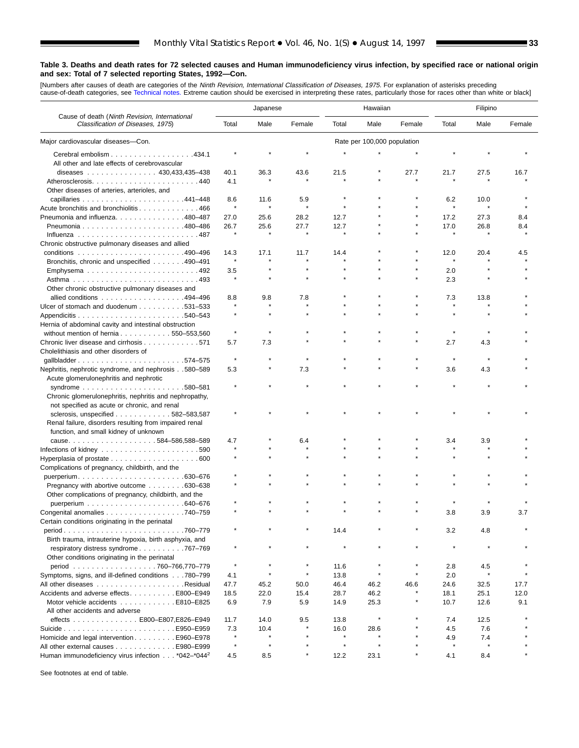[Numbers after causes of de[ath are categories of](#page-61-0) the *Ninth Revision, International Classification of Diseases, 1975.* For explanation of asterisks preceding<br>cause-of-death categories, see Technical notes. Extreme caution

■

|                                                                                    | Japanese     |         |         |         | Hawaiian                    |              | Filipino     |                |        |
|------------------------------------------------------------------------------------|--------------|---------|---------|---------|-----------------------------|--------------|--------------|----------------|--------|
| Cause of death (Ninth Revision, International<br>Classification of Diseases, 1975) | Total        | Male    | Female  | Total   | Male                        | Female       | Total        | Male           | Female |
| Major cardiovascular diseases-Con.                                                 |              |         |         |         | Rate per 100,000 population |              |              |                |        |
| Cerebral embolism 434.1                                                            |              |         |         |         |                             |              |              |                |        |
| All other and late effects of cerebrovascular                                      |              |         |         |         |                             |              |              |                |        |
| diseases 430,433,435-438                                                           | 40.1         | 36.3    | 43.6    | 21.5    |                             | 27.7         | 21.7         | 27.5           | 16.7   |
| Other diseases of arteries, arterioles, and                                        | 4.1          |         |         |         |                             |              |              |                |        |
|                                                                                    | 8.6          | 11.6    | 5.9     |         |                             |              | 6.2          | 10.0           |        |
| Acute bronchitis and bronchiolitis 466                                             | $\pmb{\ast}$ |         |         |         |                             |              |              | $\star$        |        |
| Pneumonia and influenza480-487                                                     | 27.0         | 25.6    | 28.2    | 12.7    |                             |              | 17.2         | 27.3           | 8.4    |
|                                                                                    | 26.7         | 25.6    | 27.7    | 12.7    |                             |              | 17.0         | 26.8           | 8.4    |
|                                                                                    |              | $\star$ | $\star$ |         |                             |              |              |                |        |
| Chronic obstructive pulmonary diseases and allied                                  |              |         |         |         |                             |              |              |                |        |
|                                                                                    | 14.3         | 17.1    | 11.7    | 14.4    |                             |              | 12.0         | 20.4           | 4.5    |
|                                                                                    | $\pmb{\ast}$ |         |         |         |                             |              |              |                |        |
| Bronchitis, chronic and unspecified 490–491                                        |              |         |         |         |                             |              |              |                |        |
|                                                                                    | 3.5          |         |         |         |                             |              | 2.0          |                |        |
|                                                                                    | $\star$      |         |         |         |                             |              | 2.3          |                |        |
| Other chronic obstructive pulmonary diseases and                                   |              |         |         |         |                             |              |              |                |        |
| allied conditions 494-496                                                          | 8.8          | 9.8     | 7.8     |         |                             |              | 7.3          | 13.8           |        |
| Ulcer of stomach and duodenum 531–533                                              |              |         |         |         |                             |              |              |                |        |
|                                                                                    |              |         |         |         |                             |              |              |                |        |
| Hernia of abdominal cavity and intestinal obstruction                              |              |         |         |         |                             |              |              |                |        |
| without mention of hernia $\ldots \ldots \ldots \ldots 550 - 553,560$              | $\star$      |         |         |         |                             |              | $\pmb{\ast}$ |                |        |
| Chronic liver disease and cirrhosis 571                                            | 5.7          | 7.3     |         |         |                             |              | 2.7          | 4.3            |        |
| Cholelithiasis and other disorders of                                              |              |         |         |         |                             |              |              |                |        |
| gallbladder574-575                                                                 | $\star$      |         |         |         |                             |              |              |                |        |
| Nephritis, nephrotic syndrome, and nephrosis580-589                                | 5.3          |         | 7.3     |         |                             |              | 3.6          | 4.3            |        |
| Acute glomerulonephritis and nephrotic                                             |              |         |         |         |                             |              |              |                |        |
|                                                                                    |              |         |         |         |                             |              |              |                |        |
| Chronic glomerulonephritis, nephritis and nephropathy,                             |              |         |         |         |                             |              |              |                |        |
| not specified as acute or chronic, and renal                                       |              |         |         |         |                             |              |              |                |        |
| sclerosis, unspecified $\ldots$ , , , 582-583,587                                  |              |         |         |         |                             |              |              |                |        |
| Renal failure, disorders resulting from impaired renal                             |              |         |         |         |                             |              |              |                |        |
| function, and small kidney of unknown                                              |              |         |         |         |                             |              |              |                |        |
| cause584-586,588-589                                                               | 4.7          |         | 6.4     |         |                             |              | 3.4          | 3.9            |        |
|                                                                                    | $\star$      |         |         |         |                             |              |              |                |        |
| Infections of kidney $\ldots \ldots \ldots \ldots \ldots \ldots \ldots 590$        |              |         |         |         |                             |              |              |                |        |
|                                                                                    |              |         |         |         |                             |              |              |                |        |
| Complications of pregnancy, childbirth, and the                                    |              |         |         |         |                             |              |              |                |        |
|                                                                                    |              |         |         |         |                             |              |              |                |        |
| Pregnancy with abortive outcome 630–638                                            |              |         |         |         |                             |              |              |                |        |
| Other complications of pregnancy, childbirth, and the                              |              |         |         |         |                             |              |              |                |        |
|                                                                                    |              |         |         |         |                             |              |              |                |        |
| Congenital anomalies 740–759                                                       |              |         |         |         |                             |              | 3.8          | 3.9            | 3.7    |
| Certain conditions originating in the perinatal                                    |              |         |         |         |                             |              |              |                |        |
| .760-779                                                                           |              |         |         | 14.4    |                             |              | 3.2          | 4.8            |        |
| Birth trauma, intrauterine hypoxia, birth asphyxia, and                            |              |         |         |         |                             |              |              |                |        |
| respiratory distress syndrome 767-769                                              |              |         |         |         |                             |              |              |                |        |
|                                                                                    |              |         |         |         |                             |              |              |                |        |
| Other conditions originating in the perinatal                                      | $\star$      |         | $\star$ |         |                             |              |              |                |        |
| period 760-766,770-779                                                             |              | $\star$ |         | 11.6    | $\star$                     | $\pmb{\ast}$ | 2.8          | 4.5<br>$\star$ |        |
| Symptoms, signs, and ill-defined conditions 780-799                                | 4.1          |         | $\star$ | 13.8    |                             |              | 2.0          |                |        |
|                                                                                    | 47.7         | 45.2    | 50.0    | 46.4    | 46.2                        | 46.6         | 24.6         | 32.5           | 17.7   |
| Accidents and adverse effects. E800–E949                                           | 18.5         | 22.0    | 15.4    | 28.7    | 46.2                        |              | 18.1         | 25.1           | 12.0   |
| Motor vehicle accidents E810–E825                                                  | 6.9          | 7.9     | 5.9     | 14.9    | 25.3                        |              | 10.7         | 12.6           | 9.1    |
| All other accidents and adverse                                                    |              |         |         |         |                             |              |              |                |        |
| effects E800-E807, E826-E949                                                       | 11.7         | 14.0    | 9.5     | 13.8    |                             |              | 7.4          | 12.5           |        |
|                                                                                    | 7.3          | 10.4    |         | 16.0    | 28.6                        |              | 4.5          | 7.6            |        |
| Homicide and legal interventionE960-E978                                           | $\star$      |         |         |         |                             |              | 4.9          | 7.4            |        |
| All other external causes E980–E999                                                | $\star$      | $\star$ |         | $\star$ | $\star$                     |              |              |                |        |
| Human immunodeficiency virus infection *042-*044 <sup>2</sup>                      | 4.5          | 8.5     | $\star$ | 12.2    | 23.1                        |              | 4.1          | 8.4            |        |
|                                                                                    |              |         |         |         |                             |              |              |                |        |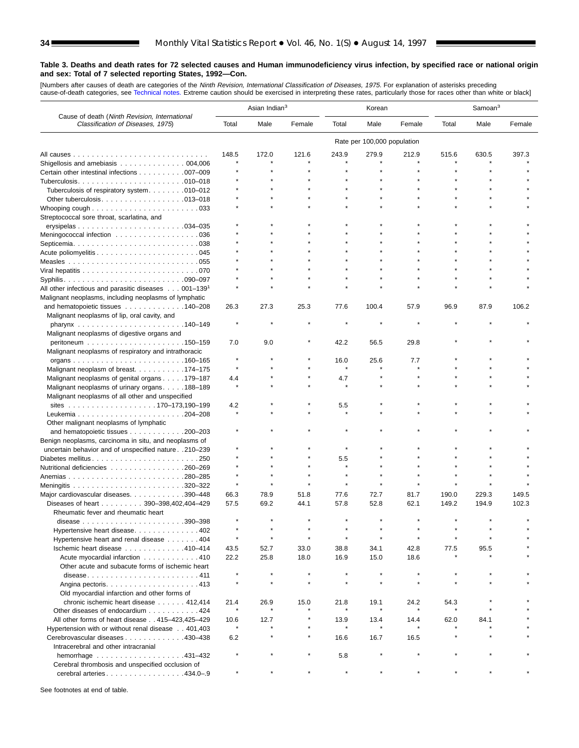[Numbers after causes of death are categories of the *Ninth Revision, International Classification of Diseases, 1975.* For explanation of asterisks preceding<br>cause-of-death categories, see [Technical notes.](#page-61-0) Extreme caution

|                                                                                    | Asian Indian <sup>3</sup> |         | Korean  |                |                             | Samoan <sup>3</sup> |       |       |        |
|------------------------------------------------------------------------------------|---------------------------|---------|---------|----------------|-----------------------------|---------------------|-------|-------|--------|
| Cause of death (Ninth Revision, International<br>Classification of Diseases, 1975) | Total                     | Male    | Female  | Total          | Male                        | Female              | Total | Male  | Female |
|                                                                                    |                           |         |         |                | Rate per 100,000 population |                     |       |       |        |
|                                                                                    | 148.5                     | 172.0   | 121.6   | 243.9          | 279.9                       | 212.9               | 515.6 | 630.5 | 397.3  |
| Shigellosis and amebiasis $\ldots \ldots \ldots \ldots \ldots 004,006$             |                           |         |         |                |                             |                     |       |       |        |
| Certain other intestinal infections 007-009                                        |                           |         |         |                |                             |                     |       |       |        |
|                                                                                    |                           |         |         |                |                             |                     |       |       |        |
| Tuberculosis of respiratory system. 010-012                                        |                           |         |         |                |                             |                     |       |       |        |
|                                                                                    |                           |         |         |                |                             |                     |       |       |        |
| Whooping cough $\ldots \ldots \ldots \ldots \ldots \ldots \ldots$                  |                           |         |         |                |                             |                     |       |       |        |
| Streptococcal sore throat, scarlatina, and                                         |                           |         |         |                |                             |                     |       |       |        |
|                                                                                    |                           |         |         |                |                             |                     |       |       |        |
| Meningococcal infection 036                                                        |                           |         |         |                |                             |                     |       |       |        |
|                                                                                    |                           |         |         |                |                             |                     |       |       |        |
|                                                                                    |                           |         |         |                |                             |                     |       |       |        |
|                                                                                    |                           |         |         |                |                             |                     |       |       |        |
|                                                                                    |                           |         |         |                |                             |                     |       |       |        |
| All other infectious and parasitic diseases $\ldots$ 001-139 <sup>1</sup>          |                           |         |         |                |                             |                     |       |       |        |
| Malignant neoplasms, including neoplasms of lymphatic                              |                           |         |         |                |                             |                     |       |       |        |
| and hematopoietic tissues 140–208                                                  | 26.3                      | 27.3    | 25.3    | 77.6           | 100.4                       | 57.9                | 96.9  | 87.9  | 106.2  |
| Malignant neoplasms of lip, oral cavity, and                                       |                           |         |         |                |                             |                     |       |       |        |
|                                                                                    |                           |         |         |                |                             |                     |       |       |        |
| Malignant neoplasms of digestive organs and                                        |                           |         |         |                |                             |                     |       |       |        |
|                                                                                    | 7.0                       | 9.0     |         | 42.2           | 56.5                        | 29.8                |       |       |        |
| Malignant neoplasms of respiratory and intrathoracic                               |                           |         |         |                |                             |                     |       |       |        |
|                                                                                    |                           |         |         | 16.0           | 25.6                        | 7.7                 |       |       |        |
| Malignant neoplasm of breast. 174–175                                              | $\star$                   |         |         |                |                             |                     |       |       |        |
| Malignant neoplasms of genital organs 179–187                                      | 4.4                       |         |         | 4.7            |                             |                     |       |       |        |
| Malignant neoplasms of urinary organs. 188–189                                     |                           |         |         |                |                             |                     |       |       |        |
| Malignant neoplasms of all other and unspecified                                   |                           |         |         |                |                             |                     |       |       |        |
|                                                                                    | 4.2                       |         |         | 5.5            |                             |                     |       |       |        |
|                                                                                    |                           |         |         |                |                             |                     |       |       |        |
| Other malignant neoplasms of lymphatic                                             |                           |         |         |                |                             |                     |       |       |        |
| and hematopoietic tissues 200-203                                                  |                           |         |         |                |                             |                     |       |       |        |
| Benign neoplasms, carcinoma in situ, and neoplasms of                              |                           |         |         |                |                             |                     |       |       |        |
| uncertain behavior and of unspecified nature 210-239                               |                           |         |         |                |                             |                     |       |       |        |
| Diabetes mellitus250<br>Nutritional deficiencies 260–269                           |                           |         |         | 5.5<br>$\star$ |                             |                     |       |       |        |
|                                                                                    |                           |         |         |                |                             |                     |       |       |        |
|                                                                                    | $\star$                   |         |         |                |                             |                     |       |       |        |
| Major cardiovascular diseases. 390-448                                             | 66.3                      | 78.9    | 51.8    | 77.6           | 72.7                        | 81.7                | 190.0 | 229.3 | 149.5  |
| Diseases of heart 390-398,402,404-429                                              | 57.5                      | 69.2    | 44.1    | 57.8           | 52.8                        | 62.1                | 149.2 | 194.9 | 102.3  |
| Rheumatic fever and rheumatic heart                                                |                           |         |         |                |                             |                     |       |       |        |
| .390-398<br>disease $\ldots \ldots \ldots \ldots \ldots \ldots \ldots$             |                           |         |         |                |                             |                     |       |       |        |
| Hypertensive heart disease. 402                                                    |                           |         |         |                |                             |                     |       |       |        |
| Hypertensive heart and renal disease 404                                           |                           |         |         |                |                             |                     |       |       |        |
| Ischemic heart disease 410-414                                                     | 43.5                      | 52.7    | 33.0    | 38.8           | 34.1                        | 42.8                | 77.5  | 95.5  |        |
| Acute myocardial infarction 410                                                    | 22.2                      | 25.8    | 18.0    | 16.9           | 15.0                        | 18.6                |       |       |        |
| Other acute and subacute forms of ischemic heart                                   |                           |         |         |                |                             |                     |       |       |        |
| disease411                                                                         | $\star$                   | $\star$ | $\star$ | $\star$        |                             |                     |       |       |        |
|                                                                                    |                           |         |         |                |                             |                     |       |       |        |
| Old myocardial infarction and other forms of                                       |                           |         |         |                |                             |                     |       |       |        |
| chronic ischemic heart disease 412,414                                             | 21.4                      | 26.9    | 15.0    | 21.8           | 19.1                        | 24.2                | 54.3  |       |        |
| Other diseases of endocardium 424                                                  |                           |         |         |                |                             |                     |       |       |        |
| All other forms of heart disease 415-423.425-429                                   | 10.6                      | 12.7    |         | 13.9           | 13.4                        | 14.4                | 62.0  | 84.1  |        |
| Hypertension with or without renal disease 401,403                                 | $\star$                   |         |         |                | $\star$                     |                     |       |       |        |
| Cerebrovascular diseases 430–438                                                   | 6.2                       |         |         | 16.6           | 16.7                        | 16.5                |       |       |        |
| Intracerebral and other intracranial                                               | $\star$                   |         | $\star$ |                |                             |                     |       |       |        |
| hemorrhage 431-432                                                                 |                           |         |         | 5.8            |                             |                     |       |       |        |
| Cerebral thrombosis and unspecified occlusion of<br>cerebral arteries. 434.0-9     |                           |         |         |                |                             |                     |       |       |        |
|                                                                                    |                           |         |         |                |                             |                     |       |       |        |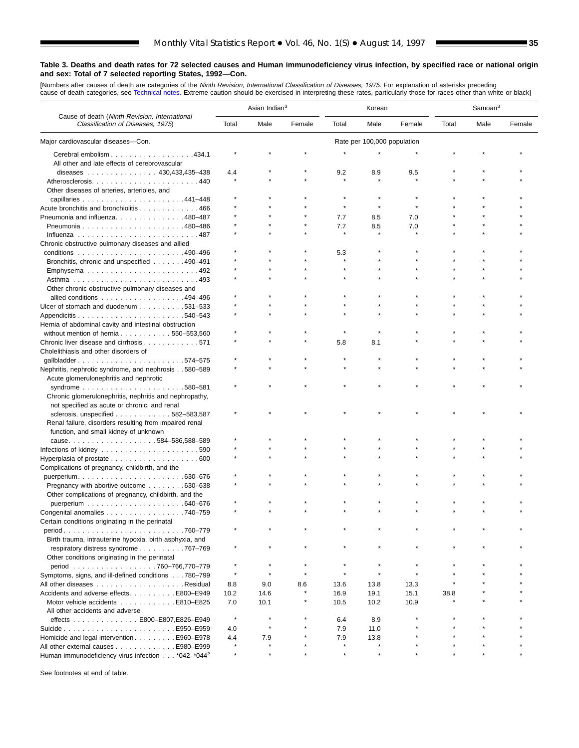[Numbers after causes of death are categories of the *Ninth Revision, International Classification of Diseases, 1975.* For explanation of asterisks preceding<br>cause-of-death categories, see [Technical notes.](#page-61-0) Extreme caution

٠

|                                                                                    | Asian Indian <sup>3</sup> |      |        | Korean         |                             |        | Samoan <sup>3</sup> |      |        |
|------------------------------------------------------------------------------------|---------------------------|------|--------|----------------|-----------------------------|--------|---------------------|------|--------|
| Cause of death (Ninth Revision, International<br>Classification of Diseases, 1975) | Total                     | Male | Female | Total          | Male                        | Female | Total               | Male | Female |
| Major cardiovascular diseases-Con.                                                 |                           |      |        |                | Rate per 100,000 population |        |                     |      |        |
| Cerebral embolism 434.1                                                            |                           |      |        |                |                             |        |                     |      |        |
| All other and late effects of cerebrovascular                                      |                           |      |        |                |                             |        |                     |      |        |
| diseases $\ldots$ , , , , 430,433,435-438                                          | 4.4                       |      |        | 9.2            | 8.9                         | 9.5    |                     |      |        |
| Atherosclerosis440                                                                 |                           |      |        |                |                             |        |                     |      |        |
| Other diseases of arteries, arterioles, and                                        |                           |      |        |                |                             |        |                     |      |        |
|                                                                                    |                           |      |        |                |                             |        |                     |      |        |
| Acute bronchitis and bronchiolitis 466                                             |                           |      |        |                | $\star$                     |        |                     |      |        |
| Pneumonia and influenza. 480–487                                                   |                           |      |        | 7.7            | 8.5                         | 7.0    |                     |      |        |
|                                                                                    |                           |      |        | 7.7<br>$\star$ | 8.5                         | 7.0    |                     |      |        |
|                                                                                    |                           |      |        |                |                             |        |                     |      |        |
| Chronic obstructive pulmonary diseases and allied                                  |                           |      |        | 5.3            |                             |        |                     |      |        |
| Bronchitis, chronic and unspecified 490-491                                        |                           |      |        |                |                             |        |                     |      |        |
|                                                                                    |                           |      |        |                |                             |        |                     |      |        |
|                                                                                    |                           |      |        |                |                             |        |                     |      |        |
| Other chronic obstructive pulmonary diseases and                                   |                           |      |        |                |                             |        |                     |      |        |
| allied conditions 494-496                                                          |                           |      |        |                |                             |        |                     |      |        |
| Ulcer of stomach and duodenum 531-533                                              |                           |      |        |                |                             |        |                     |      |        |
|                                                                                    |                           |      |        |                |                             |        |                     |      |        |
| Hernia of abdominal cavity and intestinal obstruction                              |                           |      |        |                |                             |        |                     |      |        |
| without mention of hernia 550-553,560                                              |                           |      |        |                |                             |        |                     |      |        |
| Chronic liver disease and cirrhosis 571                                            |                           |      |        | 5.8            | 8.1                         |        |                     |      |        |
| Cholelithiasis and other disorders of                                              |                           |      |        |                |                             |        |                     |      |        |
| gallbladder574-575                                                                 |                           |      |        |                |                             |        |                     |      |        |
| Nephritis, nephrotic syndrome, and nephrosis580-589                                |                           |      |        |                |                             |        |                     |      |        |
| Acute glomerulonephritis and nephrotic                                             |                           |      |        |                |                             |        |                     |      |        |
|                                                                                    |                           |      |        |                |                             |        |                     |      |        |
| Chronic glomerulonephritis, nephritis and nephropathy,                             |                           |      |        |                |                             |        |                     |      |        |
| not specified as acute or chronic, and renal                                       |                           |      |        |                |                             |        |                     |      |        |
| sclerosis, unspecified $\ldots$ , , , 582-583,587                                  |                           |      |        |                |                             |        |                     |      |        |
| Renal failure, disorders resulting from impaired renal                             |                           |      |        |                |                             |        |                     |      |        |
| function, and small kidney of unknown                                              |                           |      |        |                |                             |        |                     |      |        |
| cause584-586,588-589                                                               |                           |      |        |                |                             |        |                     |      |        |
| Infections of kidney $\ldots \ldots \ldots \ldots \ldots \ldots \ldots \ldots 590$ |                           |      |        |                |                             |        |                     |      |        |
| Hyperplasia of prostate $\ldots \ldots \ldots \ldots \ldots \ldots$ . 600          |                           |      |        |                |                             |        |                     |      |        |
| Complications of pregnancy, childbirth, and the                                    |                           |      |        |                |                             |        |                     |      |        |
|                                                                                    |                           |      |        |                |                             |        |                     |      |        |
| Pregnancy with abortive outcome 630-638                                            |                           |      |        |                |                             |        |                     |      |        |
| Other complications of pregnancy, childbirth, and the                              |                           |      |        |                |                             |        |                     |      |        |
| Congenital anomalies 740–759                                                       |                           |      |        |                |                             |        |                     |      |        |
| Certain conditions originating in the perinatal                                    |                           |      |        |                |                             |        |                     |      |        |
| .760-779                                                                           |                           |      |        |                |                             |        |                     |      |        |
| Birth trauma, intrauterine hypoxia, birth asphyxia, and                            |                           |      |        |                |                             |        |                     |      |        |
| respiratory distress syndrome 767-769                                              |                           |      |        |                |                             |        |                     |      |        |
| Other conditions originating in the perinatal                                      |                           |      |        |                |                             |        |                     |      |        |
| period 760-766,770-779                                                             |                           |      |        |                |                             |        |                     |      |        |
| Symptoms, signs, and ill-defined conditions 780-799                                | $\star$                   |      |        |                | $\star$                     |        |                     |      |        |
|                                                                                    | 8.8                       | 9.0  | 8.6    | 13.6           | 13.8                        | 13.3   |                     |      |        |
| Accidents and adverse effects. E800-E949                                           | 10.2                      | 14.6 |        | 16.9           | 19.1                        | 15.1   | 38.8                |      |        |
| Motor vehicle accidents E810–E825                                                  | 7.0                       | 10.1 |        | 10.5           | 10.2                        | 10.9   |                     |      |        |
| All other accidents and adverse                                                    |                           |      |        |                |                             |        |                     |      |        |
| effects E800-E807,E826-E949                                                        | $\star$                   |      |        | 6.4            | 8.9                         |        |                     |      |        |
|                                                                                    | 4.0                       |      |        | 7.9            | 11.0                        |        |                     |      |        |
| Homicide and legal intervention E960-E978                                          | 4.4                       | 7.9  |        | 7.9            | 13.8                        |        |                     |      |        |
| All other external causes E980-E999                                                |                           |      |        |                |                             |        |                     |      |        |
| Human immunodeficiency virus infection *042-*044 <sup>2</sup>                      | $\star$                   |      |        |                |                             |        |                     |      |        |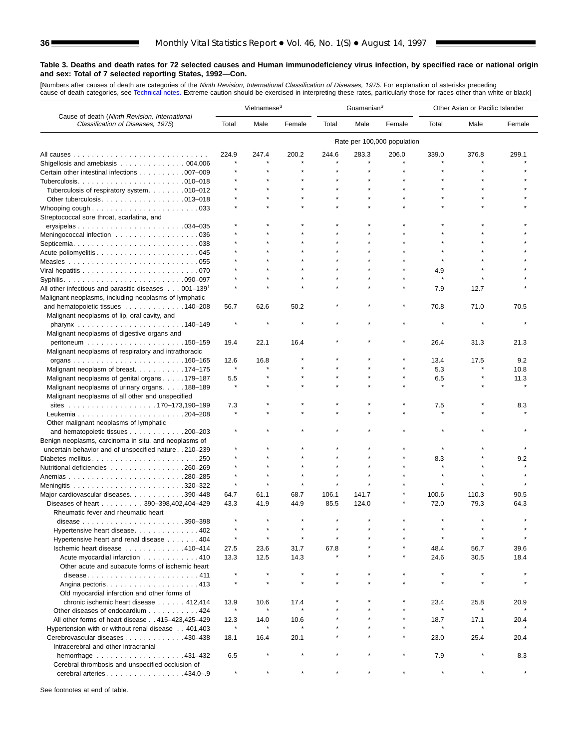[Numbers after causes of de[ath are categories of t](#page-61-0)he *Ninth Revision, International Classification of Diseases, 1975.* For explanation of asterisks preceding<br>cause-of-death categories, see Technical notes. Extreme caution

|                                                                                                    | Vietnamese <sup>3</sup> |         |         |       | Guamanian <sup>3</sup> |                             | Other Asian or Pacific Islander |         |        |  |
|----------------------------------------------------------------------------------------------------|-------------------------|---------|---------|-------|------------------------|-----------------------------|---------------------------------|---------|--------|--|
| Cause of death (Ninth Revision, International<br>Classification of Diseases, 1975)                 | Total                   | Male    | Female  | Total | Male                   | Female                      | Total                           | Male    | Female |  |
|                                                                                                    |                         |         |         |       |                        | Rate per 100,000 population |                                 |         |        |  |
|                                                                                                    | 224.9                   | 247.4   | 200.2   | 244.6 | 283.3                  | 206.0                       | 339.0                           | 376.8   | 299.1  |  |
| Shigellosis and amebiasis 004,006                                                                  |                         |         |         |       |                        |                             |                                 |         |        |  |
| Certain other intestinal infections 007-009                                                        |                         |         |         |       |                        |                             |                                 |         |        |  |
|                                                                                                    |                         |         |         |       |                        |                             |                                 |         |        |  |
| Tuberculosis of respiratory system. 010-012                                                        |                         |         |         |       |                        |                             |                                 |         |        |  |
|                                                                                                    |                         |         |         |       |                        |                             |                                 |         |        |  |
| Whooping cough $\ldots \ldots \ldots \ldots \ldots \ldots \ldots$                                  |                         |         |         |       |                        |                             |                                 |         |        |  |
| Streptococcal sore throat, scarlatina, and                                                         |                         |         |         |       |                        |                             |                                 |         |        |  |
|                                                                                                    |                         |         |         |       |                        |                             |                                 |         |        |  |
| Meningococcal infection 036                                                                        |                         |         |         |       |                        |                             |                                 |         |        |  |
|                                                                                                    |                         |         |         |       |                        |                             |                                 |         |        |  |
|                                                                                                    |                         |         |         |       |                        |                             |                                 |         |        |  |
|                                                                                                    |                         |         |         |       |                        |                             |                                 |         |        |  |
|                                                                                                    |                         |         |         |       |                        |                             | 4.9                             |         |        |  |
|                                                                                                    |                         |         |         |       |                        |                             | $\star$                         |         |        |  |
| All other infectious and parasitic diseases 001-139 <sup>1</sup>                                   |                         |         |         |       |                        |                             | 7.9                             | 12.7    |        |  |
| Malignant neoplasms, including neoplasms of lymphatic                                              |                         |         |         |       |                        |                             |                                 |         |        |  |
| and hematopoietic tissues 140–208                                                                  | 56.7                    | 62.6    | 50.2    |       |                        |                             | 70.8                            | 71.0    | 70.5   |  |
| Malignant neoplasms of lip, oral cavity, and                                                       |                         |         |         |       |                        |                             |                                 | $\star$ |        |  |
|                                                                                                    |                         |         |         |       |                        |                             |                                 |         |        |  |
| Malignant neoplasms of digestive organs and                                                        |                         |         |         |       |                        |                             |                                 |         |        |  |
|                                                                                                    | 19.4                    | 22.1    | 16.4    |       |                        |                             | 26.4                            | 31.3    | 21.3   |  |
| Malignant neoplasms of respiratory and intrathoracic                                               |                         |         |         |       |                        |                             |                                 |         |        |  |
|                                                                                                    | 12.6<br>$\star$         | 16.8    |         |       |                        |                             | 13.4                            | 17.5    | 9.2    |  |
| Malignant neoplasm of breast. 174–175                                                              |                         |         |         |       |                        |                             | 5.3                             |         | 10.8   |  |
| Malignant neoplasms of genital organs 179–187                                                      | 5.5<br>$\star$          |         |         |       |                        |                             | 6.5<br>$\star$                  |         | 11.3   |  |
| Malignant neoplasms of urinary organs. 188-189<br>Malignant neoplasms of all other and unspecified |                         |         |         |       |                        |                             |                                 |         |        |  |
|                                                                                                    | 7.3                     |         |         |       |                        |                             | 7.5                             |         | 8.3    |  |
|                                                                                                    |                         |         |         |       |                        |                             |                                 |         |        |  |
| Other malignant neoplasms of lymphatic                                                             |                         |         |         |       |                        |                             |                                 |         |        |  |
| and hematopoietic tissues 200–203                                                                  |                         |         |         |       |                        |                             |                                 |         |        |  |
| Benign neoplasms, carcinoma in situ, and neoplasms of                                              |                         |         |         |       |                        |                             |                                 |         |        |  |
| uncertain behavior and of unspecified nature 210-239                                               |                         |         |         |       |                        |                             |                                 |         |        |  |
| Diabetes mellitus250                                                                               |                         |         |         |       |                        |                             | 8.3                             |         | 9.2    |  |
| Nutritional deficiencies 260–269                                                                   |                         |         |         |       |                        |                             |                                 |         |        |  |
|                                                                                                    |                         |         |         |       |                        |                             |                                 |         |        |  |
|                                                                                                    | $\star$                 |         |         |       |                        |                             |                                 |         |        |  |
| Major cardiovascular diseases. 390-448                                                             | 64.7                    | 61.1    | 68.7    | 106.1 | 141.7                  |                             | 100.6                           | 110.3   | 90.5   |  |
| Diseases of heart 390-398,402,404-429                                                              | 43.3                    | 41.9    | 44.9    | 85.5  | 124.0                  |                             | 72.0                            | 79.3    | 64.3   |  |
| Rheumatic fever and rheumatic heart                                                                |                         |         |         |       |                        |                             |                                 |         |        |  |
| .390–398<br>disease<br>.                                                                           |                         |         |         |       |                        |                             |                                 |         |        |  |
| Hypertensive heart disease402                                                                      |                         |         |         |       |                        |                             |                                 |         |        |  |
| Hypertensive heart and renal disease 404                                                           | $\star$                 |         | $\star$ |       |                        |                             | $\star$                         |         |        |  |
| Ischemic heart disease 410-414                                                                     | 27.5                    | 23.6    | 31.7    | 67.8  |                        |                             | 48.4                            | 56.7    | 39.6   |  |
| Acute myocardial infarction 410                                                                    | 13.3                    | 12.5    | 14.3    |       |                        |                             | 24.6                            | 30.5    | 18.4   |  |
| Other acute and subacute forms of ischemic heart                                                   |                         |         |         |       |                        |                             |                                 |         |        |  |
| disease411                                                                                         | $\star$                 |         | $\star$ |       |                        |                             | $\star$                         | $\star$ |        |  |
|                                                                                                    | $\star$                 | $\star$ | $\star$ |       |                        |                             | $\star$                         | $\star$ |        |  |
| Old myocardial infarction and other forms of                                                       |                         |         |         |       |                        |                             |                                 |         |        |  |
| chronic ischemic heart disease 412,414                                                             | 13.9                    | 10.6    | 17.4    |       |                        |                             | 23.4                            | 25.8    | 20.9   |  |
| Other diseases of endocardium 424                                                                  | $\star$                 |         | $\star$ |       |                        |                             |                                 |         |        |  |
| All other forms of heart disease 415-423,425-429                                                   | 12.3                    | 14.0    | 10.6    |       |                        |                             | 18.7                            | 17.1    | 20.4   |  |
| Hypertension with or without renal disease 401,403                                                 | $\star$                 | $\star$ | $\star$ |       |                        |                             | $\star$                         | $\star$ |        |  |
| Cerebrovascular diseases 430–438                                                                   | 18.1                    | 16.4    | 20.1    |       |                        |                             | 23.0                            | 25.4    | 20.4   |  |
| Intracerebral and other intracranial                                                               |                         |         |         |       |                        |                             |                                 |         |        |  |
| hemorrhage $\ldots \ldots \ldots \ldots \ldots \ldots$ . 431-432                                   | 6.5                     |         |         |       |                        |                             | 7.9                             |         | 8.3    |  |
| Cerebral thrombosis and unspecified occlusion of                                                   |                         |         |         |       |                        |                             |                                 |         |        |  |
| cerebral arteries. 434.0-.9                                                                        |                         |         |         |       |                        |                             |                                 |         |        |  |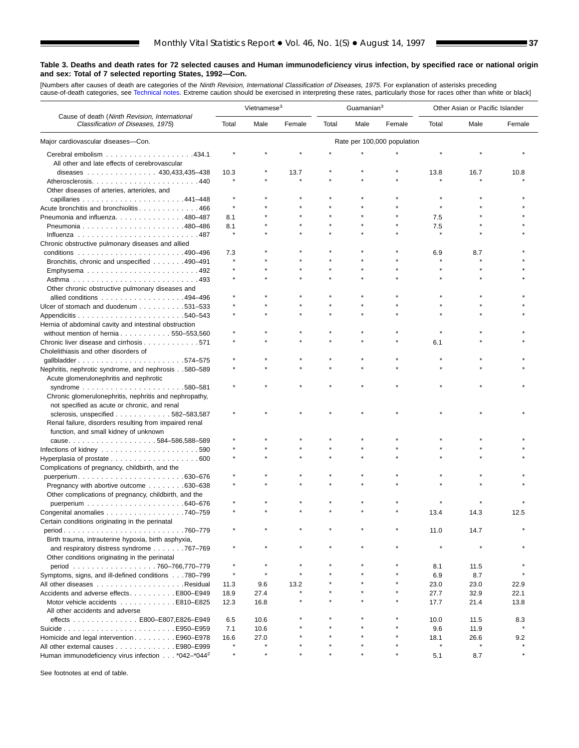[Numbers after causes of death are categories of the *Ninth Revision, International Classification of Diseases, 1975.* For explanation of asterisks preceding<br>cause-of-death categories, see [Technical notes.](#page-61-0) Extreme caution

٠

|                                                                                               | Vietnamese <sup>3</sup> |      |        | Guamanian <sup>3</sup> |      |                             | Other Asian or Pacific Islander |      |        |
|-----------------------------------------------------------------------------------------------|-------------------------|------|--------|------------------------|------|-----------------------------|---------------------------------|------|--------|
| Cause of death (Ninth Revision, International<br>Classification of Diseases, 1975)            | Total                   | Male | Female | Total                  | Male | Female                      | Total                           | Male | Female |
| Major cardiovascular diseases-Con.                                                            |                         |      |        |                        |      | Rate per 100,000 population |                                 |      |        |
|                                                                                               |                         |      |        |                        |      |                             |                                 |      |        |
| All other and late effects of cerebrovascular                                                 |                         |      |        |                        |      |                             |                                 |      |        |
| diseases 430,433,435-438                                                                      | 10.3                    |      | 13.7   |                        |      |                             | 13.8                            | 16.7 | 10.8   |
| Atherosclerosis440                                                                            |                         |      |        |                        |      |                             |                                 |      |        |
| Other diseases of arteries, arterioles, and                                                   |                         |      |        |                        |      |                             |                                 |      |        |
|                                                                                               |                         |      |        |                        |      |                             |                                 |      |        |
| Acute bronchitis and bronchiolitis 466                                                        | $\star$                 |      |        |                        |      |                             |                                 |      |        |
| Pneumonia and influenza. 480–487                                                              | 8.1                     |      |        |                        |      |                             | 7.5                             |      |        |
|                                                                                               | 8.1                     |      |        |                        |      |                             | 7.5                             |      |        |
|                                                                                               |                         |      |        |                        |      |                             |                                 |      |        |
| Chronic obstructive pulmonary diseases and allied                                             |                         |      |        |                        |      |                             |                                 |      |        |
|                                                                                               | 7.3                     |      |        |                        |      |                             | 6.9                             | 8.7  |        |
| Bronchitis, chronic and unspecified 490–491                                                   |                         |      |        |                        |      |                             |                                 |      |        |
|                                                                                               |                         |      |        |                        |      |                             |                                 |      |        |
|                                                                                               |                         |      |        |                        |      |                             |                                 |      |        |
| Other chronic obstructive pulmonary diseases and                                              |                         |      |        |                        |      |                             |                                 |      |        |
| allied conditions 494-496                                                                     |                         |      |        |                        |      |                             |                                 |      |        |
| Ulcer of stomach and duodenum 531-533                                                         |                         |      |        |                        |      |                             |                                 |      |        |
|                                                                                               |                         |      |        |                        |      |                             |                                 |      |        |
| Hernia of abdominal cavity and intestinal obstruction                                         |                         |      |        |                        |      |                             |                                 |      |        |
| without mention of hernia 550-553,560                                                         |                         |      |        |                        |      |                             |                                 |      |        |
| Chronic liver disease and cirrhosis 571<br>Cholelithiasis and other disorders of              |                         |      |        |                        |      |                             | 6.1                             |      |        |
| gallbladder574-575                                                                            |                         |      |        |                        |      |                             |                                 |      |        |
| Nephritis, nephrotic syndrome, and nephrosis580-589<br>Acute glomerulonephritis and nephrotic |                         |      |        |                        |      |                             |                                 |      |        |
|                                                                                               |                         |      |        |                        |      |                             |                                 |      |        |
| Chronic glomerulonephritis, nephritis and nephropathy,                                        |                         |      |        |                        |      |                             |                                 |      |        |
| not specified as acute or chronic, and renal                                                  |                         |      |        |                        |      |                             |                                 |      |        |
| sclerosis, unspecified 582-583,587                                                            |                         |      |        |                        |      |                             |                                 |      |        |
| Renal failure, disorders resulting from impaired renal                                        |                         |      |        |                        |      |                             |                                 |      |        |
| function, and small kidney of unknown                                                         |                         |      |        |                        |      |                             |                                 |      |        |
|                                                                                               |                         |      |        |                        |      |                             |                                 |      |        |
|                                                                                               |                         |      |        |                        |      |                             |                                 |      |        |
|                                                                                               |                         |      |        |                        |      |                             |                                 |      |        |
| Complications of pregnancy, childbirth, and the                                               |                         |      |        |                        |      |                             |                                 |      |        |
|                                                                                               |                         |      |        |                        |      |                             |                                 |      |        |
| Pregnancy with abortive outcome 630–638                                                       |                         |      |        |                        |      |                             |                                 |      |        |
| Other complications of pregnancy, childbirth, and the                                         |                         |      |        |                        |      |                             |                                 |      |        |
|                                                                                               |                         |      |        |                        |      |                             |                                 |      |        |
| Congenital anomalies 740–759                                                                  |                         |      |        |                        |      |                             | 13.4                            | 14.3 | 12.5   |
| Certain conditions originating in the perinatal                                               |                         |      |        |                        |      |                             |                                 |      |        |
| .760–779<br>$period.$                                                                         |                         |      |        |                        |      |                             | 11.0                            | 14.7 |        |
| Birth trauma, intrauterine hypoxia, birth asphyxia,                                           |                         |      |        |                        |      |                             |                                 |      |        |
| and respiratory distress syndrome 767-769                                                     |                         |      |        |                        |      |                             |                                 |      |        |
| Other conditions originating in the perinatal                                                 |                         |      |        |                        |      |                             |                                 |      |        |
| period 760-766,770-779                                                                        |                         |      |        |                        |      |                             | 8.1                             | 11.5 |        |
| Symptoms, signs, and ill-defined conditions780-799                                            | $\star$                 |      |        |                        |      |                             | 6.9                             | 8.7  |        |
|                                                                                               | 11.3                    | 9.6  | 13.2   |                        |      |                             | 23.0                            | 23.0 | 22.9   |
| Accidents and adverse effects. E800–E949                                                      | 18.9                    | 27.4 |        |                        |      |                             | 27.7                            | 32.9 | 22.1   |
| Motor vehicle accidents E810-E825<br>All other accidents and adverse                          | 12.3                    | 16.8 |        |                        |      |                             | 17.7                            | 21.4 | 13.8   |
| effects E800-E807, E826-E949                                                                  | 6.5                     | 10.6 |        |                        |      |                             | 10.0                            | 11.5 | 8.3    |
|                                                                                               | 7.1                     | 10.6 |        |                        |      |                             | 9.6                             | 11.9 |        |
| Homicide and legal intervention E960–E978                                                     | 16.6                    | 27.0 |        |                        |      |                             | 18.1                            | 26.6 | 9.2    |
| All other external causes E980-E999                                                           | $\star$                 |      |        |                        |      |                             |                                 |      |        |
| Human immunodeficiency virus infection *042-*044 <sup>2</sup>                                 |                         |      |        |                        |      |                             | 5.1                             | 8.7  |        |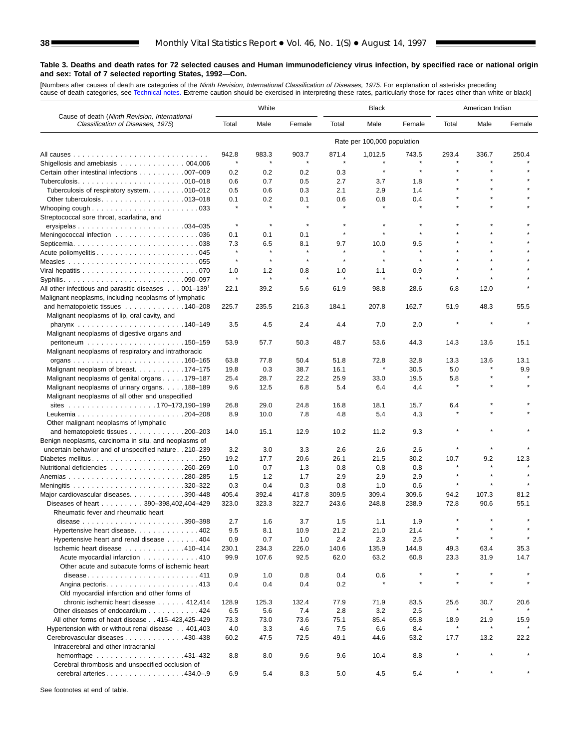[Numbers after causes of de[ath are categories of](#page-61-0) the *Ninth Revision, International Classification of Diseases, 1975.* For explanation of asterisks preceding<br>cause-of-death categories, see Technical notes. Extreme caution

|                                                                                                  | White        |            |            | <b>Black</b> |                             |                | American Indian |       |        |
|--------------------------------------------------------------------------------------------------|--------------|------------|------------|--------------|-----------------------------|----------------|-----------------|-------|--------|
| Cause of death (Ninth Revision, International<br>Classification of Diseases, 1975)               | Total        | Male       | Female     | Total        | Male                        | Female         | Total           | Male  | Female |
|                                                                                                  |              |            |            |              | Rate per 100,000 population |                |                 |       |        |
|                                                                                                  | 942.8        | 983.3      | 903.7      | 871.4        | 1,012.5                     | 743.5          | 293.4           | 336.7 | 250.4  |
| Shigellosis and amebiasis $\ldots \ldots \ldots \ldots \ldots 004,006$                           | $\star$      |            |            |              |                             |                |                 |       |        |
| Certain other intestinal infections 007-009                                                      | 0.2          | 0.2        | 0.2        | 0.3          | $\star$                     | $\star$        |                 |       |        |
|                                                                                                  | 0.6          | 0.7        | 0.5        | 2.7          | 3.7                         | 1.8            |                 |       |        |
| Tuberculosis of respiratory system. 010-012                                                      | 0.5          | 0.6        | 0.3        | 2.1          | 2.9                         | 1.4            |                 |       |        |
| Other tuberculosis. $\ldots$ . 013–018                                                           | 0.1          | 0.2        | 0.1        | 0.6          | 0.8                         | 0.4<br>$\star$ |                 |       |        |
| Whooping cough $\ldots \ldots \ldots \ldots \ldots \ldots \ldots \ldots$                         |              |            |            |              |                             |                |                 |       |        |
| Streptococcal sore throat, scarlatina, and                                                       | $\star$      | $\star$    | $\star$    | $\star$      |                             |                |                 |       |        |
|                                                                                                  | 0.1          | 0.1        | 0.1        | $\star$      | $\star$                     | $\pmb{\ast}$   |                 |       |        |
|                                                                                                  | 7.3          | 6.5        | 8.1        | 9.7          | 10.0                        | 9.5            |                 |       |        |
|                                                                                                  | $\star$      | $\star$    | $\star$    | $\star$      | $\star$                     | $\star$        |                 |       |        |
|                                                                                                  | $\pmb{\ast}$ | $\star$    | $\star$    | $\star$      | ×                           | $\star$        |                 |       |        |
|                                                                                                  | 1.0          | 1.2        | 0.8        | 1.0          | 1.1                         | 0.9            |                 |       |        |
|                                                                                                  | $\pmb{\ast}$ | $\star$    | $\star$    | $\star$      | $\star$                     | $\star$        | $\star$         |       |        |
| All other infectious and parasitic diseases $\ldots$ 001–139 <sup>1</sup>                        | 22.1         | 39.2       | 5.6        | 61.9         | 98.8                        | 28.6           | 6.8             | 12.0  |        |
| Malignant neoplasms, including neoplasms of lymphatic                                            |              |            |            |              |                             |                |                 |       |        |
| and hematopoietic tissues 140–208                                                                | 225.7        | 235.5      | 216.3      | 184.1        | 207.8                       | 162.7          | 51.9            | 48.3  | 55.5   |
| Malignant neoplasms of lip, oral cavity, and                                                     |              |            |            |              |                             |                |                 |       |        |
|                                                                                                  | 3.5          | 4.5        | 2.4        | 4.4          | 7.0                         | 2.0            |                 |       |        |
| Malignant neoplasms of digestive organs and                                                      |              |            |            |              |                             |                |                 |       |        |
|                                                                                                  | 53.9         | 57.7       | 50.3       | 48.7         | 53.6                        | 44.3           | 14.3            | 13.6  | 15.1   |
| Malignant neoplasms of respiratory and intrathoracic                                             |              |            |            |              |                             |                |                 |       |        |
|                                                                                                  | 63.8         | 77.8       | 50.4       | 51.8         | 72.8                        | 32.8           | 13.3            | 13.6  | 13.1   |
| Malignant neoplasm of breast. 174–175                                                            | 19.8         | 0.3        | 38.7       | 16.1         |                             | 30.5           | 5.0             |       | 9.9    |
| Malignant neoplasms of genital organs 179–187                                                    | 25.4         | 28.7       | 22.2       | 25.9         | 33.0                        | 19.5           | 5.8<br>$\star$  |       |        |
| Malignant neoplasms of urinary organs188-189<br>Malignant neoplasms of all other and unspecified | 9.6          | 12.5       | 6.8        | 5.4          | 6.4                         | 4.4            |                 |       |        |
|                                                                                                  | 26.8         | 29.0       | 24.8       | 16.8         | 18.1                        | 15.7           | 6.4             |       |        |
|                                                                                                  | 8.9          | 10.0       | 7.8        | 4.8          | 5.4                         | 4.3            |                 |       |        |
| Other malignant neoplasms of lymphatic                                                           |              |            |            |              |                             |                |                 |       |        |
| and hematopoietic tissues 200–203                                                                | 14.0         | 15.1       | 12.9       | 10.2         | 11.2                        | 9.3            |                 |       |        |
| Benign neoplasms, carcinoma in situ, and neoplasms of                                            |              |            |            |              |                             |                |                 |       |        |
| uncertain behavior and of unspecified nature 210-239                                             | 3.2          | 3.0        | 3.3        | 2.6          | 2.6                         | 2.6            |                 |       |        |
| Diabetes mellitus250                                                                             | 19.2         | 17.7       | 20.6       | 26.1         | 21.5                        | 30.2           | 10.7            | 9.2   | 12.3   |
| Nutritional deficiencies 260–269                                                                 | 1.0          | 0.7        | 1.3        | 0.8          | 0.8                         | 0.8            |                 |       |        |
|                                                                                                  | 1.5          | 1.2        | 1.7        | 2.9          | 2.9                         | 2.9            | $\star$         |       |        |
|                                                                                                  | 0.3          | 0.4        | 0.3        | 0.8          | 1.0                         | 0.6            | $\star$         |       |        |
| Major cardiovascular diseases. 390-448                                                           | 405.4        | 392.4      | 417.8      | 309.5        | 309.4                       | 309.6          | 94.2            | 107.3 | 81.2   |
| Diseases of heart 390-398,402,404-429                                                            | 323.0        | 323.3      | 322.7      | 243.6        | 248.8                       | 238.9          | 72.8            | 90.6  | 55.1   |
| Rheumatic fever and rheumatic heart                                                              |              |            |            |              |                             |                |                 |       |        |
| .390–398<br>disease $\ldots \ldots \ldots \ldots \ldots \ldots \ldots$                           | 2.7          | 1.6        | 3.7        | 1.5          | 1.1                         | 1.9            |                 |       |        |
| Hypertensive heart disease402                                                                    | 9.5          | 8.1        | 10.9       | 21.2         | 21.0                        | 21.4           |                 |       |        |
| Hypertensive heart and renal disease 404                                                         | 0.9          | 0.7        | 1.0        | 2.4          | 2.3                         | 2.5            |                 |       |        |
| Ischemic heart disease 410-414                                                                   | 230.1        | 234.3      | 226.0      | 140.6        | 135.9                       | 144.8          | 49.3            | 63.4  | 35.3   |
| Acute myocardial infarction 410                                                                  | 99.9         | 107.6      | 92.5       | 62.0         | 63.2                        | 60.8           | 23.3            | 31.9  | 14.7   |
| Other acute and subacute forms of ischemic heart                                                 |              |            |            |              |                             | $\star$        |                 |       |        |
| disease411                                                                                       | 0.9<br>0.4   | 1.0<br>0.4 | 0.8<br>0.4 | 0.4<br>0.2   | 0.6                         |                |                 |       |        |
| Old myocardial infarction and other forms of                                                     |              |            |            |              |                             |                |                 |       |        |
| chronic ischemic heart disease 412,414                                                           | 128.9        | 125.3      | 132.4      | 77.9         | 71.9                        | 83.5           | 25.6            | 30.7  | 20.6   |
| Other diseases of endocardium 424                                                                | 6.5          | 5.6        | 7.4        | 2.8          | 3.2                         | 2.5            |                 |       |        |
| All other forms of heart disease 415-423,425-429                                                 | 73.3         | 73.0       | 73.6       | 75.1         | 85.4                        | 65.8           | 18.9            | 21.9  | 15.9   |
| Hypertension with or without renal disease 401,403                                               | 4.0          | 3.3        | 4.6        | 7.5          | 6.6                         | 8.4            | $\star$         |       |        |
| Cerebrovascular diseases 430-438                                                                 | 60.2         | 47.5       | 72.5       | 49.1         | 44.6                        | 53.2           | 17.7            | 13.2  | 22.2   |
| Intracerebral and other intracranial                                                             |              |            |            |              |                             |                |                 |       |        |
| hemorrhage 431-432                                                                               | 8.8          | 8.0        | 9.6        | 9.6          | 10.4                        | 8.8            |                 |       |        |
| Cerebral thrombosis and unspecified occlusion of                                                 |              |            |            |              |                             |                |                 |       |        |
| cerebral arteries. 434.0-.9                                                                      | 6.9          | 5.4        | 8.3        | 5.0          | 4.5                         | 5.4            |                 |       |        |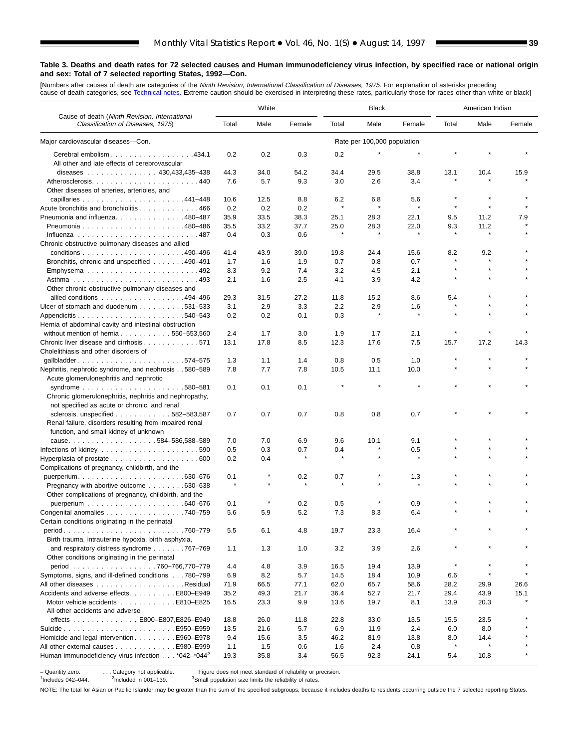[Numbers after causes of dea[th are categories of th](#page-61-0)e *Ninth Revision, International Classification of Diseases, 1975.* For explanation of asterisks preceding<br>cause-of-death categories, see Technical notes. Extreme caution

|                                                                                                                               | White<br><b>Black</b> |      |                     |                 |                             | American Indian |                |              |        |
|-------------------------------------------------------------------------------------------------------------------------------|-----------------------|------|---------------------|-----------------|-----------------------------|-----------------|----------------|--------------|--------|
| Cause of death (Ninth Revision, International<br>Classification of Diseases, 1975)                                            | Total                 | Male | Female              | Total           | Male                        | Female          | Total          | Male         | Female |
| Major cardiovascular diseases-Con.                                                                                            |                       |      |                     |                 | Rate per 100,000 population |                 |                |              |        |
| Cerebral embolism 434.1<br>All other and late effects of cerebrovascular                                                      | 0.2                   | 0.2  | 0.3                 | 0.2             |                             |                 |                |              |        |
| diseases 430,433,435-438                                                                                                      | 44.3                  | 34.0 | 54.2                | 34.4            | 29.5                        | 38.8            | 13.1           | 10.4         | 15.9   |
| Atherosclerosis440                                                                                                            | 7.6                   | 5.7  | 9.3                 | 3.0             | 2.6                         | 3.4             |                |              |        |
| Other diseases of arteries, arterioles, and                                                                                   |                       |      |                     |                 |                             |                 |                |              |        |
|                                                                                                                               | 10.6                  | 12.5 | 8.8                 | 6.2             | 6.8                         | 5.6             |                |              |        |
| Acute bronchitis and bronchiolitis 466                                                                                        | 0.2                   | 0.2  |                     | $\pmb{\ast}$    | $\star$                     | $\star$         | $\star$        | $\star$      |        |
|                                                                                                                               |                       |      | 0.2                 |                 |                             |                 |                |              |        |
| Pneumonia and influenza. 480–487                                                                                              | 35.9                  | 33.5 | 38.3                | 25.1            | 28.3                        | 22.1            | 9.5            | 11.2         | 7.9    |
|                                                                                                                               | 35.5                  | 33.2 | 37.7                | 25.0<br>$\star$ | 28.3                        | 22.0<br>$\star$ | 9.3<br>$\star$ | 11.2         |        |
|                                                                                                                               | 0.4                   | 0.3  | 0.6                 |                 |                             |                 |                |              |        |
| Chronic obstructive pulmonary diseases and allied                                                                             |                       |      |                     |                 |                             |                 |                |              |        |
|                                                                                                                               | 41.4                  | 43.9 | 39.0                | 19.8            | 24.4                        | 15.6            | 8.2            | 9.2          |        |
| Bronchitis, chronic and unspecified 490–491                                                                                   | 1.7                   | 1.6  | 1.9                 | 0.7             | 0.8                         | 0.7             | $\pmb{\ast}$   |              |        |
|                                                                                                                               | 8.3                   | 9.2  | 7.4                 | 3.2             | 4.5                         | 2.1             |                |              |        |
|                                                                                                                               | 2.1                   | 1.6  | 2.5                 | 4.1             | 3.9                         | 4.2             |                |              |        |
| Other chronic obstructive pulmonary diseases and                                                                              |                       |      |                     |                 |                             |                 |                |              |        |
| allied conditions 494–496                                                                                                     | 29.3                  | 31.5 | 27.2                | 11.8            | 15.2                        | 8.6             | 5.4            |              |        |
| Ulcer of stomach and duodenum 531–533                                                                                         | 3.1                   | 2.9  | 3.3                 | 2.2             | 2.9                         | 1.6             | $\pmb{\ast}$   |              |        |
|                                                                                                                               | 0.2                   | 0.2  | 0.1                 | 0.3             | $\star$                     | $\star$         |                |              |        |
| Hernia of abdominal cavity and intestinal obstruction                                                                         |                       |      |                     |                 |                             |                 |                |              |        |
| without mention of hernia550-553,560                                                                                          | 2.4                   | 1.7  | 3.0                 | 1.9             | 1.7                         | 2.1             | $\pmb{\ast}$   |              |        |
| Chronic liver disease and cirrhosis 571                                                                                       |                       |      |                     |                 |                             |                 |                |              |        |
| Cholelithiasis and other disorders of                                                                                         | 13.1                  | 17.8 | 8.5                 | 12.3            | 17.6                        | 7.5             | 15.7           | 17.2         | 14.3   |
| gallbladder574-575                                                                                                            | 1.3                   | 1.1  | 1.4                 | 0.8             | 0.5                         | 1.0             |                |              |        |
| Nephritis, nephrotic syndrome, and nephrosis580-589                                                                           | 7.8                   | 7.7  | 7.8                 | 10.5            | 11.1                        | 10.0            |                |              |        |
| Acute glomerulonephritis and nephrotic                                                                                        |                       |      |                     |                 |                             |                 |                |              |        |
|                                                                                                                               | 0.1                   | 0.1  | 0.1                 |                 |                             |                 |                |              |        |
| Chronic glomerulonephritis, nephritis and nephropathy,<br>not specified as acute or chronic, and renal                        |                       |      |                     |                 |                             |                 |                |              |        |
| sclerosis, unspecified $\ldots$ , , , 582-583,587                                                                             | 0.7                   | 0.7  | 0.7                 | 0.8             | 0.8                         | 0.7             |                |              |        |
| Renal failure, disorders resulting from impaired renal<br>function, and small kidney of unknown                               |                       |      |                     |                 |                             |                 |                |              |        |
| cause584-586,588-589                                                                                                          | 7.0                   | 7.0  | 6.9                 | 9.6             | 10.1                        | 9.1             |                |              |        |
|                                                                                                                               | 0.5                   | 0.3  | 0.7                 | 0.4             |                             | 0.5             |                |              |        |
|                                                                                                                               | 0.2                   | 0.4  |                     | $\star$         |                             |                 |                |              |        |
|                                                                                                                               |                       |      |                     |                 |                             |                 |                |              |        |
| Complications of pregnancy, childbirth, and the                                                                               |                       |      |                     |                 |                             |                 |                |              |        |
|                                                                                                                               | 0.1<br>$\star$        |      | 0.2<br>$\pmb{\ast}$ | 0.7             |                             | 1.3             |                |              |        |
| Pregnancy with abortive outcome 630–638                                                                                       |                       |      |                     |                 |                             |                 |                |              |        |
| Other complications of pregnancy, childbirth, and the                                                                         |                       |      |                     |                 |                             |                 |                |              |        |
|                                                                                                                               | 0.1                   |      | 0.2                 | 0.5             |                             | 0.9             |                |              |        |
| Congenital anomalies $\ldots \ldots \ldots \ldots \ldots \ldots$ . 740–759<br>Certain conditions originating in the perinatal | 5.6                   | 5.9  | 5.2                 | 7.3             | 8.3                         | 6.4             |                |              |        |
| period760–779                                                                                                                 | 5.5                   | 6.1  | 4.8                 | 19.7            | 23.3                        | 16.4            |                |              |        |
| Birth trauma, intrauterine hypoxia, birth asphyxia,                                                                           |                       |      |                     |                 |                             |                 |                |              |        |
| and respiratory distress syndrome 767–769<br>Other conditions originating in the perinatal                                    | 1.1                   | 1.3  | 1.0                 | 3.2             | 3.9                         | 2.6             |                |              |        |
| period 760-766,770-779                                                                                                        | 4.4                   | 4.8  | 3.9                 | 16.5            | 19.4                        | 13.9            | $\pmb{\ast}$   | $\star$      |        |
| Symptoms, signs, and ill-defined conditions 780–799                                                                           | 6.9                   | 8.2  | 5.7                 | 14.5            | 18.4                        | 10.9            | 6.6            | $\pmb{\ast}$ |        |
|                                                                                                                               | 71.9                  | 66.5 | 77.1                | 62.0            | 65.7                        | 58.6            | 28.2           | 29.9         | 26.6   |
| Accidents and adverse effects. E800-E949                                                                                      | 35.2                  | 49.3 | 21.7                | 36.4            | 52.7                        | 21.7            | 29.4           | 43.9         | 15.1   |
| Motor vehicle accidents E810-E825                                                                                             | 16.5                  | 23.3 | 9.9                 | 13.6            | 19.7                        | 8.1             | 13.9           | 20.3         |        |
| All other accidents and adverse                                                                                               |                       |      |                     |                 |                             |                 |                |              |        |
| effects E800-E807,E826-E949                                                                                                   | 18.8                  | 26.0 | 11.8                | 22.8            | 33.0                        | 13.5            | 15.5           | 23.5         |        |
|                                                                                                                               | 13.5                  | 21.6 | 5.7                 | 6.9             | 11.9                        | 2.4             | 6.0            | 8.0          |        |
| Homicide and legal intervention E960–E978                                                                                     | 9.4                   | 15.6 | 3.5                 | 46.2            | 81.9                        | 13.8            | 8.0            | 14.4         |        |
| All other external causes E980-E999                                                                                           | 1.1                   | 1.5  | 0.6                 | 1.6             | 2.4                         | 0.8             | $\pmb{\ast}$   |              |        |
| Human immunodeficiency virus infection *042-*044 <sup>2</sup>                                                                 | 19.3                  | 35.8 | 3.4                 | 56.5            | 92.3                        | 24.1            | 5.4            | 10.8         |        |

– Quantity zero. . . . . . . Category not applicable. Figure does not meet standard of reliability or precision.<br><sup>1</sup>Includes 042–044. <sup>2</sup>Included in 001–139. <sup>3</sup>Small population size limits the reliability of rates. <sup>3</sup>Small population size limits the reliability of rates.

NOTE: The total for Asian or Pacific Islander may be greater than the sum of the specified subgroups, because it includes deaths to residents occurring outside the 7 selected reporting States.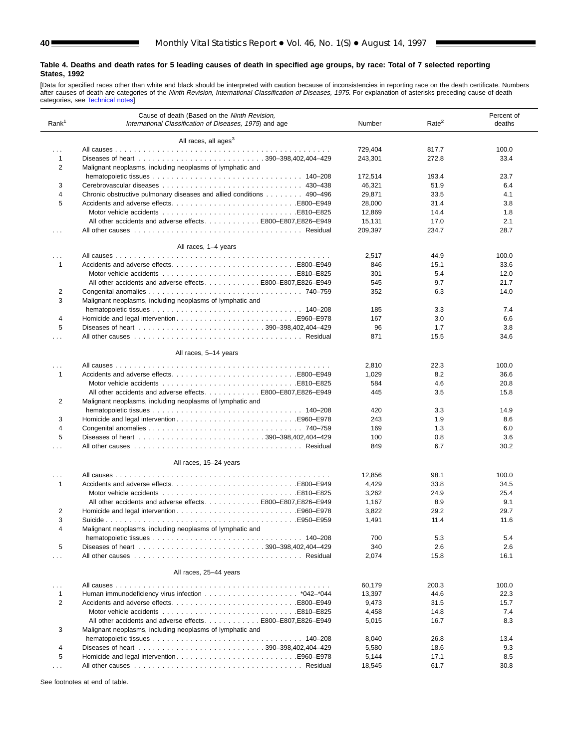<span id="page-39-0"></span>[Data for specified races other than white and black should be interpreted with caution because of inconsistencies in reporting race on the death certificate. Numbers<br>after causes [of death are categori](#page-61-0)es of the *Ninth Revi* categories, see Technical notes]

| Rank <sup>1</sup>    | Cause of death (Based on the Ninth Revision,<br>International Classification of Diseases, 1975) and age                   | Number  | Rate <sup>2</sup> | Percent of<br>deaths |
|----------------------|---------------------------------------------------------------------------------------------------------------------------|---------|-------------------|----------------------|
|                      | All races, all ages <sup>3</sup>                                                                                          |         |                   |                      |
| $\cdots$             |                                                                                                                           | 729,404 | 817.7             | 100.0                |
| $\mathbf{1}$         |                                                                                                                           | 243,301 | 272.8             | 33.4                 |
| 2                    | Malignant neoplasms, including neoplasms of lymphatic and                                                                 |         |                   |                      |
|                      |                                                                                                                           | 172,514 | 193.4             | 23.7                 |
| 3                    |                                                                                                                           | 46,321  | 51.9              | 6.4                  |
| $\overline{4}$       | Chronic obstructive pulmonary diseases and allied conditions 490–496                                                      | 29,871  | 33.5              | 4.1                  |
| 5                    |                                                                                                                           | 28,000  | 31.4              | 3.8                  |
|                      |                                                                                                                           | 12,869  | 14.4              | 1.8                  |
|                      | All other accidents and adverse effects E800-E807, E826-E949                                                              | 15,131  | 17.0              | 2.1                  |
| $\cdots$             |                                                                                                                           | 209,397 | 234.7             | 28.7                 |
|                      |                                                                                                                           |         |                   |                      |
|                      | All races, 1-4 years                                                                                                      |         |                   |                      |
| $\cdots$             |                                                                                                                           | 2,517   | 44.9              | 100.0                |
| $\mathbf{1}$         |                                                                                                                           | 846     | 15.1              | 33.6                 |
|                      |                                                                                                                           | 301     | 5.4               | 12.0                 |
|                      | All other accidents and adverse effects E800-E807, E826-E949                                                              | 545     | 9.7               | 21.7                 |
| 2                    |                                                                                                                           | 352     | 6.3               | 14.0                 |
| 3                    | Malignant neoplasms, including neoplasms of lymphatic and                                                                 |         |                   |                      |
|                      |                                                                                                                           | 185     | 3.3               | 7.4                  |
| 4                    |                                                                                                                           | 167     | 3.0               | 6.6                  |
| 5                    |                                                                                                                           | 96      | 1.7               | 3.8                  |
| .                    |                                                                                                                           | 871     | 15.5              | 34.6                 |
|                      |                                                                                                                           |         |                   |                      |
|                      | All races, 5-14 years                                                                                                     |         |                   |                      |
| $\cdots$             |                                                                                                                           | 2,810   | 22.3              | 100.0                |
| 1                    | Accidents and adverse effectsE800–E949                                                                                    | 1,029   | 8.2               | 36.6                 |
|                      |                                                                                                                           | 584     | 4.6               | 20.8                 |
| 2                    | All other accidents and adverse effects E800–E807, E826–E949<br>Malignant neoplasms, including neoplasms of lymphatic and | 445     | 3.5               | 15.8                 |
|                      |                                                                                                                           | 420     | 3.3               | 14.9                 |
| 3                    |                                                                                                                           | 243     | 1.9               | 8.6                  |
| $\overline{4}$       |                                                                                                                           | 169     | 1.3               | 6.0                  |
| 5                    |                                                                                                                           | 100     | 0.8               | 3.6                  |
| $\cdots$             |                                                                                                                           | 849     | 6.7               | 30.2                 |
|                      |                                                                                                                           |         |                   |                      |
|                      | All races, 15-24 years                                                                                                    |         |                   |                      |
| $\cdots$             |                                                                                                                           | 12,856  | 98.1              | 100.0                |
| 1                    |                                                                                                                           | 4,429   | 33.8              | 34.5                 |
|                      |                                                                                                                           | 3,262   | 24.9              | 25.4                 |
|                      | All other accidents and adverse effectsE800-E807,E826-E949                                                                | 1,167   | 8.9               | 9.1                  |
| 2                    |                                                                                                                           | 3,822   | 29.2              | 29.7                 |
| 3                    |                                                                                                                           | 1,491   | 11.4              | 11.6                 |
| 4                    | Malignant neoplasms, including neoplasms of lymphatic and                                                                 |         |                   |                      |
|                      |                                                                                                                           | 700     | 5.3               | 5.4                  |
| 5                    |                                                                                                                           | 340     | 2.6               | 2.6                  |
| .                    |                                                                                                                           | 2,074   | 15.8              | 16.1                 |
|                      | All races, 25-44 years                                                                                                    |         |                   |                      |
|                      |                                                                                                                           |         |                   | 100.0                |
| .                    |                                                                                                                           | 60,179  | 200.3             |                      |
| 1                    |                                                                                                                           | 13,397  | 44.6              | 22.3                 |
| 2                    |                                                                                                                           | 9,473   | 31.5              | 15.7                 |
|                      |                                                                                                                           | 4,458   | 14.8              | 7.4                  |
|                      | All other accidents and adverse effects E800–E807, E826–E949                                                              | 5,015   | 16.7              | 8.3                  |
| 3                    | Malignant neoplasms, including neoplasms of lymphatic and                                                                 | 8,040   | 26.8              | 13.4                 |
| $\overline{4}$       |                                                                                                                           |         |                   |                      |
|                      |                                                                                                                           | 5,580   | 18.6              | 9.3                  |
| 5                    |                                                                                                                           | 5,144   | 17.1              | 8.5                  |
| $\sim$ $\sim$ $\sim$ |                                                                                                                           | 18,545  | 61.7              | 30.8                 |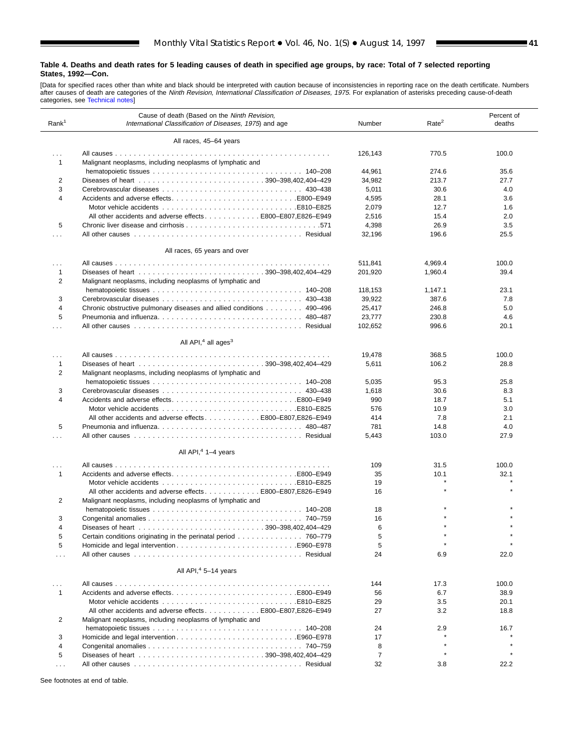ш

 $\overline{a}$ 

[Data for specified races other than white and black should be interpreted with caution because of inconsistencies in reporting race on the death certificate. Numbers<br>after causes of death are categories of the *Ninth Revi* 

| Rank <sup>1</sup>        | Cause of death (Based on the Ninth Revision,<br>International Classification of Diseases, 1975) and age | Number            | Rate <sup>2</sup> | Percent of<br>deaths |
|--------------------------|---------------------------------------------------------------------------------------------------------|-------------------|-------------------|----------------------|
|                          | All races, 45-64 years                                                                                  |                   |                   |                      |
| $\cdots$<br>$\mathbf{1}$ | Malignant neoplasms, including neoplasms of lymphatic and                                               | 126,143           | 770.5             | 100.0                |
|                          |                                                                                                         | 44,961            | 274.6             | 35.6                 |
| 2                        |                                                                                                         | 34,982            | 213.7             | 27.7                 |
| 3                        |                                                                                                         | 5,011             | 30.6              | 4.0                  |
| 4                        |                                                                                                         | 4,595             | 28.1              | 3.6                  |
|                          |                                                                                                         | 2,079             | 12.7              | 1.6                  |
|                          | All other accidents and adverse effectsE800-E807.E826-E949                                              | 2,516             | 15.4              | 2.0                  |
| 5                        |                                                                                                         | 4,398             | 26.9              | 3.5                  |
| $\cdots$                 |                                                                                                         | 32,196            | 196.6             | 25.5                 |
|                          | All races, 65 years and over                                                                            |                   |                   |                      |
| .                        |                                                                                                         | 511,841           | 4,969.4           | 100.0                |
| $\mathbf{1}$             |                                                                                                         | 201,920           | 1,960.4           | 39.4                 |
| $\overline{2}$           | Malignant neoplasms, including neoplasms of lymphatic and                                               |                   |                   | 23.1                 |
| 3                        |                                                                                                         | 118,153<br>39,922 | 1,147.1<br>387.6  | 7.8                  |
| $\overline{4}$           | Chronic obstructive pulmonary diseases and allied conditions 490–496                                    | 25,417            | 246.8             | 5.0                  |
| 5                        | Pneumonia and influenza 480–487                                                                         | 23,777            | 230.8             | 4.6                  |
| $\cdots$                 |                                                                                                         | 102,652           | 996.6             | 20.1                 |
|                          | All API, $4$ all ages <sup>3</sup>                                                                      |                   |                   |                      |
| $\cdots$                 |                                                                                                         | 19,478            | 368.5             | 100.0                |
| $\mathbf{1}$             |                                                                                                         | 5,611             | 106.2             | 28.8                 |
| 2                        | Malignant neoplasms, including neoplasms of lymphatic and                                               |                   |                   |                      |
|                          |                                                                                                         | 5,035             | 95.3              | 25.8                 |
| 3                        |                                                                                                         | 1,618             | 30.6              | 8.3                  |
| 4                        |                                                                                                         | 990               | 18.7              | 5.1                  |
|                          |                                                                                                         | 576               | 10.9              | 3.0                  |
|                          | All other accidents and adverse effectsE800–E807.E826–E949                                              | 414               | 7.8               | 2.1                  |
| 5<br>$\cdots$            | Pneumonia and influenza 480–487                                                                         | 781<br>5,443      | 14.8<br>103.0     | 4.0<br>27.9          |
|                          | All API, <sup>4</sup> 1-4 years                                                                         |                   |                   |                      |
|                          |                                                                                                         |                   |                   |                      |
| $\cdots$                 |                                                                                                         | 109               | 31.5              | 100.0                |
| $\mathbf{1}$             |                                                                                                         | 35<br>19          | 10.1<br>$\star$   | 32.1                 |
|                          | E810–E825E810–E825<br>All other accidents and adverse effects E800–E807, E826–E949                      | 16                |                   |                      |
| 2                        | Malignant neoplasms, including neoplasms of lymphatic and                                               |                   |                   |                      |
|                          |                                                                                                         | 18                |                   |                      |
| 3                        |                                                                                                         | 16                |                   |                      |
| 4                        |                                                                                                         | 6                 |                   |                      |
| 5                        | Certain conditions originating in the perinatal period 760-779                                          | 5                 |                   |                      |
| 5                        |                                                                                                         | 5                 |                   |                      |
| $\cdots$                 |                                                                                                         | 24                | 6.9               | 22.0                 |
|                          | All API, <sup>4</sup> 5-14 years                                                                        |                   |                   |                      |
| $\cdots$                 |                                                                                                         | 144               | 17.3              | 100.0                |
| $\mathbf{1}$             |                                                                                                         | 56                | 6.7               | 38.9                 |
|                          |                                                                                                         | 29                | 3.5               | 20.1                 |
|                          | All other accidents and adverse effects E800–E807, E826–E949                                            | 27                | 3.2               | 18.8                 |
| 2                        | Malignant neoplasms, including neoplasms of lymphatic and                                               | 24                | 2.9               | 16.7                 |
| 3                        |                                                                                                         | 17                |                   |                      |
| 4                        |                                                                                                         | 8                 |                   |                      |
| 5                        |                                                                                                         | 7                 |                   |                      |
| $\sim$ $\sim$ $\sim$     |                                                                                                         | 32                | 3.8               | 22.2                 |
|                          |                                                                                                         |                   |                   |                      |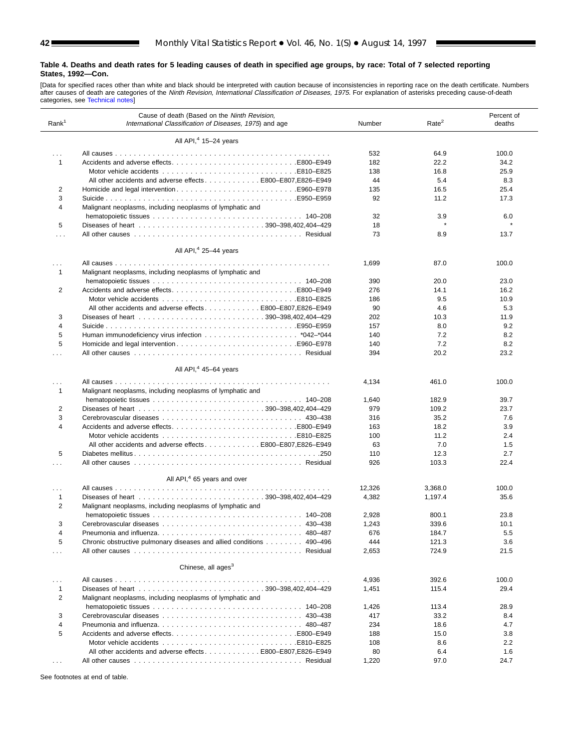[Data for specified races other than white and black should be interpreted with caution because of inconsistencies in reporting race on the death certificate. Numbers<br>after causes [of death are categor](#page-61-0)ies of the *Ninth Revi* 

| Rank <sup>1</sup> | Cause of death (Based on the Ninth Revision,<br>International Classification of Diseases, 1975) and age | Number | Rate <sup>2</sup> | Percent of<br>deaths |
|-------------------|---------------------------------------------------------------------------------------------------------|--------|-------------------|----------------------|
|                   | All API, <sup>4</sup> 15-24 years                                                                       |        |                   |                      |
| $\sim 10$ .       |                                                                                                         | 532    | 64.9              | 100.0                |
| $\mathbf{1}$      |                                                                                                         | 182    | 22.2              | 34.2                 |
|                   |                                                                                                         | 138    | 16.8              | 25.9                 |
|                   | All other accidents and adverse effects E800–E807, E826–E949                                            | 44     | 5.4               | 8.3                  |
| 2                 |                                                                                                         | 135    | 16.5              | 25.4                 |
| 3                 |                                                                                                         | 92     | 11.2              | 17.3                 |
| 4                 |                                                                                                         |        |                   |                      |
|                   | Malignant neoplasms, including neoplasms of lymphatic and                                               |        |                   |                      |
|                   |                                                                                                         | 32     | 3.9<br>$\star$    | 6.0                  |
| 5                 |                                                                                                         | 18     |                   |                      |
| .                 |                                                                                                         | 73     | 8.9               | 13.7                 |
|                   | All API, $4$ 25-44 years                                                                                |        |                   |                      |
| .                 |                                                                                                         | 1,699  | 87.0              | 100.0                |
| $\mathbf{1}$      | Malignant neoplasms, including neoplasms of lymphatic and                                               |        |                   |                      |
|                   |                                                                                                         | 390    | 20.0              | 23.0                 |
| 2                 | Accidents and adverse effectsE800–E949                                                                  | 276    | 14.1              | 16.2                 |
|                   |                                                                                                         | 186    | 9.5               | 10.9                 |
|                   | All other accidents and adverse effects E800-E807, E826-E949                                            | 90     | 4.6               | 5.3                  |
| 3                 |                                                                                                         | 202    | 10.3              | 11.9                 |
| 4                 |                                                                                                         | 157    | 8.0               | 9.2                  |
| 5                 |                                                                                                         | 140    | 7.2               | 8.2                  |
| 5                 |                                                                                                         | 140    | 7.2               | 8.2                  |
|                   |                                                                                                         | 394    | 20.2              | 23.2                 |
| $\cdots$          |                                                                                                         |        |                   |                      |
|                   | All API, <sup>4</sup> 45-64 years                                                                       |        |                   |                      |
|                   |                                                                                                         | 4,134  | 461.0             | 100.0                |
| 1                 | Malignant neoplasms, including neoplasms of lymphatic and                                               |        |                   |                      |
|                   |                                                                                                         | 1,640  | 182.9             | 39.7                 |
| 2                 |                                                                                                         | 979    | 109.2             | 23.7                 |
| 3                 |                                                                                                         | 316    | 35.2              | 7.6                  |
| $\overline{4}$    |                                                                                                         | 163    | 18.2              | 3.9                  |
|                   |                                                                                                         | 100    | 11.2              | 2.4                  |
|                   | All other accidents and adverse effects E800-E807, E826-E949                                            | 63     | 7.0               | 1.5                  |
| 5                 |                                                                                                         | 110    | 12.3              | 2.7                  |
| .                 |                                                                                                         | 926    | 103.3             | 22.4                 |
|                   | All API, <sup>4</sup> 65 years and over                                                                 |        |                   |                      |
| .                 |                                                                                                         | 12,326 | 3,368.0           | 100.0                |
| 1                 |                                                                                                         | 4,382  | 1,197.4           | 35.6                 |
| 2                 | Malignant neoplasms, including neoplasms of lymphatic and                                               |        |                   |                      |
|                   |                                                                                                         | 2,928  | 800.1             | 23.8                 |
| 3                 |                                                                                                         | 1,243  | 339.6             | 10.1                 |
| 4                 | Pneumonia and influenza<br>. 480-                                                                       | 676    | 184.7             | 5.5                  |
| 5                 | Chronic obstructive pulmonary diseases and allied conditions 490–496                                    | 444    | 121.3             | 3.6                  |
|                   |                                                                                                         | 2,653  | 724.9             | 21.5                 |
| $\cdots$          |                                                                                                         |        |                   |                      |
|                   | Chinese, all ages <sup>3</sup>                                                                          |        |                   |                      |
| $\cdots$          |                                                                                                         | 4,936  | 392.6             | 100.0                |
| 1                 |                                                                                                         | 1,451  | 115.4             | 29.4                 |
| 2                 | Malignant neoplasms, including neoplasms of lymphatic and                                               |        |                   |                      |
|                   |                                                                                                         | 1,426  | 113.4             | 28.9                 |
| 3                 |                                                                                                         | 417    | 33.2              | 8.4                  |
| 4                 |                                                                                                         | 234    | 18.6              | 4.7                  |
| 5                 |                                                                                                         | 188    | 15.0              | 3.8                  |
|                   |                                                                                                         | 108    | 8.6               | 2.2                  |
|                   | All other accidents and adverse effects E800-E807, E826-E949                                            | 80     | 6.4               | 1.6                  |
| $\cdots$          |                                                                                                         | 1,220  | 97.0              | 24.7                 |
|                   |                                                                                                         |        |                   |                      |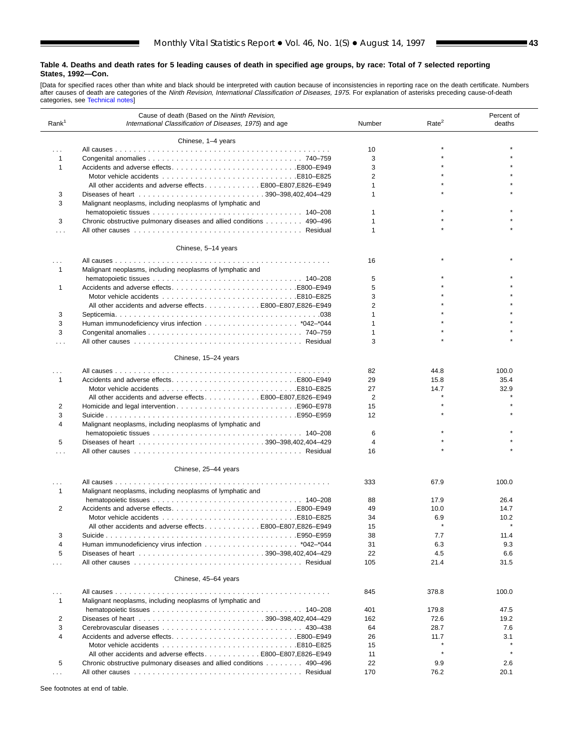ш

[Data for specified races other than white and black should be interpreted with caution because of inconsistencies in reporting race on the death certificate. Numbers<br>after causes [of death are categorie](#page-61-0)s of the *Ninth Revi* 

| Rank <sup>1</sup>    | Cause of death (Based on the Ninth Revision,<br>International Classification of Diseases, 1975) and age | Number         | Rate <sup>2</sup> | Percent of<br>deaths |
|----------------------|---------------------------------------------------------------------------------------------------------|----------------|-------------------|----------------------|
|                      | Chinese, 1-4 years                                                                                      |                |                   |                      |
| $\cdots$             |                                                                                                         | 10             |                   |                      |
| 1                    |                                                                                                         | 3              |                   |                      |
| 1                    | Accidents and adverse effectsB800-E949                                                                  | 3              |                   |                      |
|                      |                                                                                                         | $\overline{2}$ |                   |                      |
|                      | All other accidents and adverse effects E800-E807, E826-E949                                            | 1              |                   |                      |
| 3                    |                                                                                                         | 1              |                   |                      |
| 3                    | Malignant neoplasms, including neoplasms of lymphatic and                                               |                |                   |                      |
|                      |                                                                                                         | 1              |                   |                      |
| 3                    | Chronic obstructive pulmonary diseases and allied conditions 490–496                                    |                |                   |                      |
| .                    |                                                                                                         | 1              |                   |                      |
|                      | Chinese, 5-14 years                                                                                     |                |                   |                      |
| .                    |                                                                                                         | 16             |                   |                      |
| 1                    | Malignant neoplasms, including neoplasms of lymphatic and                                               |                |                   |                      |
|                      |                                                                                                         | 5              |                   |                      |
| 1                    |                                                                                                         | 5              |                   |                      |
|                      |                                                                                                         | 3              |                   |                      |
|                      | All other accidents and adverse effectsE800-E807.E826-E949                                              | 2              |                   |                      |
| 3                    |                                                                                                         | 1              |                   |                      |
| 3                    |                                                                                                         | 1              |                   |                      |
| 3                    |                                                                                                         | 1              |                   |                      |
| .                    |                                                                                                         | 3              |                   |                      |
|                      |                                                                                                         |                |                   |                      |
|                      | Chinese, 15-24 years                                                                                    |                |                   |                      |
| .                    |                                                                                                         | 82             | 44.8              | 100.0                |
| $\mathbf{1}$         |                                                                                                         | 29             | 15.8              | 35.4                 |
|                      |                                                                                                         | 27             | 14.7              | 32.9                 |
|                      | All other accidents and adverse effects E800-E807, E826-E949                                            | $\overline{2}$ |                   |                      |
| 2                    |                                                                                                         | 15             |                   |                      |
| 3                    |                                                                                                         | 12             |                   |                      |
| 4                    | Malignant neoplasms, including neoplasms of lymphatic and                                               |                |                   |                      |
|                      |                                                                                                         | 6              |                   |                      |
| 5                    |                                                                                                         | 4              |                   |                      |
| .                    |                                                                                                         | 16             |                   |                      |
|                      | Chinese, 25-44 years                                                                                    |                |                   |                      |
|                      |                                                                                                         |                |                   |                      |
| 1                    | Malignant neoplasms, including neoplasms of lymphatic and                                               | 333            | 67.9              | 100.0                |
|                      |                                                                                                         | 88             | 17.9              | 26.4                 |
| 2                    |                                                                                                         | 49             | 10.0              | 14.7                 |
|                      |                                                                                                         | 34             | 6.9               | 10.2                 |
|                      | All other accidents and adverse effects E800-E807, E826-E949                                            | 15             |                   |                      |
| 3                    |                                                                                                         | 38             | 7.7               | 11.4                 |
| 4                    |                                                                                                         | 31             | 6.3               | 9.3                  |
|                      |                                                                                                         |                |                   |                      |
| 5                    |                                                                                                         | 22             | 4.5               | 6.6                  |
| $\cdots$             |                                                                                                         | 105            | 21.4              | 31.5                 |
|                      | Chinese, 45-64 years                                                                                    |                |                   |                      |
| $\cdots$             |                                                                                                         | 845            | 378.8             | 100.0                |
| $\mathbf{1}$         | Malignant neoplasms, including neoplasms of lymphatic and                                               |                |                   |                      |
|                      |                                                                                                         | 401            | 179.8             | 47.5                 |
| 2                    |                                                                                                         | 162            | 72.6              | 19.2                 |
| 3                    |                                                                                                         | 64             | 28.7              | 7.6                  |
| $\overline{4}$       |                                                                                                         | 26             | 11.7              | 3.1                  |
|                      |                                                                                                         | 15             |                   |                      |
|                      | All other accidents and adverse effects. E800-E807.E826-E949                                            | 11             |                   |                      |
|                      |                                                                                                         |                |                   |                      |
| 5                    | Chronic obstructive pulmonary diseases and allied conditions 490–496                                    | 22             | 9.9               | 2.6                  |
| $\sim$ $\sim$ $\sim$ |                                                                                                         | 170            | 76.2              | 20.1                 |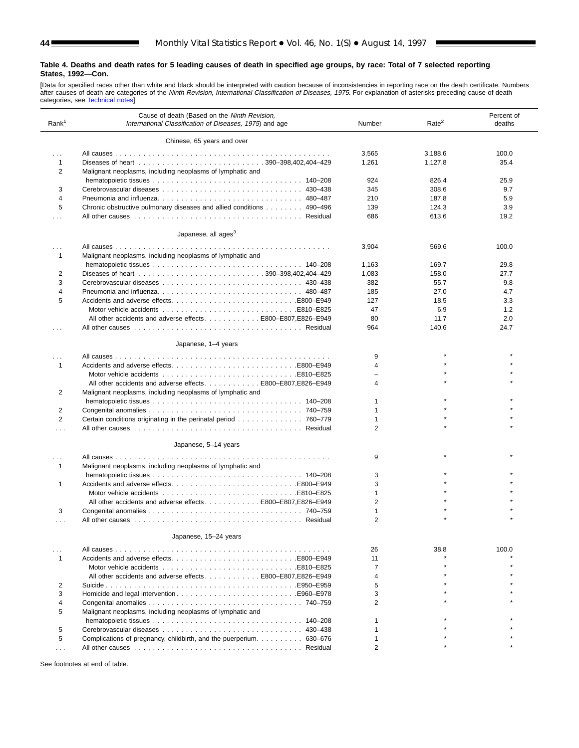[Data for specified races other than white and black should be interpreted with caution because of inconsistencies in reporting race on the death certificate. Numbers<br>after causes of death are categories of the *Ninth Revi* 

| Rank <sup>1</sup>    | Cause of death (Based on the Ninth Revision,<br>International Classification of Diseases, 1975) and age | Number         | Rate <sup>2</sup> | Percent of<br>deaths |
|----------------------|---------------------------------------------------------------------------------------------------------|----------------|-------------------|----------------------|
|                      | Chinese, 65 years and over                                                                              |                |                   |                      |
| $\cdots$             |                                                                                                         | 3,565          | 3,188.6           | 100.0                |
| 1                    |                                                                                                         | 1,261          | 1.127.8           | 35.4                 |
| 2                    | Malignant neoplasms, including neoplasms of lymphatic and                                               |                |                   |                      |
|                      |                                                                                                         | 924            | 826.4             | 25.9                 |
| 3                    |                                                                                                         | 345            | 308.6             | 9.7                  |
| 4                    |                                                                                                         | 210            | 187.8             | 5.9                  |
| 5                    | Chronic obstructive pulmonary diseases and allied conditions 490–496                                    | 139            | 124.3             | 3.9                  |
| $\cdots$             |                                                                                                         | 686            | 613.6             | 19.2                 |
|                      |                                                                                                         |                |                   |                      |
|                      | Japanese, all ages <sup>3</sup>                                                                         |                |                   |                      |
|                      |                                                                                                         | 3,904          | 569.6             | 100.0                |
| 1                    | Malignant neoplasms, including neoplasms of lymphatic and                                               |                |                   |                      |
|                      |                                                                                                         | 1,163          | 169.7             | 29.8                 |
| 2                    |                                                                                                         | 1,083          | 158.0             | 27.7                 |
| 3                    |                                                                                                         | 382            | 55.7              | 9.8                  |
| 4                    |                                                                                                         | 185            | 27.0              | 4.7                  |
| 5                    |                                                                                                         | 127            | 18.5              | 3.3                  |
|                      | E810–E825E810–E825                                                                                      | 47             | 6.9               | 1.2                  |
|                      | All other accidents and adverse effects E800-E807, E826-E949                                            | 80             | 11.7              | 2.0                  |
| .                    |                                                                                                         | 964            | 140.6             | 24.7                 |
|                      | Japanese, 1-4 years                                                                                     |                |                   |                      |
| $\cdots$             |                                                                                                         | 9              |                   |                      |
| 1                    |                                                                                                         | 4              |                   |                      |
|                      | E810–E825E810–E825                                                                                      |                |                   |                      |
|                      | All other accidents and adverse effects E800-E807, E826-E949                                            | 4              |                   |                      |
| 2                    | Malignant neoplasms, including neoplasms of lymphatic and                                               |                |                   |                      |
|                      |                                                                                                         | -1             |                   |                      |
| 2                    |                                                                                                         | -1             |                   |                      |
| $\overline{2}$       | Certain conditions originating in the perinatal period 760–779                                          | $\mathbf 1$    |                   |                      |
| .                    |                                                                                                         | 2              |                   |                      |
|                      | Japanese, 5-14 years                                                                                    |                |                   |                      |
|                      |                                                                                                         | 9              |                   |                      |
| .<br>1               | Malignant neoplasms, including neoplasms of lymphatic and                                               |                |                   |                      |
|                      |                                                                                                         |                |                   |                      |
|                      |                                                                                                         | 3<br>3         |                   |                      |
| 1                    | E810–E825E810–E825                                                                                      | $\mathbf{1}$   |                   |                      |
|                      | All other accidents and adverse effects E800-E807, E826-E949                                            | 2              |                   |                      |
| 3                    |                                                                                                         | $\mathbf{1}$   |                   |                      |
|                      |                                                                                                         | $\overline{2}$ |                   |                      |
| .                    |                                                                                                         |                |                   |                      |
|                      | Japanese, 15-24 years                                                                                   |                |                   |                      |
| .                    |                                                                                                         | 26             | 38.8              | 100.0                |
| 1                    | Accidents and adverse effectsE800–E949                                                                  | 11             |                   |                      |
|                      |                                                                                                         | 7              |                   |                      |
|                      | All other accidents and adverse effects E800-E807, E826-E949                                            | 4              |                   |                      |
| 2                    |                                                                                                         | 5              |                   |                      |
| 3                    |                                                                                                         | 3              |                   |                      |
| 4                    |                                                                                                         | $\overline{2}$ |                   |                      |
| 5                    | Malignant neoplasms, including neoplasms of lymphatic and                                               |                |                   |                      |
|                      |                                                                                                         |                |                   |                      |
| 5                    |                                                                                                         |                |                   |                      |
| 5                    | Complications of pregnancy, childbirth, and the puerperium 630–676                                      |                |                   |                      |
| $\sim$ $\sim$ $\sim$ |                                                                                                         | 2              |                   |                      |
|                      |                                                                                                         |                |                   |                      |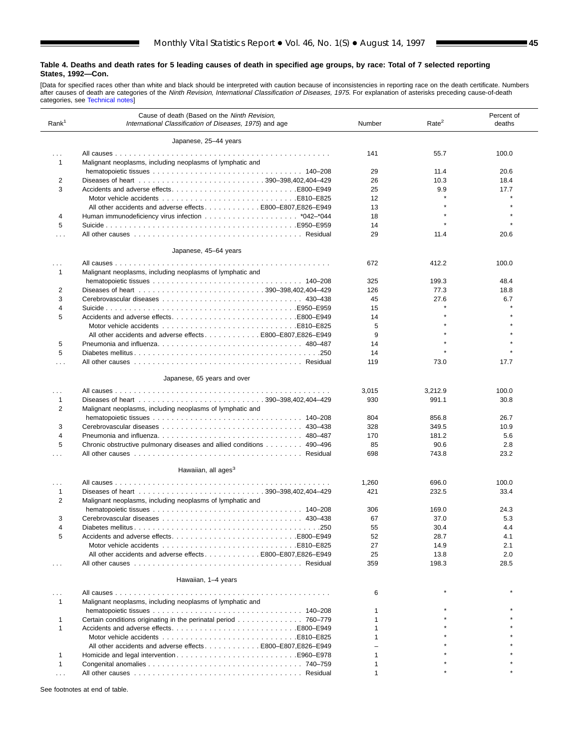ш

[Data for specified races other than white and black should be interpreted with caution because of inconsistencies in reporting race on the death certificate. Numbers<br>after causes [of death are categories](#page-61-0) of the *Ninth Revi* 

| Rank <sup>1</sup> | Cause of death (Based on the Ninth Revision,<br>International Classification of Diseases, 1975) and age | Number       | Rate <sup>2</sup> | Percent of<br>deaths |
|-------------------|---------------------------------------------------------------------------------------------------------|--------------|-------------------|----------------------|
|                   | Japanese, 25-44 years                                                                                   |              |                   |                      |
| $\cdots$          |                                                                                                         | 141          | 55.7              | 100.0                |
| 1                 | Malignant neoplasms, including neoplasms of lymphatic and                                               |              |                   |                      |
|                   |                                                                                                         | 29           | 11.4              | 20.6                 |
| 2                 |                                                                                                         | 26           | 10.3              | 18.4                 |
| 3                 |                                                                                                         | 25           | 9.9               | 17.7                 |
|                   |                                                                                                         | 12           |                   |                      |
|                   | All other accidents and adverse effects E800-E807, E826-E949                                            | 13           |                   |                      |
| 4                 |                                                                                                         | 18           |                   |                      |
| 5                 |                                                                                                         | 14           |                   |                      |
| .                 |                                                                                                         | 29           | 11.4              | 20.6                 |
|                   | Japanese, 45-64 years                                                                                   |              |                   |                      |
| .                 |                                                                                                         | 672          | 412.2             | 100.0                |
| 1                 | Malignant neoplasms, including neoplasms of lymphatic and                                               |              |                   |                      |
|                   |                                                                                                         | 325          | 199.3             | 48.4                 |
| 2                 |                                                                                                         | 126          | 77.3              | 18.8                 |
| 3                 |                                                                                                         | 45           | 27.6              | 6.7                  |
| 4                 |                                                                                                         | 15           |                   |                      |
| 5                 | Accidents and adverse effectsB800-E949                                                                  | 14           |                   |                      |
|                   |                                                                                                         | 5            |                   |                      |
|                   | All other accidents and adverse effects E800–E807, E826–E949                                            | 9            |                   |                      |
| 5                 |                                                                                                         | 14           |                   |                      |
| 5                 |                                                                                                         | 14           |                   |                      |
| .                 |                                                                                                         | 119          | 73.0              | 17.7                 |
|                   | Japanese, 65 years and over                                                                             |              |                   |                      |
| .                 |                                                                                                         | 3,015        | 3,212.9           | 100.0                |
| 1                 |                                                                                                         | 930          | 991.1             | 30.8                 |
| 2                 | Malignant neoplasms, including neoplasms of lymphatic and                                               |              |                   |                      |
|                   |                                                                                                         | 804          | 856.8             | 26.7                 |
| 3                 |                                                                                                         | 328          | 349.5             | 10.9                 |
| 4                 |                                                                                                         | 170          | 181.2             | 5.6                  |
| 5                 | Chronic obstructive pulmonary diseases and allied conditions 490–496                                    | 85           | 90.6              | 2.8                  |
| .                 |                                                                                                         | 698          | 743.8             | 23.2                 |
|                   | Hawaiian, all ages <sup>3</sup>                                                                         |              |                   |                      |
|                   |                                                                                                         |              |                   |                      |
| $\cdots$          |                                                                                                         | 1,260        | 696.0             | 100.0                |
| 1                 |                                                                                                         | 421          | 232.5             | 33.4                 |
| 2                 | Malignant neoplasms, including neoplasms of lymphatic and                                               |              |                   |                      |
|                   |                                                                                                         | 306          | 169.0             | 24.3                 |
| 3                 |                                                                                                         | 67           | 37.0              | 5.3                  |
| 4                 |                                                                                                         | 55           | 30.4              | 4.4                  |
| 5                 |                                                                                                         | 52           | 28.7              | 4.1                  |
|                   |                                                                                                         | 27           | 14.9              | 2.1                  |
|                   | All other accidents and adverse effects E800-E807, E826-E949                                            | 25           | 13.8              | 2.0                  |
| .                 |                                                                                                         | 359          | 198.3             | 28.5                 |
|                   | Hawaiian, 1-4 years                                                                                     |              |                   |                      |
|                   |                                                                                                         | 6            |                   |                      |
| 1                 | Malignant neoplasms, including neoplasms of lymphatic and                                               |              |                   |                      |
|                   |                                                                                                         |              |                   |                      |
| 1                 | Certain conditions originating in the perinatal period 760–779                                          |              |                   |                      |
| 1                 |                                                                                                         |              |                   |                      |
|                   |                                                                                                         |              |                   |                      |
|                   | All other accidents and adverse effects E800-E807, E826-E949                                            |              |                   |                      |
| 1                 |                                                                                                         |              |                   |                      |
| 1                 |                                                                                                         |              |                   |                      |
| $\cdots$          |                                                                                                         | $\mathbf{1}$ |                   |                      |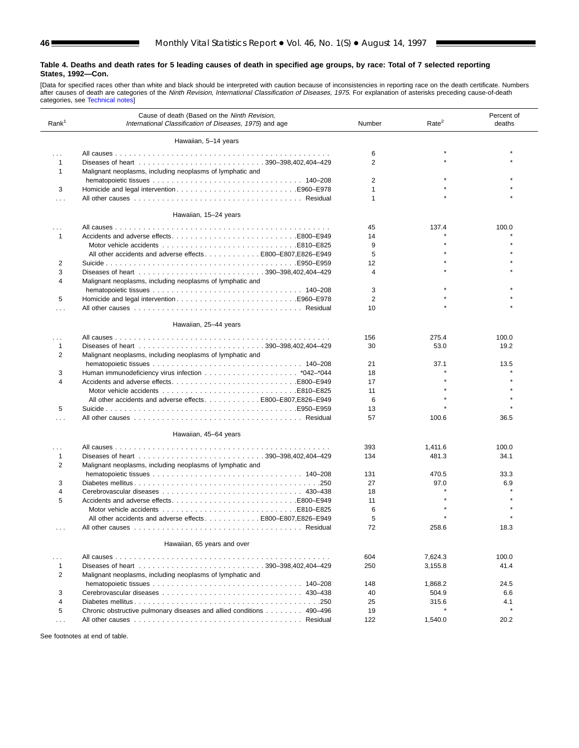[Data for specified races other than white and black should be interpreted with caution because of inconsistencies in reporting race on the death certificate. Numbers<br>after causes of death are categories of the *Ninth Revi* 

| Rank <sup>1</sup> | Cause of death (Based on the Ninth Revision,<br>International Classification of Diseases, 1975) and age | Number         | Rate <sup>2</sup> | Percent of<br>deaths |
|-------------------|---------------------------------------------------------------------------------------------------------|----------------|-------------------|----------------------|
|                   | Hawaiian, 5-14 years                                                                                    |                |                   |                      |
| .                 |                                                                                                         | 6              |                   |                      |
| 1                 |                                                                                                         | $\overline{2}$ |                   |                      |
| $\mathbf 1$       | Malignant neoplasms, including neoplasms of lymphatic and                                               |                |                   |                      |
|                   |                                                                                                         | 2              |                   |                      |
| 3                 |                                                                                                         | 1              |                   |                      |
| .                 |                                                                                                         | 1              |                   |                      |
|                   | Hawaiian, 15-24 years                                                                                   |                |                   |                      |
| .                 |                                                                                                         | 45             | 137.4             | 100.0                |
| $\mathbf{1}$      |                                                                                                         | 14             |                   |                      |
|                   |                                                                                                         | 9              |                   |                      |
|                   | All other accidents and adverse effects 800–E807, E826–E949                                             | 5              |                   |                      |
| 2                 |                                                                                                         | 12             |                   |                      |
| 3                 |                                                                                                         | 4              |                   |                      |
| 4                 | Malignant neoplasms, including neoplasms of lymphatic and                                               |                |                   |                      |
|                   |                                                                                                         | 3              |                   |                      |
| 5                 |                                                                                                         | $\overline{2}$ |                   |                      |
| .                 |                                                                                                         | 10             |                   |                      |
|                   | Hawaiian, 25-44 years                                                                                   |                |                   |                      |
| .                 |                                                                                                         | 156            | 275.4             | 100.0                |
| 1                 |                                                                                                         | 30             | 53.0              | 19.2                 |
| 2                 | Malignant neoplasms, including neoplasms of lymphatic and                                               |                |                   |                      |
|                   |                                                                                                         | 21             | 37.1              | 13.5                 |
| 3                 |                                                                                                         | 18             |                   |                      |
| 4                 |                                                                                                         | 17             |                   |                      |
|                   |                                                                                                         | 11             |                   |                      |
|                   | All other accidents and adverse effects E800-E807, E826-E949                                            | 6              |                   |                      |
| 5                 |                                                                                                         | 13             |                   |                      |
| .                 |                                                                                                         | 57             | 100.6             | 36.5                 |
|                   |                                                                                                         |                |                   |                      |
|                   | Hawaiian, 45-64 years                                                                                   |                |                   |                      |
| .                 |                                                                                                         | 393            | 1,411.6           | 100.0                |
| 1<br>2            | Malignant neoplasms, including neoplasms of lymphatic and                                               | 134            | 481.3             | 34.1                 |
|                   |                                                                                                         | 131            | 470.5             | 33.3                 |
| 3                 |                                                                                                         | 27             | 97.0              | 6.9                  |
| 4                 |                                                                                                         | 18             |                   |                      |
| 5                 |                                                                                                         | 11             |                   |                      |
|                   |                                                                                                         | 6              |                   |                      |
|                   | All other accidents and adverse effects E800-E807,E826-E949                                             | 5              |                   |                      |
|                   |                                                                                                         | 72             | 258.6             | 18.3                 |
|                   |                                                                                                         |                |                   |                      |
|                   | Hawaiian, 65 years and over                                                                             |                |                   |                      |
| .                 |                                                                                                         | 604            | 7,624.3           | 100.0                |
| 1                 |                                                                                                         | 250            | 3,155.8           | 41.4                 |
| 2                 | Malignant neoplasms, including neoplasms of lymphatic and                                               |                |                   |                      |
|                   |                                                                                                         | 148            | 1,868.2           | 24.5                 |
| 3                 |                                                                                                         | 40             | 504.9             | 6.6                  |
| $\overline{4}$    |                                                                                                         | 25             | 315.6             | 4.1                  |
|                   | Chronic obstructive pulmonary diseases and allied conditions 490-496                                    |                |                   |                      |
| 5                 |                                                                                                         | 19             |                   |                      |
| $\cdots$          |                                                                                                         | 122            | 1,540.0           | 20.2                 |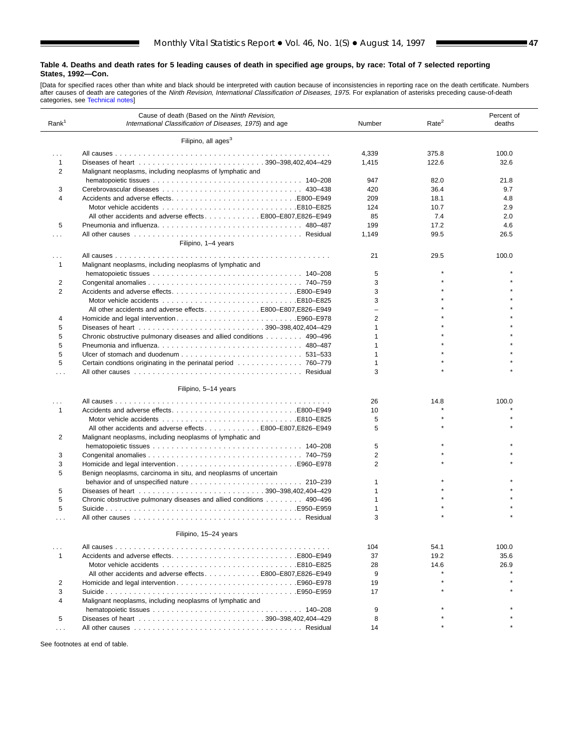ш

[Data for specified races other than white and black should be interpreted with caution because of inconsistencies in reporting race on the death certificate. Numbers<br>after causes [of death are categorie](#page-61-0)s of the *Ninth Revi* 

| Rank <sup>1</sup> | Cause of death (Based on the Ninth Revision,<br>International Classification of Diseases, 1975) and age | Number         | Rate <sup>2</sup> | Percent of<br>deaths |
|-------------------|---------------------------------------------------------------------------------------------------------|----------------|-------------------|----------------------|
|                   | Filipino, all ages <sup>3</sup>                                                                         |                |                   |                      |
| .                 |                                                                                                         | 4,339          | 375.8             | 100.0                |
| $\mathbf{1}$      |                                                                                                         | 1,415          | 122.6             | 32.6                 |
| 2                 | Malignant neoplasms, including neoplasms of lymphatic and                                               |                |                   |                      |
|                   |                                                                                                         | 947            | 82.0              | 21.8                 |
| 3                 |                                                                                                         | 420            | 36.4              | 9.7                  |
| $\overline{4}$    |                                                                                                         | 209            | 18.1              | 4.8                  |
|                   |                                                                                                         | 124            | 10.7              | 2.9                  |
|                   | All other accidents and adverse effectsE800-E807.E826-E949                                              | 85             | 7.4               | 2.0                  |
| 5                 |                                                                                                         | 199            | 17.2              | 4.6                  |
|                   |                                                                                                         | 1,149          | 99.5              | 26.5                 |
|                   | Filipino, 1-4 years                                                                                     |                |                   |                      |
|                   |                                                                                                         | 21             | 29.5              | 100.0                |
| -1                | Malignant neoplasms, including neoplasms of lymphatic and                                               |                |                   |                      |
|                   |                                                                                                         | 5              |                   |                      |
| 2                 |                                                                                                         | 3              |                   |                      |
| 2                 |                                                                                                         | 3              |                   |                      |
|                   |                                                                                                         | 3              |                   |                      |
|                   | All other accidents and adverse effectsB800-E807.E826-E949                                              |                |                   |                      |
| 4                 |                                                                                                         | 2              |                   |                      |
| 5                 |                                                                                                         | $\overline{1}$ |                   |                      |
| 5                 | Chronic obstructive pulmonary diseases and allied conditions 490–496                                    | $\overline{1}$ |                   |                      |
| 5                 | Pneumonia and influenza 480–487                                                                         | 1              |                   |                      |
| 5                 |                                                                                                         |                |                   |                      |
| 5                 |                                                                                                         | 1              |                   |                      |
| .                 |                                                                                                         | 3              |                   |                      |
|                   |                                                                                                         |                |                   |                      |
|                   | Filipino, 5-14 years                                                                                    |                |                   |                      |
|                   |                                                                                                         | 26             | 14.8              | 100.0                |
| $\mathbf{1}$      | Accidents and adverse effectsE800–E949                                                                  | 10             |                   |                      |
|                   |                                                                                                         | 5              |                   |                      |
|                   | All other accidents and adverse effects E800–E807, E826–E949                                            | 5              |                   |                      |
| 2                 | Malignant neoplasms, including neoplasms of lymphatic and                                               |                |                   |                      |
|                   |                                                                                                         | 5              |                   |                      |
| 3                 |                                                                                                         | $\overline{2}$ |                   |                      |
| 3                 |                                                                                                         | $\overline{2}$ |                   |                      |
| 5                 | Benign neoplasms, carcinoma in situ, and neoplasms of uncertain                                         |                |                   |                      |
|                   |                                                                                                         | 1              |                   |                      |
| 5                 |                                                                                                         |                |                   |                      |
| 5                 | Chronic obstructive pulmonary diseases and allied conditions 490–496                                    | 1              |                   |                      |
| 5                 |                                                                                                         | 1              |                   |                      |
|                   |                                                                                                         | 3              |                   |                      |
|                   | Filipino, 15-24 years                                                                                   |                |                   |                      |
| $\cdots$          |                                                                                                         | 104            | 54.1              | 100.0                |
| $\mathbf{1}$      |                                                                                                         | 37             | 19.2              | 35.6                 |
|                   |                                                                                                         | 28             | 14.6              | 26.9                 |
|                   | All other accidents and adverse effectsE800-E807,E826-E949                                              | 9              |                   |                      |
| 2                 |                                                                                                         | 19             |                   |                      |
| 3                 |                                                                                                         | 17             |                   |                      |
| 4                 | Malignant neoplasms, including neoplasms of lymphatic and                                               |                |                   |                      |
|                   |                                                                                                         | 9              |                   |                      |
| 5                 |                                                                                                         | 8              |                   |                      |
| $\cdots$          |                                                                                                         | 14             |                   |                      |
|                   |                                                                                                         |                |                   |                      |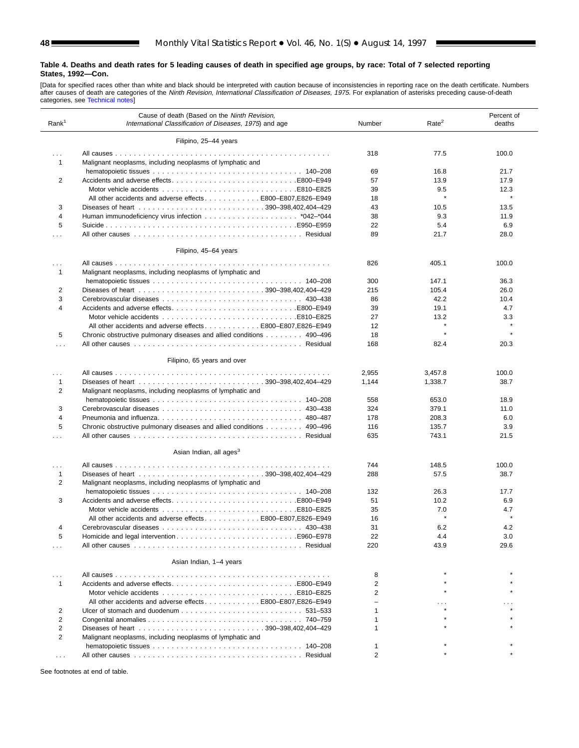[Data for specified races other than white and black should be interpreted with caution because of inconsistencies in reporting race on the death certificate. Numbers<br>after causes [of death are categorie](#page-61-0)s of the *Ninth Revi* 

| Rank <sup>1</sup>       | Cause of death (Based on the Ninth Revision,<br>International Classification of Diseases, 1975) and age | Number         | Rate <sup>2</sup> | Percent of<br>deaths |
|-------------------------|---------------------------------------------------------------------------------------------------------|----------------|-------------------|----------------------|
|                         | Filipino, 25-44 years                                                                                   |                |                   |                      |
| $\cdots$                |                                                                                                         | 318            | 77.5              | 100.0                |
| 1                       | Malignant neoplasms, including neoplasms of lymphatic and                                               |                |                   |                      |
|                         |                                                                                                         | 69             | 16.8              | 21.7                 |
| 2                       |                                                                                                         | 57             | 13.9              | 17.9                 |
|                         |                                                                                                         | 39             | 9.5               | 12.3                 |
|                         | All other accidents and adverse effects E800-E807,E826-E949                                             | 18             | $\star$           |                      |
| 3                       |                                                                                                         | 43             | 10.5              | 13.5                 |
| 4                       |                                                                                                         | 38             | 9.3               | 11.9                 |
| 5                       |                                                                                                         | 22             | 5.4               | 6.9                  |
| $\cdots$                |                                                                                                         | 89             | 21.7              | 28.0                 |
|                         |                                                                                                         |                |                   |                      |
|                         | Filipino, 45-64 years                                                                                   |                |                   |                      |
| .<br>1                  | Malignant neoplasms, including neoplasms of lymphatic and                                               | 826            | 405.1             | 100.0                |
|                         |                                                                                                         | 300            | 147.1             | 36.3                 |
| 2                       |                                                                                                         | 215            | 105.4             | 26.0                 |
| 3                       |                                                                                                         | 86             | 42.2              | 10.4                 |
| $\overline{\mathbf{4}}$ |                                                                                                         | 39             | 19.1              | 4.7                  |
|                         |                                                                                                         | 27             | 13.2              | 3.3                  |
|                         | All other accidents and adverse effectsE800-E807.E826-E949                                              | 12             | $\star$           |                      |
| 5                       | Chronic obstructive pulmonary diseases and allied conditions 490–496                                    | 18             | $\star$           | $\star$              |
| .                       |                                                                                                         | 168            | 82.4              | 20.3                 |
|                         |                                                                                                         |                |                   |                      |
|                         | Filipino, 65 years and over                                                                             |                |                   |                      |
| $\cdots$                |                                                                                                         | 2,955          | 3,457.8           | 100.0                |
| 1                       |                                                                                                         | 1,144          | 1,338.7           | 38.7                 |
| 2                       | Malignant neoplasms, including neoplasms of lymphatic and                                               |                |                   |                      |
|                         |                                                                                                         | 558            | 653.0             | 18.9                 |
| 3                       |                                                                                                         | 324            | 379.1             | 11.0                 |
| 4                       |                                                                                                         | 178            | 208.3             | 6.0                  |
| 5                       | Chronic obstructive pulmonary diseases and allied conditions 490–496                                    | 116            | 135.7             | 3.9                  |
| .                       |                                                                                                         | 635            | 743.1             | 21.5                 |
|                         |                                                                                                         |                |                   |                      |
|                         | Asian Indian, all ages <sup>3</sup>                                                                     |                |                   |                      |
| $\cdots$                |                                                                                                         | 744            | 148.5             | 100.0                |
| 1                       |                                                                                                         | 288            | 57.5              | 38.7                 |
| 2                       | Malignant neoplasms, including neoplasms of lymphatic and                                               |                |                   |                      |
|                         |                                                                                                         | 132            | 26.3              | 17.7                 |
| 3                       |                                                                                                         | 51             | 10.2              | 6.9                  |
|                         |                                                                                                         | 35             | 7.0               | 4.7                  |
|                         | All other accidents and adverse effects E800-E807, E826-E949                                            | 16             |                   |                      |
| 4                       |                                                                                                         | 31             | 6.2               | 4.2                  |
| 5                       |                                                                                                         | 22             | 4.4               | 3.0                  |
| .                       |                                                                                                         | 220            | 43.9              | 29.6                 |
|                         | Asian Indian, 1-4 years                                                                                 |                |                   |                      |
|                         |                                                                                                         |                |                   |                      |
|                         |                                                                                                         | 8              |                   |                      |
| 1                       |                                                                                                         | $\overline{2}$ |                   |                      |
|                         |                                                                                                         | 2              |                   |                      |
|                         | All other accidents and adverse effects 800–E807, E826–E949                                             |                |                   |                      |
| 2                       |                                                                                                         | 1              |                   |                      |
| $\overline{2}$          |                                                                                                         |                |                   |                      |
| $\overline{2}$          |                                                                                                         | 1              |                   |                      |
| 2                       | Malignant neoplasms, including neoplasms of lymphatic and                                               |                |                   |                      |
|                         |                                                                                                         |                |                   |                      |
|                         |                                                                                                         | $\overline{2}$ |                   |                      |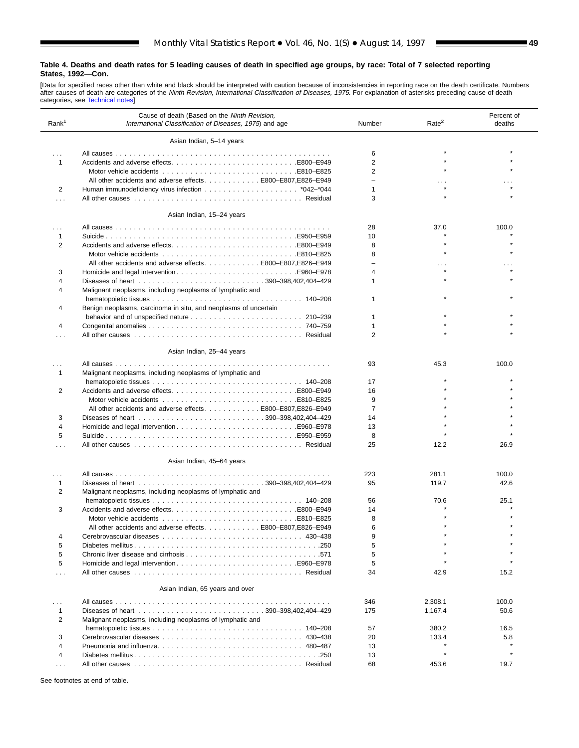ш

[Data for specified races other than white and black should be interpreted with caution because of inconsistencies in reporting race on the death certificate. Numbers<br>after causes [of death are categorie](#page-61-0)s of the *Ninth Revi* 

| Rank <sup>1</sup> | Cause of death (Based on the Ninth Revision,<br>International Classification of Diseases, 1975) and age | Number                   | Rate <sup>2</sup>    | Percent of<br>deaths |
|-------------------|---------------------------------------------------------------------------------------------------------|--------------------------|----------------------|----------------------|
|                   | Asian Indian, 5-14 years                                                                                |                          |                      |                      |
| $\cdots$          |                                                                                                         | 6                        |                      |                      |
| 1                 |                                                                                                         | $\overline{2}$           |                      |                      |
|                   |                                                                                                         | $\overline{2}$           |                      |                      |
|                   |                                                                                                         | $\overline{\phantom{0}}$ |                      |                      |
|                   | All other accidents and adverse effects E800-E807, E826-E949                                            |                          |                      |                      |
| 2                 |                                                                                                         | 1                        |                      |                      |
| .                 |                                                                                                         | 3                        |                      |                      |
|                   | Asian Indian, 15-24 years                                                                               |                          |                      |                      |
| .                 |                                                                                                         | 28                       | 37.0                 | 100.0                |
| 1                 |                                                                                                         | 10                       |                      |                      |
| $\overline{2}$    |                                                                                                         | 8                        |                      |                      |
|                   |                                                                                                         | 8                        |                      |                      |
|                   | All other accidents and adverse effects 800–E807, E826–E949                                             | ÷                        | $\sim$ $\sim$ $\sim$ |                      |
| 3                 |                                                                                                         | $\overline{4}$           |                      |                      |
| 4                 |                                                                                                         | 1                        |                      |                      |
| 4                 | Malignant neoplasms, including neoplasms of lymphatic and                                               |                          |                      |                      |
|                   |                                                                                                         | 1                        |                      |                      |
| 4                 |                                                                                                         |                          |                      |                      |
|                   | Benign neoplasms, carcinoma in situ, and neoplasms of uncertain                                         |                          |                      |                      |
|                   |                                                                                                         | 1                        |                      |                      |
| 4                 |                                                                                                         | $\mathbf{1}$             |                      |                      |
| .                 |                                                                                                         | $\overline{2}$           |                      |                      |
|                   | Asian Indian, 25-44 years                                                                               |                          |                      |                      |
|                   |                                                                                                         | 93                       | 45.3                 | 100.0                |
| 1                 | Malignant neoplasms, including neoplasms of lymphatic and                                               |                          |                      |                      |
|                   |                                                                                                         | 17                       |                      |                      |
| 2                 |                                                                                                         | 16                       |                      |                      |
|                   |                                                                                                         | 9                        |                      |                      |
|                   | All other accidents and adverse effects E800-E807, E826-E949                                            | 7                        |                      |                      |
| 3                 |                                                                                                         | 14                       |                      |                      |
| 4                 |                                                                                                         | 13                       |                      |                      |
| 5                 |                                                                                                         | 8                        |                      |                      |
| .                 |                                                                                                         | 25                       | 12.2                 | 26.9                 |
|                   | Asian Indian, 45-64 years                                                                               |                          |                      |                      |
|                   |                                                                                                         | 223                      | 281.1                | 100.0                |
| $\cdots$<br>1     |                                                                                                         | 95                       | 119.7                | 42.6                 |
| 2                 |                                                                                                         |                          |                      |                      |
|                   | Malignant neoplasms, including neoplasms of lymphatic and                                               |                          |                      |                      |
|                   |                                                                                                         | 56                       | 70.6                 | 25.1                 |
| 3                 |                                                                                                         | 14                       |                      |                      |
|                   |                                                                                                         | 8                        |                      |                      |
|                   | All other accidents and adverse effectsE800–E807,E826–E949                                              | 6                        |                      |                      |
| 4                 |                                                                                                         | 9                        |                      |                      |
| 5                 |                                                                                                         | 5                        |                      |                      |
| 5                 |                                                                                                         | 5                        |                      |                      |
| 5                 |                                                                                                         | 5                        |                      |                      |
| .                 |                                                                                                         | 34                       | 42.9                 | 15.2                 |
|                   | Asian Indian, 65 years and over                                                                         |                          |                      |                      |
| $\cdots$          |                                                                                                         | 346                      | 2,308.1              | 100.0                |
| 1                 |                                                                                                         | 175                      | 1,167.4              | 50.6                 |
| 2                 | Malignant neoplasms, including neoplasms of lymphatic and                                               |                          |                      |                      |
|                   |                                                                                                         | 57                       | 380.2                | 16.5                 |
| 3                 |                                                                                                         | 20                       | 133.4                | 5.8                  |
| $\overline{4}$    |                                                                                                         | 13                       |                      |                      |
|                   |                                                                                                         |                          |                      |                      |
| 4                 |                                                                                                         | 13                       |                      |                      |
| $\cdots$          |                                                                                                         | 68                       | 453.6                | 19.7                 |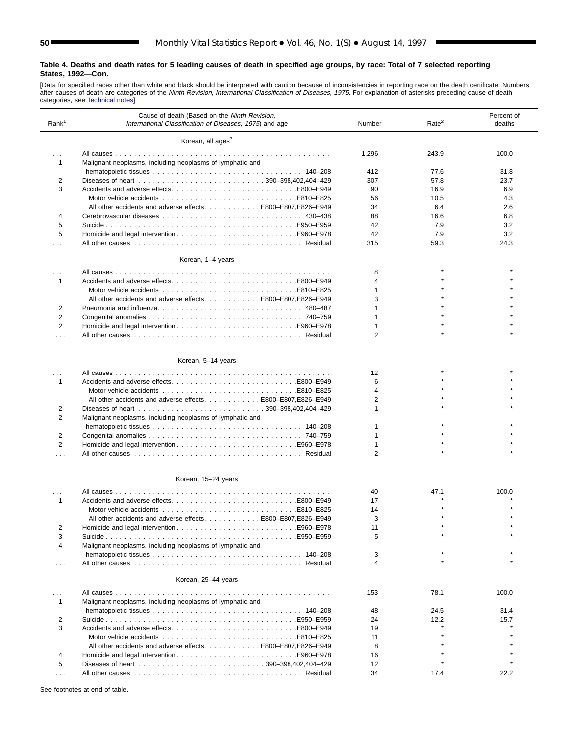[Data for specified races other than white and black should be interpreted with caution because of inconsistencies in reporting race on the death certificate. Numbers<br>after causes [of death are categorie](#page-61-0)s of the *Ninth Revi* 

| Rank <sup>1</sup> | Cause of death (Based on the Ninth Revision,<br>International Classification of Diseases, 1975) and age | Number | Rate <sup>2</sup> | Percent of<br>deaths |
|-------------------|---------------------------------------------------------------------------------------------------------|--------|-------------------|----------------------|
|                   | Korean, all ages <sup>3</sup>                                                                           |        |                   |                      |
| $\cdots$          |                                                                                                         | 1,296  | 243.9             | 100.0                |
| $\mathbf{1}$      | Malignant neoplasms, including neoplasms of lymphatic and                                               |        |                   |                      |
|                   |                                                                                                         | 412    | 77.6              | 31.8                 |
| 2                 |                                                                                                         | 307    | 57.8              | 23.7                 |
| 3                 |                                                                                                         | 90     | 16.9              | 6.9                  |
|                   |                                                                                                         | 56     | 10.5              | 4.3                  |
|                   | All other accidents and adverse effects E800–E807.E826–E949                                             | 34     | 6.4               | 2.6                  |
| 4                 |                                                                                                         | 88     | 16.6              | 6.8                  |
| 5                 |                                                                                                         | 42     | 7.9               | 3.2                  |
|                   |                                                                                                         |        |                   | 3.2                  |
| 5                 |                                                                                                         | 42     | 7.9               |                      |
| $\cdots$          |                                                                                                         | 315    | 59.3              | 24.3                 |
|                   | Korean, 1-4 years                                                                                       |        |                   |                      |
| $\cdots$          |                                                                                                         | 8      |                   |                      |
| $\mathbf{1}$      |                                                                                                         | 4      |                   |                      |
|                   | E810–E825E810–E825                                                                                      | 1      |                   |                      |
|                   | All other accidents and adverse effects E800-E807, E826-E949                                            | 3      |                   |                      |
| 2                 | Pneumonia and influenza 480–487                                                                         | 1      |                   |                      |
| $\overline{2}$    |                                                                                                         | 1      |                   |                      |
| $\overline{2}$    |                                                                                                         | 1      |                   |                      |
| $\cdots$          |                                                                                                         | 2      |                   |                      |
|                   |                                                                                                         |        |                   |                      |
|                   | Korean, 5-14 years                                                                                      |        |                   |                      |
| .                 |                                                                                                         | 12     |                   |                      |
| $\mathbf{1}$      |                                                                                                         | 6      |                   |                      |
|                   | E810–E825E810–E825                                                                                      | 4      |                   |                      |
|                   | All other accidents and adverse effects 800–E807, E826–E949                                             | 2      |                   |                      |
| 2                 |                                                                                                         | 1      |                   |                      |
| 2                 | Malignant neoplasms, including neoplasms of lymphatic and                                               |        |                   |                      |
|                   |                                                                                                         | 1      |                   |                      |
| 2                 |                                                                                                         | 1      |                   |                      |
| $\overline{2}$    |                                                                                                         | 1      |                   |                      |
| $\cdots$          |                                                                                                         | 2      |                   |                      |
|                   | Korean, 15-24 years                                                                                     |        |                   |                      |
|                   |                                                                                                         | 40     | 47.1              | 100.0                |
| $\cdots$          |                                                                                                         |        |                   |                      |
| $\mathbf{1}$      |                                                                                                         | 17     |                   |                      |
|                   |                                                                                                         | 14     |                   |                      |
|                   | All other accidents and adverse effects E800-E807, E826-E949                                            | 3      |                   |                      |
| 2                 |                                                                                                         | 11     |                   |                      |
| 3<br>4            | Malignant neoplasms, including neoplasms of lymphatic and                                               | 5      |                   |                      |
|                   |                                                                                                         |        |                   |                      |
|                   |                                                                                                         | 3<br>4 |                   |                      |
| $\cdots$          |                                                                                                         |        |                   |                      |
|                   | Korean, 25-44 years                                                                                     |        |                   |                      |
| .                 |                                                                                                         | 153    | 78.1              | 100.0                |
| 1                 | Malignant neoplasms, including neoplasms of lymphatic and                                               |        |                   |                      |
|                   |                                                                                                         | 48     | 24.5              | 31.4                 |
| 2                 |                                                                                                         | 24     | 12.2              | 15.7                 |
| 3                 |                                                                                                         | 19     |                   |                      |
|                   |                                                                                                         | 11     |                   |                      |
|                   | All other accidents and adverse effects E800-E807, E826-E949                                            | 8      |                   |                      |
| $\overline{4}$    |                                                                                                         | 16     |                   |                      |
| 5                 |                                                                                                         | 12     |                   |                      |
| $\cdots$          |                                                                                                         | 34     | 17.4              | 22.2                 |

See footnotes at end of table.

 $\overline{a}$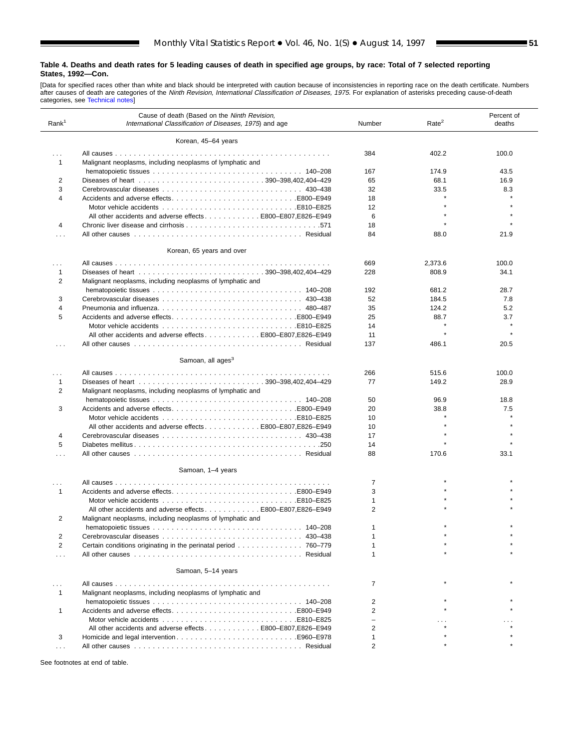ш

[Data for specified races other than white and black should be interpreted with caution because of inconsistencies in reporting race on the death certificate. Numbers<br>after causes of death are categories of the *Ninth Revi* 

| Rank <sup>1</sup> | Cause of death (Based on the Ninth Revision,<br>International Classification of Diseases, 1975) and age | Number         | Rate <sup>2</sup> | Percent of<br>deaths |
|-------------------|---------------------------------------------------------------------------------------------------------|----------------|-------------------|----------------------|
|                   | Korean, 45-64 years                                                                                     |                |                   |                      |
| $\cdots$          |                                                                                                         | 384            | 402.2             | 100.0                |
| 1                 | Malignant neoplasms, including neoplasms of lymphatic and                                               |                |                   |                      |
|                   |                                                                                                         | 167            | 174.9             | 43.5                 |
| 2                 |                                                                                                         | 65             | 68.1              | 16.9                 |
| 3                 |                                                                                                         | 32             | 33.5              | 8.3                  |
| 4                 |                                                                                                         | 18             |                   |                      |
|                   |                                                                                                         | 12             |                   |                      |
|                   | All other accidents and adverse effects E800-E807.E826-E949                                             | 6              |                   |                      |
| 4                 |                                                                                                         | 18             |                   |                      |
|                   |                                                                                                         | 84             | 88.0              | 21.9                 |
|                   | Korean, 65 years and over                                                                               |                |                   |                      |
|                   |                                                                                                         |                |                   |                      |
| .<br>1            |                                                                                                         | 669<br>228     | 2,373.6<br>808.9  | 100.0<br>34.1        |
|                   |                                                                                                         |                |                   |                      |
| 2                 | Malignant neoplasms, including neoplasms of lymphatic and                                               | 192            | 681.2             |                      |
| 3                 |                                                                                                         | 52             | 184.5             | 28.7<br>7.8          |
| 4                 |                                                                                                         | 35             | 124.2             | 5.2                  |
| 5                 | Pneumonia and influenza 480–487                                                                         |                |                   | 3.7                  |
|                   |                                                                                                         | 25<br>14       | 88.7              |                      |
|                   | All other accidents and adverse effects E800-E807.E826-E949                                             | 11             |                   |                      |
|                   |                                                                                                         | 137            | 486.1             | 20.5                 |
| .                 |                                                                                                         |                |                   |                      |
|                   | Samoan, all ages <sup>3</sup>                                                                           |                |                   |                      |
|                   |                                                                                                         | 266            | 515.6             | 100.0                |
| 1                 |                                                                                                         | 77             | 149.2             | 28.9                 |
| $\overline{2}$    | Malignant neoplasms, including neoplasms of lymphatic and                                               |                |                   |                      |
|                   |                                                                                                         | 50             | 96.9              | 18.8                 |
| 3                 |                                                                                                         | 20             | 38.8              | 7.5                  |
|                   |                                                                                                         | 10             | $\star$           |                      |
|                   | All other accidents and adverse effects E800-E807, E826-E949                                            | 10             |                   |                      |
| 4                 |                                                                                                         | 17             |                   |                      |
| 5                 |                                                                                                         | 14             |                   |                      |
| .                 |                                                                                                         | 88             | 170.6             | 33.1                 |
|                   | Samoan, 1-4 years                                                                                       |                |                   |                      |
|                   |                                                                                                         | 7              |                   |                      |
| $\cdots$<br>1     |                                                                                                         | 3              |                   |                      |
|                   |                                                                                                         | $\mathbf{1}$   |                   |                      |
|                   | All other accidents and adverse effectsE800-E807.E826-E949                                              | 2              |                   |                      |
| 2                 | Malignant neoplasms, including neoplasms of lymphatic and                                               |                |                   |                      |
|                   |                                                                                                         | 1              |                   |                      |
| 2                 |                                                                                                         |                |                   |                      |
| $\overline{2}$    | Certain conditions originating in the perinatal period 760–779                                          |                |                   |                      |
|                   |                                                                                                         |                |                   |                      |
| .                 |                                                                                                         |                |                   |                      |
|                   | Samoan, 5-14 years                                                                                      |                |                   |                      |
| .<br>1            | Malignant neoplasms, including neoplasms of lymphatic and                                               | $\overline{7}$ |                   |                      |
|                   |                                                                                                         | $\overline{2}$ |                   |                      |
| 1                 |                                                                                                         | $\overline{2}$ |                   |                      |
|                   |                                                                                                         |                |                   |                      |
|                   | All other accidents and adverse effects E800-E807, E826-E949                                            | 2              |                   |                      |
| 3                 |                                                                                                         | $\mathbf{1}$   |                   |                      |
|                   |                                                                                                         | $\overline{2}$ |                   |                      |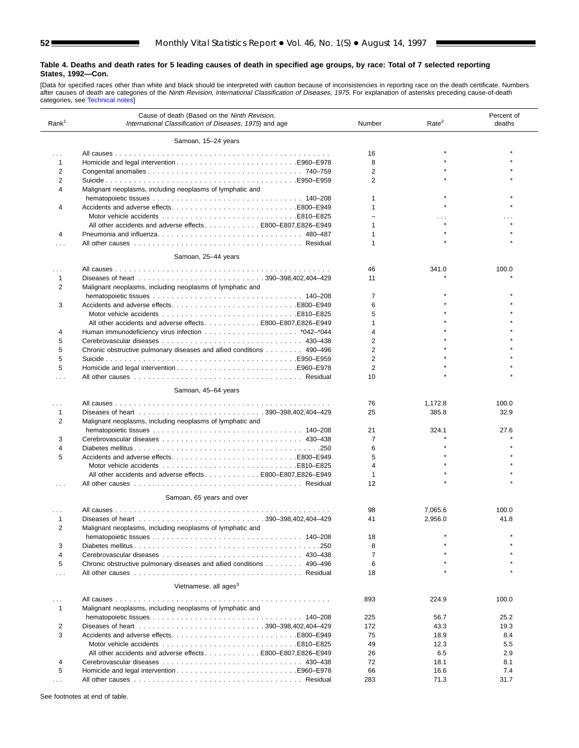[Data for specified races other than white and black should be interpreted with caution because of inconsistencies in reporting race on the death certificate. Numbers<br>after causes [of death are categories](#page-61-0) of the *Ninth Revi* 

| Rank <sup>1</sup>    | Cause of death (Based on the Ninth Revision,<br>International Classification of Diseases, 1975) and age | Number         | Rate <sup>2</sup> | Percent of<br>deaths |
|----------------------|---------------------------------------------------------------------------------------------------------|----------------|-------------------|----------------------|
|                      | Samoan, 15-24 years                                                                                     |                |                   |                      |
|                      |                                                                                                         | 16             |                   |                      |
| $\cdots$<br>1        |                                                                                                         | 8              |                   |                      |
| $\overline{2}$       |                                                                                                         | $\overline{2}$ |                   |                      |
|                      |                                                                                                         |                |                   |                      |
| 2<br>4               | Malignant neoplasms, including neoplasms of lymphatic and                                               | 2              |                   |                      |
|                      |                                                                                                         | 1              |                   |                      |
| 4                    |                                                                                                         | 1              |                   |                      |
|                      | All other accidents and adverse effects E800-E807, E826-E949                                            | ÷<br>1         |                   |                      |
| 4                    |                                                                                                         | 1              |                   |                      |
|                      |                                                                                                         | 1              |                   |                      |
|                      | Samoan, 25-44 years                                                                                     |                |                   |                      |
| .                    |                                                                                                         | 46             | 341.0             | 100.0                |
| 1                    |                                                                                                         | 11             |                   |                      |
| 2                    | Malignant neoplasms, including neoplasms of lymphatic and                                               |                |                   |                      |
|                      |                                                                                                         | $\overline{7}$ |                   |                      |
| 3                    |                                                                                                         | 6              |                   |                      |
|                      |                                                                                                         | 5              |                   |                      |
|                      | All other accidents and adverse effects E800-E807, E826-E949                                            | 1              |                   |                      |
|                      |                                                                                                         | 4              |                   |                      |
| 4                    |                                                                                                         |                |                   |                      |
| 5                    |                                                                                                         | $\overline{2}$ |                   |                      |
| 5                    | Chronic obstructive pulmonary diseases and allied conditions 490-496                                    | $\overline{2}$ |                   |                      |
| 5                    |                                                                                                         | $\overline{2}$ |                   |                      |
| 5                    |                                                                                                         | 2              |                   |                      |
|                      |                                                                                                         | 10             |                   |                      |
|                      | Samoan, 45-64 years                                                                                     |                |                   |                      |
| .                    |                                                                                                         | 76             | 1,172.8           | 100.0                |
| 1                    |                                                                                                         | 25             | 385.8             | 32.9                 |
| 2                    | Malignant neoplasms, including neoplasms of lymphatic and                                               |                |                   |                      |
|                      |                                                                                                         | 21             | 324.1             | 27.6                 |
| 3                    |                                                                                                         | $\overline{7}$ |                   |                      |
| 4                    |                                                                                                         | 6              |                   |                      |
| 5                    |                                                                                                         | 5              |                   |                      |
|                      |                                                                                                         | $\overline{4}$ |                   |                      |
|                      | All other accidents and adverse effectsB800-E807.E826-E949                                              | $\mathbf{1}$   |                   |                      |
|                      |                                                                                                         | 12             |                   |                      |
|                      | Samoan, 65 years and over                                                                               |                |                   |                      |
|                      |                                                                                                         |                |                   |                      |
|                      |                                                                                                         | 98             | 7,065.6           | 100.0                |
| 1                    |                                                                                                         | 41             | 2,956.0           | 41.8                 |
| $\overline{2}$       | Malignant neoplasms, including neoplasms of lymphatic and                                               |                |                   |                      |
|                      |                                                                                                         | 18             |                   |                      |
| 3                    |                                                                                                         | 8              |                   |                      |
| 4                    |                                                                                                         | $\overline{7}$ |                   |                      |
| 5                    | Chronic obstructive pulmonary diseases and allied conditions 490–496                                    | 6              |                   |                      |
| $\cdots$             |                                                                                                         | 18             |                   |                      |
|                      | Vietnamese, all ages <sup>3</sup>                                                                       |                |                   |                      |
|                      |                                                                                                         | 893            | 224.9             | 100.0                |
| $\mathbf{1}$         | Malignant neoplasms, including neoplasms of lymphatic and                                               |                |                   |                      |
|                      |                                                                                                         | 225            | 56.7              | 25.2                 |
| 2                    |                                                                                                         | 172            | 43.3              | 19.3                 |
| 3                    |                                                                                                         | 75             | 18.9              | 8.4                  |
|                      |                                                                                                         | 49             | 12.3              | 5.5                  |
|                      | All other accidents and adverse effects E800–E807, E826–E949                                            | 26             | 6.5               | 2.9                  |
| 4                    |                                                                                                         | 72             | 18.1              | 8.1                  |
| 5                    |                                                                                                         | 66             | 16.6              | 7.4                  |
| $\sim$ $\sim$ $\sim$ |                                                                                                         | 283            | 71.3              | 31.7                 |
|                      |                                                                                                         |                |                   |                      |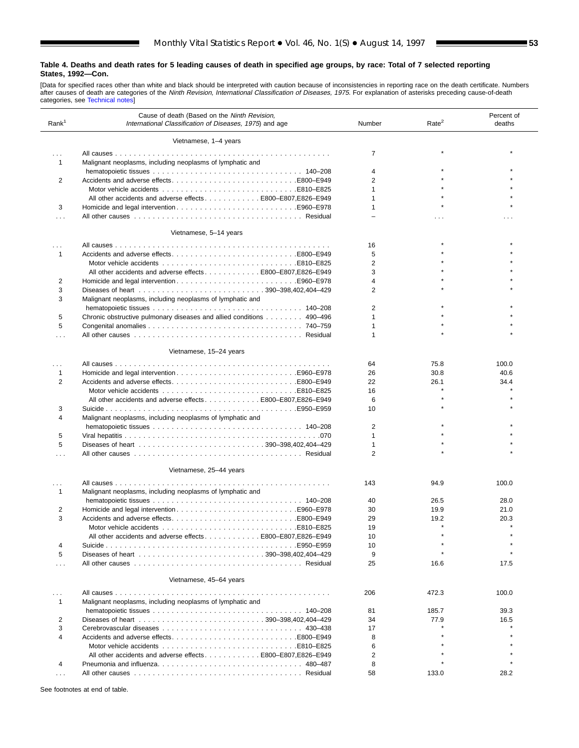ш

[Data for specified races other than white and black should be interpreted with caution because of inconsistencies in reporting race on the death certificate. Numbers<br>after causes [of death are categorie](#page-61-0)s of the *Ninth Revi* 

| Rank <sup>1</sup>    | Cause of death (Based on the Ninth Revision,<br>International Classification of Diseases, 1975) and age | Number         | Rate <sup>2</sup> | Percent of<br>deaths |
|----------------------|---------------------------------------------------------------------------------------------------------|----------------|-------------------|----------------------|
|                      | Vietnamese, 1-4 years                                                                                   |                |                   |                      |
| $\sim$ $\sim$ $\sim$ |                                                                                                         | $\overline{7}$ |                   |                      |
| $\mathbf{1}$         | Malignant neoplasms, including neoplasms of lymphatic and                                               |                |                   |                      |
|                      |                                                                                                         | 4              |                   |                      |
| 2                    |                                                                                                         | $\overline{2}$ |                   |                      |
|                      |                                                                                                         | 1              |                   |                      |
|                      | All other accidents and adverse effects E800-E807, E826-E949                                            | 1              |                   |                      |
| 3                    |                                                                                                         | 1              |                   |                      |
| $\sim$ $\sim$ $\sim$ |                                                                                                         |                | .                 |                      |
|                      | Vietnamese, 5-14 years                                                                                  |                |                   |                      |
| $\cdots$             |                                                                                                         | 16             |                   |                      |
| $\mathbf{1}$         |                                                                                                         | 5              |                   |                      |
|                      |                                                                                                         | $\overline{2}$ |                   |                      |
|                      | All other accidents and adverse effects E800-E807,E826-E949                                             | 3              |                   |                      |
| 2                    |                                                                                                         | 4              |                   |                      |
| 3                    |                                                                                                         | $\overline{2}$ |                   |                      |
| 3                    | Malignant neoplasms, including neoplasms of lymphatic and                                               |                |                   |                      |
|                      |                                                                                                         | 2              |                   |                      |
| 5                    | Chronic obstructive pulmonary diseases and allied conditions 490–496                                    | 1              |                   |                      |
| 5                    |                                                                                                         | 1              |                   |                      |
| $\cdots$             |                                                                                                         | 1              |                   |                      |
|                      | Vietnamese, 15-24 years                                                                                 |                |                   |                      |
|                      |                                                                                                         |                | 75.8              | 100.0                |
| $\cdots$             |                                                                                                         | 64             |                   |                      |
| 1                    |                                                                                                         | 26             | 30.8              | 40.6                 |
| 2                    |                                                                                                         | 22             | 26.1              | 34.4                 |
|                      |                                                                                                         | 16             |                   |                      |
|                      | All other accidents and adverse effects E800-E807, E826-E949                                            | 6              |                   |                      |
| 3                    |                                                                                                         | 10             |                   |                      |
| 4                    | Malignant neoplasms, including neoplasms of lymphatic and                                               |                |                   |                      |
|                      |                                                                                                         | 2              |                   |                      |
| 5                    |                                                                                                         | 1              |                   |                      |
| 5                    |                                                                                                         | 1              |                   |                      |
| $\cdots$             |                                                                                                         | 2              |                   |                      |
|                      | Vietnamese, 25-44 years                                                                                 |                |                   |                      |
| $\cdots$             |                                                                                                         | 143            | 94.9              | 100.0                |
| $\mathbf{1}$         | Malignant neoplasms, including neoplasms of lymphatic and                                               |                |                   |                      |
|                      |                                                                                                         | 40             | 26.5              | 28.0                 |
| 2                    |                                                                                                         | 30             | 19.9              | 21.0                 |
| 3                    |                                                                                                         | 29             | 19.2              | 20.3                 |
|                      |                                                                                                         | 19             |                   |                      |
|                      | All other accidents and adverse effectsB800-E807.E826-E949                                              | 10             |                   |                      |
| 4                    |                                                                                                         | 10             |                   |                      |
| 5                    |                                                                                                         | 9              |                   |                      |
| $\cdots$             |                                                                                                         | 25             | 16.6              | 17.5                 |
|                      | Vietnamese, 45-64 years                                                                                 |                |                   |                      |
|                      |                                                                                                         |                |                   |                      |
| $\cdots$             |                                                                                                         | 206            | 472.3             | 100.0                |
| 1                    | Malignant neoplasms, including neoplasms of lymphatic and                                               |                |                   |                      |
|                      |                                                                                                         | 81             | 185.7             | 39.3                 |
| 2                    |                                                                                                         | 34             | 77.9              | 16.5                 |
| 3                    |                                                                                                         | 17             |                   |                      |
| 4                    |                                                                                                         | 8              |                   |                      |
|                      |                                                                                                         | 6              |                   |                      |
|                      | All other accidents and adverse effects E800-E807,E826-E949                                             | $\overline{2}$ |                   |                      |
| 4                    |                                                                                                         | 8              |                   |                      |
| $\sim$ $\sim$ $\sim$ |                                                                                                         | 58             | 133.0             | 28.2                 |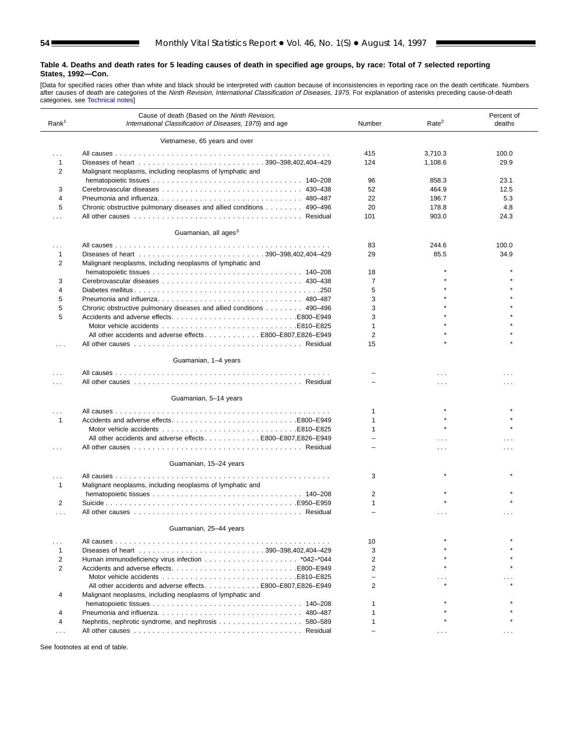[Data for specified races other than white and black should be interpreted with caution because of inconsistencies in reporting race on the death certificate. Numbers<br>after causes [of death are categor](#page-61-0)ies of the *Ninth Revi* 

| Rank <sup>1</sup> | Cause of death (Based on the Ninth Revision,<br>International Classification of Diseases, 1975) and age | Number<br>Rate <sup>2</sup> |          |          |  |
|-------------------|---------------------------------------------------------------------------------------------------------|-----------------------------|----------|----------|--|
|                   | Vietnamese, 65 years and over                                                                           |                             |          |          |  |
| $\cdots$          |                                                                                                         | 415                         | 3,710.3  | 100.0    |  |
| 1                 |                                                                                                         | 124                         | 1,108.6  | 29.9     |  |
| 2                 | Malignant neoplasms, including neoplasms of lymphatic and                                               |                             |          |          |  |
|                   |                                                                                                         | 96                          | 858.3    | 23.1     |  |
| 3                 |                                                                                                         | 52                          | 464.9    | 12.5     |  |
|                   |                                                                                                         |                             |          |          |  |
| 4                 |                                                                                                         | 22                          | 196.7    | 5.3      |  |
| 5                 | Chronic obstructive pulmonary diseases and allied conditions 490-496                                    | 20                          | 178.8    | 4.8      |  |
| $\cdots$          |                                                                                                         | 101                         | 903.0    | 24.3     |  |
|                   | Guamanian, all ages <sup>3</sup>                                                                        |                             |          |          |  |
| .                 |                                                                                                         | 83                          | 244.6    | 100.0    |  |
| 1                 |                                                                                                         | 29                          | 85.5     | 34.9     |  |
| 2                 | Malignant neoplasms, including neoplasms of lymphatic and                                               |                             |          |          |  |
|                   |                                                                                                         | 18                          |          |          |  |
| 3                 |                                                                                                         | 7                           |          |          |  |
| 4                 |                                                                                                         | 5                           |          |          |  |
|                   |                                                                                                         | 3                           |          |          |  |
| 5                 |                                                                                                         |                             |          |          |  |
| 5                 | Chronic obstructive pulmonary diseases and allied conditions 490–496                                    | 3                           |          |          |  |
| 5                 |                                                                                                         | 3                           |          |          |  |
|                   |                                                                                                         | $\mathbf{1}$                |          |          |  |
|                   | All other accidents and adverse effects E800-E807, E826-E949                                            | $\overline{2}$              |          |          |  |
|                   |                                                                                                         | 15                          |          |          |  |
|                   | Guamanian, 1-4 years                                                                                    |                             |          |          |  |
|                   |                                                                                                         |                             | .        |          |  |
|                   |                                                                                                         |                             | $\cdots$ |          |  |
|                   | Guamanian, 5-14 years                                                                                   |                             |          |          |  |
|                   |                                                                                                         | 1                           |          |          |  |
|                   |                                                                                                         | 1                           |          |          |  |
| 1                 | Accidents and adverse effectsE800–E949                                                                  |                             |          |          |  |
|                   |                                                                                                         | 1                           |          |          |  |
|                   | All other accidents and adverse effects E800-E807, E826-E949                                            |                             |          |          |  |
| .                 |                                                                                                         |                             | .        |          |  |
|                   | Guamanian, 15-24 years                                                                                  |                             |          |          |  |
| $\cdots$          | .                                                                                                       | 3                           |          |          |  |
| 1                 | Malignant neoplasms, including neoplasms of lymphatic and                                               |                             |          |          |  |
|                   |                                                                                                         | 2                           |          |          |  |
| 2                 |                                                                                                         | $\mathbf{1}$                |          |          |  |
|                   |                                                                                                         |                             |          |          |  |
| .                 |                                                                                                         |                             |          |          |  |
|                   | Guamanian, 25-44 years                                                                                  |                             |          |          |  |
| .                 |                                                                                                         | 10                          |          |          |  |
| 1                 |                                                                                                         | 3                           |          |          |  |
| 2                 |                                                                                                         | $\overline{2}$              |          |          |  |
| 2                 |                                                                                                         | 2                           |          |          |  |
|                   |                                                                                                         | $\overline{\phantom{0}}$    |          |          |  |
|                   | All other accidents and adverse effects E800-E807.E826-E949                                             | 2                           |          |          |  |
| 4                 | Malignant neoplasms, including neoplasms of lymphatic and                                               |                             |          |          |  |
|                   |                                                                                                         |                             |          |          |  |
|                   |                                                                                                         | 1                           |          |          |  |
| 4                 |                                                                                                         |                             |          |          |  |
| 4                 |                                                                                                         |                             |          |          |  |
| .                 |                                                                                                         |                             | .        | $\cdots$ |  |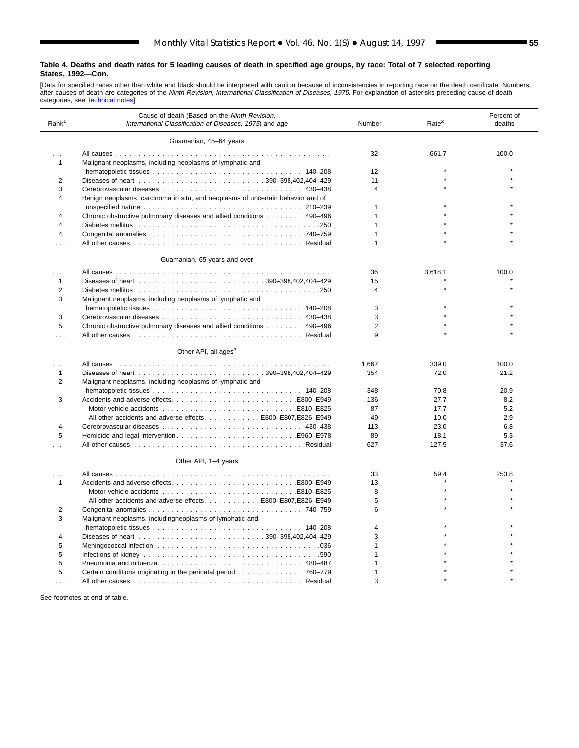ш

[Data for specified races other than white and black should be interpreted with caution because of inconsistencies in reporting race on the death certificate. Numbers<br>after causes [of death are categories](#page-61-0) of the *Ninth Revi* 

| Rank <sup>1</sup> | Cause of death (Based on the Ninth Revision,<br>International Classification of Diseases, 1975) and age | Rate <sup>2</sup><br>Number |         |       |  |
|-------------------|---------------------------------------------------------------------------------------------------------|-----------------------------|---------|-------|--|
|                   | Guamanian, 45-64 years                                                                                  |                             |         |       |  |
|                   |                                                                                                         | 32                          | 661.7   | 100.0 |  |
| $\mathbf{1}$      | Malignant neoplasms, including neoplasms of lymphatic and                                               |                             |         |       |  |
|                   |                                                                                                         | 12                          |         |       |  |
| 2                 |                                                                                                         | 11                          |         |       |  |
| 3                 |                                                                                                         | $\overline{4}$              |         |       |  |
| $\overline{4}$    | Benign neoplasms, carcinoma in situ, and neoplasms of uncertain behavior and of                         |                             |         |       |  |
|                   |                                                                                                         | $\mathbf 1$                 |         |       |  |
| 4                 | Chronic obstructive pulmonary diseases and allied conditions 490–496                                    | $\mathbf{1}$                |         |       |  |
| 4                 |                                                                                                         | $\mathbf{1}$                |         |       |  |
| 4                 |                                                                                                         | $\mathbf{1}$                |         |       |  |
| .                 |                                                                                                         | $\mathbf{1}$                |         |       |  |
|                   | Guamanian, 65 years and over                                                                            |                             |         |       |  |
| .                 |                                                                                                         | 36                          | 3,618.1 | 100.0 |  |
| 1                 |                                                                                                         | 15                          |         |       |  |
| $\overline{2}$    |                                                                                                         | $\overline{4}$              |         |       |  |
| 3                 | Malignant neoplasms, including neoplasms of lymphatic and                                               |                             |         |       |  |
|                   |                                                                                                         | 3                           |         |       |  |
| 3                 |                                                                                                         | 3                           |         |       |  |
| 5                 | Chronic obstructive pulmonary diseases and allied conditions 490-496                                    | $\overline{2}$              |         |       |  |
| .                 |                                                                                                         | 9                           |         |       |  |
|                   | Other API, all ages <sup>3</sup>                                                                        |                             |         |       |  |
| .                 |                                                                                                         | 1,667                       | 339.0   | 100.0 |  |
| 1                 |                                                                                                         | 354                         | 72.0    | 21.2  |  |
| 2                 | Malignant neoplasms, including neoplasms of lymphatic and                                               |                             |         |       |  |
|                   |                                                                                                         | 348                         | 70.8    | 20.9  |  |
| 3                 |                                                                                                         | 136                         | 27.7    | 8.2   |  |
|                   |                                                                                                         | 87                          | 17.7    | 5.2   |  |
|                   | All other accidents and adverse effects E800-E807, E826-E949                                            | 49                          | 10.0    | 2.9   |  |
| 4                 |                                                                                                         | 113                         | 23.0    | 6.8   |  |
| 5                 |                                                                                                         | 89                          | 18.1    | 5.3   |  |
| .                 |                                                                                                         | 627                         | 127.5   | 37.6  |  |
|                   | Other API, 1-4 years                                                                                    |                             |         |       |  |
| $\cdots$          |                                                                                                         | 33                          | 59.4    | 253.8 |  |
| 1                 |                                                                                                         | 13                          |         |       |  |
|                   |                                                                                                         | 8                           |         |       |  |
|                   | All other accidents and adverse effects 800–E807, E826–E949                                             | 5                           |         |       |  |
| 2                 |                                                                                                         | 6                           |         |       |  |
| 3                 | Malignant neoplasms, includingneoplasms of lymphatic and                                                |                             |         |       |  |
|                   |                                                                                                         | $\overline{4}$              |         |       |  |
| 4                 |                                                                                                         | 3                           |         |       |  |
| 5                 |                                                                                                         | $\mathbf{1}$                |         |       |  |
| 5                 |                                                                                                         | 1                           |         |       |  |
| 5                 | Pneumonia and influenza 480-487                                                                         | $\mathbf{1}$                |         |       |  |
| 5                 | Certain conditions originating in the perinatal period 760–779                                          | $\mathbf 1$                 |         |       |  |
| .                 |                                                                                                         | 3                           |         |       |  |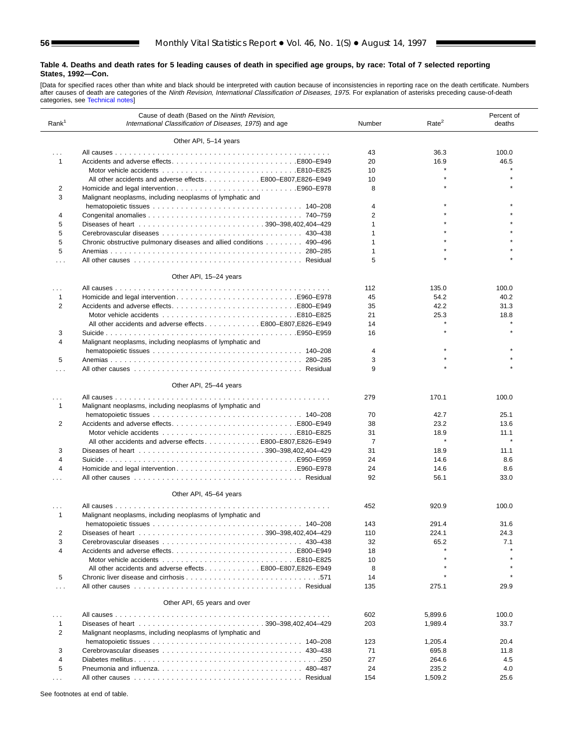[Data for specified races other than white and black should be interpreted with caution because of inconsistencies in reporting race on the death certificate. Numbers<br>after causes [of death are categorie](#page-61-0)s of the *Ninth Revi* 

| Rank <sup>1</sup> | Cause of death (Based on the Ninth Revision,<br>International Classification of Diseases, 1975) and age | Number         | Rate <sup>2</sup> | Percent of<br>deaths |
|-------------------|---------------------------------------------------------------------------------------------------------|----------------|-------------------|----------------------|
|                   | Other API, 5-14 years                                                                                   |                |                   |                      |
|                   |                                                                                                         |                |                   |                      |
| $\sim 100$        |                                                                                                         | 43             | 36.3              | 100.0                |
| $\mathbf{1}$      | Accidents and adverse effectsB800-E949                                                                  | 20             | 16.9              | 46.5                 |
|                   |                                                                                                         | 10             |                   |                      |
|                   | All other accidents and adverse effects E800-E807, E826-E949                                            | 10             |                   |                      |
| 2                 |                                                                                                         | 8              |                   |                      |
| 3                 | Malignant neoplasms, including neoplasms of lymphatic and                                               |                |                   |                      |
|                   |                                                                                                         | 4              |                   |                      |
| 4                 |                                                                                                         | $\overline{2}$ |                   |                      |
| 5                 |                                                                                                         | $\mathbf{1}$   |                   |                      |
| 5                 |                                                                                                         | 1              |                   |                      |
| 5                 | Chronic obstructive pulmonary diseases and allied conditions 490–496                                    | $\mathbf{1}$   |                   |                      |
| 5                 |                                                                                                         | 1              |                   |                      |
| $\cdots$          |                                                                                                         | 5              |                   |                      |
|                   | Other API, 15-24 years                                                                                  |                |                   |                      |
| $\cdots$          |                                                                                                         | 112            | 135.0             | 100.0                |
| $\mathbf{1}$      |                                                                                                         | 45             | 54.2              | 40.2                 |
| $\overline{2}$    |                                                                                                         | 35             | 42.2              | 31.3                 |
|                   |                                                                                                         | 21             | 25.3              | 18.8                 |
|                   | All other accidents and adverse effectsE800-E807.E826-E949                                              | 14             |                   |                      |
| 3                 |                                                                                                         | 16             |                   |                      |
| 4                 | Malignant neoplasms, including neoplasms of lymphatic and                                               |                |                   |                      |
|                   |                                                                                                         | 4              |                   |                      |
| 5                 |                                                                                                         | 3              |                   |                      |
|                   |                                                                                                         | 9              |                   |                      |
| $\cdots$          |                                                                                                         |                |                   |                      |
|                   | Other API, 25-44 years                                                                                  |                |                   |                      |
|                   |                                                                                                         | 279            | 170.1             | 100.0                |
| $\mathbf{1}$      | Malignant neoplasms, including neoplasms of lymphatic and                                               |                |                   |                      |
|                   |                                                                                                         | 70             | 42.7              | 25.1                 |
| 2                 |                                                                                                         | 38             | 23.2              | 13.6                 |
|                   |                                                                                                         | 31             | 18.9              | 11.1                 |
|                   | All other accidents and adverse effects E800-E807,E826-E949                                             | $\overline{7}$ | $\star$           |                      |
| 3                 |                                                                                                         | 31             | 18.9              | 11.1                 |
| 4                 |                                                                                                         | 24             | 14.6              | 8.6                  |
| 4                 |                                                                                                         | 24             | 14.6              | 8.6                  |
| $\cdots$          |                                                                                                         | 92             | 56.1              | 33.0                 |
|                   | Other API, 45-64 years                                                                                  |                |                   |                      |
|                   |                                                                                                         |                |                   |                      |
| $\mathbf{1}$      | Malignant neoplasms, including neoplasms of lymphatic and                                               | 452            | 920.9             | 100.0                |
|                   |                                                                                                         | 143            | 291.4             | 31.6                 |
| 2                 |                                                                                                         | 110            | 224.1             | 24.3                 |
| 3                 |                                                                                                         | 32             | 65.2              | 7.1                  |
| 4                 |                                                                                                         | 18             |                   |                      |
|                   |                                                                                                         | 10             |                   |                      |
|                   | All other accidents and adverse effectsE800-E807.E826-E949                                              | 8              |                   |                      |
| 5                 |                                                                                                         | 14             |                   |                      |
| $\cdots$          |                                                                                                         | 135            | 275.1             | 29.9                 |
|                   | Other API, 65 years and over                                                                            |                |                   |                      |
| $\cdots$          |                                                                                                         | 602            | 5,899.6           | 100.0                |
| 1                 |                                                                                                         | 203            | 1,989.4           | 33.7                 |
| 2                 | Malignant neoplasms, including neoplasms of lymphatic and                                               |                |                   |                      |
|                   |                                                                                                         | 123            | 1,205.4           | 20.4                 |
| 3                 |                                                                                                         | 71             | 695.8             | 11.8                 |
| 4                 |                                                                                                         | 27             | 264.6             | 4.5                  |
| 5                 | Pneumonia and influenza 480–487                                                                         | 24             | 235.2             | 4.0                  |
|                   |                                                                                                         | 154            | 1,509.2           | 25.6                 |

See footnotes at end of table.

 $\overline{a}$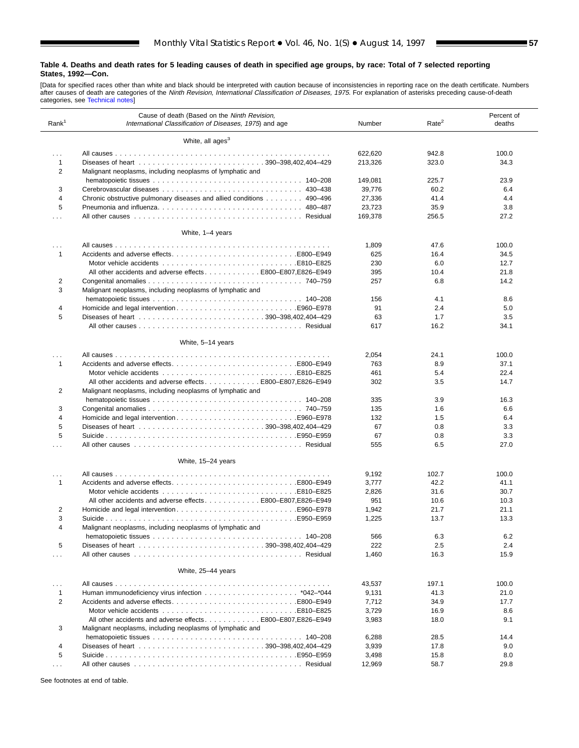ш

[Data for specified races other than white and black should be interpreted with caution because of inconsistencies in reporting race on the death certificate. Numbers<br>after causes [of death are categories](#page-61-0) of the *Ninth Revi* 

| Rank <sup>1</sup> | Cause of death (Based on the Ninth Revision,<br>International Classification of Diseases, 1975) and age | Rate <sup>2</sup><br>Number |       |       |  |
|-------------------|---------------------------------------------------------------------------------------------------------|-----------------------------|-------|-------|--|
|                   | White, all ages <sup>3</sup>                                                                            |                             |       |       |  |
| $\sim 10$         |                                                                                                         | 622,620                     | 942.8 | 100.0 |  |
| 1                 |                                                                                                         | 213,326                     | 323.0 | 34.3  |  |
| 2                 | Malignant neoplasms, including neoplasms of lymphatic and                                               |                             |       |       |  |
|                   |                                                                                                         | 149,081                     | 225.7 | 23.9  |  |
| 3                 |                                                                                                         | 39,776                      | 60.2  | 6.4   |  |
| 4                 | Chronic obstructive pulmonary diseases and allied conditions 490-496                                    | 27,336                      | 41.4  | 4.4   |  |
| 5                 |                                                                                                         | 23,723                      | 35.9  | 3.8   |  |
|                   |                                                                                                         | 169.378                     | 256.5 | 27.2  |  |
| $\cdots$          |                                                                                                         |                             |       |       |  |
|                   | White, 1-4 years                                                                                        |                             |       |       |  |
| $\cdots$          |                                                                                                         | 1,809                       | 47.6  | 100.0 |  |
| $\mathbf{1}$      |                                                                                                         | 625                         | 16.4  | 34.5  |  |
|                   |                                                                                                         | 230                         | 6.0   | 12.7  |  |
|                   | All other accidents and adverse effects E800–E807, E826–E949                                            | 395                         | 10.4  | 21.8  |  |
| 2                 |                                                                                                         | 257                         | 6.8   | 14.2  |  |
| 3                 | Malignant neoplasms, including neoplasms of lymphatic and                                               |                             |       |       |  |
|                   |                                                                                                         | 156                         | 4.1   | 8.6   |  |
| 4                 |                                                                                                         | 91                          | 2.4   | 5.0   |  |
| 5                 |                                                                                                         | 63                          | 1.7   | 3.5   |  |
|                   |                                                                                                         | 617                         | 16.2  | 34.1  |  |
|                   |                                                                                                         |                             |       |       |  |
|                   | White, 5-14 years                                                                                       |                             |       |       |  |
| .                 |                                                                                                         | 2,054                       | 24.1  | 100.0 |  |
| 1                 |                                                                                                         | 763                         | 8.9   | 37.1  |  |
|                   |                                                                                                         | 461                         | 5.4   | 22.4  |  |
|                   | All other accidents and adverse effects E800-E807, E826-E949                                            | 302                         | 3.5   | 14.7  |  |
| 2                 | Malignant neoplasms, including neoplasms of lymphatic and                                               |                             |       |       |  |
|                   |                                                                                                         | 335                         | 3.9   | 16.3  |  |
| 3                 |                                                                                                         | 135                         | 1.6   | 6.6   |  |
| 4                 |                                                                                                         | 132                         | 1.5   | 6.4   |  |
| 5                 |                                                                                                         | 67                          | 0.8   | 3.3   |  |
| 5                 |                                                                                                         | 67                          | 0.8   | 3.3   |  |
| .                 |                                                                                                         | 555                         | 6.5   | 27.0  |  |
|                   | White, 15-24 years                                                                                      |                             |       |       |  |
| $\cdots$          |                                                                                                         | 9,192                       | 102.7 | 100.0 |  |
| 1                 | Accidents and adverse effectsE800–E949                                                                  | 3,777                       | 42.2  | 41.1  |  |
|                   |                                                                                                         | 2,826                       | 31.6  | 30.7  |  |
|                   | All other accidents and adverse effects E800-E807,E826-E949                                             | 951                         | 10.6  | 10.3  |  |
| 2                 |                                                                                                         | 1,942                       | 21.7  | 21.1  |  |
| 3                 |                                                                                                         | 1,225                       | 13.7  | 13.3  |  |
| 4                 | Malignant neoplasms, including neoplasms of lymphatic and                                               |                             |       |       |  |
|                   |                                                                                                         | 566                         | 6.3   | 6.2   |  |
| 5                 |                                                                                                         | 222                         | 2.5   | 2.4   |  |
| $\cdots$          |                                                                                                         | 1,460                       | 16.3  | 15.9  |  |
|                   | White, 25-44 years                                                                                      |                             |       |       |  |
| $\cdots$          |                                                                                                         | 43,537                      | 197.1 | 100.0 |  |
| 1                 |                                                                                                         | 9,131                       | 41.3  | 21.0  |  |
| $\overline{2}$    |                                                                                                         | 7,712                       | 34.9  | 17.7  |  |
|                   |                                                                                                         | 3,729                       | 16.9  | 8.6   |  |
|                   | All other accidents and adverse effectsE800-E807,E826-E949                                              | 3,983                       | 18.0  | 9.1   |  |
| 3                 | Malignant neoplasms, including neoplasms of lymphatic and                                               |                             |       |       |  |
|                   |                                                                                                         |                             |       |       |  |
|                   |                                                                                                         | 6,288                       | 28.5  | 14.4  |  |
| 4                 |                                                                                                         | 3,939                       | 17.8  | 9.0   |  |
| 5                 |                                                                                                         | 3,498                       | 15.8  | 8.0   |  |
| $\sim$ $\sim$     |                                                                                                         | 12,969                      | 58.7  | 29.8  |  |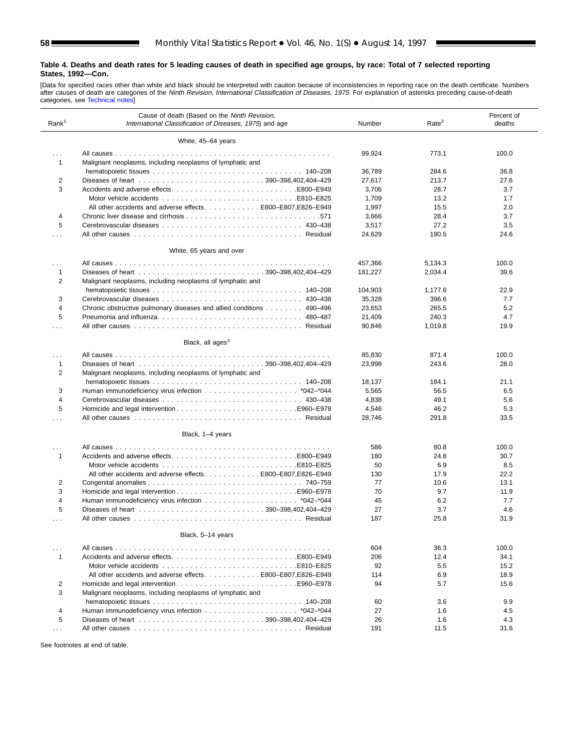[Data for specified races other than white and black should be interpreted with caution because of inconsistencies in reporting race on the death certificate. Numbers<br>after causes [of death are categori](#page-61-0)es of the *Ninth Revi* 

| Rank <sup>1</sup>    | Cause of death (Based on the Ninth Revision,<br>International Classification of Diseases, 1975) and age | Rate <sup>2</sup><br>Number |         |       |  |
|----------------------|---------------------------------------------------------------------------------------------------------|-----------------------------|---------|-------|--|
|                      | White, 45-64 years                                                                                      |                             |         |       |  |
| $\cdots$<br>1        | Malignant neoplasms, including neoplasms of lymphatic and                                               | 99,924                      | 773.1   | 100.0 |  |
|                      |                                                                                                         | 36,789                      | 284.6   | 36.8  |  |
| 2                    |                                                                                                         | 27,617                      | 213.7   | 27.6  |  |
| 3                    |                                                                                                         | 3,706                       | 28.7    | 3.7   |  |
|                      |                                                                                                         | 1,709                       | 13.2    | 1.7   |  |
|                      | All other accidents and adverse effects E800-E807, E826-E949                                            | 1,997                       | 15.5    | 2.0   |  |
| 4                    |                                                                                                         | 3,666                       | 28.4    | 3.7   |  |
| 5                    |                                                                                                         | 3,517                       | 27.2    | 3.5   |  |
| .                    |                                                                                                         | 24,629                      | 190.5   | 24.6  |  |
|                      | White, 65 years and over                                                                                |                             |         |       |  |
| $\cdots$             |                                                                                                         | 457,366                     | 5,134.3 | 100.0 |  |
| 1                    |                                                                                                         | 181,227                     | 2,034.4 | 39.6  |  |
| 2                    | Malignant neoplasms, including neoplasms of lymphatic and                                               |                             |         |       |  |
|                      |                                                                                                         | 104,903                     | 1,177.6 | 22.9  |  |
| 3                    |                                                                                                         | 35,328                      | 396.6   | 7.7   |  |
| 4                    | Chronic obstructive pulmonary diseases and allied conditions 490–496                                    | 23,653                      | 265.5   | 5.2   |  |
| 5                    | Pneumonia and influenza 480–487                                                                         | 21,409                      | 240.3   | 4.7   |  |
| .                    |                                                                                                         | 90,846                      | 1,019.8 | 19.9  |  |
|                      | Black, all ages <sup>3</sup>                                                                            |                             |         |       |  |
| .                    |                                                                                                         | 85,830                      | 871.4   | 100.0 |  |
| 1<br>2               | Malignant neoplasms, including neoplasms of lymphatic and                                               | 23,998                      | 243.6   | 28.0  |  |
|                      |                                                                                                         | 18,137                      | 184.1   | 21.1  |  |
| 3                    |                                                                                                         | 5,565                       | 56.5    | 6.5   |  |
| $\overline{4}$       |                                                                                                         | 4,838                       | 49.1    | 5.6   |  |
| 5                    |                                                                                                         | 4,546                       | 46.2    | 5.3   |  |
| $\cdots$             |                                                                                                         | 28,746                      | 291.8   | 33.5  |  |
|                      | Black, 1-4 years                                                                                        |                             |         |       |  |
| $\cdots$             |                                                                                                         | 586                         | 80.8    | 100.0 |  |
| $\mathbf{1}$         |                                                                                                         | 180                         | 24.8    | 30.7  |  |
|                      |                                                                                                         | 50                          | 6.9     | 8.5   |  |
|                      | All other accidents and adverse effects E800–E807, E826–E949                                            | 130                         | 17.9    | 22.2  |  |
| 2                    |                                                                                                         | 77                          | 10.6    | 13.1  |  |
| 3                    |                                                                                                         | 70                          | 9.7     | 11.9  |  |
| $\overline{4}$       |                                                                                                         | 45                          | 6.2     | 7.7   |  |
| 5                    |                                                                                                         | 27                          | 3.7     | 4.6   |  |
| $\cdots$             |                                                                                                         | 187                         | 25.8    | 31.9  |  |
|                      | Black, 5-14 years                                                                                       |                             |         |       |  |
| $\cdots$             |                                                                                                         | 604                         | 36.3    | 100.0 |  |
| 1                    |                                                                                                         | 206                         | 12.4    | 34.1  |  |
|                      |                                                                                                         | 92                          | 5.5     | 15.2  |  |
|                      | All other accidents and adverse effects E800-E807, E826-E949                                            | 114                         | 6.9     | 18.9  |  |
| 2                    |                                                                                                         | 94                          | 5.7     | 15.6  |  |
| 3                    | Malignant neoplasms, including neoplasms of lymphatic and                                               |                             |         |       |  |
|                      |                                                                                                         | 60                          | 3.6     | 9.9   |  |
| 4                    |                                                                                                         | 27                          | 1.6     | 4.5   |  |
| 5                    |                                                                                                         | 26                          | 1.6     | 4.3   |  |
| $\sim$ $\sim$ $\sim$ |                                                                                                         | 191                         | 11.5    | 31.6  |  |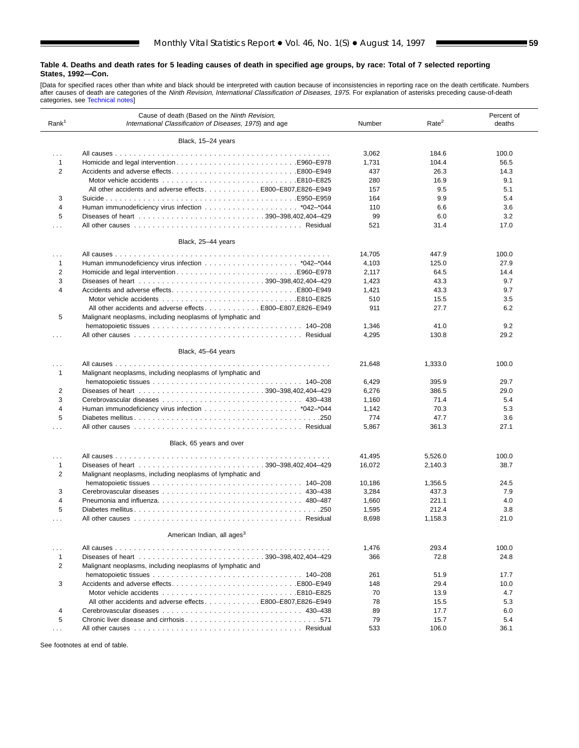ш

[Data for specified races other than white and black should be interpreted with caution because of inconsistencies in reporting race on the death certificate. Numbers<br>after causes of death are categories of the *Ninth Revi* 

| Rank <sup>1</sup> | Cause of death (Based on the Ninth Revision,<br>International Classification of Diseases, 1975) and age | Number | Rate <sup>2</sup> | Percent of<br>deaths |
|-------------------|---------------------------------------------------------------------------------------------------------|--------|-------------------|----------------------|
|                   | Black, 15-24 years                                                                                      |        |                   |                      |
| $\cdots$          |                                                                                                         | 3,062  | 184.6             | 100.0                |
| $\mathbf{1}$      |                                                                                                         | 1,731  | 104.4             | 56.5                 |
| $\overline{2}$    |                                                                                                         | 437    | 26.3              | 14.3                 |
|                   |                                                                                                         | 280    | 16.9              | 9.1                  |
|                   | All other accidents and adverse effects E800-E807, E826-E949                                            | 157    | 9.5               | 5.1                  |
| 3                 |                                                                                                         | 164    | 9.9               | 5.4                  |
| $\overline{4}$    |                                                                                                         | 110    | 6.6               | 3.6                  |
| 5                 |                                                                                                         | 99     | 6.0               | 3.2                  |
| $\cdots$          |                                                                                                         | 521    | 31.4              | 17.0                 |
|                   | Black, 25-44 years                                                                                      |        |                   |                      |
|                   |                                                                                                         |        |                   |                      |
| $\cdots$          |                                                                                                         | 14,705 | 447.9             | 100.0                |
| $\mathbf{1}$      |                                                                                                         | 4,103  | 125.0             | 27.9                 |
| $\overline{2}$    |                                                                                                         | 2,117  | 64.5              | 14.4                 |
| 3                 |                                                                                                         | 1,423  | 43.3              | 9.7                  |
| 4                 | Accidents and adverse effectsE800-E949                                                                  | 1,421  | 43.3              | 9.7                  |
|                   |                                                                                                         | 510    | 15.5              | 3.5                  |
|                   | All other accidents and adverse effects E800-E807, E826-E949                                            | 911    | 27.7              | 6.2                  |
| 5                 | Malignant neoplasms, including neoplasms of lymphatic and                                               |        |                   |                      |
|                   |                                                                                                         | 1,346  | 41.0              | 9.2                  |
| $\cdots$          |                                                                                                         | 4,295  | 130.8             | 29.2                 |
|                   | Black, 45-64 years                                                                                      |        |                   |                      |
| .                 |                                                                                                         | 21,648 | 1,333.0           | 100.0                |
| $\mathbf{1}$      | Malignant neoplasms, including neoplasms of lymphatic and                                               |        |                   |                      |
|                   |                                                                                                         | 6,429  | 395.9             | 29.7                 |
| 2                 |                                                                                                         | 6,276  | 386.5             | 29.0                 |
| 3                 |                                                                                                         | 1,160  | 71.4              | 5.4                  |
| $\overline{4}$    |                                                                                                         | 1,142  | 70.3              | 5.3                  |
| 5                 |                                                                                                         | 774    | 47.7              | 3.6                  |
| .                 |                                                                                                         | 5,867  | 361.3             | 27.1                 |
|                   | Black, 65 years and over                                                                                |        |                   |                      |
|                   |                                                                                                         |        |                   |                      |
| .                 |                                                                                                         | 41,495 | 5,526.0           | 100.0                |
| $\mathbf{1}$      |                                                                                                         | 16,072 | 2,140.3           | 38.7                 |
| 2                 | Malignant neoplasms, including neoplasms of lymphatic and                                               |        |                   |                      |
|                   |                                                                                                         | 10,186 | 1,356.5           | 24.5                 |
| 3                 |                                                                                                         | 3,284  | 437.3             | 7.9                  |
| 4                 | Pneumonia and influenza 480–487                                                                         | 1,660  | 221.1             | 4.0                  |
| 5                 |                                                                                                         | 1,595  | 212.4             | 3.8                  |
| .                 |                                                                                                         | 8,698  | 1,158.3           | 21.0                 |
|                   | American Indian, all ages <sup>3</sup>                                                                  |        |                   |                      |
| $\cdots$          |                                                                                                         | 1,476  | 293.4             | 100.0                |
| $\mathbf{1}$      |                                                                                                         | 366    | 72.8              | 24.8                 |
| 2                 | Malignant neoplasms, including neoplasms of lymphatic and                                               |        |                   |                      |
|                   |                                                                                                         | 261    | 51.9              | 17.7                 |
| 3                 |                                                                                                         | 148    | 29.4              | 10.0                 |
|                   |                                                                                                         | 70     | 13.9              | 4.7                  |
|                   | All other accidents and adverse effects E800-E807, E826-E949                                            | 78     | 15.5              | 5.3                  |
| 4                 |                                                                                                         | 89     | 17.7              | 6.0                  |
| 5                 |                                                                                                         | 79     | 15.7              | 5.4                  |
| $\cdots$          |                                                                                                         | 533    | 106.0             | 36.1                 |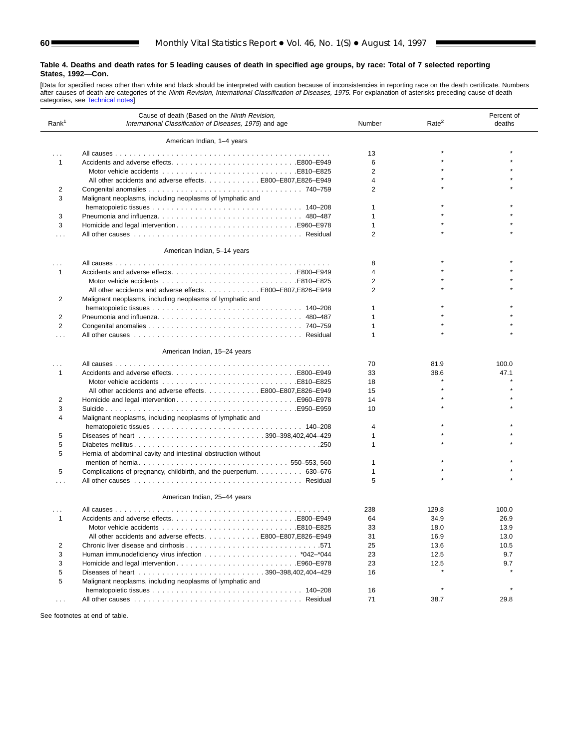[Data for specified races other than white and black should be interpreted with caution because of inconsistencies in reporting race on the death certificate. Numbers<br>after causes [of death are categorie](#page-61-0)s of the *Ninth Revi* 

| Rank <sup>1</sup> | Cause of death (Based on the Ninth Revision,<br>International Classification of Diseases, 1975) and age | Number         | Rate <sup>2</sup> | Percent of<br>deaths |
|-------------------|---------------------------------------------------------------------------------------------------------|----------------|-------------------|----------------------|
|                   | American Indian, 1-4 years                                                                              |                |                   |                      |
| $\cdots$          |                                                                                                         | 13             |                   |                      |
| 1                 | Accidents and adverse effectsB800-E949                                                                  | 6              |                   |                      |
|                   |                                                                                                         | $\overline{2}$ |                   |                      |
|                   | All other accidents and adverse effects E800-E807, E826-E949                                            | 4              |                   |                      |
| 2                 |                                                                                                         | 2              |                   |                      |
| 3                 | Malignant neoplasms, including neoplasms of lymphatic and                                               |                |                   |                      |
|                   |                                                                                                         | 1              |                   |                      |
| 3                 | Pneumonia and influenza 480–487                                                                         | 1              |                   |                      |
| 3                 |                                                                                                         | $\mathbf{1}$   |                   |                      |
|                   |                                                                                                         | $\overline{2}$ |                   |                      |
| .                 |                                                                                                         |                |                   |                      |
|                   | American Indian, 5-14 years                                                                             |                |                   |                      |
| $\cdots$          |                                                                                                         | 8              |                   |                      |
| 1                 |                                                                                                         | 4              |                   |                      |
|                   |                                                                                                         | 2              |                   |                      |
|                   | All other accidents and adverse effects E800-E807,E826-E949                                             | 2              |                   |                      |
| 2                 | Malignant neoplasms, including neoplasms of lymphatic and                                               |                |                   |                      |
|                   |                                                                                                         | 1              |                   |                      |
| 2                 | Pneumonia and influenza 480–487                                                                         | $\mathbf{1}$   |                   |                      |
| $\overline{2}$    |                                                                                                         | 1              |                   |                      |
| $\cdots$          |                                                                                                         | 1              |                   |                      |
|                   | American Indian, 15-24 years                                                                            |                |                   |                      |
|                   |                                                                                                         | 70             | 81.9              | 100.0                |
| 1                 | Accidents and adverse effectsB800-E949                                                                  | 33             | 38.6              | 47.1                 |
|                   |                                                                                                         | 18             |                   |                      |
|                   | All other accidents and adverse effects E800-E807, E826-E949                                            | 15             |                   |                      |
| 2                 |                                                                                                         | 14             |                   |                      |
| 3                 |                                                                                                         | 10             |                   |                      |
| 4                 | Malignant neoplasms, including neoplasms of lymphatic and                                               |                |                   |                      |
|                   |                                                                                                         | 4              |                   |                      |
| 5                 |                                                                                                         | 1              |                   |                      |
| 5                 |                                                                                                         | 1              |                   |                      |
| 5                 | Hernia of abdominal cavity and intestinal obstruction without                                           |                |                   |                      |
|                   |                                                                                                         | 1              |                   |                      |
| 5                 | Complications of pregnancy, childbirth, and the puerperium 630–676                                      | 1              |                   |                      |
| .                 |                                                                                                         | 5              |                   |                      |
|                   | American Indian, 25-44 years                                                                            |                |                   |                      |
|                   |                                                                                                         | 238            | 129.8             | 100.0                |
| 1                 |                                                                                                         | 64             | 34.9              | 26.9                 |
|                   |                                                                                                         | 33             | 18.0              | 13.9                 |
|                   | All other accidents and adverse effects E800–E807, E826–E949                                            | 31             | 16.9              | 13.0                 |
| 2                 |                                                                                                         | 25             | 13.6              | 10.5                 |
| 3                 |                                                                                                         | 23             | 12.5              | 9.7                  |
| 3                 |                                                                                                         | 23             | 12.5              | 9.7                  |
| 5                 |                                                                                                         | 16             |                   |                      |
| 5                 | Malignant neoplasms, including neoplasms of lymphatic and                                               |                |                   |                      |
|                   |                                                                                                         | 16             | $\star$           |                      |
|                   |                                                                                                         |                |                   |                      |
| $\cdots$          |                                                                                                         | 71             | 38.7              | 29.8                 |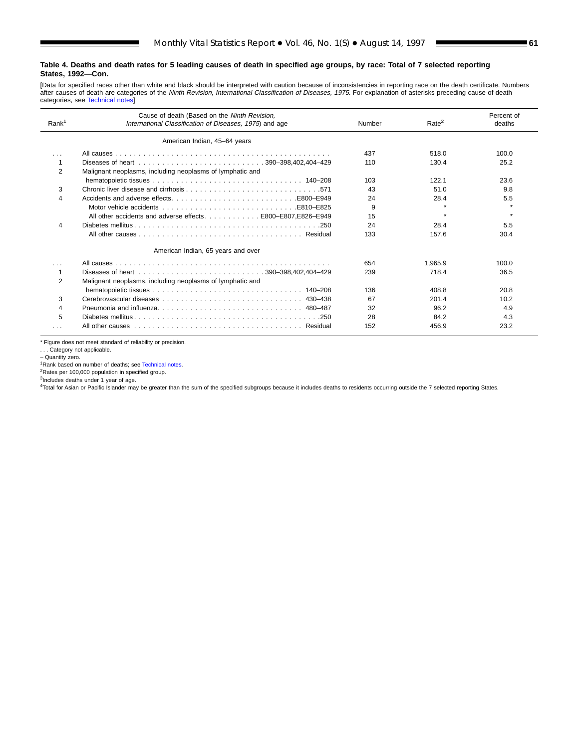[Data for specified races other than white and black should be interpreted with caution because of inconsistencies in reporting race on the death certificate. Numbers<br>after causes [of death are categorie](#page-61-0)s of the *Ninth Revi* categories, see Technical notes]

| Rank <sup>1</sup> | Cause of death (Based on the Ninth Revision,<br>International Classification of Diseases, 1975) and age | Rate <sup>2</sup> | Percent of<br>deaths |       |
|-------------------|---------------------------------------------------------------------------------------------------------|-------------------|----------------------|-------|
|                   | American Indian, 45-64 years                                                                            |                   |                      |       |
| $\cdots$          |                                                                                                         | 437               | 518.0                | 100.0 |
|                   |                                                                                                         | 110               | 130.4                | 25.2  |
| 2                 | Malignant neoplasms, including neoplasms of lymphatic and                                               |                   |                      |       |
|                   |                                                                                                         | 103               | 122.1                | 23.6  |
| 3                 |                                                                                                         | 43                | 51.0                 | 9.8   |
| 4                 | Accidents and adverse effectsE800–E949                                                                  | 24                | 28.4                 | 5.5   |
|                   | Motor vehicle accidents experiences and contact the service of the E825                                 | 9                 |                      |       |
|                   | All other accidents and adverse effects E800-E807,E826-E949                                             | 15                |                      |       |
| 4                 |                                                                                                         | 24                | 28.4                 | 5.5   |
|                   |                                                                                                         | 133               | 157.6                | 30.4  |
|                   | American Indian, 65 years and over                                                                      |                   |                      |       |
| $\cdots$          |                                                                                                         | 654               | 1.965.9              | 100.0 |
|                   |                                                                                                         | 239               | 718.4                | 36.5  |
| $\overline{2}$    | Malignant neoplasms, including neoplasms of lymphatic and                                               |                   |                      |       |
|                   |                                                                                                         | 136               | 408.8                | 20.8  |
| 3                 |                                                                                                         | 67                | 201.4                | 10.2  |
| 4                 |                                                                                                         | 32                | 96.2                 | 4.9   |
| 5                 |                                                                                                         | 28                | 84.2                 | 4.3   |
| $\cdots$          |                                                                                                         | 152               | 456.9                | 23.2  |

\* Figure does not meet standard of reliability or precision.

. . . Category not applicable.

– Quantity zero.

<sup>1</sup>Rank based on number of deaths; see [Technical notes.](#page-61-0)

<sup>2</sup>Rates per 100,000 population in specified group.<br><sup>3</sup>Includes deaths under 1 year of age.

4Total for Asian or Pacific Islander may be greater than the sum of the specified subgroups because it includes deaths to residents occurring outside the 7 selected reporting States.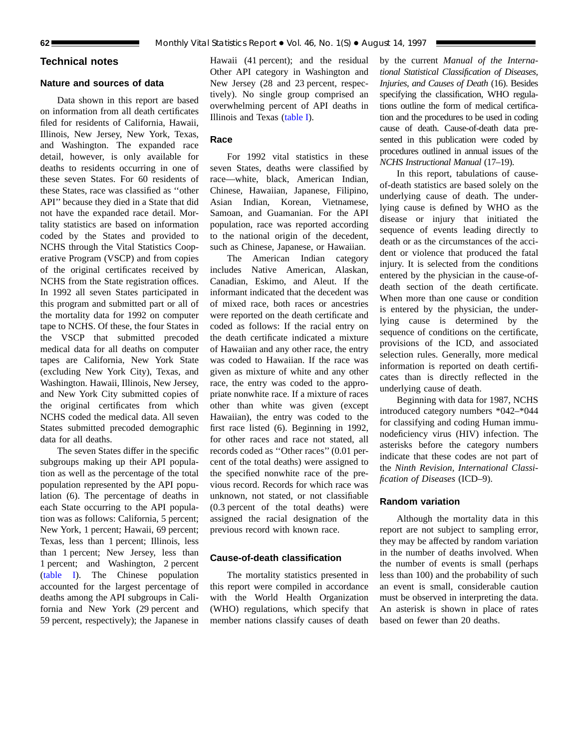## <span id="page-61-0"></span>**Technical notes**

## **Nature and sources of data**

Data shown in this report are based on information from all death certificates filed for residents of California, Hawaii, Illinois, New Jersey, New York, Texas, and Washington. The expanded race detail, however, is only available for deaths to residents occurring in one of these seven States. For 60 residents of these States, race was classified as ''other API'' because they died in a State that did not have the expanded race detail. Mortality statistics are based on information coded by the States and provided to NCHS through the Vital Statistics Cooperative Program (VSCP) and from copies of the original certificates received by NCHS from the State registration offices. In 1992 all seven States participated in this program and submitted part or all of the mortality data for 1992 on computer tape to NCHS. Of these, the four States in the VSCP that submitted precoded medical data for all deaths on computer tapes are California, New York State (excluding New York City), Texas, and Washington. Hawaii, Illinois, New Jersey, and New York City submitted copies of the original certificates from which NCHS coded the medical data. All seven States submitted precoded demographic data for all deaths.

The seven States differ in the specific subgroups making up their API population as well as the percentage of the total population represented by the API population (6). The percentage of deaths in each State occurring to the API population was as follows: California, 5 percent; New York, 1 percent; Hawaii, 69 percent; Texas, less than 1 percent; Illinois, less than 1 percent; New Jersey, less than 1 percent; and Washington, 2 percent [\(table I\).](#page-62-0) The Chinese population accounted for the largest percentage of deaths among the API subgroups in California and New York (29 percent and 59 percent, respectively); the Japanese in

Hawaii (41 percent); and the residual Other API category in Washington and New Jersey (28 and 23 percent, respectively). No single group comprised an overwhelming percent of API deaths in Illinois and Tex[as \(table I\).](#page-62-0)

## **Race**

For 1992 vital statistics in these seven States, deaths were classified by race—white, black, American Indian, Chinese, Hawaiian, Japanese, Filipino, Asian Indian, Korean, Vietnamese, Samoan, and Guamanian. For the API population, race was reported according to the national origin of the decedent, such as Chinese, Japanese, or Hawaiian.

The American Indian category includes Native American, Alaskan, Canadian, Eskimo, and Aleut. If the informant indicated that the decedent was of mixed race, both races or ancestries were reported on the death certificate and coded as follows: If the racial entry on the death certificate indicated a mixture of Hawaiian and any other race, the entry was coded to Hawaiian. If the race was given as mixture of white and any other race, the entry was coded to the appropriate nonwhite race. If a mixture of races other than white was given (except Hawaiian), the entry was coded to the first race listed (6). Beginning in 1992, for other races and race not stated, all records coded as ''Other races'' (0.01 percent of the total deaths) were assigned to the specified nonwhite race of the previous record. Records for which race was unknown, not stated, or not classifiable (0.3 percent of the total deaths) were assigned the racial designation of the previous record with known race.

#### **Cause-of-death classification**

The mortality statistics presented in this report were compiled in accordance with the World Health Organization (WHO) regulations, which specify that member nations classify causes of death

by the current *Manual of the International Statistical Classification of Diseases, Injuries, and Causes of Death* (16). Besides specifying the classification, WHO regulations outline the form of medical certification and the procedures to be used in coding cause of death. Cause-of-death data presented in this publication were coded by procedures outlined in annual issues of the *NCHS Instructional Manual* (17–19).

In this report, tabulations of causeof-death statistics are based solely on the underlying cause of death. The underlying cause is defined by WHO as the disease or injury that initiated the sequence of events leading directly to death or as the circumstances of the accident or violence that produced the fatal injury. It is selected from the conditions entered by the physician in the cause-ofdeath section of the death certificate. When more than one cause or condition is entered by the physician, the underlying cause is determined by the sequence of conditions on the certificate, provisions of the ICD, and associated selection rules. Generally, more medical information is reported on death certificates than is directly reflected in the underlying cause of death.

Beginning with data for 1987, NCHS introduced category numbers \*042–\*044 for classifying and coding Human immunodeficiency virus (HIV) infection. The asterisks before the category numbers indicate that these codes are not part of the *Ninth Revision, International Classification of Diseases* (ICD–9).

## **Random variation**

Although the mortality data in this report are not subject to sampling error, they may be affected by random variation in the number of deaths involved. When the number of events is small (perhaps less than 100) and the probability of such an event is small, considerable caution must be observed in interpreting the data. An asterisk is shown in place of rates based on fewer than 20 deaths.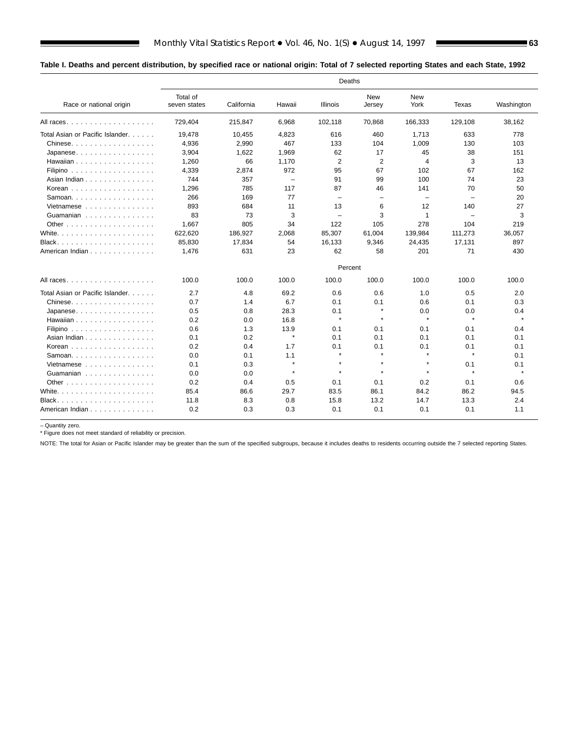## <span id="page-62-0"></span>**Table I. Deaths and percent distribution, by specified race or national origin: Total of 7 selected reporting States and each State, 1992**

|                                                      | Deaths                   |            |          |                          |                          |                          |                          |            |
|------------------------------------------------------|--------------------------|------------|----------|--------------------------|--------------------------|--------------------------|--------------------------|------------|
| Race or national origin                              | Total of<br>seven states | California | Hawaii   | <b>Illinois</b>          | New<br>Jersey            | New<br>York              | Texas                    | Washington |
| All races                                            | 729,404                  | 215,847    | 6,968    | 102,118                  | 70,868                   | 166,333                  | 129,108                  | 38,162     |
| Total Asian or Pacific Islander.                     | 19.478                   | 10,455     | 4,823    | 616                      | 460                      | 1,713                    | 633                      | 778        |
| $Chinese. \ldots \ldots \ldots \ldots \ldots$        | 4,936                    | 2,990      | 467      | 133                      | 104                      | 1,009                    | 130                      | 103        |
| $Japanese. \ldots \ldots \ldots \ldots \ldots$       | 3,904                    | 1,622      | 1,969    | 62                       | 17                       | 45                       | 38                       | 151        |
| Hawaiian                                             | 1,260                    | 66         | 1,170    | 2                        | $\overline{2}$           | 4                        | 3                        | 13         |
| Filipino $\ldots \ldots \ldots \ldots \ldots$        | 4,339                    | 2,874      | 972      | 95                       | 67                       | 102                      | 67                       | 162        |
| Asian Indian                                         | 744                      | 357        | $\equiv$ | 91                       | 99                       | 100                      | 74                       | 23         |
| Korean                                               | 1,296                    | 785        | 117      | 87                       | 46                       | 141                      | 70                       | 50         |
| Samoan.                                              | 266                      | 169        | 77       | $\overline{\phantom{0}}$ | $\overline{\phantom{a}}$ | $\overline{\phantom{0}}$ | $\overline{\phantom{0}}$ | 20         |
| Vietnamese $\ldots$ , $\ldots$ , $\ldots$ , $\ldots$ | 893                      | 684        | 11       | 13                       | 6                        | 12                       | 140                      | 27         |
| Guamanian                                            | 83                       | 73         | 3        | $\overline{\phantom{a}}$ | 3                        | $\mathbf{1}$             | $\overline{\phantom{m}}$ | 3          |
|                                                      | 1,667                    | 805        | 34       | 122                      | 105                      | 278                      | 104                      | 219        |
|                                                      | 622,620                  | 186,927    | 2,068    | 85,307                   | 61,004                   | 139,984                  | 111,273                  | 36,057     |
| Black                                                | 85,830                   | 17,834     | 54       | 16,133                   | 9,346                    | 24,435                   | 17,131                   | 897        |
| American Indian                                      | 1,476                    | 631        | 23       | 62                       | 58                       | 201                      | 71                       | 430        |
|                                                      |                          |            |          | Percent                  |                          |                          |                          |            |
| All races                                            | 100.0                    | 100.0      | 100.0    | 100.0                    | 100.0                    | 100.0                    | 100.0                    | 100.0      |
| Total Asian or Pacific Islander.                     | 2.7                      | 4.8        | 69.2     | 0.6                      | 0.6                      | 1.0                      | 0.5                      | 2.0        |
| Chinese.                                             | 0.7                      | 1.4        | 6.7      | 0.1                      | 0.1                      | 0.6                      | 0.1                      | 0.3        |
| Japanese                                             | 0.5                      | 0.8        | 28.3     | 0.1                      | $\star$                  | 0.0                      | 0.0                      | 0.4        |
| Hawaiian                                             | 0.2                      | 0.0        | 16.8     | $\star$                  | $\star$                  | $\pmb{\ast}$             | $\star$                  | $\star$    |
| Filipino                                             | 0.6                      | 1.3        | 13.9     | 0.1                      | 0.1                      | 0.1                      | 0.1                      | 0.4        |
| Asian Indian                                         | 0.1                      | 0.2        | $\star$  | 0.1                      | 0.1                      | 0.1                      | 0.1                      | 0.1        |
| Korean                                               | 0.2                      | 0.4        | 1.7      | 0.1                      | 0.1                      | 0.1                      | 0.1                      | 0.1        |
| Samoan. $\ldots$ .                                   | 0.0                      | 0.1        | 1.1      | $\star$                  | $\star$                  | $\star$                  | $\star$                  | 0.1        |
| Vietnamese                                           | 0.1                      | 0.3        | $\star$  | $\star$                  | $\star$                  | $\pmb{\ast}$             | 0.1                      | 0.1        |
| Guamanian                                            | 0.0                      | 0.0        | $\star$  | $\ddot{\phantom{a}}$     | $\bullet$                | $\star$                  | $\star$                  | $\bullet$  |
|                                                      | 0.2                      | 0.4        | 0.5      | 0.1                      | 0.1                      | 0.2                      | 0.1                      | 0.6        |
| White. $\ldots$                                      | 85.4                     | 86.6       | 29.7     | 83.5                     | 86.1                     | 84.2                     | 86.2                     | 94.5       |
|                                                      | 11.8                     | 8.3        | 0.8      | 15.8                     | 13.2                     | 14.7                     | 13.3                     | 2.4        |
| American Indian                                      | 0.2                      | 0.3        | 0.3      | 0.1                      | 0.1                      | 0.1                      | 0.1                      | 1.1        |

– Quantity zero. \* Figure does not meet standard of reliability or precision.

■

NOTE: The total for Asian or Pacific Islander may be greater than the sum of the specified subgroups, because it includes deaths to residents occurring outside the 7 selected reporting States.